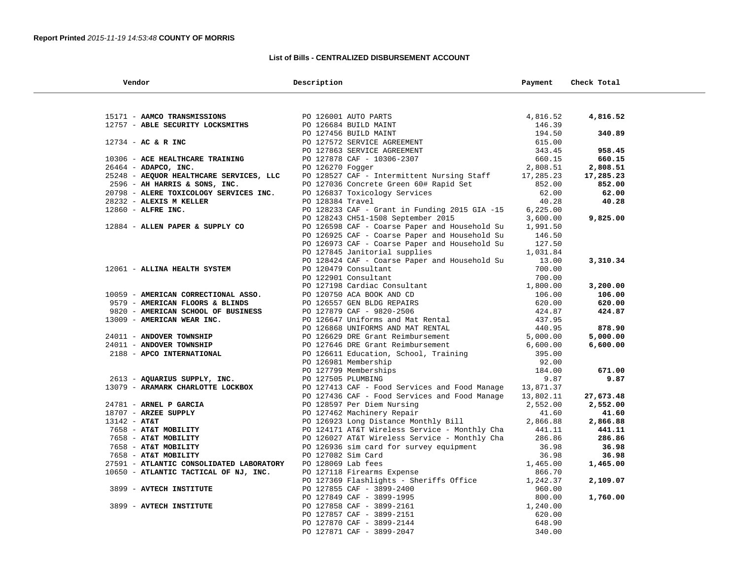## **List of Bills - CENTRALIZED DISBURSEMENT ACCOUNT**

| Vendor                                   | Description                                                                                                                                                                                                 | Payment              | Check Total |
|------------------------------------------|-------------------------------------------------------------------------------------------------------------------------------------------------------------------------------------------------------------|----------------------|-------------|
|                                          |                                                                                                                                                                                                             |                      |             |
| 15171 - AAMCO TRANSMISSIONS              | PO 126001 AUTO PARTS                                                                                                                                                                                        | 4,816.52             | 4,816.52    |
| 12757 - ABLE SECURITY LOCKSMITHS         | PO 126684 BUILD MAINT                                                                                                                                                                                       | 146.39               |             |
|                                          | PO 127456 BUILD MAINT                                                                                                                                                                                       | 194.50               | 340.89      |
| 12734 - AC & R INC                       | PO 127572 SERVICE AGREEMENT                                                                                                                                                                                 | 615.00               |             |
|                                          | PO 127863 SERVICE AGREEMENT                                                                                                                                                                                 | 343.45               | 958.45      |
| 10306 - ACE HEALTHCARE TRAINING          | PO 127878 CAF - 10306-2307                                                                                                                                                                                  | 660.15               | 660.15      |
| 26464 - ADAPCO, INC.                     | PO 126270 Fogger                                                                                                                                                                                            | 2,808.51             | 2,808.51    |
| 25248 - AEQUOR HEALTHCARE SERVICES, LLC  | PO 128527 CAF - Intermittent Nursing Staff                                                                                                                                                                  | 17,285.23            | 17,285.23   |
| 2596 - AH HARRIS & SONS, INC.            | PO 127036 Concrete Green 60# Rapid Set                                                                                                                                                                      | 852.00               | 852.00      |
| 20798 - ALERE TOXICOLOGY SERVICES INC.   | PO 126837 Toxicology Services                                                                                                                                                                               | 62.00                | 62.00       |
| 28232 - ALEXIS M KELLER                  | PO 128384 Travel                                                                                                                                                                                            | 40.28                | 40.28       |
| 12860 - ALFRE INC.                       | PO 128233 CAF - Grant in Funding 2015 GIA -15                                                                                                                                                               | 6, 225.00            |             |
| 12884 - ALLEN PAPER & SUPPLY CO          | PO 128243 CH51-1508 September 2015<br>PO 126598 CAF - Coarse Paper and Household Su                                                                                                                         | 3,600.00<br>1,991.50 | 9,825.00    |
|                                          |                                                                                                                                                                                                             |                      |             |
|                                          | PO 126925 CAF - Coarse Paper and Household Su<br>PO 126973 CAF - Coarse Paper and Household Su                                                                                                              | 146.50<br>127.50     |             |
|                                          | PO 127845 Janitorial supplies                                                                                                                                                                               | 1,031.84             |             |
|                                          | PO 128424 CAF - Coarse Paper and Household Su                                                                                                                                                               | 13.00                | 3,310.34    |
| 12061 - ALLINA HEALTH SYSTEM             | PO 120479 Consultant                                                                                                                                                                                        | 700.00               |             |
|                                          | PO 122901 Consultant                                                                                                                                                                                        | 700.00               |             |
|                                          | PO 127198 Cardiac Consultant                                                                                                                                                                                | 1,800.00             | 3,200.00    |
| 10059 - AMERICAN CORRECTIONAL ASSO.      | PO 120750 ACA BOOK AND CD                                                                                                                                                                                   | 106.00               | 106.00      |
| 9579 - AMERICAN FLOORS & BLINDS          |                                                                                                                                                                                                             | 620.00               | 620.00      |
| 9820 - AMERICAN SCHOOL OF BUSINESS       |                                                                                                                                                                                                             | 424.87               | 424.87      |
| 13009 - AMERICAN WEAR INC.               | PO 126557 GEN BLDG REPAIRS<br>PO 127879 CAF - 9820-2506<br>PO 126647 Uniforms and Mat Rental<br>PO 126688 UNIFORMS AND MAT RENTAL<br>PO 126629 DRE Grant Reimbursement<br>PO 127646 DRE Grant Reimbursement | 437.95               |             |
|                                          |                                                                                                                                                                                                             | 440.95               | 878.90      |
| 24011 - ANDOVER TOWNSHIP                 |                                                                                                                                                                                                             | 5,000.00             | 5,000.00    |
| 24011 - ANDOVER TOWNSHIP                 | PO 127646 DRE Grant Reimbursement                                                                                                                                                                           | 6,600.00             | 6,600.00    |
| 2188 - APCO INTERNATIONAL                | PO 126611 Education, School, Training                                                                                                                                                                       | 395.00               |             |
|                                          | PO 126981 Membership                                                                                                                                                                                        | 92.00                |             |
|                                          | PO 127799 Memberships                                                                                                                                                                                       | 184.00               | 671.00      |
| 2613 - AQUARIUS SUPPLY, INC.             | PO 127505 PLUMBING                                                                                                                                                                                          | 9.87                 | 9.87        |
| 13079 - ARAMARK CHARLOTTE LOCKBOX        | PO 127413 CAF - Food Services and Food Manage 13,871.37                                                                                                                                                     |                      |             |
|                                          | PO 127436 CAF - Food Services and Food Manage                                                                                                                                                               | 13,802.11            | 27,673.48   |
| 24781 - ARNEL P GARCIA                   | PO 128597 Per Diem Nursing                                                                                                                                                                                  | 2,552.00             | 2,552.00    |
| 18707 - ARZEE SUPPLY                     | PO 127462 Machinery Repair                                                                                                                                                                                  | 41.60                | 41.60       |
| $13142 - AT&T$                           | PO 126923 Long Distance Monthly Bill                                                                                                                                                                        | 2,866.88             | 2,866.88    |
| 7658 - AT&T MOBILITY                     | PO 124171 AT&T Wireless Service - Monthly Cha                                                                                                                                                               | 441.11               | 441.11      |
| 7658 - AT&T MOBILITY                     | PO 126027 AT&T Wireless Service - Monthly Cha                                                                                                                                                               | 286.86               | 286.86      |
| 7658 - AT&T MOBILITY                     | PO 126936 sim card for survey equipment                                                                                                                                                                     | 36.98                | 36.98       |
| 7658 - AT&T MOBILITY                     | PO 127082 Sim Card<br>PO 127082 Sim Card<br>PO 128069 Lab fees<br>PO 127118 Firearms Expense                                                                                                                | 36.98                | 36.98       |
| 27591 - ATLANTIC CONSOLIDATED LABORATORY |                                                                                                                                                                                                             | 1,465.00             | 1,465.00    |
| 10650 - ATLANTIC TACTICAL OF NJ, INC.    | PO 127369 Flashlights - Sheriffs Office                                                                                                                                                                     | 866.70<br>1,242.37   | 2,109.07    |
|                                          | PO 127855 CAF - 3899-2400                                                                                                                                                                                   | 960.00               |             |
| 3899 - AVTECH INSTITUTE                  | PO 127849 CAF - 3899-1995                                                                                                                                                                                   | 800.00               | 1,760.00    |
| 3899 - AVTECH INSTITUTE                  | PO 127858 CAF - 3899-2161                                                                                                                                                                                   | 1,240.00             |             |
|                                          | PO 127857 CAF - 3899-2151                                                                                                                                                                                   | 620.00               |             |
|                                          | PO 127870 CAF - 3899-2144                                                                                                                                                                                   | 648.90               |             |
|                                          | PO 127871 CAF - 3899-2047                                                                                                                                                                                   | 340.00               |             |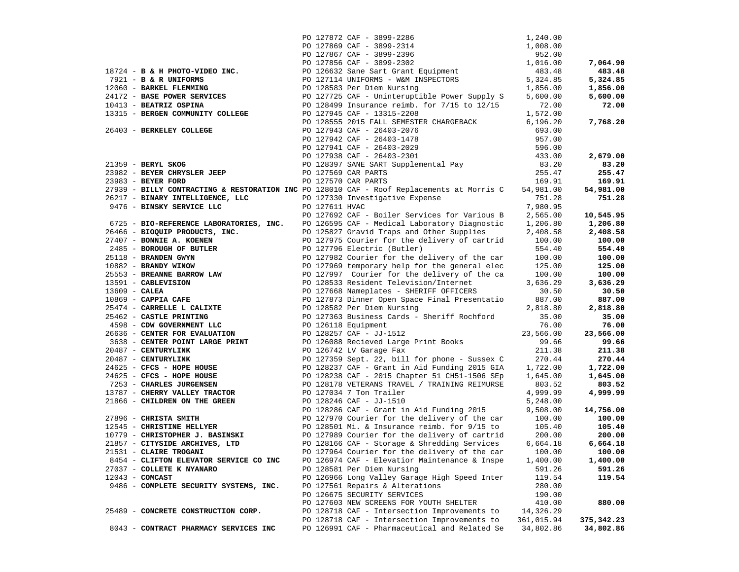|                                                                                           |                |                                                                                                  | 1,240.00        |                 |
|-------------------------------------------------------------------------------------------|----------------|--------------------------------------------------------------------------------------------------|-----------------|-----------------|
|                                                                                           |                | PO 127872 CAF - 3899-2286<br>PO 127869 CAF - 3899-2314                                           | 1,008.00        |                 |
|                                                                                           |                |                                                                                                  | 952.00          |                 |
|                                                                                           |                | PO 127867 CAF - 3899-2396<br>PO 127856 CAF - 3899-2396<br>PO 127856 CAF - 3899-2302              | 1,016.00        | 7,064.90        |
| $18724$ - B & H PHOTO-VIDEO INC.                                                          |                | PO 126632 Sane Sart Grant Equipment                                                              | 483.48          | 483.48          |
| 7921 - B & R UNIFORMS                                                                     |                |                                                                                                  | 5,324.85        | 5,324.85        |
| 12060 - BARKEL FLEMMING                                                                   |                | PO 127114 UNIFORMS - W&M INSPECTORS<br>PO 128583 Per Diem Nursing                                | 1,856.00        | 1,856.00        |
| 24172 - BASE POWER SERVICES                                                               |                | PO 127725 CAF - Uninteruptible Power Supply S                                                    | 5,600.00        | 5,600.00        |
| 10413 - BEATRIZ OSPINA                                                                    |                | PO 128499 Insurance reimb. for 7/15 to 12/15                                                     | 72.00           | 72.00           |
| 13315 - BERGEN COMMUNITY COLLEGE                                                          |                | PO 127945 CAF - 13315-2208                                                                       | 1,572.00        |                 |
|                                                                                           |                | PO 128555 2015 FALL SEMESTER CHARGEBACK                                                          | 6, 196.20       | 7,768.20        |
| 26403 - BERKELEY COLLEGE                                                                  |                | PO 127943 CAF - 26403-2076                                                                       | 693.00          |                 |
|                                                                                           |                | PO 127942 CAF - 26403-1478                                                                       | 957.00          |                 |
|                                                                                           |                |                                                                                                  | 596.00          |                 |
|                                                                                           |                | PO 127941 CAF - 26403-2029<br>PO 127938 CAF - 26403-2301<br>PO 128397 SANE SART Supplemental Pay | 433.00          | 2,679.00        |
| 21359 - BERYL SKOG                                                                        |                |                                                                                                  |                 |                 |
| 23982 - BEYER CHRYSLER JEEP                                                               |                | PO 127569 CAR PARTS                                                                              | 83.20<br>255.47 | 83.20<br>255.47 |
| 23983 - BEYER FORD                                                                        |                |                                                                                                  |                 |                 |
|                                                                                           |                | PO 127570 CAR PARTS                                                                              | 169.91          | 169.91          |
| 27939 - BILLY CONTRACTING & RESTORATION INC PO 128010 CAF - Roof Replacements at Morris C |                |                                                                                                  | 54,981.00       | 54,981.00       |
| $26217 -  \text{BINARY INTELLIGENCE, LLC}$                                                |                | PO 127330 Investigative Expense                                                                  | 751.28          | 751.28          |
| 9476 - BINSKY SERVICE LLC                                                                 | PO 127611 HVAC |                                                                                                  | 7,980.95        |                 |
|                                                                                           |                | PO 127692 CAF - Boiler Services for Various B                                                    | 2,565.00        | 10,545.95       |
| 6725 - BIO-REFERENCE LABORATORIES, INC.                                                   |                | PO 126595 CAF - Medical Laboratory Diagnostic                                                    | 1,206.80        | 1,206.80        |
| 26466 - BIOQUIP PRODUCTS, INC.                                                            |                | PO 125827 Gravid Traps and Other Supplies                                                        | 2,408.58        | 2,408.58        |
| 27407 - BONNIE A. KOENEN                                                                  |                | PO 127975 Courier for the delivery of cartrid                                                    | 100.00          | 100.00          |
| 2485 - BOROUGH OF BUTLER                                                                  |                | PO 127796 Electric (Butler)                                                                      | 554.40          | 554.40          |
| 25118 - BRANDEN GWYN                                                                      |                | PO 127982 Courier for the delivery of the car                                                    | 100.00          | 100.00          |
| 10882 - BRANDY WINOW                                                                      |                | PO 127969 temporary help for the general elec                                                    | 125.00          | 125.00          |
| 25553 - BREANNE BARROW LAW                                                                |                | PO 127997 Courier for the delivery of the ca                                                     | 100.00          | 100.00          |
| 13591 - CABLEVISION                                                                       |                | PO 128533 Resident Television/Internet                                                           | 3,636.29        | 3,636.29        |
| $13609$ - CALEA                                                                           |                | PO 127668 Nameplates - SHERIFF OFFICERS                                                          | 30.50           | 30.50           |
| 10869 - CAPPIA CAFE                                                                       |                | PO 127873 Dinner Open Space Final Presentatio                                                    | 887.00          | 887.00          |
| 25474 - CARRELLE L CALIXTE                                                                |                | PO 128582 Per Diem Nursing                                                                       | 2,818.80        | 2,818.80        |
| 25462 - CASTLE PRINTING                                                                   |                | PO 127363 Business Cards - Sheriff Rochford                                                      | 35.00           | 35.00           |
| 4598 - CDW GOVERNMENT LLC                                                                 |                | PO 126118 Equipment                                                                              | 76.00           | 76.00           |
| 26636 - CENTER FOR EVALUATION                                                             |                | PO 128257 CAF - JJ-1512                                                                          | 23,566.00       | 23,566.00       |
| 3638 - CENTER POINT LARGE PRINT                                                           |                | PO 126088 Recieved Large Print Books                                                             | 99.66           | 99.66           |
| 20487 - CENTURYLINK                                                                       |                | PO 126742 LV Garage Fax                                                                          | 211.38          | 211.38          |
| 20487 - CENTURYLINK                                                                       |                | PO 127359 Sept. 22, bill for phone - Sussex C                                                    | 270.44          | 270.44          |
| 24625 - CFCS - HOPE HOUSE                                                                 |                | PO 128237 CAF - Grant in Aid Funding 2015 GIA                                                    | 1,722.00        | 1,722.00        |
| 24625 - CFCS - HOPE HOUSE                                                                 |                | PO 128238 CAF - 2015 Chapter 51 CH51-1506 SEp                                                    | 1,645.00        | 1,645.00        |
| 7253 - CHARLES JURGENSEN                                                                  |                | PO 128178 VETERANS TRAVEL / TRAINING REIMURSE                                                    | 803.52          | 803.52          |
| 13787 - CHERRY VALLEY TRACTOR                                                             |                | PO 127034 7 Ton Trailer                                                                          | 4,999.99        | 4,999.99        |
| 21866 - CHILDREN ON THE GREEN                                                             |                | PO 128246 CAF - JJ-1510                                                                          | 5,248.00        |                 |
|                                                                                           |                | PO 128286 CAF - Grant in Aid Funding 2015                                                        | 9,508.00        | 14,756.00       |
| 27896 - CHRISTA SMITH                                                                     |                | PO 127970 Courier for the delivery of the car                                                    | 100.00          | 100.00          |
| 12545 - CHRISTINE HELLYER                                                                 |                | PO 128501 Mi. & Insurance reimb. for $9/15$ to                                                   | 105.40          | 105.40          |
| 10779 - CHRISTOPHER J. BASINSKI                                                           |                | PO 127989 Courier for the delivery of cartrid                                                    | 200.00          | 200.00          |
| 21857 - CITYSIDE ARCHIVES, LTD                                                            |                | PO 128166 CAF - Storage & Shredding Services                                                     | 6,664.18        | 6,664.18        |
| 21531 - CLAIRE TROGANI                                                                    |                | PO 127964 Courier for the delivery of the car                                                    | 100.00          | 100.00          |
| 8454 - CLIFTON ELEVATOR SERVICE CO INC                                                    |                | PO 126974 CAF - Elevatior Maintenance & Inspe                                                    | 1,400.00        | 1,400.00        |
| 27037 - COLLETE K NYANARO                                                                 |                | PO 128581 Per Diem Nursing                                                                       | 591.26          | 591.26          |
| $12043$ - COMCAST                                                                         |                | PO 126966 Long Valley Garage High Speed Inter                                                    | 119.54          | 119.54          |
| 9486 - COMPLETE SECURITY SYSTEMS, INC.                                                    |                | PO 127561 Repairs & Alterations                                                                  | 280.00          |                 |
|                                                                                           |                | PO 126675 SECURITY SERVICES                                                                      | 190.00          |                 |
|                                                                                           |                | PO 127603 NEW SCREENS FOR YOUTH SHELTER                                                          | 410.00          | 880.00          |
| 25489 - CONCRETE CONSTRUCTION CORP.                                                       |                | PO 128718 CAF - Intersection Improvements to                                                     | 14,326.29       |                 |
|                                                                                           |                | PO 128718 CAF - Intersection Improvements to                                                     | 361,015.94      | 375, 342.23     |
| 8043 - CONTRACT PHARMACY SERVICES INC                                                     |                | PO 126991 CAF - Pharmaceutical and Related Se                                                    | 34,802.86       | 34,802.86       |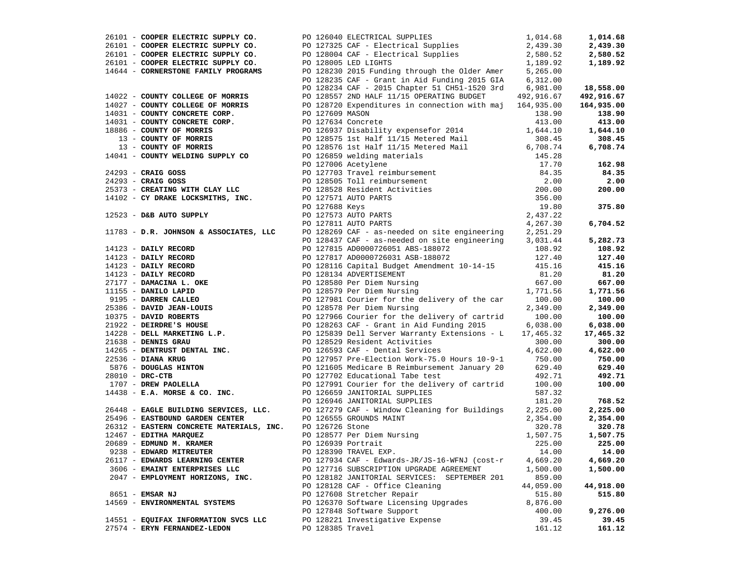|                                                                                                                        | 26101 - COOPER ELECTRIC SUPPLY CO.<br>26101 - COOPER ELECTRIC SUPPLY CO.<br>26101 - COOPER ELECTRIC SUPPLY CO.<br>26101 - COOPER ELECTRIC SUPPLY CO.<br>26101 - COOPER ELECTRIC SUPPLY CO.<br>26101 - COOPER ELECTRIC SUPPLY CO.<br>26101                             |           | 1,014.68      |
|------------------------------------------------------------------------------------------------------------------------|-----------------------------------------------------------------------------------------------------------------------------------------------------------------------------------------------------------------------------------------------------------------------|-----------|---------------|
|                                                                                                                        |                                                                                                                                                                                                                                                                       |           | 2,439.30      |
|                                                                                                                        |                                                                                                                                                                                                                                                                       |           | 2,580.52      |
|                                                                                                                        |                                                                                                                                                                                                                                                                       |           | 1,189.92      |
|                                                                                                                        |                                                                                                                                                                                                                                                                       |           |               |
|                                                                                                                        |                                                                                                                                                                                                                                                                       |           |               |
|                                                                                                                        |                                                                                                                                                                                                                                                                       |           | 18,558.00     |
|                                                                                                                        |                                                                                                                                                                                                                                                                       |           | 492,916.67    |
|                                                                                                                        |                                                                                                                                                                                                                                                                       |           | 164,935.00    |
|                                                                                                                        |                                                                                                                                                                                                                                                                       |           | 138.90        |
|                                                                                                                        |                                                                                                                                                                                                                                                                       |           | 413.00        |
|                                                                                                                        |                                                                                                                                                                                                                                                                       |           | 1,644.10      |
|                                                                                                                        |                                                                                                                                                                                                                                                                       |           |               |
|                                                                                                                        |                                                                                                                                                                                                                                                                       |           | 308.45        |
|                                                                                                                        |                                                                                                                                                                                                                                                                       |           | 6,708.74      |
|                                                                                                                        |                                                                                                                                                                                                                                                                       |           |               |
|                                                                                                                        |                                                                                                                                                                                                                                                                       |           | 162.98        |
|                                                                                                                        |                                                                                                                                                                                                                                                                       |           | 84.35         |
|                                                                                                                        |                                                                                                                                                                                                                                                                       |           | 2.00          |
|                                                                                                                        |                                                                                                                                                                                                                                                                       |           | 200.00        |
|                                                                                                                        |                                                                                                                                                                                                                                                                       |           |               |
|                                                                                                                        |                                                                                                                                                                                                                                                                       |           | 375.80        |
|                                                                                                                        |                                                                                                                                                                                                                                                                       |           |               |
|                                                                                                                        |                                                                                                                                                                                                                                                                       |           | 6,704.52      |
|                                                                                                                        |                                                                                                                                                                                                                                                                       |           |               |
|                                                                                                                        | 1793 - <b>DAILY RECORD</b><br><b>PO 128437 CAF - as-headed on site engiheering 2,031.44<br/> <b>PO 128437 CAF - as-headed on site engiheering 2,031.44</b><br/> <b>PO 128157 CAF - as-headed on site engiheering 2,031.44</b><br/> <b>PO 128157 CAF - as-head</b></b> |           | 5,282.73      |
|                                                                                                                        |                                                                                                                                                                                                                                                                       |           | 108.92        |
|                                                                                                                        |                                                                                                                                                                                                                                                                       |           | 127.40        |
|                                                                                                                        |                                                                                                                                                                                                                                                                       |           | 415.16        |
|                                                                                                                        |                                                                                                                                                                                                                                                                       |           | 81.20         |
|                                                                                                                        |                                                                                                                                                                                                                                                                       |           |               |
|                                                                                                                        |                                                                                                                                                                                                                                                                       |           | 667.00        |
|                                                                                                                        |                                                                                                                                                                                                                                                                       |           | 1,771.56      |
|                                                                                                                        |                                                                                                                                                                                                                                                                       |           | 100.00        |
|                                                                                                                        |                                                                                                                                                                                                                                                                       |           | 2,349.00      |
|                                                                                                                        |                                                                                                                                                                                                                                                                       |           | 100.00        |
|                                                                                                                        |                                                                                                                                                                                                                                                                       |           | 6,038.00      |
|                                                                                                                        |                                                                                                                                                                                                                                                                       |           | 17,465.32     |
|                                                                                                                        |                                                                                                                                                                                                                                                                       |           | 300.00        |
|                                                                                                                        |                                                                                                                                                                                                                                                                       |           | 4,622.00      |
|                                                                                                                        |                                                                                                                                                                                                                                                                       |           | 750.00        |
|                                                                                                                        |                                                                                                                                                                                                                                                                       |           | 629.40        |
|                                                                                                                        |                                                                                                                                                                                                                                                                       |           | 492.71        |
|                                                                                                                        |                                                                                                                                                                                                                                                                       |           | 100.00        |
|                                                                                                                        |                                                                                                                                                                                                                                                                       |           |               |
|                                                                                                                        |                                                                                                                                                                                                                                                                       |           | 768.52        |
|                                                                                                                        |                                                                                                                                                                                                                                                                       |           | 2,225.00      |
|                                                                                                                        |                                                                                                                                                                                                                                                                       |           | 2,354.00      |
| 26312 - EASTERN CONCRETE MATERIALS, INC. PO 126726 Stone                                                               | PO 126555 GROUNDS MAINT<br>PO 126726 Stone<br>PO 128577 Per Diem Nursing<br>PO 126939 Portrait<br>PO 128390 TRAVEL EXP.                                                                                                                                               | 320.78    | 320.78        |
|                                                                                                                        |                                                                                                                                                                                                                                                                       | 1,507.75  | 1,507.75      |
|                                                                                                                        |                                                                                                                                                                                                                                                                       |           | 225.00        |
| 12467 - <b>EDITHA MARQUEZ</b><br>20689 - <b>EDMUND M. KRAMER</b><br>9238 - FDWAPD MITPFUTEP<br>9238 - EDWARD MITREUTER | PO 128390 TRAVEL EXP.                                                                                                                                                                                                                                                 | 225.00    |               |
|                                                                                                                        |                                                                                                                                                                                                                                                                       |           | $14.00$ 14.00 |
| 26117 - EDWARDS LEARNING CENTER                                                                                        | PO 127934 CAF - Edwards-JR/JS-16-WFNJ (cost-r                                                                                                                                                                                                                         | 4,669.20  | 4,669.20      |
| 3606 - EMAINT ENTERPRISES LLC                                                                                          | PO 127716 SUBSCRIPTION UPGRADE AGREEMENT                                                                                                                                                                                                                              | 1,500.00  | 1,500.00      |
| 2047 - EMPLOYMENT HORIZONS, INC.                                                                                       | PO 128182 JANITORIAL SERVICES: SEPTEMBER 201                                                                                                                                                                                                                          | 859.00    |               |
|                                                                                                                        | PO 128128 CAF - Office Cleaning                                                                                                                                                                                                                                       | 44,059.00 | 44,918.00     |
| 8651 - EMSAR NJ                                                                                                        | PO 127608 Stretcher Repair                                                                                                                                                                                                                                            | 515.80    | 515.80        |
| 14569 - ENVIRONMENTAL SYSTEMS                                                                                          | PO 126370 Software Licensing Upgrades                                                                                                                                                                                                                                 | 8,876.00  |               |
|                                                                                                                        | PO 127848 Software Support                                                                                                                                                                                                                                            | 400.00    | 9,276.00      |
| 14551 - EQUIFAX INFORMATION SVCS LLC                                                                                   | PO 128221 Investigative Expense                                                                                                                                                                                                                                       | 39.45     | 39.45         |
| 27574 - ERYN FERNANDEZ-LEDON                                                                                           | PO 128385 Travel                                                                                                                                                                                                                                                      | 161.12    | 161.12        |
|                                                                                                                        |                                                                                                                                                                                                                                                                       |           |               |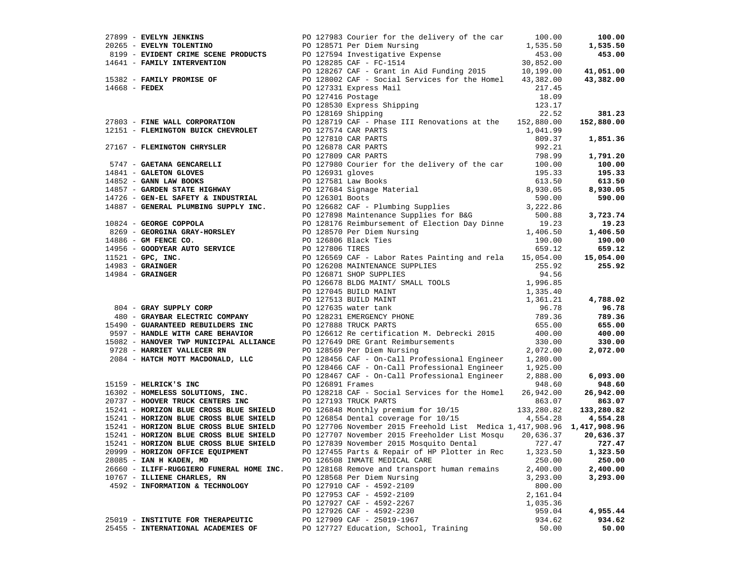|                                                                                                                |  |                                                                                                                                                                                                                                                                                                                                 |          | 100.00     |
|----------------------------------------------------------------------------------------------------------------|--|---------------------------------------------------------------------------------------------------------------------------------------------------------------------------------------------------------------------------------------------------------------------------------------------------------------------------------|----------|------------|
|                                                                                                                |  | 27899 - EVELYN JENKINS<br>20265 - EVELYN TOLENTINO<br>20265 - EVELYN TOLENTINO<br>20265 - EVELYN TOLENTINO<br>20265 - EVELYN TOLENTINO<br>2019 - EVIDENT CRIME SCENE PRODUCTS<br>2019 - EVIDENT CRIME SCENE PRODUCTS<br>2019 - POLENTINO<br>2                                                                                   |          | 1,535.50   |
|                                                                                                                |  |                                                                                                                                                                                                                                                                                                                                 |          | 453.00     |
|                                                                                                                |  |                                                                                                                                                                                                                                                                                                                                 |          |            |
|                                                                                                                |  |                                                                                                                                                                                                                                                                                                                                 |          | 41,051.00  |
|                                                                                                                |  |                                                                                                                                                                                                                                                                                                                                 |          | 43,382.00  |
|                                                                                                                |  |                                                                                                                                                                                                                                                                                                                                 |          |            |
|                                                                                                                |  | PO 127331 Express Mail<br>PO 127416 Postage<br>PO 128530 Express Shipping<br>PO 128169 Shipping                                                                                                                                                                                                                                 | 18.09    |            |
|                                                                                                                |  |                                                                                                                                                                                                                                                                                                                                 | 123.17   |            |
|                                                                                                                |  | PO 128169 Shipping                                                                                                                                                                                                                                                                                                              | 22.52    | 381.23     |
|                                                                                                                |  | 27803 - FINE WALL CORPORATION PO 128719 CAF - Phase III Renovations at the 152,880.00                                                                                                                                                                                                                                           |          | 152,880.00 |
| 27803 - FINE WALL CONFORMED.<br>12151 - FLEMINGTON BUICK CHEVROLET PO 127574 CAR PARTS                         |  |                                                                                                                                                                                                                                                                                                                                 | 1,041.99 |            |
|                                                                                                                |  |                                                                                                                                                                                                                                                                                                                                 | 809.37   | 1,851.36   |
|                                                                                                                |  |                                                                                                                                                                                                                                                                                                                                 |          |            |
|                                                                                                                |  |                                                                                                                                                                                                                                                                                                                                 |          |            |
|                                                                                                                |  |                                                                                                                                                                                                                                                                                                                                 |          | 1,791.20   |
|                                                                                                                |  |                                                                                                                                                                                                                                                                                                                                 |          | 100.00     |
|                                                                                                                |  |                                                                                                                                                                                                                                                                                                                                 |          | 195.33     |
|                                                                                                                |  |                                                                                                                                                                                                                                                                                                                                 |          | 613.50     |
|                                                                                                                |  |                                                                                                                                                                                                                                                                                                                                 |          | 8,930.05   |
|                                                                                                                |  |                                                                                                                                                                                                                                                                                                                                 |          | 590.00     |
|                                                                                                                |  |                                                                                                                                                                                                                                                                                                                                 |          |            |
|                                                                                                                |  |                                                                                                                                                                                                                                                                                                                                 |          | 3,723.74   |
|                                                                                                                |  | 27167 - FLEMINGTON CHRYSLER<br>$100.00$<br>190 127810 CAR PARTS<br>$190 126878$ CAR PARTS<br>$14841 - \text{GALETON GLOVES}$<br>$14841 - \text{GALETON GLOVES}$<br>$14841 - \text{GALETON GLOVES}$<br>$14841 - \text{GALETON GLOVES}$<br>$14841 - \text{GALETON GLOVES}$<br>$14841 - \text{GALETON GLOVES}$<br>$14841 - \text{$ |          | 19.23      |
|                                                                                                                |  |                                                                                                                                                                                                                                                                                                                                 |          | 1,406.50   |
|                                                                                                                |  |                                                                                                                                                                                                                                                                                                                                 |          | 190.00     |
|                                                                                                                |  |                                                                                                                                                                                                                                                                                                                                 |          | 659.12     |
|                                                                                                                |  |                                                                                                                                                                                                                                                                                                                                 |          | 15,054.00  |
|                                                                                                                |  |                                                                                                                                                                                                                                                                                                                                 |          | 255.92     |
|                                                                                                                |  |                                                                                                                                                                                                                                                                                                                                 |          |            |
|                                                                                                                |  | 19324 - GEORGIE COPPOLATION: PO 128176 Reimbursement of Election Day Dinne 19.23<br>19825 - GEORGIENA GRAY-HORSLEY (PO 128570 Per Dien Nursing (1992)<br>1998 - GONYERA NUTO SERVICE (PO 127606 PLACK Ties<br>1998 - GRAINGER (PO 1                                                                                             |          |            |
|                                                                                                                |  |                                                                                                                                                                                                                                                                                                                                 |          |            |
|                                                                                                                |  |                                                                                                                                                                                                                                                                                                                                 |          | 4,788.02   |
|                                                                                                                |  |                                                                                                                                                                                                                                                                                                                                 |          | 96.78      |
|                                                                                                                |  |                                                                                                                                                                                                                                                                                                                                 |          | 789.36     |
|                                                                                                                |  |                                                                                                                                                                                                                                                                                                                                 |          | 655.00     |
|                                                                                                                |  |                                                                                                                                                                                                                                                                                                                                 |          | 400.00     |
|                                                                                                                |  |                                                                                                                                                                                                                                                                                                                                 |          | 330.00     |
|                                                                                                                |  |                                                                                                                                                                                                                                                                                                                                 |          | 2,072.00   |
|                                                                                                                |  |                                                                                                                                                                                                                                                                                                                                 |          |            |
|                                                                                                                |  |                                                                                                                                                                                                                                                                                                                                 |          |            |
|                                                                                                                |  | PO 128467 CAF - On-Call Professional Engineer 2,888.00                                                                                                                                                                                                                                                                          |          | 6,093.00   |
| 15159 - HELRICK'S INC                                                                                          |  | PO 126891 Frames                                                                                                                                                                                                                                                                                                                | 948.60   | 948.60     |
| 16302 - HOMELESS SOLUTIONS, INC.                                                                               |  | PO 128218 CAF - Social Services for the Homel 26,942.00                                                                                                                                                                                                                                                                         |          | 26,942.00  |
| 20737 - HOOVER TRUCK CENTERS INC<br>15241 - HOOVER TRUCK CENTERS INC<br>15241 - HORIZON BLUE CROSS BLUE SHIELD |  | PO 127193 TRUCK PARTS                                                                                                                                                                                                                                                                                                           | 863.07   | 863.07     |
|                                                                                                                |  |                                                                                                                                                                                                                                                                                                                                 |          | 133,280.82 |
| 15241 - HORIZON BLUE CROSS BLUE SHIELD                                                                         |  | PO 126848 Monthly premium for 10/15 133,280.82<br>PO 126854 Dental coverage for 10/15 4,554.28                                                                                                                                                                                                                                  |          | 4,554.28   |
| 15241 - HORIZON BLUE CROSS BLUE SHIELD                                                                         |  | PO 127706 November 2015 Freehold List Medica 1,417,908.96 1,417,908.96                                                                                                                                                                                                                                                          |          |            |
| 15241 - HORIZON BLUE CROSS BLUE SHIELD                                                                         |  | PO 127707 November 2015 Freeholder List Mosqu 20,636.37                                                                                                                                                                                                                                                                         |          | 20,636.37  |
| 15241 - HORIZON BLUE CROSS BLUE SHIELD                                                                         |  | PO 127839 November 2015 Mosquito Dental 727.47                                                                                                                                                                                                                                                                                  |          | 727.47     |
| 20999 - HORIZON OFFICE EQUIPMENT                                                                               |  | PO 127455 Parts & Repair of HP Plotter in Rec 1,323.50 1,323.50                                                                                                                                                                                                                                                                 |          |            |
| 28085 - IAN H KADEN, MD                                                                                        |  | PO 126508 INMATE MEDICAL CARE                                                                                                                                                                                                                                                                                                   | 250.00   | 250.00     |
| 26660 - ILIFF-RUGGIERO FUNERAL HOME INC.                                                                       |  | PO 128168 Remove and transport human remains                                                                                                                                                                                                                                                                                    | 2,400.00 | 2,400.00   |
| 10767 - ILLIENE CHARLES, RN                                                                                    |  | PO 128568 Per Diem Nursing                                                                                                                                                                                                                                                                                                      |          |            |
|                                                                                                                |  |                                                                                                                                                                                                                                                                                                                                 | 3,293.00 | 3,293.00   |
| 4592 - INFORMATION & TECHNOLOGY                                                                                |  | PO 127910 CAF - 4592-2109                                                                                                                                                                                                                                                                                                       | 800.00   |            |
|                                                                                                                |  | PO 127953 CAF - 4592-2109                                                                                                                                                                                                                                                                                                       | 2,161.04 |            |
|                                                                                                                |  | PO 127927 CAF - 4592-2267                                                                                                                                                                                                                                                                                                       | 1,035.36 |            |
|                                                                                                                |  | PO 127926 CAF - 4592-2230                                                                                                                                                                                                                                                                                                       | 959.04   | 4,955.44   |
| 25019 - INSTITUTE FOR THERAPEUTIC                                                                              |  | PO 127909 CAF - 25019-1967                                                                                                                                                                                                                                                                                                      | 934.62   | 934.62     |
| 25455 - INTERNATIONAL ACADEMIES OF                                                                             |  | PO 127727 Education, School, Training                                                                                                                                                                                                                                                                                           | 50.00    | 50.00      |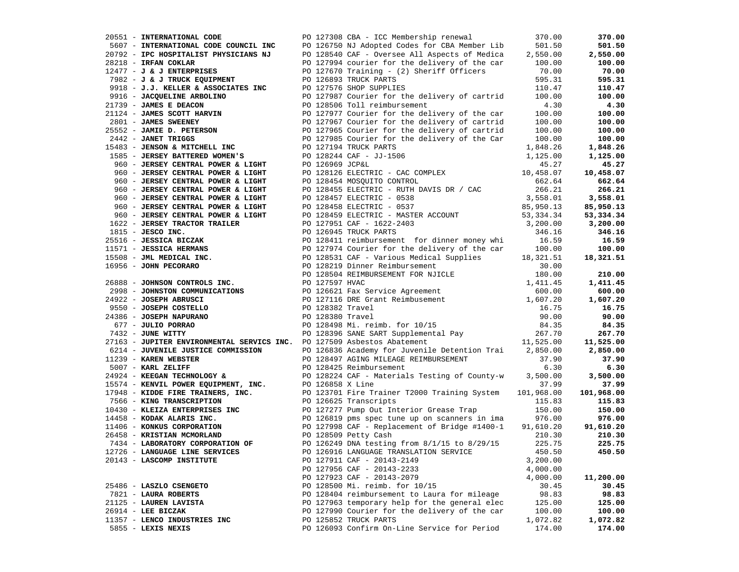| 20551 - INTERNATIONAL CODE                                                                                                                                                                                                                 |                 | PO 127308 CBA - ICC Membership renewal                                                                                                                                                                      | 370.00    | 370.00     |
|--------------------------------------------------------------------------------------------------------------------------------------------------------------------------------------------------------------------------------------------|-----------------|-------------------------------------------------------------------------------------------------------------------------------------------------------------------------------------------------------------|-----------|------------|
| 5607 - INTERNATIONAL CODE COUNCIL INC                                                                                                                                                                                                      |                 | PO 126750 NJ Adopted Codes for CBA Member Lib                                                                                                                                                               | 501.50    | 501.50     |
| 20792 - IPC HOSPITALIST PHYSICIANS NJ                                                                                                                                                                                                      |                 | PO 128540 CAF - Oversee All Aspects of Medica                                                                                                                                                               | 2,550.00  | 2,550.00   |
| 28218 - IRFAN COKLAR                                                                                                                                                                                                                       |                 | PO 127994 courier for the delivery of the car                                                                                                                                                               | 100.00    | 100.00     |
| $12477 - J$ & J ENTERPRISES                                                                                                                                                                                                                |                 | PO 127670 Training - (2) Sheriff Officers                                                                                                                                                                   | 70.00     | 70.00      |
| 7982 - J & J TRUCK EQUIPMENT                                                                                                                                                                                                               |                 | PO 126893 TRUCK PARTS                                                                                                                                                                                       | 595.31    | 595.31     |
| 9918 - J.J. KELLER & ASSOCIATES INC                                                                                                                                                                                                        |                 | PO 127576 SHOP SUPPLIES                                                                                                                                                                                     | 110.47    | 110.47     |
| 9916 - JACQUELINE ARBOLINO                                                                                                                                                                                                                 |                 | PO 127987 Courier for the delivery of cartrid                                                                                                                                                               | 100.00    | 100.00     |
| 21739 - JAMES E DEACON                                                                                                                                                                                                                     |                 | PO 128506 Toll reimbursement                                                                                                                                                                                | 4.30      | 4.30       |
| 21124 - JAMES SCOTT HARVIN                                                                                                                                                                                                                 |                 | PO 127977 Courier for the delivery of the car                                                                                                                                                               | 100.00    | 100.00     |
| 2801 - JAMES SWEENEY                                                                                                                                                                                                                       |                 | PO 127967 Courier for the delivery of cartrid                                                                                                                                                               | 100.00    | 100.00     |
| 25552 - JAMIE D. PETERSON                                                                                                                                                                                                                  |                 | PO 127965 Courier for the delivery of cartrid                                                                                                                                                               | 100.00    | 100.00     |
| 2442 - JANET TRIGGS                                                                                                                                                                                                                        |                 | PO 127985 Courier for the delivery of the Car                                                                                                                                                               | 100.00    | 100.00     |
| 15483 - JENSON & MITCHELL INC                                                                                                                                                                                                              |                 |                                                                                                                                                                                                             |           |            |
|                                                                                                                                                                                                                                            |                 | PO 127194 TRUCK PARTS                                                                                                                                                                                       | 1,848.26  | 1,848.26   |
| 1585 - JERSEY BATTERED WOMEN'S                                                                                                                                                                                                             |                 | PO 128244 CAF - JJ-1506                                                                                                                                                                                     | 1,125.00  | 1,125.00   |
| 960 - JERSEY CENTRAL POWER & LIGHT                                                                                                                                                                                                         | PO 126969 JCP&L |                                                                                                                                                                                                             | 45.27     | 45.27      |
| 960 - JERSEY CENTRAL POWER & LIGHT                                                                                                                                                                                                         |                 | PO 128126 ELECTRIC - CAC COMPLEX                                                                                                                                                                            | 10,458.07 | 10,458.07  |
| 960 - JERSEY CENTRAL POWER & LIGHT                                                                                                                                                                                                         |                 | PO 128454 MOSQUITO CONTROL                                                                                                                                                                                  | 662.64    | 662.64     |
| 960 - JERSEY CENTRAL POWER & LIGHT                                                                                                                                                                                                         |                 | PO 128455 ELECTRIC - RUTH DAVIS DR / CAC                                                                                                                                                                    | 266.21    | 266.21     |
| 960 - JERSEY CENTRAL POWER & LIGHT                                                                                                                                                                                                         |                 | PO 128457 ELECTRIC - 0538                                                                                                                                                                                   | 3,558.01  | 3,558.01   |
| 960 - JERSEY CENTRAL POWER & LIGHT                                                                                                                                                                                                         |                 | PO 128458 ELECTRIC - 0537                                                                                                                                                                                   | 85,950.13 | 85,950.13  |
| 960 - JERSEY CENTRAL POWER & LIGHT                                                                                                                                                                                                         |                 | PO 128459 ELECTRIC - MASTER ACCOUNT                                                                                                                                                                         | 53,334.34 | 53,334.34  |
| 1622 - JERSEY TRACTOR TRAILER                                                                                                                                                                                                              |                 | PO 127951 CAF - 1622-2403                                                                                                                                                                                   | 3,200.00  | 3,200.00   |
| $1815$ - JESCO INC.                                                                                                                                                                                                                        |                 | PO 126945 TRUCK PARTS                                                                                                                                                                                       | 346.16    | 346.16     |
| 25516 - JESSICA BICZAK                                                                                                                                                                                                                     |                 | PO 128411 reimbursement for dinner money whi                                                                                                                                                                | 16.59     | 16.59      |
|                                                                                                                                                                                                                                            |                 | PO 127974 Courier for the delivery of the car                                                                                                                                                               | 100.00    | 100.00     |
|                                                                                                                                                                                                                                            |                 | PO 128531 CAF - Various Medical Supplies                                                                                                                                                                    | 18,321.51 | 18,321.51  |
|                                                                                                                                                                                                                                            |                 | PO 128219 Dinner Reimbursement                                                                                                                                                                              | 30.00     |            |
| 11571 - JESSICA HERMANS<br>15508 - JML MEDICAL INC.<br>16956 - JOHN PECORARO                                                                                                                                                               |                 | PO 128504 REIMBURSEMENT FOR NJICLE                                                                                                                                                                          | 180.00    | 210.00     |
| 26888 - JOHNSON CONTROLS INC.<br>2998 - JOHNSTON COMMUNICATIONS<br>24922 - JOSEPH ABRUSCI PO 127116 DRE Grant Reimbusement<br>24550 - JOSEPH COSTELLO<br>2550 - JOSEPH COSTELLO<br>2550 - JOSEPH COSTELLO<br>2550 - PO 128382 Travel       |                 |                                                                                                                                                                                                             | 1,411.45  | 1,411.45   |
|                                                                                                                                                                                                                                            |                 |                                                                                                                                                                                                             | 600.00    | 600.00     |
|                                                                                                                                                                                                                                            |                 |                                                                                                                                                                                                             | 1,607.20  | 1,607.20   |
|                                                                                                                                                                                                                                            |                 |                                                                                                                                                                                                             |           |            |
|                                                                                                                                                                                                                                            |                 |                                                                                                                                                                                                             |           | 16.75      |
| 24386 - JOSEPH NAPURANO                                                                                                                                                                                                                    |                 |                                                                                                                                                                                                             |           | 90.00      |
| 677 - JULIO PORRAO                                                                                                                                                                                                                         |                 |                                                                                                                                                                                                             |           | 84.35      |
| 7432 - JUNE WITTY                                                                                                                                                                                                                          |                 | PO 128382 Travel 16.75<br>PO 128382 Travel 90.00<br>PO 128380 Travel 90.00<br>PO 128498 Mi. reimb. for 10/15 84.35<br>PO 128396 SANE SART Supplemental Pay 267.70<br>PO 127509 Asbestos Abatement 11,525.00 |           | 267.70     |
| 27163 - JUPITER ENVIRONMENTAL SERVICS INC. PO 127509 Asbestos Abatement                                                                                                                                                                    |                 |                                                                                                                                                                                                             |           | 11,525.00  |
| 6214 - JUVENILE JUSTICE COMMISSION                                                                                                                                                                                                         |                 | PO 126836 Academy for Juvenile Detention Trai 2,850.00                                                                                                                                                      |           | 2,850.00   |
| 11239 - KAREN WEBSTER                                                                                                                                                                                                                      |                 |                                                                                                                                                                                                             | 37.90     | 37.90      |
| 5007 - KARL ZELIFF                                                                                                                                                                                                                         |                 |                                                                                                                                                                                                             | 6.30      | 6.30       |
| 24924 - KEEGAN TECHNOLOGY &                                                                                                                                                                                                                |                 | TE COMMISSION.<br>PO 128497 AGING MILLER COMMISSIONER PO 128224 CAF - Materials Testing of County-W<br>PO 128224 CAF - Materials Testing of County-W<br>PO 128224 CAF - Materials Testing of County-W       | 3,500.00  | 3,500.00   |
|                                                                                                                                                                                                                                            |                 |                                                                                                                                                                                                             | 37.99     | 37.99      |
| 1992 - AEBUAN IRCHNOLOGIX<br>1992 - KENVIL POWER EQUIPMENT, INC.<br>1994 - KIDDE FIRE TRAINERS, INC.<br>1994 - KIDDE FIRE TRAINERS, INC.<br>1994 - KIDDE FIRE TRAINERS, INC.<br>1994 - KIDDE FIRE TRAINERS, INC.<br>1998 - KODAK ALARIS IN |                 | PO 123701 Fire Trainer T2000 Training System 101,968.00                                                                                                                                                     |           | 101,968.00 |
|                                                                                                                                                                                                                                            |                 |                                                                                                                                                                                                             | 115.83    | 115.83     |
|                                                                                                                                                                                                                                            |                 |                                                                                                                                                                                                             | 150.00    | 150.00     |
|                                                                                                                                                                                                                                            |                 | PO 126819 pms spec tune up on scanners in ima                                                                                                                                                               | 976.00    | 976.00     |
|                                                                                                                                                                                                                                            |                 | PO 127998 CAF - Replacement of Bridge #1400-1                                                                                                                                                               | 91,610.20 | 91,610.20  |
| 26458 - KRISTIAN MCMORLAND                                                                                                                                                                                                                 |                 | PO 128509 Petty Cash                                                                                                                                                                                        | 210.30    | 210.30     |
| 7434 - LABORATORY CORPORATION OF                                                                                                                                                                                                           |                 | PO 126249 DNA testing from 8/1/15 to 8/29/15                                                                                                                                                                | 225.75    | 225.75     |
| 12726 - LANGUAGE LINE SERVICES                                                                                                                                                                                                             |                 | PO 126916 LANGUAGE TRANSLATION SERVICE                                                                                                                                                                      | 450.50    | 450.50     |
| 20143 - LASCOMP INSTITUTE                                                                                                                                                                                                                  |                 | PO 127911 CAF - 20143-2149                                                                                                                                                                                  | 3,200.00  |            |
|                                                                                                                                                                                                                                            |                 | PO 127956 CAF - 20143-2233                                                                                                                                                                                  | 4,000.00  |            |
|                                                                                                                                                                                                                                            |                 | PO 127923 CAF - 20143-2079                                                                                                                                                                                  | 4,000.00  | 11,200.00  |
| 25486 - LASZLO CSENGETO                                                                                                                                                                                                                    |                 | PO 128500 Mi. reimb. for 10/15                                                                                                                                                                              | 30.45     | 30.45      |
| 7821 - LAURA ROBERTS                                                                                                                                                                                                                       |                 | PO 128404 reimbursement to Laura for mileage                                                                                                                                                                | 98.83     | 98.83      |
|                                                                                                                                                                                                                                            |                 | PO 127963 temporary help for the general elec                                                                                                                                                               |           | 125.00     |
| 21125 - LAUREN LAVISTA                                                                                                                                                                                                                     |                 | PO 127990 Courier for the delivery of the car                                                                                                                                                               | 125.00    |            |
| $26914$ - LEE BICZAK                                                                                                                                                                                                                       |                 |                                                                                                                                                                                                             | 100.00    | 100.00     |
| 11357 - LENCO INDUSTRIES INC                                                                                                                                                                                                               |                 | PO 125852 TRUCK PARTS                                                                                                                                                                                       | 1,072.82  | 1,072.82   |
| 5855 - LEXIS NEXIS                                                                                                                                                                                                                         |                 | PO 126093 Confirm On-Line Service for Period                                                                                                                                                                | 174.00    | 174.00     |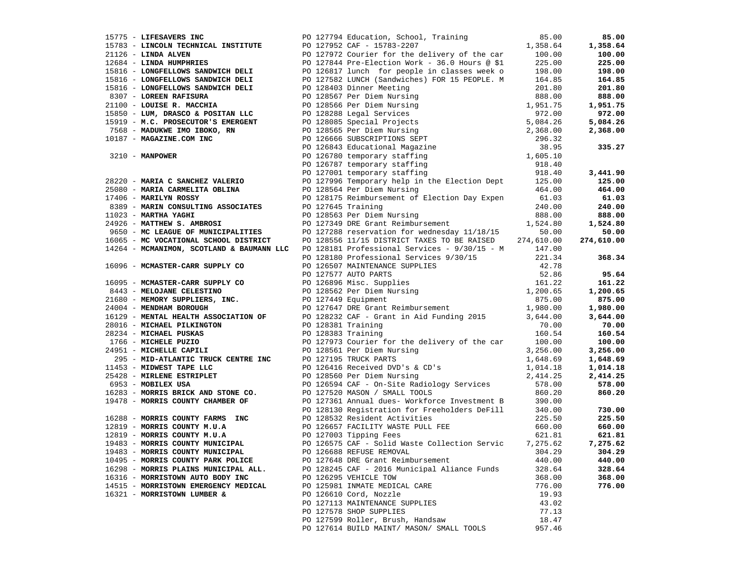| 15775 - LIFESAVERS INC                                                      |  | PO 127794 Education, School, Training                                                                                                                                                                                                                | 85.00  | 85.00      |
|-----------------------------------------------------------------------------|--|------------------------------------------------------------------------------------------------------------------------------------------------------------------------------------------------------------------------------------------------------|--------|------------|
|                                                                             |  | 15783 - LINCOLN TECHNICAL INSTITUTE<br>21126 - LINDA ALVEN<br>21126 - LINDA ALVEN<br>20127972 Courier for the delivery of the car<br>20127972 Courier for the delivery of the car<br>225.00<br>225.00<br>225.00<br>225.00<br>225.00<br>225.00<br>225 |        | 1,358.64   |
|                                                                             |  |                                                                                                                                                                                                                                                      |        | 100.00     |
|                                                                             |  |                                                                                                                                                                                                                                                      |        | 225.00     |
|                                                                             |  | 15816 - LONGFELLOWS SANDWICH DELI<br>19012562 - LONGFELLOWS SANDWICH DELI<br>190127582 LUMCH (Sandwich DELI<br>190127582 LUMCH (Sandwich DELI<br>190127582 Dimner Meeting<br>1902403 Dimner Meeting<br>201.80<br>191816 - LONGFELLOWS SANDW          |        | 198.00     |
|                                                                             |  |                                                                                                                                                                                                                                                      |        | 164.85     |
|                                                                             |  |                                                                                                                                                                                                                                                      |        | 201.80     |
|                                                                             |  |                                                                                                                                                                                                                                                      |        | 888.00     |
|                                                                             |  |                                                                                                                                                                                                                                                      |        | 1,951.75   |
|                                                                             |  |                                                                                                                                                                                                                                                      |        |            |
|                                                                             |  |                                                                                                                                                                                                                                                      |        | 972.00     |
|                                                                             |  |                                                                                                                                                                                                                                                      |        | 5,084.26   |
|                                                                             |  |                                                                                                                                                                                                                                                      |        | 2,368.00   |
|                                                                             |  |                                                                                                                                                                                                                                                      |        |            |
|                                                                             |  |                                                                                                                                                                                                                                                      |        | 335.27     |
|                                                                             |  |                                                                                                                                                                                                                                                      |        |            |
|                                                                             |  |                                                                                                                                                                                                                                                      |        |            |
|                                                                             |  |                                                                                                                                                                                                                                                      |        | 3,441.90   |
|                                                                             |  |                                                                                                                                                                                                                                                      |        | 125.00     |
|                                                                             |  |                                                                                                                                                                                                                                                      |        | 464.00     |
|                                                                             |  |                                                                                                                                                                                                                                                      |        | 61.03      |
|                                                                             |  |                                                                                                                                                                                                                                                      |        | 240.00     |
|                                                                             |  |                                                                                                                                                                                                                                                      |        |            |
|                                                                             |  |                                                                                                                                                                                                                                                      |        | 888.00     |
|                                                                             |  |                                                                                                                                                                                                                                                      |        | 1,524.80   |
| 9650 - MC LEAGUE OF MUNICIPALITIES<br>16065 - MC VOCATIONAL SCHOOL DISTRICT |  | PO 127288 reservation for wednesday 11/18/15 50.00<br>PO 128556 11/15 DISTRICT TAXES TO BE RAISED 274,610.00                                                                                                                                         |        | 50.00      |
|                                                                             |  |                                                                                                                                                                                                                                                      |        | 274,610.00 |
| 14264 - MCMANIMON, SCOTLAND & BAUMANN LLC                                   |  |                                                                                                                                                                                                                                                      |        |            |
|                                                                             |  | PO 128181 Professional Services - 9/30/15 - M 147.00<br>PO 128180 Professional Services 9/30/15 221.34                                                                                                                                               |        | 368.34     |
|                                                                             |  |                                                                                                                                                                                                                                                      |        |            |
|                                                                             |  |                                                                                                                                                                                                                                                      |        | 95.64      |
|                                                                             |  |                                                                                                                                                                                                                                                      |        | 161.22     |
|                                                                             |  |                                                                                                                                                                                                                                                      |        | 1,200.65   |
|                                                                             |  |                                                                                                                                                                                                                                                      |        | 875.00     |
|                                                                             |  |                                                                                                                                                                                                                                                      |        | 1,980.00   |
|                                                                             |  |                                                                                                                                                                                                                                                      |        |            |
|                                                                             |  |                                                                                                                                                                                                                                                      |        | 3,644.00   |
|                                                                             |  |                                                                                                                                                                                                                                                      |        | 70.00      |
|                                                                             |  |                                                                                                                                                                                                                                                      |        | 160.54     |
|                                                                             |  |                                                                                                                                                                                                                                                      |        | 100.00     |
|                                                                             |  |                                                                                                                                                                                                                                                      |        | 3,256.00   |
|                                                                             |  |                                                                                                                                                                                                                                                      |        | 1,648.69   |
|                                                                             |  |                                                                                                                                                                                                                                                      |        | 1,014.18   |
|                                                                             |  |                                                                                                                                                                                                                                                      |        | 2,414.25   |
|                                                                             |  |                                                                                                                                                                                                                                                      |        | 578.00     |
|                                                                             |  |                                                                                                                                                                                                                                                      |        | 860.20     |
|                                                                             |  |                                                                                                                                                                                                                                                      |        |            |
|                                                                             |  |                                                                                                                                                                                                                                                      |        | 730.00     |
|                                                                             |  |                                                                                                                                                                                                                                                      |        | 225.50     |
|                                                                             |  |                                                                                                                                                                                                                                                      |        | 660.00     |
|                                                                             |  |                                                                                                                                                                                                                                                      |        |            |
|                                                                             |  |                                                                                                                                                                                                                                                      |        | 621.81     |
| 19483 - MORRIS COUNTY MUNICIPAL<br>19483 - MORRIS COUNTY MUNICIPAL          |  | 14269 <b>- MORAIS SCIENCISE CONSUMER CONSUMER CONSUMER CONSUMER CONSUMER CONSUMER AND REPORT OF 125100 PROTECTION 4221.34<br/> 1609 <b>- MORAISTER-CARE SUPERY OF CONSUMER CONSUMER CONSUMER AND THE CONSUMER CONSUMER CONSUMER CONSU</b></b>        |        | 7,275.62   |
| 19483 - MORRIS COUNTY MUNICIPAL                                             |  | PO 126688 REFUSE REMOVAL                                                                                                                                                                                                                             | 304.29 | 304.29     |
| 10495 - MORRIS COUNTY PARK POLICE                                           |  | PO 127648 DRE Grant Reimbursement                                                                                                                                                                                                                    | 440.00 | 440.00     |
| 16298 - MORRIS PLAINS MUNICIPAL ALL.                                        |  | PO 128245 CAF - 2016 Municipal Aliance Funds                                                                                                                                                                                                         | 328.64 | 328.64     |
| 16316 - MORRISTOWN AUTO BODY INC                                            |  | PO 126295 VEHICLE TOW                                                                                                                                                                                                                                | 368.00 | 368.00     |
| 14515 - MORRISTOWN EMERGENCY MEDICAL                                        |  | PO 125981 INMATE MEDICAL CARE                                                                                                                                                                                                                        | 776.00 | 776.00     |
| 16321 - MORRISTOWN LUMBER &                                                 |  | PO 126610 Cord, Nozzle                                                                                                                                                                                                                               | 19.93  |            |
|                                                                             |  | PO 127113 MAINTENANCE SUPPLIES                                                                                                                                                                                                                       | 43.02  |            |
|                                                                             |  | PO 127578 SHOP SUPPLIES                                                                                                                                                                                                                              | 77.13  |            |
|                                                                             |  | PO 127599 Roller, Brush, Handsaw                                                                                                                                                                                                                     | 18.47  |            |
|                                                                             |  | PO 127614 BUILD MAINT/ MASON/ SMALL TOOLS                                                                                                                                                                                                            | 957.46 |            |
|                                                                             |  |                                                                                                                                                                                                                                                      |        |            |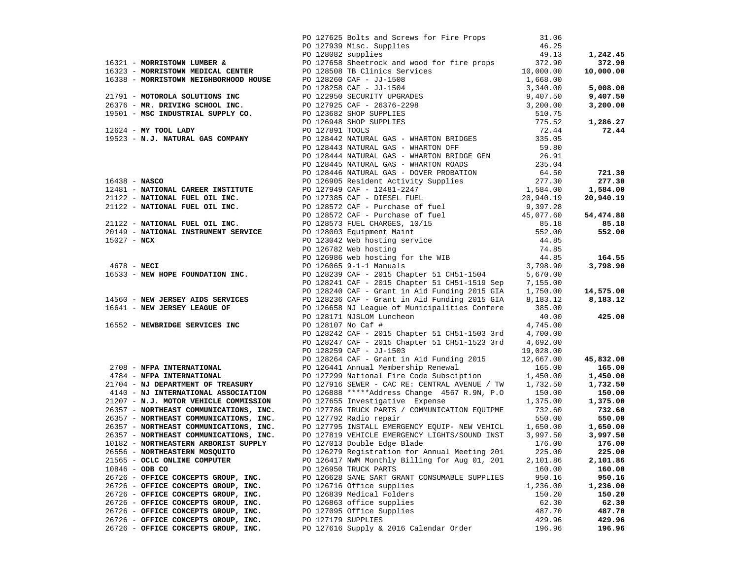|                                                                                                                                                                      | PO 127625 Bolts and Screws for Fire Props<br>PO 127939 Misc. Supplies<br>PO 128082 supplies                                                                                                                                                                                               | 31.06<br>46.25<br>49.13 | 1,242.45             |
|----------------------------------------------------------------------------------------------------------------------------------------------------------------------|-------------------------------------------------------------------------------------------------------------------------------------------------------------------------------------------------------------------------------------------------------------------------------------------|-------------------------|----------------------|
|                                                                                                                                                                      |                                                                                                                                                                                                                                                                                           |                         | 372.90               |
|                                                                                                                                                                      |                                                                                                                                                                                                                                                                                           |                         | 10,000.00            |
|                                                                                                                                                                      |                                                                                                                                                                                                                                                                                           |                         |                      |
|                                                                                                                                                                      |                                                                                                                                                                                                                                                                                           |                         | 5,008.00             |
|                                                                                                                                                                      |                                                                                                                                                                                                                                                                                           |                         | 9,407.50             |
|                                                                                                                                                                      |                                                                                                                                                                                                                                                                                           |                         | 3,200.00             |
|                                                                                                                                                                      |                                                                                                                                                                                                                                                                                           |                         |                      |
|                                                                                                                                                                      |                                                                                                                                                                                                                                                                                           |                         | 1,286.27             |
| 12624 - MY TOOL LADY<br>19523 - N.J. NATURAL GAS COMPANY                                                                                                             |                                                                                                                                                                                                                                                                                           |                         | 72.44                |
|                                                                                                                                                                      | PO 128442 NATURAL GAS - WHARTON BRIDGES 335.05<br>19523 - N.J. NATURAL GAS COMPANY PO 128442 NATURAL GAS - WHARTON BRIDGES<br>235.05<br>PO 128443 NATURAL GAS - WHARTON GET 59.80<br>PO 128444 NATURAL GAS - WHARTON RDIGE GEN<br>PO 128446 NATURAL GAS - WHARTON ROBOS<br>PO 128446 NATU |                         |                      |
|                                                                                                                                                                      |                                                                                                                                                                                                                                                                                           |                         |                      |
|                                                                                                                                                                      |                                                                                                                                                                                                                                                                                           |                         |                      |
|                                                                                                                                                                      |                                                                                                                                                                                                                                                                                           |                         |                      |
|                                                                                                                                                                      |                                                                                                                                                                                                                                                                                           |                         | 721.30               |
|                                                                                                                                                                      |                                                                                                                                                                                                                                                                                           |                         | 277.30               |
|                                                                                                                                                                      |                                                                                                                                                                                                                                                                                           |                         | 1,584.00             |
|                                                                                                                                                                      |                                                                                                                                                                                                                                                                                           |                         | 20,940.19            |
|                                                                                                                                                                      |                                                                                                                                                                                                                                                                                           |                         | 54,474.88            |
|                                                                                                                                                                      |                                                                                                                                                                                                                                                                                           |                         | 85.18                |
|                                                                                                                                                                      |                                                                                                                                                                                                                                                                                           |                         | 552.00               |
|                                                                                                                                                                      |                                                                                                                                                                                                                                                                                           |                         |                      |
|                                                                                                                                                                      |                                                                                                                                                                                                                                                                                           |                         |                      |
|                                                                                                                                                                      |                                                                                                                                                                                                                                                                                           |                         | 164.55               |
|                                                                                                                                                                      |                                                                                                                                                                                                                                                                                           |                         | 3,798.90             |
| 4678 - NECI<br>16533 - NEW HOPE FOUNDATION INC.                                                                                                                      | PO 128239 CAF - 2015 Chapter 51 CH51-1504                                                                                                                                                                                                                                                 | 5,670.00                |                      |
|                                                                                                                                                                      | PO 128241 CAF - 2015 Chapter 51 CH51-1519 Sep                                                                                                                                                                                                                                             | 7,155.00                |                      |
|                                                                                                                                                                      | PO 128240 CAF - Grant in Aid Funding 2015 GIA                                                                                                                                                                                                                                             | 1,750.00                | 14,575.00            |
| 14560 - NEW JERSEY AIDS SERVICES                                                                                                                                     | PO 128236 CAF - Grant in Aid Funding 2015 GIA                                                                                                                                                                                                                                             | 8,183.12                | 8,183.12             |
| 16641 - NEW JERSEY LEAGUE OF                                                                                                                                         | PO 126658 NJ League of Municipalities Confere                                                                                                                                                                                                                                             | 385.00                  |                      |
|                                                                                                                                                                      | PO 128171 NJSLOM Luncheon                                                                                                                                                                                                                                                                 | 40.00                   | 425.00               |
| 16552 - NEWBRIDGE SERVICES INC                                                                                                                                       | PO 128107 No Caf #                                                                                                                                                                                                                                                                        | 4,745.00                |                      |
|                                                                                                                                                                      | PO 128242 CAF - 2015 Chapter 51 CH51-1503 3rd                                                                                                                                                                                                                                             | 4,700.00                |                      |
|                                                                                                                                                                      | PO 128247 CAF - 2015 Chapter 51 CH51-1523 3rd                                                                                                                                                                                                                                             | 4,692.00                |                      |
|                                                                                                                                                                      | PO 128259 CAF - JJ-1503                                                                                                                                                                                                                                                                   | 19,028.00               |                      |
| 2708 - NFPA INTERNATIONAL                                                                                                                                            | PO 128264 CAF - Grant in Aid Funding 2015                                                                                                                                                                                                                                                 | 12,667.00               | 45,832.00            |
|                                                                                                                                                                      | PO 126441 Annual Membership Renewal                                                                                                                                                                                                                                                       | 165.00                  | 165.00               |
| 4784 - NFPA INTERNATIONAL<br>21704 - NJ DEPARTMENT OF TREASURY                                                                                                       | PO 127299 National Fire Code Subsciption<br>PO 127916 SEWER - CAC RE: CENTRAL AVENUE / TW                                                                                                                                                                                                 | 1,450.00<br>1,732.50    | 1,450.00<br>1,732.50 |
| 4140 - NJ INTERNATIONAL ASSOCIATION                                                                                                                                  | PO 126888 *****Address Change 4567 R.9N, P.O                                                                                                                                                                                                                                              | 150.00                  | 150.00               |
| 21207 - N.J. MOTOR VEHICLE COMMISSION                                                                                                                                | PO 127655 Investigative Expense 1,375.00                                                                                                                                                                                                                                                  |                         | 1,375.00             |
|                                                                                                                                                                      | PO 127786 TRUCK PARTS / COMMUNICATION EQUIPME 732.60                                                                                                                                                                                                                                      |                         | 732.60               |
|                                                                                                                                                                      | PO 127792 Radio repair                                                                                                                                                                                                                                                                    | 550.00                  | 550.00               |
| 26357 - NORTHEAST COMMUNICATIONS, INC.<br>26357 - NORTHEAST COMMUNICATIONS, INC.<br>26357 - NORTHEAST COMMUNICATIONS, INC.<br>26357 - NORTHEAST COMMUNICATIONS, INC. | PO 127795 INSTALL EMERGENCY EQUIP- NEW VEHICL 1,650.00                                                                                                                                                                                                                                    |                         | 1,650.00             |
|                                                                                                                                                                      | PO 127819 VEHICLE EMERGENCY LIGHTS/SOUND INST                                                                                                                                                                                                                                             | 3,997.50                | 3,997.50             |
| 10182 - NORTHEASTERN ARBORIST SUPPLY                                                                                                                                 | PO 127013 Double Edge Blade                                                                                                                                                                                                                                                               | 176.00                  | 176.00               |
| 26556 - NORTHEASTERN MOSQUITO                                                                                                                                        | PO 126279 Registration for Annual Meeting 201                                                                                                                                                                                                                                             | 225.00                  | 225.00               |
| 21565 - OCLC ONLINE COMPUTER                                                                                                                                         | PO 126417 NWM Monthly Billing for Aug 01, 201                                                                                                                                                                                                                                             | 2,101.86                | 2,101.86             |
| $10846 - ODB CO$                                                                                                                                                     | PO 126950 TRUCK PARTS                                                                                                                                                                                                                                                                     | 160.00                  | 160.00               |
| 26726 - OFFICE CONCEPTS GROUP, INC.                                                                                                                                  | PO 126628 SANE SART GRANT CONSUMABLE SUPPLIES                                                                                                                                                                                                                                             | 950.16                  | 950.16               |
| 26726 - OFFICE CONCEPTS GROUP, INC.                                                                                                                                  | PO 126716 Office supplies                                                                                                                                                                                                                                                                 | 1,236.00                | 1,236.00             |
| 26726 - OFFICE CONCEPTS GROUP, INC.                                                                                                                                  | PO 126839 Medical Folders                                                                                                                                                                                                                                                                 | 150.20                  | 150.20               |
| 26726 - OFFICE CONCEPTS GROUP, INC.                                                                                                                                  | PO 126863 office supplies                                                                                                                                                                                                                                                                 | 62.30                   | 62.30                |
| 26726 - OFFICE CONCEPTS GROUP, INC.                                                                                                                                  | PO 127095 Office Supplies                                                                                                                                                                                                                                                                 | 487.70                  | 487.70               |
| 26726 - OFFICE CONCEPTS GROUP, INC.                                                                                                                                  | PO 127179 SUPPLIES                                                                                                                                                                                                                                                                        | 429.96                  | 429.96               |
| 26726 - OFFICE CONCEPTS GROUP, INC.                                                                                                                                  | PO 127616 Supply & 2016 Calendar Order                                                                                                                                                                                                                                                    | 196.96                  | 196.96               |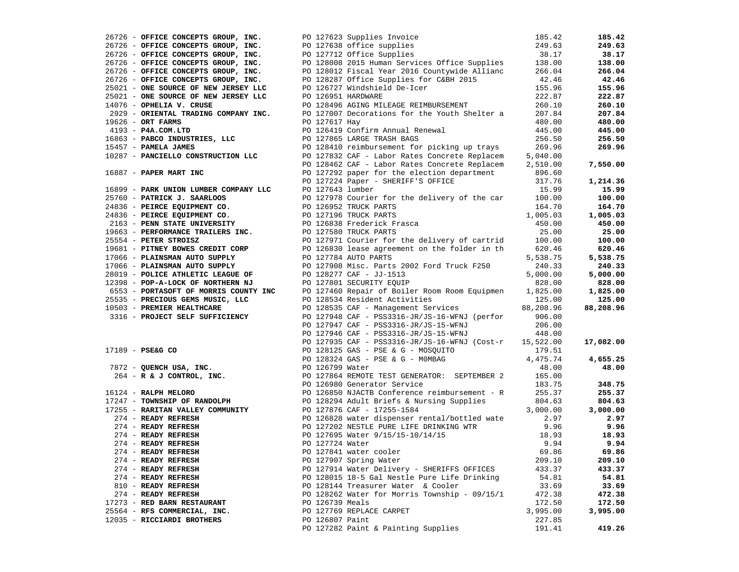| 26726 - OFFICE CONCEPTS GROUP, INC.                                                                                                                                                                                                                 | PO 127623 Supplies Invoice<br>PO 127638 office supplies<br>PO 127712 Office Supplies                                                                   | 185.42          | 185.42    |
|-----------------------------------------------------------------------------------------------------------------------------------------------------------------------------------------------------------------------------------------------------|--------------------------------------------------------------------------------------------------------------------------------------------------------|-----------------|-----------|
| 26726 - OFFICE CONCEPTS GROUP, INC.                                                                                                                                                                                                                 |                                                                                                                                                        | 249.63          | 249.63    |
| 26726 - OFFICE CONCEPTS GROUP, INC.                                                                                                                                                                                                                 |                                                                                                                                                        | 38.17           | 38.17     |
| 26726 - CONCEPTS GROUP, INC.<br>26726 - OFFICE CONCEPTS GROUP, INC.<br>26726 - OFFICE CONCEPTS COMPARED                                                                                                                                             | PO 128008 2015 Human Services Office Supplies<br>PO 128008 2015 Human Services Office Supplies<br>PO 128012 Fiscal Year 2016 Countywide Allianc 266.04 |                 | 138.00    |
|                                                                                                                                                                                                                                                     |                                                                                                                                                        |                 | 266.04    |
|                                                                                                                                                                                                                                                     | PO 128287 Office Supplies for C&BH 2015<br>PO 126727 Windshield De-Icer                                                                                | 42.46           | 42.46     |
| 25021 - ONE SOURCE OF NEW JERSEY LLC                                                                                                                                                                                                                |                                                                                                                                                        | 155.96          | 155.96    |
| 25021 - ONE SOURCE OF NEW JERSEY LLC                                                                                                                                                                                                                | PO 126951 HARDWARE                                                                                                                                     | 222.87          | 222.87    |
| 14076 - OPHELIA V. CRUSE                                                                                                                                                                                                                            | PO 128496 AGING MILEAGE REIMBURSEMENT                                                                                                                  | 260.10          | 260.10    |
|                                                                                                                                                                                                                                                     | PO 127007 Decorations for the Youth Shelter a                                                                                                          | 207.84          | 207.84    |
| 2929 - ORIENTAL TRADING COMPANY INC.                                                                                                                                                                                                                | PO 127617 Hay                                                                                                                                          |                 |           |
| 19626 - ORT FARMS                                                                                                                                                                                                                                   |                                                                                                                                                        | 480.00          | 480.00    |
| 16863 - PABCO INDUSTRIES, LLC<br>15457 - PAMELA JAMES<br>10287 - PAMCIRILO CONSTRIES                                                                                                                                                                | PO 126419 Confirm Annual Renewal                                                                                                                       | 445.00          | 445.00    |
|                                                                                                                                                                                                                                                     | PO 127865 LARGE TRASH BAGS                                                                                                                             | 256.50          | 256.50    |
|                                                                                                                                                                                                                                                     | PO 128410 reimbursement for picking up trays 269.96<br>PO 127832 CAF - Labor Rates Concrete Replacem 5,040.00                                          |                 | 269.96    |
| 10287 - PANCIELLO CONSTRUCTION LLC                                                                                                                                                                                                                  |                                                                                                                                                        |                 |           |
|                                                                                                                                                                                                                                                     | PO 128462 CAF - Labor Rates Concrete Replacem 2,510.00                                                                                                 |                 | 7,550.00  |
| 16887 - PAPER MART INC                                                                                                                                                                                                                              | PO 127292 paper for the election department                                                                                                            | 896.60          |           |
|                                                                                                                                                                                                                                                     | PO 127224 Paper - SHERIFF'S OFFICE                                                                                                                     | 317.76          | 1,214.36  |
|                                                                                                                                                                                                                                                     | PO 127643 lumber                                                                                                                                       | 15.99           | 15.99     |
|                                                                                                                                                                                                                                                     | PO 127978 Courier for the delivery of the car 100.00                                                                                                   |                 | 100.00    |
|                                                                                                                                                                                                                                                     | PO 126952 TRUCK PARTS                                                                                                                                  |                 | 164.70    |
|                                                                                                                                                                                                                                                     | PO 127196 TRUCK PARTS                                                                                                                                  |                 | 1,005.03  |
|                                                                                                                                                                                                                                                     | $1,005.03$<br>asca<br>$450.00$<br>$200.00$<br>asca<br>$200.00$<br>PO 126838 Frederick Frasca                                                           |                 | 450.00    |
|                                                                                                                                                                                                                                                     | PO 127580 TRUCK PARTS                                                                                                                                  |                 | 25.00     |
|                                                                                                                                                                                                                                                     | PO 127971 Courier for the delivery of cartrid 100.00                                                                                                   |                 | 100.00    |
|                                                                                                                                                                                                                                                     | PO 126830 lease agreement on the folder in th                                                                                                          | 620.46          | 620.46    |
| 16899 - PARK UNION LUMBER COMPANY LLC<br>25760 - PATRICK J. SAARLOOS<br>24836 - PEIRCE EQUIPMENT CO.<br>24836 - PEIRCE EQUIPMENT CO.<br>2163 - PENN STATE UNIVERSITY<br>19663 - PERFORMANCE TRAILERS INC.<br>25554 - PETER STROISZ<br>19681 - PITNE | PO 127784 AUTO PARTS                                                                                                                                   | 5,538.75        | 5,538.75  |
|                                                                                                                                                                                                                                                     |                                                                                                                                                        | 240.33          | 240.33    |
| 17066 - PLAINSMAN AUTO SUPPLY<br>28019 - POLICE ATHLETIC LEAGUE OF                                                                                                                                                                                  | PO 127908 Misc. Parts 2002 Ford Truck F250                                                                                                             |                 |           |
|                                                                                                                                                                                                                                                     | PO 128277 CAF - JJ-1513                                                                                                                                | 5,000.00        | 5,000.00  |
| 12398 - POP-A-LOCK OF NORTHERN NJ<br>6553 - PORTASOFT OF MORRIS COUNTY INC<br>12398 - POP-A-LOCK OF NORTHERN NJ                                                                                                                                     | PO 127801 SECURITY EQUIP                                                                                                                               | 828.00          | 828.00    |
|                                                                                                                                                                                                                                                     | PO 127460 Repair of Boiler Room Room Equipmen 1,825.00                                                                                                 |                 | 1,825.00  |
| 25535 - PRECIOUS GEMS MUSIC, LLC                                                                                                                                                                                                                    | PO 128534 Resident Activities 125.00<br>PO 128535 CAF - Management Services 88,208.96                                                                  |                 | 125.00    |
| 10503 - PREMIER HEALTHCARE                                                                                                                                                                                                                          |                                                                                                                                                        |                 | 88,208.96 |
| 3316 - PROJECT SELF SUFFICIENCY                                                                                                                                                                                                                     | PO 127948 CAF - PSS3316-JR/JS-16-WFNJ (perfor                                                                                                          | 906.00          |           |
|                                                                                                                                                                                                                                                     | PO 127947 CAF - PSS3316-JR/JS-15-WFNJ                                                                                                                  | 206.00          |           |
|                                                                                                                                                                                                                                                     | PO 127946 CAF - PSS3316-JR/JS-15-WFNJ                                                                                                                  | 448.00          |           |
|                                                                                                                                                                                                                                                     | PO 127935 CAF - PSS3316-JR/JS-16-WFNJ (Cost-r 15,522.00                                                                                                |                 | 17,082.00 |
|                                                                                                                                                                                                                                                     |                                                                                                                                                        |                 |           |
|                                                                                                                                                                                                                                                     |                                                                                                                                                        |                 | 4,655.25  |
|                                                                                                                                                                                                                                                     |                                                                                                                                                        |                 | 48.00     |
|                                                                                                                                                                                                                                                     | PO 127864 REMOTE TEST GENERATOR: SEPTEMBER 2 165.00                                                                                                    |                 |           |
| 17189 - PSE&G CO<br>7872 - QUENCH USA, INC.<br>264 - R & J CONTROL, INC.<br>16124 - RALPH MELORO<br>17265 - TONNSHIP OF RANDOLPH                                                                                                                    | PO 126980 Generator Service                                                                                                                            | 183.75          | 348.75    |
|                                                                                                                                                                                                                                                     | PO 126850 NJACTB Conference reimbursement - R 255.37<br>PO 128294 Adult Briefs & Nursing Supplies 804.63                                               |                 | 255.37    |
|                                                                                                                                                                                                                                                     |                                                                                                                                                        |                 | 804.63    |
| 17255 - RARITAN VALLEY COMMUNITY<br>274 - READY REFRESH<br>274 - READY REFRESH<br>274 - READY REFRESH<br>274 - READY REFRESH                                                                                                                        | PO 127876 CAF - 17255-1584                                                                                                                             | 3,000.00        | 3,000.00  |
|                                                                                                                                                                                                                                                     | PO 126828 water dispenser rental/bottled wate 2.97                                                                                                     |                 | 2.97      |
|                                                                                                                                                                                                                                                     |                                                                                                                                                        | 9.96            | 9.96      |
|                                                                                                                                                                                                                                                     | PO 127202 NESTLE PURE LIFE DRINKING WTR<br>PO 127695 Water 9/15/15-10/14/15<br>PO 127724 Water                                                         | 18.93           | 18.93     |
|                                                                                                                                                                                                                                                     | PO 127724 Water                                                                                                                                        | 9.94            | 9.94      |
|                                                                                                                                                                                                                                                     |                                                                                                                                                        |                 | 69.86     |
| 274 - READY REFRESH<br>274 - READY REFRESH                                                                                                                                                                                                          | PO 127841 water cooler<br>PO 127907 Spring Water                                                                                                       | 69.86<br>209.10 | 209.10    |
| 274 - READY REFRESH                                                                                                                                                                                                                                 |                                                                                                                                                        |                 |           |
|                                                                                                                                                                                                                                                     | PO 127914 Water Delivery - SHERIFFS OFFICES                                                                                                            | 433.37          | 433.37    |
| 274 - READY REFRESH                                                                                                                                                                                                                                 | PO 128015 18-5 Gal Nestle Pure Life Drinking                                                                                                           | 54.81           | 54.81     |
| 810 - READY REFRESH                                                                                                                                                                                                                                 | PO 128144 Treasurer Water & Cooler                                                                                                                     | 33.69           | 33.69     |
| 274 - READY REFRESH                                                                                                                                                                                                                                 | PO 128262 Water for Morris Township - 09/15/1                                                                                                          | 472.38          | 472.38    |
| 17273 - RED BARN RESTAURANT                                                                                                                                                                                                                         | PO 126739 Meals                                                                                                                                        | 172.50          | 172.50    |
| 25564 - RFS COMMERCIAL, INC.                                                                                                                                                                                                                        | PO 127769 REPLACE CARPET                                                                                                                               | 3,995.00        | 3,995.00  |
| 12035 - RICCIARDI BROTHERS                                                                                                                                                                                                                          | PO 126807 Paint                                                                                                                                        | 227.85          |           |
|                                                                                                                                                                                                                                                     | PO 127282 Paint & Painting Supplies                                                                                                                    | 191.41          | 419.26    |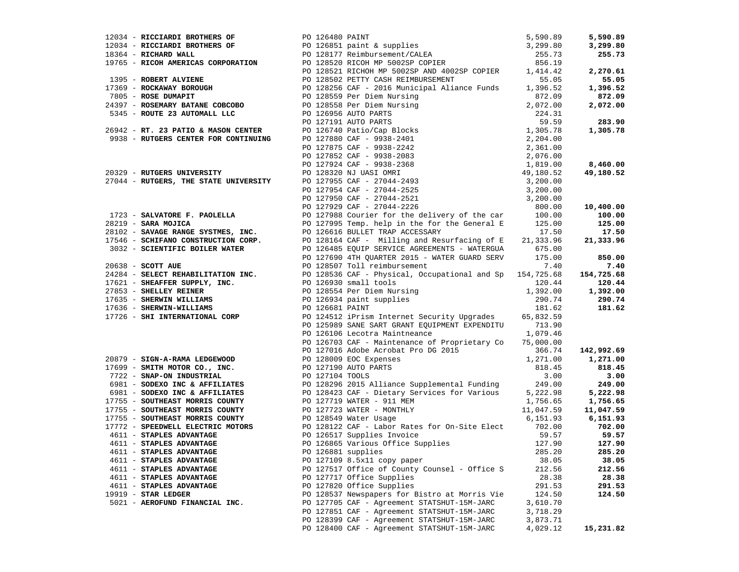|                                |                                                                                                                                                                                                                                                                                      |          | 5,590.89   |
|--------------------------------|--------------------------------------------------------------------------------------------------------------------------------------------------------------------------------------------------------------------------------------------------------------------------------------|----------|------------|
|                                | 12034 - <b>RICCIARD EROTHERS OF</b><br>12034 - <b>RICCIARD EROTHERS OF</b><br>12034 - <b>RICCIARD EROTHERS OF</b><br>1305 - <b>RICRIARD WALL</b><br>1395 - <b>RICRIAR 2CRPORATION</b><br>1395 - <b>ROBERT ALVIENE</b><br>1395 - <b>ROBERT ALVIENE</b><br>17369 - <b>ROBERT ALVIE</b> |          | 3,299.80   |
|                                |                                                                                                                                                                                                                                                                                      |          | 255.73     |
|                                |                                                                                                                                                                                                                                                                                      |          |            |
|                                |                                                                                                                                                                                                                                                                                      |          | 2,270.61   |
|                                |                                                                                                                                                                                                                                                                                      |          | 55.05      |
|                                |                                                                                                                                                                                                                                                                                      |          | 1,396.52   |
|                                |                                                                                                                                                                                                                                                                                      |          | 872.09     |
|                                |                                                                                                                                                                                                                                                                                      |          | 2,072.00   |
|                                |                                                                                                                                                                                                                                                                                      |          |            |
|                                |                                                                                                                                                                                                                                                                                      |          | 283.90     |
|                                |                                                                                                                                                                                                                                                                                      |          | 1,305.78   |
|                                |                                                                                                                                                                                                                                                                                      |          |            |
|                                |                                                                                                                                                                                                                                                                                      |          |            |
|                                |                                                                                                                                                                                                                                                                                      |          |            |
|                                |                                                                                                                                                                                                                                                                                      |          |            |
|                                |                                                                                                                                                                                                                                                                                      |          | 8,460.00   |
|                                |                                                                                                                                                                                                                                                                                      |          | 49,180.52  |
|                                |                                                                                                                                                                                                                                                                                      |          |            |
|                                |                                                                                                                                                                                                                                                                                      |          |            |
|                                |                                                                                                                                                                                                                                                                                      |          |            |
|                                |                                                                                                                                                                                                                                                                                      |          | 10,400.00  |
|                                |                                                                                                                                                                                                                                                                                      |          | 100.00     |
|                                |                                                                                                                                                                                                                                                                                      |          | 125.00     |
|                                |                                                                                                                                                                                                                                                                                      |          | 17.50      |
|                                |                                                                                                                                                                                                                                                                                      |          | 21,333.96  |
|                                |                                                                                                                                                                                                                                                                                      |          |            |
|                                | 1723 - SALVATORE F. PAOLELLA PO 127988 Courier for the delivery of the car 100.00<br>28219 - SARA MOJICA PO 127995 Temp. help in the for the General E 125.00<br>28102 - SAVAGE RANGE SYSTMES, INC. PO 126616 BULLET TRAP ACCESSAR                                                   |          | 850.00     |
|                                |                                                                                                                                                                                                                                                                                      |          | 7.40       |
|                                |                                                                                                                                                                                                                                                                                      |          | 154,725.68 |
|                                |                                                                                                                                                                                                                                                                                      |          | 120.44     |
|                                | 1726 - <b>SCOTT AUE</b><br>20038 - <b>SCOTT AUE</b><br>20038 - <b>SELECT REHABILITATION INC.</b><br>27851 - <b>SHEAFFER SUPPLY, INC.</b><br>27851 - <b>SHEAFFER SUPPLY, INC.</b><br>27853 - <b>SHEAFFER SUPPLY, INC.</b><br>27851 - <b>SHEAFFER RENABILITATION INC.</b><br>2003      |          | 1,392.00   |
|                                |                                                                                                                                                                                                                                                                                      |          |            |
|                                |                                                                                                                                                                                                                                                                                      |          | 290.74     |
|                                |                                                                                                                                                                                                                                                                                      |          | 181.62     |
|                                |                                                                                                                                                                                                                                                                                      |          |            |
|                                | PO 125989 SANE SART GRANT EQUIPMENT EXPENDITU 713.90                                                                                                                                                                                                                                 |          |            |
|                                | PO 126106 Lecotra Maintneance                                                                                                                                                                                                                                                        | 1,079.46 |            |
|                                | PO 126703 CAF - Maintenance of Proprietary Co 75,000.00                                                                                                                                                                                                                              |          |            |
|                                |                                                                                                                                                                                                                                                                                      |          | 142,992.69 |
|                                |                                                                                                                                                                                                                                                                                      |          | 1,271.00   |
|                                |                                                                                                                                                                                                                                                                                      |          | 818.45     |
|                                |                                                                                                                                                                                                                                                                                      |          | 3.00       |
|                                |                                                                                                                                                                                                                                                                                      |          | 249.00     |
|                                |                                                                                                                                                                                                                                                                                      |          | 5,222.98   |
|                                | 90 126703 CAF - Maintenance of Proprietary Computery (3,000.00)<br>PO 126703 CAF - Maintenance of Proprietary Computery<br>17699 - <b>SIGN-A-RAMA LEDGEWOOD</b><br>PO 127000 BOC Expenses<br>PO 127190 AUTO PARTS<br>PO 127190 AUTO PARTS<br>PO                                      |          | 1,756.65   |
|                                |                                                                                                                                                                                                                                                                                      |          | 11,047.59  |
|                                |                                                                                                                                                                                                                                                                                      |          | 6,151.93   |
|                                |                                                                                                                                                                                                                                                                                      |          | 702.00     |
|                                |                                                                                                                                                                                                                                                                                      |          | 59.57      |
|                                |                                                                                                                                                                                                                                                                                      |          | 127.90     |
|                                | 17755 - SOUTHEAST MORRIS COUNTY<br>17755 - SOUTHEAST MORRIS COUNTY PO 128549 Water Usage<br>17772 - SPEEDWELL ELECTRIC MOTORS PO 128122 CAF - Labor Rates for On-Site Elect 702.00<br>1611 - STAPLES ADVANTAGE PO 126517 Supplies In                                                 |          | 285.20     |
| 4611 - STAPLES ADVANTAGE       | PO 127109 8.5x11 copy paper                                                                                                                                                                                                                                                          | 38.05    | 38.05      |
| 4611 - STAPLES ADVANTAGE       | PO 127517 Office of County Counsel - Office S                                                                                                                                                                                                                                        | 212.56   | 212.56     |
| 4611 - STAPLES ADVANTAGE       | PO 127717 Office Supplies                                                                                                                                                                                                                                                            | 28.38    | 28.38      |
|                                |                                                                                                                                                                                                                                                                                      |          |            |
| 4611 - STAPLES ADVANTAGE       | PO 127820 Office Supplies                                                                                                                                                                                                                                                            | 291.53   | 291.53     |
| 19919 - STAR LEDGER            | PO 128537 Newspapers for Bistro at Morris Vie                                                                                                                                                                                                                                        | 124.50   | 124.50     |
| 5021 - AEROFUND FINANCIAL INC. | PO 127705 CAF - Agreement STATSHUT-15M-JARC                                                                                                                                                                                                                                          | 3,610.70 |            |
|                                | PO 127851 CAF - Agreement STATSHUT-15M-JARC                                                                                                                                                                                                                                          | 3,718.29 |            |
|                                | PO 128399 CAF - Agreement STATSHUT-15M-JARC                                                                                                                                                                                                                                          | 3,873.71 |            |
|                                | PO 128400 CAF - Agreement STATSHUT-15M-JARC                                                                                                                                                                                                                                          | 4,029.12 | 15,231.82  |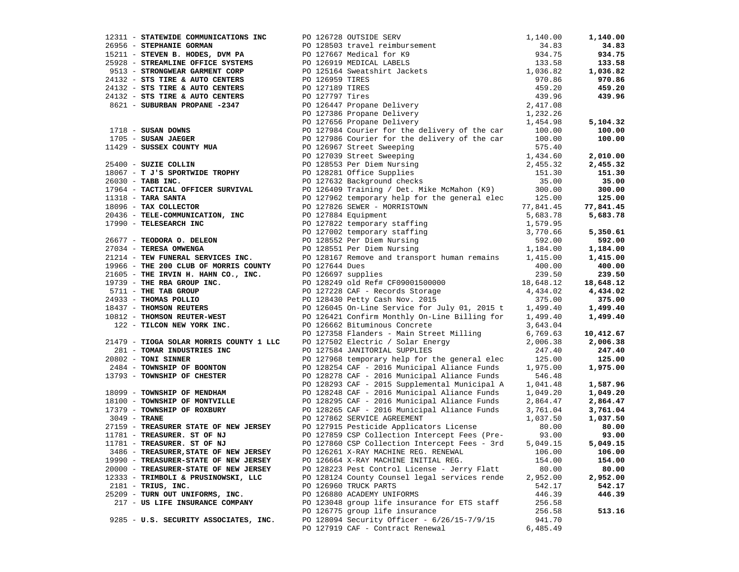|                                       |                                                                                                                                                                                                                                                               |          | 1,140.00           |
|---------------------------------------|---------------------------------------------------------------------------------------------------------------------------------------------------------------------------------------------------------------------------------------------------------------|----------|--------------------|
|                                       | 17311 - <b>STREAGE COMMISSIONATIONS INC.</b><br>17313 - <b>STREAGE COMMISSIONATIONS INC.</b><br>174035 - <b>STREAGE COMMISSIONATIONS INC.</b><br>174035 - <b>STREAGE OF THE RANGEMENT CORPERANT CORPERANT CONTROL</b><br>17513 - <b>STREAGE AND CONTRES</b> P |          | 34.83              |
|                                       |                                                                                                                                                                                                                                                               |          | 934.75             |
|                                       |                                                                                                                                                                                                                                                               |          | 133.58             |
|                                       |                                                                                                                                                                                                                                                               |          | 1,036.82           |
|                                       |                                                                                                                                                                                                                                                               |          | 970.86             |
|                                       |                                                                                                                                                                                                                                                               |          | 459.20             |
|                                       |                                                                                                                                                                                                                                                               |          | 439.96             |
|                                       |                                                                                                                                                                                                                                                               |          |                    |
|                                       |                                                                                                                                                                                                                                                               |          |                    |
|                                       |                                                                                                                                                                                                                                                               |          | 5,104.32           |
|                                       |                                                                                                                                                                                                                                                               |          |                    |
|                                       |                                                                                                                                                                                                                                                               |          | 100.00             |
|                                       |                                                                                                                                                                                                                                                               |          | 100.00             |
|                                       |                                                                                                                                                                                                                                                               |          |                    |
|                                       |                                                                                                                                                                                                                                                               |          | 2,010.00           |
|                                       |                                                                                                                                                                                                                                                               |          | 2,455.32           |
|                                       |                                                                                                                                                                                                                                                               |          | 151.30             |
|                                       |                                                                                                                                                                                                                                                               |          | 35.00              |
|                                       |                                                                                                                                                                                                                                                               |          | 300.00             |
|                                       |                                                                                                                                                                                                                                                               |          | 125.00             |
|                                       |                                                                                                                                                                                                                                                               |          | 77,841.45          |
|                                       |                                                                                                                                                                                                                                                               |          | 5,683.78           |
|                                       |                                                                                                                                                                                                                                                               |          |                    |
|                                       |                                                                                                                                                                                                                                                               |          | 5,350.61           |
|                                       |                                                                                                                                                                                                                                                               |          | 592.00             |
|                                       |                                                                                                                                                                                                                                                               |          | 1,184.00           |
|                                       |                                                                                                                                                                                                                                                               |          | 1,415.00           |
|                                       |                                                                                                                                                                                                                                                               |          | 400.00             |
|                                       |                                                                                                                                                                                                                                                               |          | 239.50             |
|                                       |                                                                                                                                                                                                                                                               |          |                    |
|                                       |                                                                                                                                                                                                                                                               |          | 18,648.12          |
|                                       |                                                                                                                                                                                                                                                               |          | 4,434.02           |
|                                       |                                                                                                                                                                                                                                                               |          | 375.00<br>1,499.40 |
|                                       |                                                                                                                                                                                                                                                               |          | 1,499.40           |
|                                       |                                                                                                                                                                                                                                                               |          | 1,499.40           |
|                                       |                                                                                                                                                                                                                                                               |          |                    |
|                                       |                                                                                                                                                                                                                                                               |          | 10,412.67          |
|                                       | 21479 - TIOGA SOLAR MORRIS COUNTY 1 LLC DO 127502 Electric / Solar Energy 2,006.38<br>247.40 281 - TOMAR INDUSTRIES INC DO 127584 JANITORIAL SUPPLIES                                                                                                         |          | 2,006.38           |
|                                       |                                                                                                                                                                                                                                                               |          | 247.40             |
|                                       |                                                                                                                                                                                                                                                               |          | 125.00             |
|                                       |                                                                                                                                                                                                                                                               |          | 1,975.00           |
|                                       |                                                                                                                                                                                                                                                               |          |                    |
|                                       |                                                                                                                                                                                                                                                               |          | 1,587.96           |
|                                       |                                                                                                                                                                                                                                                               |          | 1,049.20           |
|                                       |                                                                                                                                                                                                                                                               |          | 2,864.47           |
|                                       |                                                                                                                                                                                                                                                               |          | 3,761.04           |
|                                       |                                                                                                                                                                                                                                                               |          | 1,037.50           |
|                                       |                                                                                                                                                                                                                                                               |          | 80.00              |
|                                       |                                                                                                                                                                                                                                                               |          | 93.00              |
|                                       |                                                                                                                                                                                                                                                               |          | 5,049.15           |
| 3486 - TREASURER, STATE OF NEW JERSEY | PO 126261 X-RAY MACHINE REG. RENEWAL 106.00 106.00                                                                                                                                                                                                            |          |                    |
| 19990 - TREASURER-STATE OF NEW JERSEY | PO 126664 X-RAY MACHINE INITIAL REG.                                                                                                                                                                                                                          | 154.00   | 154.00             |
| 20000 - TREASURER-STATE OF NEW JERSEY | PO 128223 Pest Control License - Jerry Flatt                                                                                                                                                                                                                  | 80.00    | 80.00              |
| 12333 - TRIMBOLI & PRUSINOWSKI, LLC   | PO 128124 County Counsel legal services rende                                                                                                                                                                                                                 | 2,952.00 | 2,952.00           |
| $2181$ - TRIUS, INC.                  | PO 126960 TRUCK PARTS                                                                                                                                                                                                                                         |          | 542.17             |
|                                       | PO 126880 ACADEMY UNIFORMS                                                                                                                                                                                                                                    | 542.17   |                    |
| 25209 - TURN OUT UNIFORMS, INC.       |                                                                                                                                                                                                                                                               | 446.39   | 446.39             |
| 217 - US LIFE INSURANCE COMPANY       | PO 123048 group life insurance for ETS staff                                                                                                                                                                                                                  | 256.58   |                    |
|                                       | PO 126775 group life insurance                                                                                                                                                                                                                                | 256.58   | 513.16             |
| 9285 - U.S. SECURITY ASSOCIATES, INC. | PO 128094 Security Officer - 6/26/15-7/9/15                                                                                                                                                                                                                   | 941.70   |                    |
|                                       | PO 127919 CAF - Contract Renewal                                                                                                                                                                                                                              | 6,485.49 |                    |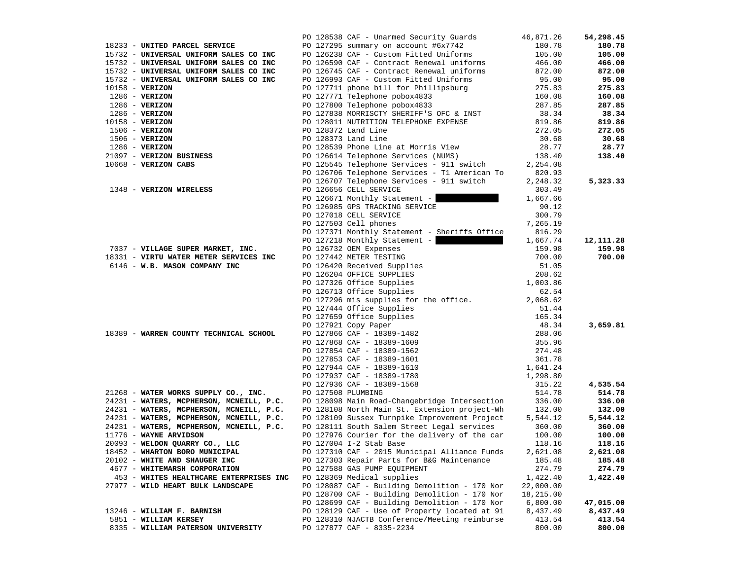|                                          | PO 128538 CAF - Unarmed Security Guards       | 46,871.26 | 54,298.45 |
|------------------------------------------|-----------------------------------------------|-----------|-----------|
| 18233 - UNITED PARCEL SERVICE            | PO 127295 summary on account #6x7742          | 180.78    | 180.78    |
| 15732 - UNIVERSAL UNIFORM SALES CO INC   | PO 126238 CAF - Custom Fitted Uniforms        | 105.00    | 105.00    |
| 15732 - UNIVERSAL UNIFORM SALES CO INC   | PO 126590 CAF - Contract Renewal uniforms     | 466.00    | 466.00    |
| 15732 - UNIVERSAL UNIFORM SALES CO INC   | PO 126745 CAF - Contract Renewal uniforms     | 872.00    | 872.00    |
| 15732 - UNIVERSAL UNIFORM SALES CO INC   | PO 126993 CAF - Custom Fitted Uniforms        | 95.00     | 95.00     |
| $10158 - VERIZON$                        | PO 127711 phone bill for Phillipsburg         | 275.83    | 275.83    |
|                                          |                                               |           |           |
| $1286$ - VERIZON                         | PO 127771 Telephone pobox4833                 | 160.08    | 160.08    |
| $1286$ - VERIZON                         | PO 127800 Telephone pobox4833                 | 287.85    | 287.85    |
| $1286 - VERIZON$                         | PO 127838 MORRISCTY SHERIFF'S OFC & INST      | 38.34     | 38.34     |
| $10158 - VERIZON$                        | PO 128011 NUTRITION TELEPHONE EXPENSE         | 819.86    | 819.86    |
| $1506 - VERIZON$                         | PO 128372 Land Line                           | 272.05    | 272.05    |
| $1506 - VERIZON$                         | PO 128373 Land Line                           | 30.68     | 30.68     |
| $1286$ - VERIZON                         | PO 128539 Phone Line at Morris View           | 28.77     | 28.77     |
| 21097 - VERIZON BUSINESS                 | PO 126614 Telephone Services (NUMS)           | 138.40    | 138.40    |
| 10668 - VERIZON CABS                     | PO 125545 Telephone Services - 911 switch     | 2,254.08  |           |
|                                          | PO 126706 Telephone Services - T1 American To | 820.93    |           |
|                                          | PO 126707 Telephone Services - 911 switch     | 2,248.32  | 5,323.33  |
| 1348 - VERIZON WIRELESS                  | PO 126656 CELL SERVICE                        | 303.49    |           |
|                                          | PO 126671 Monthly Statement -                 | 1,667.66  |           |
|                                          | PO 126985 GPS TRACKING SERVICE                | 90.12     |           |
|                                          | PO 127018 CELL SERVICE                        | 300.79    |           |
|                                          |                                               |           |           |
|                                          | PO 127503 Cell phones                         | 7,265.19  |           |
|                                          | PO 127371 Monthly Statement - Sheriffs Office | 816.29    |           |
|                                          | PO 127218 Monthly Statement -                 | 1,667.74  | 12,111.28 |
| 7037 - VILLAGE SUPER MARKET, INC.        | PO 126732 OEM Expenses                        | 159.98    | 159.98    |
| 18331 - VIRTU WATER METER SERVICES INC   | PO 127442 METER TESTING                       | 700.00    | 700.00    |
| 6146 - W.B. MASON COMPANY INC            | PO 126420 Received Supplies                   | 51.05     |           |
|                                          | PO 126204 OFFICE SUPPLIES                     | 208.62    |           |
|                                          | PO 127326 Office Supplies                     | 1,003.86  |           |
|                                          | PO 126713 Office Supplies                     | 62.54     |           |
|                                          | PO 127296 mis supplies for the office.        | 2,068.62  |           |
|                                          | PO 127444 Office Supplies                     | 51.44     |           |
|                                          | PO 127659 Office Supplies                     | 165.34    |           |
|                                          | PO 127921 Copy Paper                          | 48.34     | 3,659.81  |
| 18389 - WARREN COUNTY TECHNICAL SCHOOL   | PO 127866 CAF - 18389-1482                    | 288.06    |           |
|                                          | PO 127868 CAF - 18389-1609                    | 355.96    |           |
|                                          | PO 127854 CAF - 18389-1562                    | 274.48    |           |
|                                          | PO 127853 CAF - 18389-1601                    | 361.78    |           |
|                                          | PO 127944 CAF - 18389-1610                    | 1,641.24  |           |
|                                          |                                               |           |           |
|                                          | PO 127937 CAF - 18389-1780                    | 1,298.80  | 4,535.54  |
|                                          | PO 127936 CAF - 18389-1568                    | 315.22    |           |
| 21268 - WATER WORKS SUPPLY CO., INC.     | PO 127508 PLUMBING                            | 514.78    | 514.78    |
| 24231 - WATERS, MCPHERSON, MCNEILL, P.C. | PO 128098 Main Road-Changebridge Intersection | 336.00    | 336.00    |
| 24231 - WATERS, MCPHERSON, MCNEILL, P.C. | PO 128108 North Main St. Extension project-Wh | 132.00    | 132.00    |
| 24231 - WATERS, MCPHERSON, MCNEILL, P.C. | PO 128109 Sussex Turnpike Improvement Project | 5,544.12  | 5,544.12  |
| 24231 - WATERS, MCPHERSON, MCNEILL, P.C. | PO 128111 South Salem Street Legal services   | 360.00    | 360.00    |
| 11776 - WAYNE ARVIDSON                   | PO 127976 Courier for the delivery of the car | 100.00    | 100.00    |
| 20093 - WELDON QUARRY CO., LLC           | PO 127004 I-2 Stab Base                       | 118.16    | 118.16    |
| 18452 - WHARTON BORO MUNICIPAL           | PO 127310 CAF - 2015 Municipal Alliance Funds | 2,621.08  | 2,621.08  |
| 20102 - WHITE AND SHAUGER INC            | PO 127303 Repair Parts for B&G Maintenance    | 185.48    | 185.48    |
| 4677 - WHITEMARSH CORPORATION            | PO 127588 GAS PUMP EQUIPMENT                  | 274.79    | 274.79    |
| 453 - WHITES HEALTHCARE ENTERPRISES INC  | PO 128369 Medical supplies                    | 1,422.40  | 1,422.40  |
| 27977 - WILD HEART BULK LANDSCAPE        | PO 128087 CAF - Building Demolition - 170 Nor | 22,000.00 |           |
|                                          | PO 128700 CAF - Building Demolition - 170 Nor | 18,215.00 |           |
|                                          | PO 128699 CAF - Building Demolition - 170 Nor | 6,800.00  | 47,015.00 |
| 13246 - WILLIAM F. BARNISH               | PO 128129 CAF - Use of Property located at 91 | 8,437.49  | 8,437.49  |
| 5851 - WILLIAM KERSEY                    | PO 128310 NJACTB Conference/Meeting reimburse | 413.54    | 413.54    |
| 8335 - WILLIAM PATERSON UNIVERSITY       | PO 127877 CAF - 8335-2234                     | 800.00    | 800.00    |
|                                          |                                               |           |           |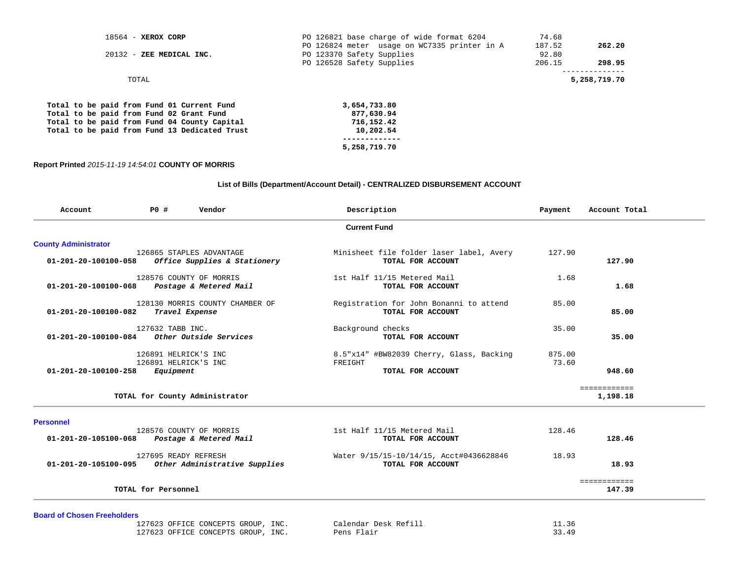| 18564 - XEROX CORP                            | PO 126821 base charge of wide format 6204    | 74.68  |              |
|-----------------------------------------------|----------------------------------------------|--------|--------------|
|                                               | PO 126824 meter usage on WC7335 printer in A | 187.52 | 262.20       |
| 20132 - ZEE MEDICAL INC.                      | PO 123370 Safety Supplies                    | 92.80  |              |
|                                               | PO 126528 Safety Supplies                    | 206.15 | 298.95       |
| TOTAL                                         |                                              |        | 5,258,719.70 |
| Total to be paid from Fund 01 Current Fund    | 3,654,733.80                                 |        |              |
| Total to be paid from Fund 02 Grant Fund      | 877,630.94                                   |        |              |
| Total to be paid from Fund 04 County Capital  | 716,152.42                                   |        |              |
| Total to be paid from Fund 13 Dedicated Trust | 10,202.54                                    |        |              |
|                                               |                                              |        |              |
|                                               | 5,258,719.70                                 |        |              |

## **Report Printed** *2015-11-19 14:54:01* **COUNTY OF MORRIS**

## **List of Bills (Department/Account Detail) - CENTRALIZED DISBURSEMENT ACCOUNT**

|                             | <b>Current Fund</b>                                                                                                                                                                                                                                                                                                                                                                                                                                  |                             |                          |  |  |  |  |  |  |
|-----------------------------|------------------------------------------------------------------------------------------------------------------------------------------------------------------------------------------------------------------------------------------------------------------------------------------------------------------------------------------------------------------------------------------------------------------------------------------------------|-----------------------------|--------------------------|--|--|--|--|--|--|
| <b>County Administrator</b> |                                                                                                                                                                                                                                                                                                                                                                                                                                                      |                             |                          |  |  |  |  |  |  |
|                             | Minisheet file folder laser label, Avery<br>TOTAL FOR ACCOUNT                                                                                                                                                                                                                                                                                                                                                                                        | 127.90                      | 127.90                   |  |  |  |  |  |  |
|                             | 1st Half 11/15 Metered Mail<br>TOTAL FOR ACCOUNT                                                                                                                                                                                                                                                                                                                                                                                                     | 1.68                        | 1.68                     |  |  |  |  |  |  |
|                             | Registration for John Bonanni to attend<br>TOTAL FOR ACCOUNT                                                                                                                                                                                                                                                                                                                                                                                         | 85.00                       | 85.00                    |  |  |  |  |  |  |
|                             | Background checks<br>TOTAL FOR ACCOUNT                                                                                                                                                                                                                                                                                                                                                                                                               | 35.00                       | 35.00                    |  |  |  |  |  |  |
|                             | 8.5"x14" #BW82039 Cherry, Glass, Backing<br>FREIGHT<br>TOTAL FOR ACCOUNT                                                                                                                                                                                                                                                                                                                                                                             | 875.00<br>73.60             | 948.60                   |  |  |  |  |  |  |
|                             |                                                                                                                                                                                                                                                                                                                                                                                                                                                      |                             | ============<br>1,198.18 |  |  |  |  |  |  |
|                             |                                                                                                                                                                                                                                                                                                                                                                                                                                                      |                             |                          |  |  |  |  |  |  |
|                             | TOTAL FOR ACCOUNT                                                                                                                                                                                                                                                                                                                                                                                                                                    |                             | 128.46                   |  |  |  |  |  |  |
|                             | Water 9/15/15-10/14/15, Acct#0436628846<br>TOTAL FOR ACCOUNT                                                                                                                                                                                                                                                                                                                                                                                         | 18.93                       | 18.93                    |  |  |  |  |  |  |
|                             |                                                                                                                                                                                                                                                                                                                                                                                                                                                      |                             | ============<br>147.39   |  |  |  |  |  |  |
|                             | 126865 STAPLES ADVANTAGE<br>Office Supplies & Stationery<br>128576 COUNTY OF MORRIS<br>Postage & Metered Mail<br>128130 MORRIS COUNTY CHAMBER OF<br>Travel Expense<br>127632 TABB INC.<br>Other Outside Services<br>126891 HELRICK'S INC<br>126891 HELRICK'S INC<br>Equipment<br>TOTAL for County Administrator<br>128576 COUNTY OF MORRIS<br>Postage & Metered Mail<br>127695 READY REFRESH<br>Other Administrative Supplies<br>TOTAL for Personnel | 1st Half 11/15 Metered Mail | 128.46                   |  |  |  |  |  |  |

**Board of Chosen Freeholders**

 127623 OFFICE CONCEPTS GROUP, INC. Calendar Desk Refill 11.36 127623 OFFICE CONCEPTS GROUP, INC. Pens Flair 33.49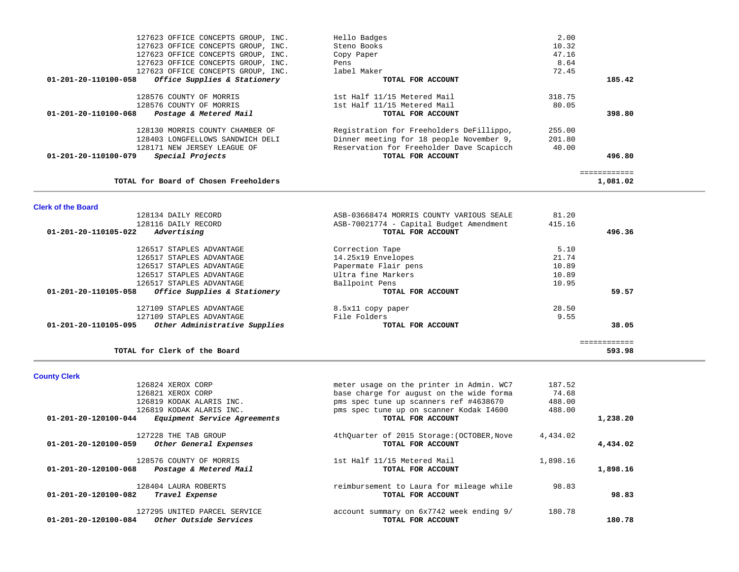| 127623 OFFICE CONCEPTS GROUP, INC.                   | Hello Badges                             | 2.00   |              |
|------------------------------------------------------|------------------------------------------|--------|--------------|
| 127623 OFFICE CONCEPTS GROUP, INC.                   | Steno Books                              | 10.32  |              |
| 127623 OFFICE CONCEPTS GROUP, INC.                   | Copy Paper                               | 47.16  |              |
| 127623 OFFICE CONCEPTS GROUP, INC.                   | Pens                                     | 8.64   |              |
| 127623 OFFICE CONCEPTS GROUP, INC.                   | label Maker                              | 72.45  |              |
| 01-201-20-110100-058<br>Office Supplies & Stationery | TOTAL FOR ACCOUNT                        |        | 185.42       |
| 128576 COUNTY OF MORRIS                              | 1st Half 11/15 Metered Mail              | 318.75 |              |
| 128576 COUNTY OF MORRIS                              | 1st Half 11/15 Metered Mail              | 80.05  |              |
| 01-201-20-110100-068<br>Postage & Metered Mail       | TOTAL FOR ACCOUNT                        |        | 398.80       |
| 128130 MORRIS COUNTY CHAMBER OF                      | Registration for Freeholders DeFillippo, | 255.00 |              |
| 128403 LONGFELLOWS SANDWICH DELI                     | Dinner meeting for 18 people November 9, | 201.80 |              |
| 128171 NEW JERSEY LEAGUE OF                          | Reservation for Freeholder Dave Scapicch | 40.00  |              |
| 01-201-20-110100-079<br>Special Projects             | TOTAL FOR ACCOUNT                        |        | 496.80       |
|                                                      |                                          |        | ------------ |
| TOTAL for Board of Chosen Freeholders                |                                          |        | 1,081.02     |

**Clerk of the Board** 

|        | 81.20  | ASB-03668474 MORRIS COUNTY VARIOUS SEALE | 128134 DAILY RECORD                                   |
|--------|--------|------------------------------------------|-------------------------------------------------------|
|        | 415.16 | ASB-70021774 - Capital Budget Amendment  | 128116 DAILY RECORD                                   |
| 496.36 |        | TOTAL FOR ACCOUNT                        | 01-201-20-110105-022<br>Advertising                   |
|        | 5.10   | Correction Tape                          | 126517 STAPLES ADVANTAGE                              |
|        | 21.74  | 14.25x19 Envelopes                       | 126517 STAPLES ADVANTAGE                              |
|        | 10.89  | Papermate Flair pens                     | 126517 STAPLES ADVANTAGE                              |
|        | 10.89  | Ultra fine Markers                       | 126517 STAPLES ADVANTAGE                              |
|        | 10.95  | Ballpoint Pens                           | 126517 STAPLES ADVANTAGE                              |
| 59.57  |        | TOTAL FOR ACCOUNT                        | 01-201-20-110105-058<br>Office Supplies & Stationery  |
|        | 28.50  | 8.5x11 copy paper                        | 127109 STAPLES ADVANTAGE                              |
|        | 9.55   | File Folders                             | 127109 STAPLES ADVANTAGE                              |
| 38.05  |        | TOTAL FOR ACCOUNT                        | Other Administrative Supplies<br>01-201-20-110105-095 |
|        |        |                                          |                                                       |
| 593.98 |        |                                          | TOTAL for Clerk of the Board                          |
|        |        |                                          |                                                       |

**County Clerk** 

|                                | 126824 XEROX CORP                                      | meter usage on the printer in Admin. WC7                        | 187.52   |          |
|--------------------------------|--------------------------------------------------------|-----------------------------------------------------------------|----------|----------|
|                                | 126821 XEROX CORP                                      | base charge for august on the wide forma                        | 74.68    |          |
|                                | 126819 KODAK ALARIS INC.                               | pms spec tune up scanners ref #4638670                          | 488.00   |          |
|                                | 126819 KODAK ALARIS INC.                               | pms spec tune up on scanner Kodak 14600                         | 488.00   |          |
| $01 - 201 - 20 - 120100 - 044$ | Equipment Service Agreements                           | TOTAL FOR ACCOUNT                                               |          | 1,238.20 |
| 01-201-20-120100-059           | 127228 THE TAB GROUP<br>Other General Expenses         | 4thQuarter of 2015 Storage: (OCTOBER, Nove<br>TOTAL FOR ACCOUNT | 4,434.02 | 4,434.02 |
| $01 - 201 - 20 - 120100 - 068$ | 128576 COUNTY OF MORRIS<br>Postage & Metered Mail      | 1st Half 11/15 Metered Mail<br>TOTAL FOR ACCOUNT                | 1,898.16 | 1,898.16 |
| $01 - 201 - 20 - 120100 - 082$ | 128404 LAURA ROBERTS<br>Travel Expense                 | reimbursement to Laura for mileage while<br>TOTAL FOR ACCOUNT   | 98.83    | 98.83    |
| 01-201-20-120100-084           | 127295 UNITED PARCEL SERVICE<br>Other Outside Services | account summary on 6x7742 week ending 9/<br>TOTAL FOR ACCOUNT   | 180.78   | 180.78   |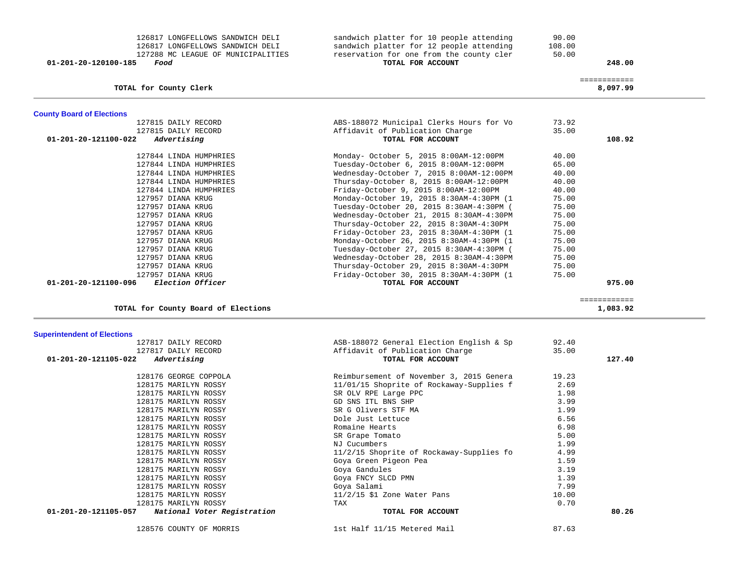| 126817 LONGFELLOWS SANDWICH DELI<br>126817 LONGFELLOWS SANDWICH DELI<br>127288 MC LEAGUE OF MUNICIPALITIES<br>01-201-20-120100-185<br>Food | sandwich platter for 10 people attending<br>sandwich platter for 12 people attending<br>reservation for one from the county cler<br>TOTAL FOR ACCOUNT | 90.00<br>108.00<br>50.00 | 248.00                   |  |
|--------------------------------------------------------------------------------------------------------------------------------------------|-------------------------------------------------------------------------------------------------------------------------------------------------------|--------------------------|--------------------------|--|
| TOTAL for County Clerk                                                                                                                     |                                                                                                                                                       |                          | ============<br>8,097.99 |  |
|                                                                                                                                            |                                                                                                                                                       |                          |                          |  |
| <b>County Board of Elections</b>                                                                                                           |                                                                                                                                                       |                          |                          |  |
| 127815 DAILY RECORD                                                                                                                        | ABS-188072 Municipal Clerks Hours for Vo<br>Affidavit of Publication Charge                                                                           | 73.92<br>35.00           |                          |  |
| 127815 DAILY RECORD<br>$01 - 201 - 20 - 121100 - 022$<br>Advertising                                                                       | TOTAL FOR ACCOUNT                                                                                                                                     |                          | 108.92                   |  |
| 127844 LINDA HUMPHRIES                                                                                                                     |                                                                                                                                                       | 40.00                    |                          |  |
| 127844 LINDA HUMPHRIES                                                                                                                     | Monday- October 5, 2015 8:00AM-12:00PM<br>Tuesday-October 6, 2015 8:00AM-12:00PM                                                                      | 65.00                    |                          |  |
| 127844 LINDA HUMPHRIES                                                                                                                     | Wednesday-October 7, 2015 8:00AM-12:00PM                                                                                                              | 40.00                    |                          |  |
| 127844 LINDA HUMPHRIES                                                                                                                     | Thursday-October 8, 2015 8:00AM-12:00PM                                                                                                               | 40.00                    |                          |  |
| 127844 LINDA HUMPHRIES                                                                                                                     | Friday-October 9, 2015 8:00AM-12:00PM                                                                                                                 | 40.00                    |                          |  |
| 127957 DIANA KRUG                                                                                                                          | Monday-October 19, 2015 8:30AM-4:30PM (1                                                                                                              | 75.00                    |                          |  |
| 127957 DIANA KRUG                                                                                                                          | Tuesday-October 20, 2015 8:30AM-4:30PM (                                                                                                              | 75.00                    |                          |  |
| 127957 DIANA KRUG                                                                                                                          | Wednesday-October 21, 2015 8:30AM-4:30PM                                                                                                              | 75.00                    |                          |  |
| 127957 DIANA KRUG                                                                                                                          | Thursday-October 22, 2015 8:30AM-4:30PM                                                                                                               | 75.00                    |                          |  |
| 127957 DIANA KRUG                                                                                                                          | Friday-October 23, 2015 8:30AM-4:30PM (1                                                                                                              | 75.00                    |                          |  |
| 127957 DIANA KRUG                                                                                                                          | Monday-October 26, 2015 8:30AM-4:30PM (1                                                                                                              | 75.00                    |                          |  |
| 127957 DIANA KRUG                                                                                                                          | Tuesday-October 27, 2015 8:30AM-4:30PM (                                                                                                              | 75.00                    |                          |  |
| 127957 DIANA KRUG                                                                                                                          | Wednesday-October 28, 2015 8:30AM-4:30PM                                                                                                              | 75.00                    |                          |  |
| 127957 DIANA KRUG                                                                                                                          | Thursday-October 29, 2015 8:30AM-4:30PM                                                                                                               | 75.00                    |                          |  |
| 127957 DIANA KRUG                                                                                                                          | Friday-October 30, 2015 8:30AM-4:30PM (1                                                                                                              | 75.00                    |                          |  |
| Election Officer<br>01-201-20-121100-096                                                                                                   | TOTAL FOR ACCOUNT                                                                                                                                     |                          | 975.00                   |  |
|                                                                                                                                            |                                                                                                                                                       |                          | ============             |  |
| TOTAL for County Board of Elections                                                                                                        |                                                                                                                                                       |                          | 1,083.92                 |  |
| <b>Superintendent of Elections</b>                                                                                                         |                                                                                                                                                       |                          |                          |  |
| 127817 DAILY RECORD                                                                                                                        | ASB-188072 General Election English & Sp                                                                                                              | 92.40                    |                          |  |
| 127817 DAILY RECORD                                                                                                                        | Affidavit of Publication Charge                                                                                                                       | 35.00                    |                          |  |
| Advertising<br>01-201-20-121105-022                                                                                                        | TOTAL FOR ACCOUNT                                                                                                                                     |                          | 127.40                   |  |
| 128176 GEORGE COPPOLA                                                                                                                      | Reimbursement of November 3, 2015 Genera                                                                                                              | 19.23                    |                          |  |
| 128175 MARILYN ROSSY                                                                                                                       | 11/01/15 Shoprite of Rockaway-Supplies f                                                                                                              | 2.69                     |                          |  |
| 128175 MARILYN ROSSY                                                                                                                       | SR OLV RPE Large PPC                                                                                                                                  | 1.98                     |                          |  |
| 128175 MARILYN ROSSY                                                                                                                       | GD SNS ITL BNS SHP                                                                                                                                    | 3.99                     |                          |  |
| 128175 MARILYN ROSSY                                                                                                                       | SR G Olivers STF MA                                                                                                                                   | 1.99                     |                          |  |
| 128175 MARILYN ROSSY                                                                                                                       | Dole Just Lettuce                                                                                                                                     | 6.56                     |                          |  |
| 128175 MARILYN ROSSY                                                                                                                       | Romaine Hearts                                                                                                                                        | 6.98                     |                          |  |
| 128175 MARILYN ROSSY                                                                                                                       | SR Grape Tomato                                                                                                                                       | 5.00                     |                          |  |
| 128175 MARILYN ROSSY                                                                                                                       | NJ Cucumbers                                                                                                                                          | 1.99                     |                          |  |
| 128175 MARILYN ROSSY                                                                                                                       | 11/2/15 Shoprite of Rockaway-Supplies fo                                                                                                              | 4.99                     |                          |  |
| 128175 MARILYN ROSSY                                                                                                                       | Goya Green Pigeon Pea                                                                                                                                 | 1.59                     |                          |  |
| 128175 MARILYN ROSSY                                                                                                                       | Goya Gandules                                                                                                                                         | 3.19                     |                          |  |
| 128175 MARILYN ROSSY                                                                                                                       | Goya FNCY SLCD PMN                                                                                                                                    | 1.39                     |                          |  |
| 128175 MARILYN ROSSY                                                                                                                       | Goya Salami                                                                                                                                           | 7.99                     |                          |  |
| 128175 MARILYN ROSSY                                                                                                                       | $11/2/15$ \$1 Zone Water Pans                                                                                                                         | 10.00                    |                          |  |
| 128175 MARILYN ROSSY                                                                                                                       | TAX                                                                                                                                                   | 0.70                     |                          |  |
| 01-201-20-121105-057<br>National Voter Registration                                                                                        | TOTAL FOR ACCOUNT                                                                                                                                     |                          | 80.26                    |  |
| 128576 COUNTY OF MORRIS                                                                                                                    | 1st Half 11/15 Metered Mail                                                                                                                           | 87.63                    |                          |  |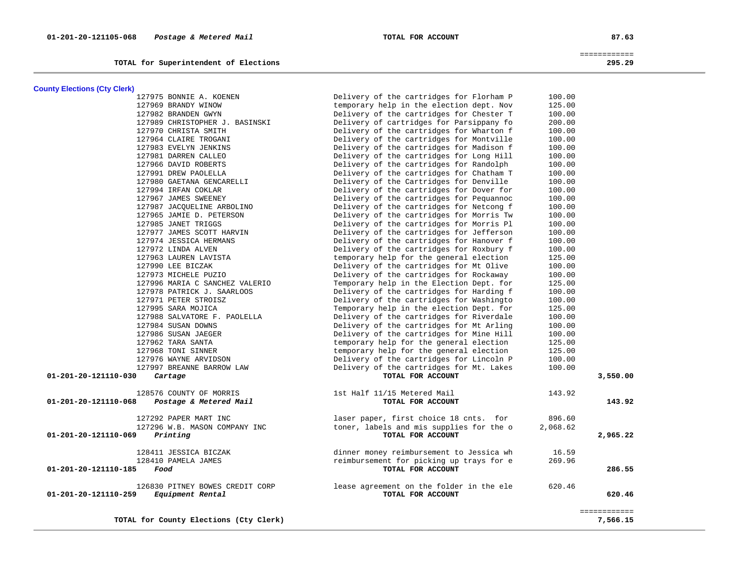**TOTAL for Superintendent of Elections 295.29**

 ============ 295.29

| <b>County Elections (Cty Clerk)</b>            |                                          |          |                          |
|------------------------------------------------|------------------------------------------|----------|--------------------------|
| 127975 BONNIE A. KOENEN                        | Delivery of the cartridges for Florham P | 100.00   |                          |
| 127969 BRANDY WINOW                            | temporary help in the election dept. Nov | 125.00   |                          |
| 127982 BRANDEN GWYN                            | Delivery of the cartridges for Chester T | 100.00   |                          |
| 127989 CHRISTOPHER J. BASINSKI                 | Delivery of cartridges for Parsippany fo | 200.00   |                          |
| 127970 CHRISTA SMITH                           | Delivery of the cartridges for Wharton f | 100.00   |                          |
| 127964 CLAIRE TROGANI                          | Delivery of the cartridges for Montville | 100.00   |                          |
| 127983 EVELYN JENKINS                          | Delivery of the cartridges for Madison f | 100.00   |                          |
| 127981 DARREN CALLEO                           | Delivery of the cartridges for Long Hill | 100.00   |                          |
| 127966 DAVID ROBERTS                           | Delivery of the cartridges for Randolph  | 100.00   |                          |
| 127991 DREW PAOLELLA                           | Delivery of the cartridges for Chatham T | 100.00   |                          |
| 127980 GAETANA GENCARELLI                      | Delivery of the Cartridges for Denville  | 100.00   |                          |
| 127994 IRFAN COKLAR                            | Delivery of the cartridges for Dover for | 100.00   |                          |
| 127967 JAMES SWEENEY                           | Delivery of the cartridges for Pequannoc | 100.00   |                          |
| 127987 JACQUELINE ARBOLINO                     | Delivery of the cartridges for Netcong f | 100.00   |                          |
| 127965 JAMIE D. PETERSON                       | Delivery of the cartridges for Morris Tw | 100.00   |                          |
| 127985 JANET TRIGGS                            | Delivery of the cartridges for Morris Pl | 100.00   |                          |
| 127977 JAMES SCOTT HARVIN                      | Delivery of the cartridges for Jefferson | 100.00   |                          |
| 127974 JESSICA HERMANS                         | Delivery of the cartridges for Hanover f | 100.00   |                          |
| 127972 LINDA ALVEN                             | Delivery of the cartridges for Roxbury f | 100.00   |                          |
| 127963 LAUREN LAVISTA                          | temporary help for the general election  | 125.00   |                          |
| 127990 LEE BICZAK                              | Delivery of the cartridges for Mt Olive  | 100.00   |                          |
| 127973 MICHELE PUZIO                           | Delivery of the cartridges for Rockaway  | 100.00   |                          |
| 127996 MARIA C SANCHEZ VALERIO                 | Temporary help in the Election Dept. for | 125.00   |                          |
| 127978 PATRICK J. SAARLOOS                     | Delivery of the cartridges for Harding f | 100.00   |                          |
| 127971 PETER STROISZ                           | Delivery of the cartridges for Washingto | 100.00   |                          |
| 127995 SARA MOJICA                             | Temporary help in the election Dept. for | 125.00   |                          |
| 127988 SALVATORE F. PAOLELLA                   | Delivery of the cartridges for Riverdale | 100.00   |                          |
| 127984 SUSAN DOWNS                             | Delivery of the cartridges for Mt Arling | 100.00   |                          |
| 127986 SUSAN JAEGER                            | Delivery of the cartridges for Mine Hill | 100.00   |                          |
| 127962 TARA SANTA                              | temporary help for the general election  | 125.00   |                          |
| 127968 TONI SINNER                             | temporary help for the general election  | 125.00   |                          |
| 127976 WAYNE ARVIDSON                          | Delivery of the cartridges for Lincoln P | 100.00   |                          |
| 127997 BREANNE BARROW LAW                      | Delivery of the cartridges for Mt. Lakes | 100.00   |                          |
| 01-201-20-121110-030<br>Cartage                | TOTAL FOR ACCOUNT                        |          | 3,550.00                 |
|                                                |                                          |          |                          |
| 128576 COUNTY OF MORRIS                        | 1st Half 11/15 Metered Mail              | 143.92   |                          |
| 01-201-20-121110-068<br>Postage & Metered Mail | TOTAL FOR ACCOUNT                        |          | 143.92                   |
| 127292 PAPER MART INC                          | laser paper, first choice 18 cnts. for   | 896.60   |                          |
| 127296 W.B. MASON COMPANY INC                  | toner, labels and mis supplies for the o | 2,068.62 |                          |
| Printing<br>01-201-20-121110-069               | TOTAL FOR ACCOUNT                        |          | 2,965.22                 |
| 128411 JESSICA BICZAK                          | dinner money reimbursement to Jessica wh | 16.59    |                          |
| 128410 PAMELA JAMES                            | reimbursement for picking up trays for e | 269.96   |                          |
| 01-201-20-121110-185<br>Food                   | TOTAL FOR ACCOUNT                        |          | 286.55                   |
| 126830 PITNEY BOWES CREDIT CORP                | lease agreement on the folder in the ele | 620.46   |                          |
| Equipment Rental<br>01-201-20-121110-259       | TOTAL FOR ACCOUNT                        |          | 620.46                   |
| TOTAL for County Elections (Cty Clerk)         |                                          |          | ============<br>7,566.15 |
|                                                |                                          |          |                          |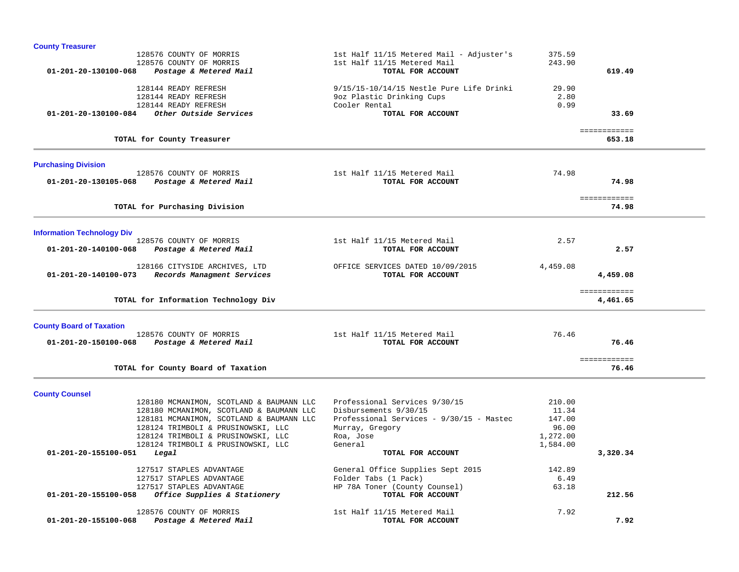| <b>County Treasurer</b>                                    |                                          |          |                        |  |
|------------------------------------------------------------|------------------------------------------|----------|------------------------|--|
| 128576 COUNTY OF MORRIS                                    | 1st Half 11/15 Metered Mail - Adjuster's | 375.59   |                        |  |
| 128576 COUNTY OF MORRIS                                    | 1st Half 11/15 Metered Mail              | 243.90   |                        |  |
| 01-201-20-130100-068<br>Postage & Metered Mail             | TOTAL FOR ACCOUNT                        |          | 619.49                 |  |
| 128144 READY REFRESH                                       | 9/15/15-10/14/15 Nestle Pure Life Drinki | 29.90    |                        |  |
| 128144 READY REFRESH                                       | 9oz Plastic Drinking Cups                | 2.80     |                        |  |
| 128144 READY REFRESH                                       | Cooler Rental                            | 0.99     |                        |  |
| Other Outside Services<br>01-201-20-130100-084             | TOTAL FOR ACCOUNT                        |          | 33.69                  |  |
|                                                            |                                          |          |                        |  |
| TOTAL for County Treasurer                                 |                                          |          | ============<br>653.18 |  |
|                                                            |                                          |          |                        |  |
| <b>Purchasing Division</b><br>128576 COUNTY OF MORRIS      | 1st Half 11/15 Metered Mail              | 74.98    |                        |  |
| 01-201-20-130105-068<br>Postage & Metered Mail             | TOTAL FOR ACCOUNT                        |          | 74.98                  |  |
|                                                            |                                          |          |                        |  |
|                                                            |                                          |          | ============           |  |
| TOTAL for Purchasing Division                              |                                          |          | 74.98                  |  |
| <b>Information Technology Div</b>                          |                                          |          |                        |  |
| 128576 COUNTY OF MORRIS                                    | 1st Half 11/15 Metered Mail              | 2.57     |                        |  |
| 01-201-20-140100-068<br>Postage & Metered Mail             | TOTAL FOR ACCOUNT                        |          | 2.57                   |  |
|                                                            |                                          |          |                        |  |
| 128166 CITYSIDE ARCHIVES, LTD                              | OFFICE SERVICES DATED 10/09/2015         | 4,459.08 |                        |  |
| Records Managment Services<br>01-201-20-140100-073         | TOTAL FOR ACCOUNT                        |          | 4,459.08               |  |
|                                                            |                                          |          | ============           |  |
| TOTAL for Information Technology Div                       |                                          |          | 4,461.65               |  |
| <b>County Board of Taxation</b>                            |                                          |          |                        |  |
| 128576 COUNTY OF MORRIS                                    | 1st Half 11/15 Metered Mail              | 76.46    |                        |  |
| Postage & Metered Mail<br>01-201-20-150100-068             | TOTAL FOR ACCOUNT                        |          | 76.46                  |  |
|                                                            |                                          |          | ============           |  |
| TOTAL for County Board of Taxation                         |                                          |          | 76.46                  |  |
| <b>County Counsel</b>                                      |                                          |          |                        |  |
| 128180 MCMANIMON, SCOTLAND & BAUMANN LLC                   | Professional Services 9/30/15            | 210.00   |                        |  |
| 128180 MCMANIMON, SCOTLAND & BAUMANN LLC                   | Disbursements 9/30/15                    | 11.34    |                        |  |
| 128181 MCMANIMON, SCOTLAND & BAUMANN LLC                   | Professional Services - 9/30/15 - Mastec | 147.00   |                        |  |
| 128124 TRIMBOLI & PRUSINOWSKI, LLC                         | Murray, Gregory                          | 96.00    |                        |  |
| 128124 TRIMBOLI & PRUSINOWSKI, LLC                         | Roa, Jose                                | 1,272.00 |                        |  |
| 128124 TRIMBOLI & PRUSINOWSKI, LLC<br>01-201-20-155100-051 | General                                  | 1,584.00 |                        |  |
| Legal                                                      | TOTAL FOR ACCOUNT                        |          | 3,320.34               |  |
| 127517 STAPLES ADVANTAGE                                   | General Office Supplies Sept 2015        | 142.89   |                        |  |
| 127517 STAPLES ADVANTAGE                                   | Folder Tabs (1 Pack)                     | 6.49     |                        |  |
| 127517 STAPLES ADVANTAGE                                   | HP 78A Toner (County Counsel)            | 63.18    |                        |  |
| Office Supplies & Stationery<br>01-201-20-155100-058       | TOTAL FOR ACCOUNT                        |          | 212.56                 |  |
|                                                            |                                          |          |                        |  |
| 128576 COUNTY OF MORRIS                                    | 1st Half 11/15 Metered Mail              | 7.92     |                        |  |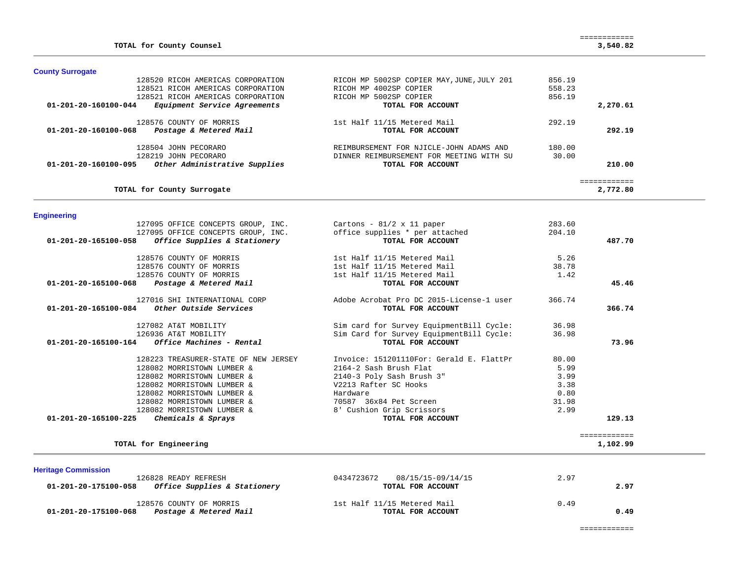| TOTAL for County Counsel                              |                                            |        | ------------<br>3,540.82 |
|-------------------------------------------------------|--------------------------------------------|--------|--------------------------|
| <b>County Surrogate</b>                               |                                            |        |                          |
| 128520 RICOH AMERICAS CORPORATION                     | RICOH MP 5002SP COPIER MAY, JUNE, JULY 201 | 856.19 |                          |
| 128521 RICOH AMERICAS CORPORATION                     | RICOH MP 4002SP COPIER                     | 558.23 |                          |
| 128521 RICOH AMERICAS CORPORATION                     | RICOH MP 5002SP COPIER                     | 856.19 |                          |
| Equipment Service Agreements<br>01-201-20-160100-044  | TOTAL FOR ACCOUNT                          |        | 2,270.61                 |
| 128576 COUNTY OF MORRIS                               | 1st Half 11/15 Metered Mail                | 292.19 |                          |
| 01-201-20-160100-068<br>Postage & Metered Mail        | TOTAL FOR ACCOUNT                          |        | 292.19                   |
| 128504 JOHN PECORARO                                  | REIMBURSEMENT FOR NJICLE-JOHN ADAMS AND    | 180.00 |                          |
| 128219 JOHN PECORARO                                  | DINNER REIMBURSEMENT FOR MEETING WITH SU   | 30.00  |                          |
| Other Administrative Supplies<br>01-201-20-160100-095 | TOTAL FOR ACCOUNT                          |        | 210.00                   |
|                                                       |                                            |        | ============             |
| TOTAL for County Surrogate                            |                                            |        | 2,772.80                 |
| <b>Engineering</b>                                    |                                            |        |                          |
| 127095 OFFICE CONCEPTS GROUP, INC.                    | Cartons - $81/2 \times 11$ paper           | 283.60 |                          |
| 127095 OFFICE CONCEPTS GROUP, INC.                    | office supplies * per attached             | 204.10 |                          |
| Office Supplies & Stationery<br>01-201-20-165100-058  | TOTAL FOR ACCOUNT                          |        | 487.70                   |
| 128576 COUNTY OF MORRIS                               | 1st Half 11/15 Metered Mail                | 5.26   |                          |
| 128576 COUNTY OF MORRIS                               | 1st Half 11/15 Metered Mail                | 38.78  |                          |
| 128576 COUNTY OF MORRIS                               | 1st Half 11/15 Metered Mail                | 1.42   |                          |
| 01-201-20-165100-068<br>Postage & Metered Mail        | TOTAL FOR ACCOUNT                          |        | 45.46                    |
| 127016 SHI INTERNATIONAL CORP                         | Adobe Acrobat Pro DC 2015-License-1 user   | 366.74 |                          |
| Other Outside Services<br>01-201-20-165100-084        | TOTAL FOR ACCOUNT                          |        | 366.74                   |
| 127082 AT&T MOBILITY                                  | Sim card for Survey EquipmentBill Cycle:   | 36.98  |                          |
| 126936 AT&T MOBILITY                                  | Sim Card for Survey EquipmentBill Cycle:   | 36.98  |                          |
| 01-201-20-165100-164<br>Office Machines - Rental      | TOTAL FOR ACCOUNT                          |        | 73.96                    |
| 128223 TREASURER-STATE OF NEW JERSEY                  | Invoice: 151201110For: Gerald E. FlattPr   | 80.00  |                          |
| 128082 MORRISTOWN LUMBER &                            | 2164-2 Sash Brush Flat                     | 5.99   |                          |
| 128082 MORRISTOWN LUMBER &                            | 2140-3 Poly Sash Brush 3"                  | 3.99   |                          |
| 128082 MORRISTOWN LUMBER &                            | V2213 Rafter SC Hooks                      | 3.38   |                          |
| 128082 MORRISTOWN LUMBER &                            | Hardware                                   | 0.80   |                          |
| 128082 MORRISTOWN LUMBER &                            | 70587 36x84 Pet Screen                     | 31.98  |                          |
| 128082 MORRISTOWN LUMBER &                            | 8' Cushion Grip Scrissors                  | 2.99   |                          |
| 01-201-20-165100-225<br>Chemicals & Sprays            | TOTAL FOR ACCOUNT                          |        | 129.13                   |
| TOTAL for Engineering                                 |                                            |        | ============<br>1,102.99 |
|                                                       |                                            |        |                          |
| <b>Heritage Commission</b>                            |                                            |        |                          |
| 126828 READY REFRESH                                  | 0434723672<br>08/15/15-09/14/15            | 2.97   |                          |

| 01-201-20-175100-058 | <i>Office Supplies &amp; Stationery</i> | TOTAL FOR ACCOUNT           | 2.97 |
|----------------------|-----------------------------------------|-----------------------------|------|
|                      | 128576 COUNTY OF MORRIS                 | 1st Half 11/15 Metered Mail | 0.49 |
| 01-201-20-175100-068 | Postage & Metered Mail                  | TOTAL FOR ACCOUNT           | 0.49 |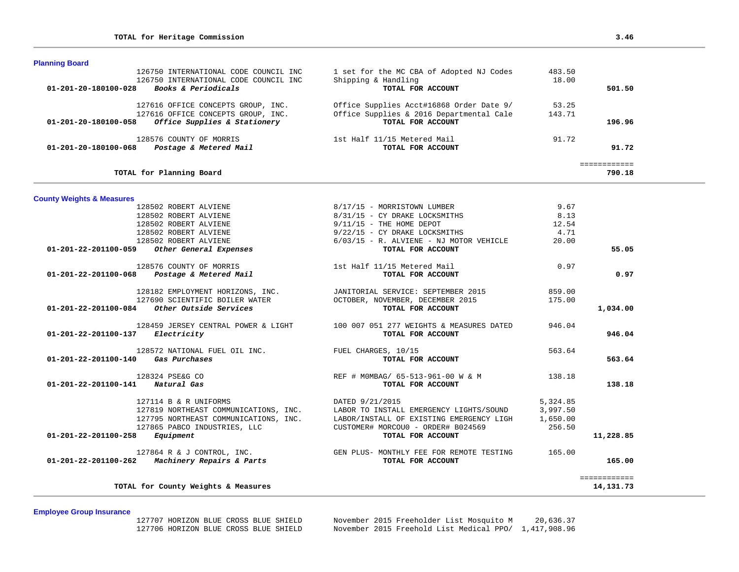| <b>Planning Board</b>    |                                        |                                          |        |        |
|--------------------------|----------------------------------------|------------------------------------------|--------|--------|
|                          | 126750 INTERNATIONAL CODE COUNCIL INC  | 1 set for the MC CBA of Adopted NJ Codes | 483.50 |        |
|                          | 126750 INTERNATIONAL CODE COUNCIL INC. | Shipping & Handling                      | 18.00  |        |
| 01-201-20-180100-028     | <b>Books &amp; Periodicals</b>         | TOTAL FOR ACCOUNT                        |        | 501.50 |
|                          | 127616 OFFICE CONCEPTS GROUP, INC.     | Office Supplies Acct#16868 Order Date 9/ | 53.25  |        |
|                          | 127616 OFFICE CONCEPTS GROUP, INC.     | Office Supplies & 2016 Departmental Cale | 143.71 |        |
| 01-201-20-180100-058     | Office Supplies & Stationery           | TOTAL FOR ACCOUNT                        |        | 196.96 |
|                          | 128576 COUNTY OF MORRIS                | 1st Half 11/15 Metered Mail              | 91.72  |        |
| 01-201-20-180100-068     | Postage & Metered Mail                 | TOTAL FOR ACCOUNT                        |        | 91.72  |
|                          |                                        |                                          |        |        |
| TOTAL for Planning Board |                                        |                                          |        | 790.18 |
|                          |                                        |                                          |        |        |

| <b>County Weights &amp; Measures</b> |  |  |  |  |  |  |  |  |
|--------------------------------------|--|--|--|--|--|--|--|--|
|--------------------------------------|--|--|--|--|--|--|--|--|

| 128502 ROBERT ALVIENE                            | 8/17/15 - MORRISTOWN LUMBER                                                  | 9.67     |               |
|--------------------------------------------------|------------------------------------------------------------------------------|----------|---------------|
| 128502 ROBERT ALVIENE                            | 8/31/15 - CY DRAKE LOCKSMITHS                                                | 8.13     |               |
| 128502 ROBERT ALVIENE                            | $9/11/15$ - THE HOME DEPOT                                                   | 12.54    |               |
| 128502 ROBERT ALVIENE                            | 9/22/15 - CY DRAKE LOCKSMITHS                                                | 4.71     |               |
| 128502 ROBERT ALVIENE                            | 6/03/15 - R. ALVIENE - NJ MOTOR VEHICLE                                      | 20.00    |               |
| 01-201-22-201100-059 Other General Expenses      | TOTAL FOR ACCOUNT                                                            |          | 55.05         |
| 128576 COUNTY OF MORRIS                          | 1st Half 11/15 Metered Mail                                                  | 0.97     |               |
| 01-201-22-201100-068 Postage & Metered Mail      | TOTAL FOR ACCOUNT                                                            |          | 0.97          |
| 128182 EMPLOYMENT HORIZONS, INC.                 | JANITORIAL SERVICE: SEPTEMBER 2015                                           | 859.00   |               |
| 127690 SCIENTIFIC BOILER WATER                   | OCTOBER, NOVEMBER, DECEMBER 2015                                             | 175.00   |               |
| $01-201-22-201100-084$ Other Outside Services    | TOTAL FOR ACCOUNT                                                            |          | 1,034.00      |
|                                                  | 128459 JERSEY CENTRAL POWER & LIGHT 100 007 051 277 WEIGHTS & MEASURES DATED | 946.04   |               |
| 01-201-22-201100-137 Electricity                 | TOTAL FOR ACCOUNT                                                            |          | 946.04        |
| 128572 NATIONAL FUEL OIL INC.                    | FUEL CHARGES, 10/15                                                          | 563.64   |               |
| $01 - 201 - 22 - 201100 - 140$ Gas Purchases     | TOTAL FOR ACCOUNT                                                            |          | 563.64        |
| 128324 PSE&G CO                                  | REF # MOMBAG/ 65-513-961-00 W & M 138.18                                     |          |               |
| 01-201-22-201100-141 Natural Gas                 | TOTAL FOR ACCOUNT                                                            |          | 138.18        |
| 127114 B & R UNIFORMS                            | DATED 9/21/2015                                                              | 5,324.85 |               |
| 127819 NORTHEAST COMMUNICATIONS, INC.            | LABOR TO INSTALL EMERGENCY LIGHTS/SOUND                                      | 3,997.50 |               |
| 127795 NORTHEAST COMMUNICATIONS, INC.            | LABOR/INSTALL OF EXISTING EMERGENCY LIGH                                     | 1,650.00 |               |
| 127865 PABCO INDUSTRIES, LLC                     | CUSTOMER# MORCOU0 - ORDER# B024569                                           | 256.50   |               |
| $01 - 201 - 22 - 201100 - 258$ Equipment         | TOTAL FOR ACCOUNT                                                            |          | 11,228.85     |
|                                                  | 127864 R & J CONTROL, INC. THE GEN PLUS- MONTHLY FEE FOR REMOTE TESTING      | 165.00   |               |
| $01-201-22-201100-262$ Machinery Repairs & Parts | TOTAL FOR ACCOUNT                                                            |          | 165.00        |
|                                                  |                                                                              |          | ============= |
| TOTAL for County Weights & Measures              |                                                                              |          | 14, 131. 73   |

**Employee Group Insurance** 

 127707 HORIZON BLUE CROSS BLUE SHIELD November 2015 Freeholder List Mosquito M 20,636.37 November 2015 Freehold List Medical PPO/ 1,417,908.96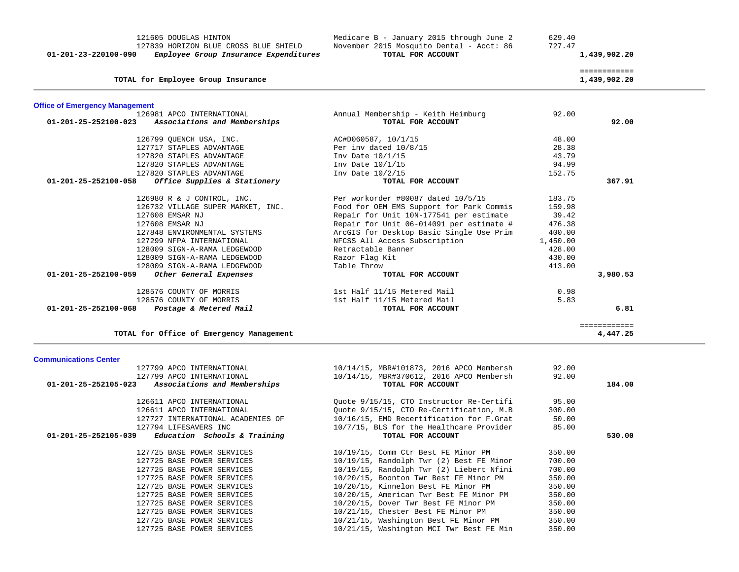| 121605 DOUGLAS HINTON<br>127839 HORIZON BLUE CROSS BLUE SHIELD<br>Employee Group Insurance Expenditures<br>01-201-23-220100-090 | Medicare B - January 2015 through June 2<br>November 2015 Mosquito Dental - Acct: 86<br>TOTAL FOR ACCOUNT | 629.40<br>727.47 | 1,439,902.20                 |
|---------------------------------------------------------------------------------------------------------------------------------|-----------------------------------------------------------------------------------------------------------|------------------|------------------------------|
| TOTAL for Employee Group Insurance                                                                                              |                                                                                                           |                  | ============<br>1,439,902.20 |
| <b>Office of Emergency Management</b>                                                                                           |                                                                                                           |                  |                              |
| 126981 APCO INTERNATIONAL                                                                                                       | Annual Membership - Keith Heimburg                                                                        | 92.00            |                              |
| 01-201-25-252100-023<br>Associations and Memberships                                                                            | TOTAL FOR ACCOUNT                                                                                         |                  | 92.00                        |
| 126799 QUENCH USA, INC.                                                                                                         | AC#D060587, 10/1/15                                                                                       | 48.00            |                              |
| 127717 STAPLES ADVANTAGE                                                                                                        | Per inv dated 10/8/15                                                                                     | 28.38            |                              |
| 127820 STAPLES ADVANTAGE                                                                                                        | Inv Date 10/1/15                                                                                          | 43.79            |                              |
| 127820 STAPLES ADVANTAGE                                                                                                        | Inv Date 10/1/15                                                                                          | 94.99            |                              |
| 127820 STAPLES ADVANTAGE                                                                                                        | Inv Date 10/2/15                                                                                          | 152.75           |                              |
| 01-201-25-252100-058<br>Office Supplies & Stationery                                                                            | TOTAL FOR ACCOUNT                                                                                         |                  | 367.91                       |
| 126980 R & J CONTROL, INC.                                                                                                      | Per workorder #80087 dated 10/5/15                                                                        | 183.75           |                              |
| 126732 VILLAGE SUPER MARKET, INC.                                                                                               | Food for OEM EMS Support for Park Commis                                                                  | 159.98           |                              |
| 127608 EMSAR NJ                                                                                                                 | Repair for Unit 10N-177541 per estimate                                                                   | 39.42            |                              |
| 127608 EMSAR NJ                                                                                                                 | Repair for Unit 06-014091 per estimate #                                                                  | 476.38           |                              |
| 127848 ENVIRONMENTAL SYSTEMS                                                                                                    | ArcGIS for Desktop Basic Single Use Prim                                                                  | 400.00           |                              |
| 127299 NFPA INTERNATIONAL                                                                                                       | NFCSS All Access Subscription                                                                             | 1,450.00         |                              |
| 128009 SIGN-A-RAMA LEDGEWOOD                                                                                                    | Retractable Banner                                                                                        | 428.00           |                              |
| 128009 SIGN-A-RAMA LEDGEWOOD                                                                                                    | Razor Flag Kit                                                                                            | 430.00           |                              |
| 128009 SIGN-A-RAMA LEDGEWOOD                                                                                                    | Table Throw                                                                                               | 413.00           |                              |
| 01-201-25-252100-059<br>Other General Expenses                                                                                  | TOTAL FOR ACCOUNT                                                                                         |                  | 3,980.53                     |
| 128576 COUNTY OF MORRIS                                                                                                         | 1st Half 11/15 Metered Mail                                                                               | 0.98             |                              |
| 128576 COUNTY OF MORRIS                                                                                                         | 1st Half 11/15 Metered Mail                                                                               | 5.83             |                              |
| 01-201-25-252100-068 Postage & Metered Mail                                                                                     | TOTAL FOR ACCOUNT                                                                                         |                  | 6.81                         |
|                                                                                                                                 |                                                                                                           |                  | =============                |
| TOTAL for Office of Emergency Management                                                                                        |                                                                                                           |                  | 4,447.25                     |

### **Communications Center**

| 127799 APCO INTERNATIONAL                           | 10/14/15, MBR#101873, 2016 APCO Membersh | 92.00  |        |
|-----------------------------------------------------|------------------------------------------|--------|--------|
| 127799 APCO INTERNATIONAL                           | 10/14/15, MBR#370612, 2016 APCO Membersh | 92.00  |        |
| 01-201-25-252105-023 Associations and Memberships   | TOTAL FOR ACCOUNT                        |        | 184.00 |
| 126611 APCO INTERNATIONAL                           | Ouote 9/15/15, CTO Instructor Re-Certifi | 95.00  |        |
|                                                     |                                          |        |        |
| 126611 APCO INTERNATIONAL                           | Quote 9/15/15, CTO Re-Certification, M.B | 300.00 |        |
| 127727 INTERNATIONAL ACADEMIES OF                   | 10/16/15, EMD Recertification for F.Grat | 50.00  |        |
| 127794 LIFESAVERS INC                               | 10/7/15, BLS for the Healthcare Provider | 85.00  |        |
| $01-201-25-252105-039$ Education Schools & Training | TOTAL FOR ACCOUNT                        |        | 530.00 |
| 127725 BASE POWER SERVICES                          | 10/19/15, Comm Ctr Best FE Minor PM      | 350.00 |        |
| 127725 BASE POWER SERVICES                          | 10/19/15, Randolph Twr (2) Best FE Minor | 700.00 |        |
| 127725 BASE POWER SERVICES                          | 10/19/15, Randolph Twr (2) Liebert Nfini | 700.00 |        |
| 127725 BASE POWER SERVICES                          | 10/20/15, Boonton Twr Best FE Minor PM   | 350.00 |        |
| 127725 BASE POWER SERVICES                          | 10/20/15, Kinnelon Best FE Minor PM      | 350.00 |        |
| 127725 BASE POWER SERVICES                          | 10/20/15, American Twr Best FE Minor PM  | 350.00 |        |
| 127725 BASE POWER SERVICES                          | 10/20/15, Dover Twr Best FE Minor PM     | 350.00 |        |
| 127725 BASE POWER SERVICES                          | 10/21/15, Chester Best FE Minor PM       | 350.00 |        |
| 127725 BASE POWER SERVICES                          | 10/21/15, Washington Best FE Minor PM    | 350.00 |        |
| 127725 BASE POWER SERVICES                          | 10/21/15, Washington MCI Twr Best FE Min | 350.00 |        |
|                                                     |                                          |        |        |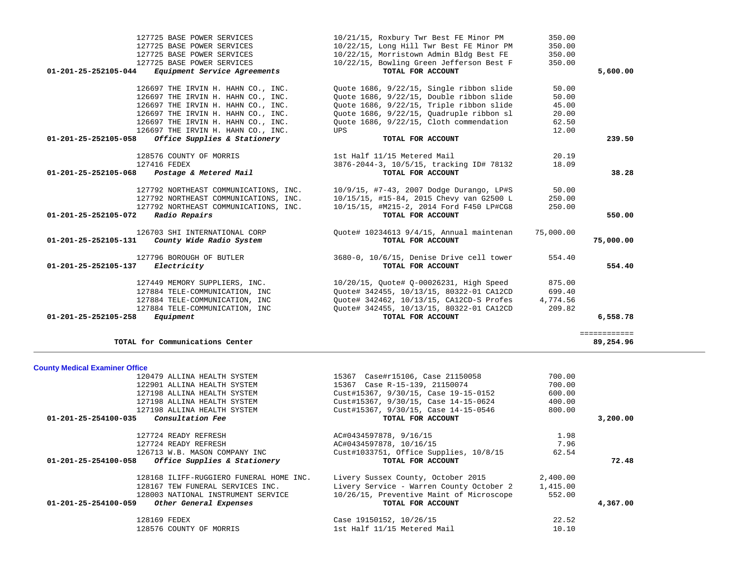| 127884 TELE-COMMUNICATION, INC<br>01-201-25-252105-258<br>Equipment | Quote# 342455, 10/13/15, 80322-01 CA12CD<br>TOTAL FOR ACCOUNT | 209.82   | 6,558.78                   |
|---------------------------------------------------------------------|---------------------------------------------------------------|----------|----------------------------|
| TOTAL for Communications Center                                     |                                                               |          | =============<br>89,254.96 |
| <b>County Medical Examiner Office</b>                               |                                                               |          |                            |
| 120479 ALLINA HEALTH SYSTEM                                         | 15367 Case#r15106, Case 21150058                              | 700.00   |                            |
| 122901 ALLINA HEALTH SYSTEM                                         | 15367 Case R-15-139, 21150074                                 | 700.00   |                            |
| 127198 ALLINA HEALTH SYSTEM                                         | Cust#15367, 9/30/15, Case 19-15-0152                          | 600.00   |                            |
| 127198 ALLINA HEALTH SYSTEM                                         | Cust#15367, 9/30/15, Case 14-15-0624                          | 400.00   |                            |
| 127198 ALLINA HEALTH SYSTEM                                         | Cust#15367, 9/30/15, Case 14-15-0546                          | 800.00   |                            |
| 01-201-25-254100-035<br>Consultation Fee                            | TOTAL FOR ACCOUNT                                             |          | 3,200.00                   |
| 127724 READY REFRESH                                                | AC#0434597878, 9/16/15                                        | 1.98     |                            |
| 127724 READY REFRESH                                                | AC#0434597878, 10/16/15                                       | 7.96     |                            |
| 126713 W.B. MASON COMPANY INC                                       | Cust#1033751, Office Supplies, 10/8/15                        | 62.54    |                            |
| $01 - 201 - 25 - 254100 - 058$<br>Office Supplies & Stationery      | TOTAL FOR ACCOUNT                                             |          | 72.48                      |
| 128168 ILIFF-RUGGIERO FUNERAL HOME INC.                             | Livery Sussex County, October 2015                            | 2,400.00 |                            |
| 128167 TEW FUNERAL SERVICES INC.                                    | Livery Service - Warren County October 2                      | 1,415.00 |                            |
| 128003 NATIONAL INSTRUMENT SERVICE                                  | 10/26/15, Preventive Maint of Microscope                      | 552.00   |                            |
| 01-201-25-254100-059<br>Other General Expenses                      | TOTAL FOR ACCOUNT                                             |          | 4,367.00                   |
| 128169 FEDEX                                                        | Case 19150152, 10/26/15                                       | 22.52    |                            |
| 128576 COUNTY OF MORRIS                                             | 1st Half 11/15 Metered Mail                                   | 10.10    |                            |

| 127725 BASE POWER SERVICES                                      | 10/22/15, Bowling Green Jefferson Best F                                       | 350.00    |           |
|-----------------------------------------------------------------|--------------------------------------------------------------------------------|-----------|-----------|
| $01-201-25-252105-044$ Equipment Service Agreements             | TOTAL FOR ACCOUNT                                                              |           | 5,600.00  |
| 126697 THE IRVIN H. HAHN CO., INC.                              | Quote 1686, 9/22/15, Single ribbon slide                                       | 50.00     |           |
| 126697 THE IRVIN H. HAHN CO., INC.                              | Quote 1686, 9/22/15, Double ribbon slide                                       | 50.00     |           |
| 126697 THE IRVIN H. HAHN CO., INC.                              | Quote 1686, 9/22/15, Triple ribbon slide                                       | 45.00     |           |
| 126697 THE IRVIN H. HAHN CO., INC.                              | Quote 1686, 9/22/15, Quadruple ribbon sl                                       | 20.00     |           |
| 126697 THE IRVIN H. HAHN CO., INC.                              | Ouote 1686, 9/22/15, Cloth commendation                                        | 62.50     |           |
| 126697 THE IRVIN H. HAHN CO., INC.                              | UPS                                                                            | 12.00     |           |
| 01-201-25-252105-058<br><i>Office Supplies &amp; Stationery</i> | TOTAL FOR ACCOUNT                                                              |           | 239.50    |
| 128576 COUNTY OF MORRIS                                         | 1st Half 11/15 Metered Mail                                                    | 20.19     |           |
| 127416 FEDEX                                                    | 3876-2044-3, 10/5/15, tracking ID# 78132                                       | 18.09     |           |
| $01 - 201 - 25 - 252105 - 068$ Postage & Metered Mail           | TOTAL FOR ACCOUNT                                                              |           | 38.28     |
|                                                                 | 127792 NORTHEAST COMMUNICATIONS, INC. 10/9/15, #7-43, 2007 Dodge Durango, LP#S | 50.00     |           |
| 127792 NORTHEAST COMMUNICATIONS, INC.                           | 10/15/15, #15-84, 2015 Chevy van G2500 L                                       | 250.00    |           |
|                                                                 | 127792 NORTHEAST COMMUNICATIONS, INC. 10/15/15, #M215-2, 2014 Ford F450 LP#CG8 | 250.00    |           |
| 01-201-25-252105-072 Radio Repairs                              | TOTAL FOR ACCOUNT                                                              |           | 550.00    |
| 126703 SHI INTERNATIONAL CORP                                   | Ouote# 10234613 9/4/15, Annual maintenan                                       | 75,000.00 |           |
| $01-201-25-252105-131$ County Wide Radio System                 | TOTAL FOR ACCOUNT                                                              |           | 75,000.00 |
| 127796 BOROUGH OF BUTLER                                        | 3680-0, 10/6/15, Denise Drive cell tower                                       | 554.40    |           |
| 01-201-25-252105-137<br><i>Electricity</i>                      | TOTAL FOR ACCOUNT                                                              |           | 554.40    |
| 127449 MEMORY SUPPLIERS, INC.                                   | 10/20/15, Ouote# 0-00026231, High Speed                                        | 875.00    |           |
| 127884 TELE-COMMUNICATION, INC                                  | Quote# 342455, 10/13/15, 80322-01 CA12CD                                       | 699.40    |           |
| 127884 TELE-COMMUNICATION, INC                                  | Ouote# 342462, 10/13/15, CA12CD-S Profes                                       | 4,774.56  |           |
| 127884 TELE-COMMUNICATION, INC                                  | Ouote# 342455, 10/13/15, 80322-01 CA12CD                                       | 209.82    |           |
| 01-201-25-252105-258<br>Equipment                               | TOTAL FOR ACCOUNT                                                              |           | 6,558.78  |

127725 BASE POWER SERVICES 10/22/15, Morristown Admin Bldg Best FE 350.00

 127725 BASE POWER SERVICES 10/21/15, Roxbury Twr Best FE Minor PM 350.00 127725 BASE POWER SERVICES 10/22/15, Long Hill Twr Best FE Minor PM 350.00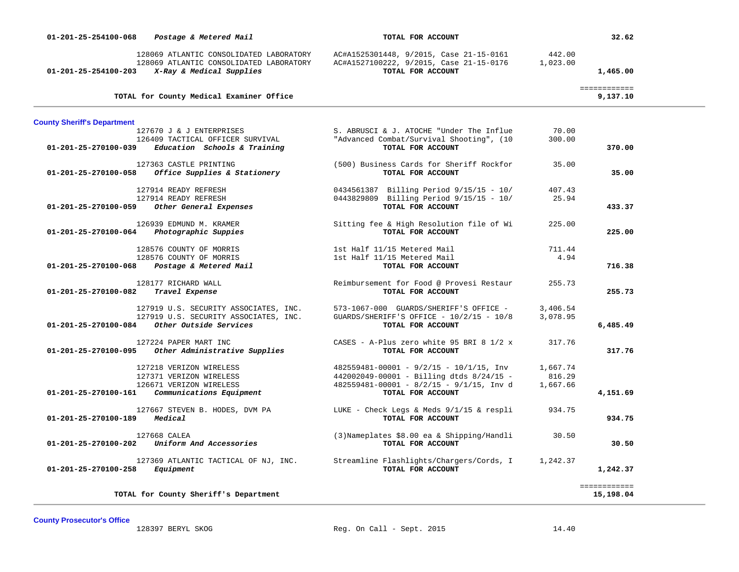| 01-201-25-254100-068               | Postage & Metered Mail                                                                                         | TOTAL FOR ACCOUNT                                                                                       |                    | 32.62                    |
|------------------------------------|----------------------------------------------------------------------------------------------------------------|---------------------------------------------------------------------------------------------------------|--------------------|--------------------------|
| 01-201-25-254100-203               | 128069 ATLANTIC CONSOLIDATED LABORATORY<br>128069 ATLANTIC CONSOLIDATED LABORATORY<br>X-Ray & Medical Supplies | AC#A1525301448, 9/2015, Case 21-15-0161<br>AC#A1527100222, 9/2015, Case 21-15-0176<br>TOTAL FOR ACCOUNT | 442.00<br>1,023.00 | 1,465.00                 |
|                                    | TOTAL for County Medical Examiner Office                                                                       |                                                                                                         |                    | ============<br>9,137.10 |
| <b>County Sheriff's Department</b> |                                                                                                                |                                                                                                         |                    |                          |
|                                    | 127670 J & J ENTERPRISES                                                                                       | S. ABRUSCI & J. ATOCHE "Under The Influe                                                                | 70.00              |                          |
| 01-201-25-270100-039               | 126409 TACTICAL OFFICER SURVIVAL<br>Education Schools & Training                                               | "Advanced Combat/Survival Shooting", (10<br>TOTAL FOR ACCOUNT                                           | 300.00             | 370.00                   |
|                                    | 127363 CASTLE PRINTING                                                                                         | (500) Business Cards for Sheriff Rockfor                                                                | 35.00              |                          |
| 01-201-25-270100-058               | Office Supplies & Stationery                                                                                   | TOTAL FOR ACCOUNT                                                                                       |                    | 35.00                    |
|                                    | 127914 READY REFRESH                                                                                           | 0434561387 Billing Period 9/15/15 - 10/                                                                 | 407.43             |                          |
|                                    | 127914 READY REFRESH                                                                                           | 0443829809 Billing Period 9/15/15 - 10/                                                                 | 25.94              |                          |
| 01-201-25-270100-059               | Other General Expenses                                                                                         | TOTAL FOR ACCOUNT                                                                                       |                    | 433.37                   |
|                                    | 126939 EDMUND M. KRAMER                                                                                        | Sitting fee & High Resolution file of Wi                                                                | 225.00             |                          |
| 01-201-25-270100-064               | Photographic Suppies                                                                                           | TOTAL FOR ACCOUNT                                                                                       |                    | 225.00                   |
|                                    | 128576 COUNTY OF MORRIS                                                                                        | 1st Half 11/15 Metered Mail                                                                             | 711.44             |                          |
|                                    | 128576 COUNTY OF MORRIS                                                                                        | 1st Half 11/15 Metered Mail                                                                             | 4.94               |                          |
| 01-201-25-270100-068               | Postage & Metered Mail                                                                                         | TOTAL FOR ACCOUNT                                                                                       |                    | 716.38                   |
|                                    | 128177 RICHARD WALL                                                                                            | Reimbursement for Food @ Provesi Restaur                                                                | 255.73             |                          |
| 01-201-25-270100-082               | Travel Expense                                                                                                 | TOTAL FOR ACCOUNT                                                                                       |                    | 255.73                   |
|                                    | 127919 U.S. SECURITY ASSOCIATES, INC.                                                                          | 573-1067-000 GUARDS/SHERIFF'S OFFICE -                                                                  | 3,406.54           |                          |
|                                    | 127919 U.S. SECURITY ASSOCIATES, INC.                                                                          | $GUARDS/SHERIFF'S OFFICE - 10/2/15 - 10/8$                                                              | 3,078.95           |                          |
| 01-201-25-270100-084               | Other Outside Services                                                                                         | TOTAL FOR ACCOUNT                                                                                       |                    | 6,485.49                 |
|                                    | 127224 PAPER MART INC                                                                                          | CASES - A-Plus zero white 95 BRI 8 $1/2$ x                                                              | 317.76             |                          |
| 01-201-25-270100-095               | Other Administrative Supplies                                                                                  | TOTAL FOR ACCOUNT                                                                                       |                    | 317.76                   |
|                                    | 127218 VERIZON WIRELESS                                                                                        | $482559481-00001 - 9/2/15 - 10/1/15$ , Inv                                                              | 1,667.74           |                          |
|                                    | 127371 VERIZON WIRELESS                                                                                        | 442002049-00001 - Billing dtds 8/24/15 -                                                                | 816.29             |                          |
| $01 - 201 - 25 - 270100 - 161$     | 126671 VERIZON WIRELESS<br>Communications Equipment                                                            | 482559481-00001 - 8/2/15 - 9/1/15, Inv d<br>TOTAL FOR ACCOUNT                                           | 1,667.66           | 4,151.69                 |
|                                    |                                                                                                                |                                                                                                         |                    |                          |
|                                    | 127667 STEVEN B. HODES, DVM PA                                                                                 | LUKE - Check Legs & Meds 9/1/15 & respli                                                                | 934.75             |                          |
| 01-201-25-270100-189               | Medical                                                                                                        | TOTAL FOR ACCOUNT                                                                                       |                    | 934.75                   |
|                                    | 127668 CALEA                                                                                                   | (3) Nameplates \$8.00 ea & Shipping/Handli                                                              | 30.50              |                          |
| 01-201-25-270100-202               | Uniform And Accessories                                                                                        | TOTAL FOR ACCOUNT                                                                                       |                    | 30.50                    |
|                                    | 127369 ATLANTIC TACTICAL OF NJ, INC.                                                                           | Streamline Flashlights/Chargers/Cords, I                                                                | 1,242.37           |                          |
| 01-201-25-270100-258               | Equipment                                                                                                      | TOTAL FOR ACCOUNT                                                                                       |                    | 1,242.37                 |
|                                    |                                                                                                                |                                                                                                         |                    | ============             |
|                                    | TOTAL for County Sheriff's Department                                                                          |                                                                                                         |                    | 15,198.04                |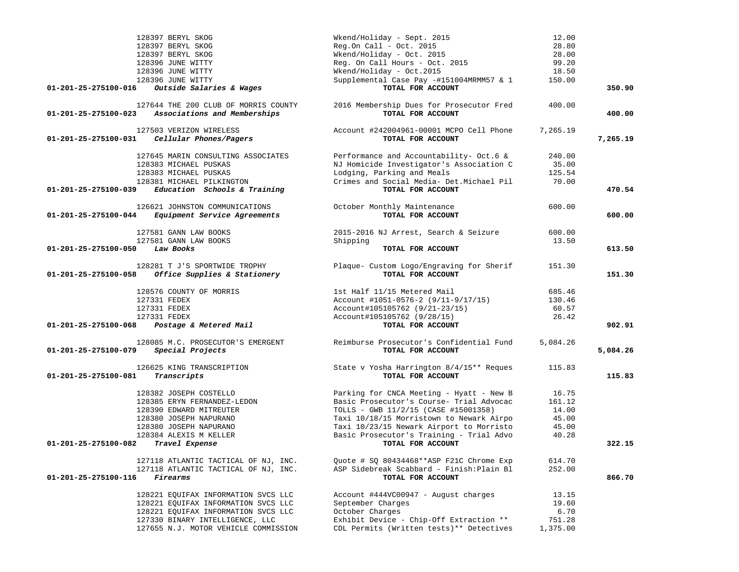| 128397 BERYL SKOG                                    | Wkend/Holiday - Sept. 2015                                    | 12.00    |          |
|------------------------------------------------------|---------------------------------------------------------------|----------|----------|
| 128397 BERYL SKOG                                    | $Reg. On Call - Oct. 2015$                                    | 28.80    |          |
| 128397 BERYL SKOG                                    | Wkend/Holiday - Oct. 2015                                     | 28.00    |          |
| 128396 JUNE WITTY                                    | Reg. On Call Hours - Oct. 2015                                | 99.20    |          |
| 128396 JUNE WITTY                                    | Wkend/Holiday - Oct.2015                                      | 18.50    |          |
| 128396 JUNE WITTY                                    | Supplemental Case Pay -#151004MRMM57 & 1                      | 150.00   |          |
| Outside Salaries & Wages<br>01-201-25-275100-016     | TOTAL FOR ACCOUNT                                             |          | 350.90   |
| 127644 THE 200 CLUB OF MORRIS COUNTY                 |                                                               | 400.00   |          |
| Associations and Memberships<br>01-201-25-275100-023 | 2016 Membership Dues for Prosecutor Fred<br>TOTAL FOR ACCOUNT |          | 400.00   |
| 127503 VERIZON WIRELESS                              | Account #242004961-00001 MCPO Cell Phone                      | 7,265.19 |          |
| Cellular Phones/Pagers<br>01-201-25-275100-031       | TOTAL FOR ACCOUNT                                             |          | 7,265.19 |
| 127645 MARIN CONSULTING ASSOCIATES                   | Performance and Accountability- Oct.6 &                       | 240.00   |          |
| 128383 MICHAEL PUSKAS                                | NJ Homicide Investigator's Association C                      | 35.00    |          |
| 128383 MICHAEL PUSKAS                                | Lodging, Parking and Meals                                    | 125.54   |          |
| 128381 MICHAEL PILKINGTON                            | Crimes and Social Media- Det. Michael Pil                     | 70.00    |          |
| Education Schools & Training<br>01-201-25-275100-039 | TOTAL FOR ACCOUNT                                             |          | 470.54   |
| 126621 JOHNSTON COMMUNICATIONS                       | October Monthly Maintenance                                   | 600.00   |          |
| 01-201-25-275100-044<br>Equipment Service Agreements | TOTAL FOR ACCOUNT                                             |          | 600.00   |
| 127581 GANN LAW BOOKS                                | 2015-2016 NJ Arrest, Search & Seizure                         | 600.00   |          |
| 127581 GANN LAW BOOKS                                | Shipping                                                      | 13.50    |          |
| 01-201-25-275100-050<br>Law Books                    | TOTAL FOR ACCOUNT                                             |          | 613.50   |
| 128281 T J'S SPORTWIDE TROPHY                        | Plaque- Custom Logo/Engraving for Sherif                      | 151.30   |          |
| Office Supplies & Stationery<br>01-201-25-275100-058 | TOTAL FOR ACCOUNT                                             |          | 151.30   |
| 128576 COUNTY OF MORRIS                              | 1st Half 11/15 Metered Mail                                   | 685.46   |          |
| 127331 FEDEX                                         | Account #1051-0576-2 (9/11-9/17/15)                           | 130.46   |          |
| 127331 FEDEX                                         | Account#105105762 (9/21-23/15)                                | 60.57    |          |
| 127331 FEDEX                                         | Account#105105762 (9/28/15)                                   | 26.42    |          |
| Postage & Metered Mail<br>01-201-25-275100-068       | TOTAL FOR ACCOUNT                                             |          | 902.91   |
| 128085 M.C. PROSECUTOR'S EMERGENT                    | Reimburse Prosecutor's Confidential Fund                      | 5,084.26 |          |
| Special Projects<br>01-201-25-275100-079             | TOTAL FOR ACCOUNT                                             |          | 5,084.26 |
| 126625 KING TRANSCRIPTION                            | State v Yosha Harrington 8/4/15** Reques                      | 115.83   |          |
| 01-201-25-275100-081<br>Transcripts                  | TOTAL FOR ACCOUNT                                             |          | 115.83   |
| 128382 JOSEPH COSTELLO                               | Parking for CNCA Meeting - Hyatt - New B                      | 16.75    |          |
| 128385 ERYN FERNANDEZ-LEDON                          | Basic Prosecutor's Course- Trial Advocac                      | 161.12   |          |
| 128390 EDWARD MITREUTER                              | TOLLS - GWB 11/2/15 (CASE #15001358)                          | 14.00    |          |
| 128380 JOSEPH NAPURANO                               | Taxi 10/18/15 Morristown to Newark Airpo                      | 45.00    |          |
| 128380 JOSEPH NAPURANO                               | Taxi 10/23/15 Newark Airport to Morristo                      | 45.00    |          |
| 128384 ALEXIS M KELLER                               | Basic Prosecutor's Training - Trial Advo                      | 40.28    |          |
| Travel Expense<br>01-201-25-275100-082               | TOTAL FOR ACCOUNT                                             |          | 322.15   |
| 127118 ATLANTIC TACTICAL OF NJ, INC.                 | Quote # SQ 80434468 ** ASP F21C Chrome Exp                    | 614.70   |          |
| 127118 ATLANTIC TACTICAL OF NJ, INC.                 | ASP Sidebreak Scabbard - Finish: Plain Bl                     | 252.00   |          |
| 01-201-25-275100-116<br><i>Firearms</i>              | TOTAL FOR ACCOUNT                                             |          | 866.70   |
| 128221 EQUIFAX INFORMATION SVCS LLC                  | Account #444VC00947 - August charges                          | 13.15    |          |
| 128221 EQUIFAX INFORMATION SVCS LLC                  | September Charges                                             | 19.60    |          |
| 128221 EQUIFAX INFORMATION SVCS LLC                  | October Charges                                               | 6.70     |          |
| 127330 BINARY INTELLIGENCE, LLC                      | Exhibit Device - Chip-Off Extraction **                       | 751.28   |          |
| 127655 N.J. MOTOR VEHICLE COMMISSION                 | CDL Permits (Written tests)** Detectives                      | 1,375.00 |          |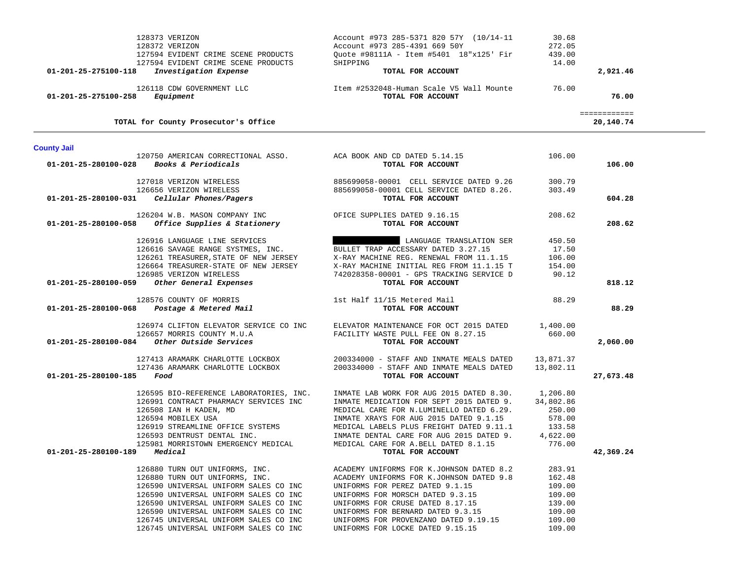|                                     | 128373 VERIZON                                                             | Account #973 285-5371 820 57Y (10/14-11             | 30.68           |                           |
|-------------------------------------|----------------------------------------------------------------------------|-----------------------------------------------------|-----------------|---------------------------|
|                                     | 128372 VERIZON                                                             | Account #973 285-4391 669 50Y                       | 272.05          |                           |
|                                     | 127594 EVIDENT CRIME SCENE PRODUCTS<br>127594 EVIDENT CRIME SCENE PRODUCTS | Quote #98111A - Item #5401 18"x125' Fir<br>SHIPPING | 439.00<br>14.00 |                           |
| 01-201-25-275100-118                | Investigation Expense                                                      | TOTAL FOR ACCOUNT                                   |                 | 2,921.46                  |
|                                     |                                                                            |                                                     |                 |                           |
|                                     | 126118 CDW GOVERNMENT LLC                                                  | Item #2532048-Human Scale V5 Wall Mounte 76.00      |                 |                           |
| 01-201-25-275100-258                | Equipment                                                                  | TOTAL FOR ACCOUNT                                   |                 | 76.00                     |
|                                     | TOTAL for County Prosecutor's Office                                       |                                                     |                 | ============<br>20,140.74 |
|                                     |                                                                            |                                                     |                 |                           |
| <b>County Jail</b>                  |                                                                            |                                                     |                 |                           |
|                                     | 120750 AMERICAN CORRECTIONAL ASSO. ACA BOOK AND CD DATED 5.14.15           |                                                     | 106.00          |                           |
| 01-201-25-280100-028                | Books & Periodicals                                                        | TOTAL FOR ACCOUNT                                   |                 | 106.00                    |
|                                     | 127018 VERIZON WIRELESS                                                    | 885699058-00001 CELL SERVICE DATED 9.26             | 300.79          |                           |
|                                     | 126656 VERIZON WIRELESS                                                    | 885699058-00001 CELL SERVICE DATED 8.26.            | 303.49          |                           |
| 01-201-25-280100-031                | Cellular Phones/Pagers                                                     | TOTAL FOR ACCOUNT                                   |                 | 604.28                    |
|                                     | 126204 W.B. MASON COMPANY INC                                              | OFICE SUPPLIES DATED 9.16.15                        | 208.62          |                           |
| 01-201-25-280100-058                | <i>Office Supplies &amp; Stationery</i>                                    | TOTAL FOR ACCOUNT                                   |                 | 208.62                    |
|                                     | 126916 LANGUAGE LINE SERVICES                                              | LANGUAGE TRANSLATION SER                            | 450.50          |                           |
|                                     | 126616 SAVAGE RANGE SYSTMES, INC.                                          | BULLET TRAP ACCESSARY DATED 3.27.15                 | 17.50           |                           |
|                                     | 126261 TREASURER, STATE OF NEW JERSEY                                      | X-RAY MACHINE REG. RENEWAL FROM 11.1.15             | 106.00          |                           |
|                                     | 126664 TREASURER-STATE OF NEW JERSEY                                       | X-RAY MACHINE INITIAL REG FROM 11.1.15 T            | 154.00          |                           |
|                                     | 126985 VERIZON WIRELESS                                                    | 742028358-00001 - GPS TRACKING SERVICE D            | 90.12           |                           |
| 01-201-25-280100-059                | Other General Expenses                                                     | TOTAL FOR ACCOUNT                                   |                 | 818.12                    |
|                                     | 128576 COUNTY OF MORRIS                                                    | 1st Half 11/15 Metered Mail                         | 88.29           |                           |
|                                     | 01-201-25-280100-068 Postage & Metered Mail                                | TOTAL FOR ACCOUNT                                   |                 | 88.29                     |
|                                     | 126974 CLIFTON ELEVATOR SERVICE CO INC                                     | ELEVATOR MAINTENANCE FOR OCT 2015 DATED 1,400.00    |                 |                           |
|                                     | 126657 MORRIS COUNTY M.U.A                                                 | FACILITY WASTE PULL FEE ON 8.27.15                  | 660.00          |                           |
| 01-201-25-280100-084                | Other Outside Services                                                     | TOTAL FOR ACCOUNT                                   |                 | 2,060.00                  |
|                                     | 127413 ARAMARK CHARLOTTE LOCKBOX                                           | 200334000 - STAFF AND INMATE MEALS DATED            | 13,871.37       |                           |
|                                     | 127436 ARAMARK CHARLOTTE LOCKBOX                                           | 200334000 - STAFF AND INMATE MEALS DATED            | 13,802.11       |                           |
| $01 - 201 - 25 - 280100 - 185$ Food |                                                                            | TOTAL FOR ACCOUNT                                   |                 | 27,673.48                 |
|                                     |                                                                            |                                                     |                 |                           |
|                                     | 126595 BIO-REFERENCE LABORATORIES, INC.                                    | INMATE LAB WORK FOR AUG 2015 DATED 8.30.            | 1,206.80        |                           |
|                                     | 126991 CONTRACT PHARMACY SERVICES INC                                      | INMATE MEDICATION FOR SEPT 2015 DATED 9.            | 34,802.86       |                           |
|                                     | 126508 IAN H KADEN, MD                                                     | MEDICAL CARE FOR N.LUMINELLO DATED 6.29.            | 250.00          |                           |
|                                     | 126594 MOBILEX USA                                                         | INMATE XRAYS FOR AUG 2015 DATED 9.1.15              | 578.00          |                           |
|                                     | 126919 STREAMLINE OFFICE SYSTEMS                                           | MEDICAL LABELS PLUS FREIGHT DATED 9.11.1            | 133.58          |                           |
|                                     | 126593 DENTRUST DENTAL INC.                                                | INMATE DENTAL CARE FOR AUG 2015 DATED 9.            | 4,622.00        |                           |
|                                     | 125981 MORRISTOWN EMERGENCY MEDICAL                                        | MEDICAL CARE FOR A.BELL DATED 8.1.15                | 776.00          |                           |
| 01-201-25-280100-189                | Medical                                                                    | TOTAL FOR ACCOUNT                                   |                 | 42,369.24                 |
|                                     | 126880 TURN OUT UNIFORMS, INC.                                             | ACADEMY UNIFORMS FOR K.JOHNSON DATED 8.2            | 283.91          |                           |
|                                     | 126880 TURN OUT UNIFORMS, INC.                                             | ACADEMY UNIFORMS FOR K.JOHNSON DATED 9.8            | 162.48          |                           |
|                                     | 126590 UNIVERSAL UNIFORM SALES CO INC                                      | UNIFORMS FOR PEREZ DATED 9.1.15                     | 109.00          |                           |
|                                     | 126590 UNIVERSAL UNIFORM SALES CO INC                                      | UNIFORMS FOR MORSCH DATED 9.3.15                    | 109.00          |                           |
|                                     | 126590 UNIVERSAL UNIFORM SALES CO INC                                      | UNIFORMS FOR CRUSE DATED 8.17.15                    | 139.00          |                           |
|                                     | 126590 UNIVERSAL UNIFORM SALES CO INC                                      | UNIFORMS FOR BERNARD DATED 9.3.15                   | 109.00          |                           |
|                                     | 126745 UNIVERSAL UNIFORM SALES CO INC                                      | UNIFORMS FOR PROVENZANO DATED 9.19.15               | 109.00          |                           |
|                                     | 126745 UNIVERSAL UNIFORM SALES CO INC                                      | UNIFORMS FOR LOCKE DATED 9.15.15                    | 109.00          |                           |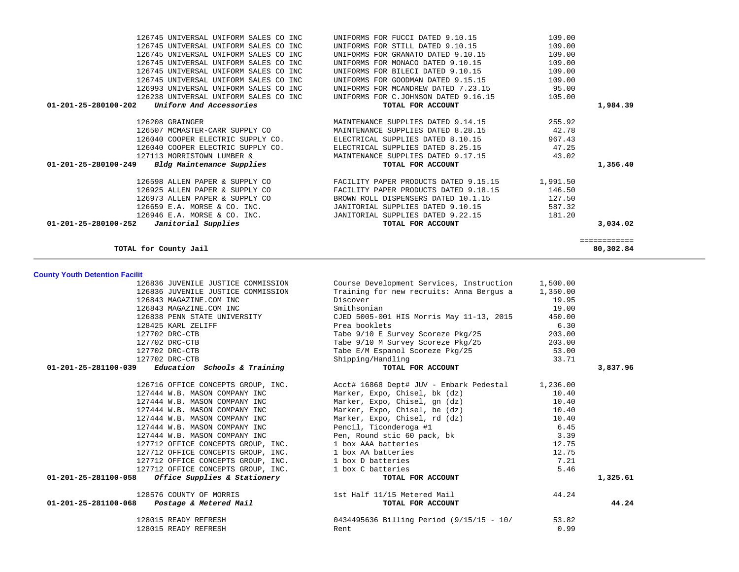| 126238 UNIVERSAL UNIFORM SALES CO INC<br>UNIFORMS FOR C.JOHNSON DATED 9.16.15<br>105.00<br>Uniform And Accessories<br>01-201-25-280100-202<br>TOTAL FOR ACCOUNT<br>126208 GRAINGER<br>MAINTENANCE SUPPLIES DATED 9.14.15<br>255.92<br>126507 MCMASTER-CARR SUPPLY CO<br>MAINTENANCE SUPPLIES DATED 8.28.15<br>42.78<br>967.43<br>126040 COOPER ELECTRIC SUPPLY CO.<br>ELECTRICAL SUPPLIES DATED 8.10.15<br>126040 COOPER ELECTRIC SUPPLY CO.<br>ELECTRICAL SUPPLIES DATED 8.25.15<br>47.25<br>127113 MORRISTOWN LUMBER &<br>MAINTENANCE SUPPLIES DATED 9.17.15<br>43.02<br>01-201-25-280100-249<br>Bldg Maintenance Supplies<br>TOTAL FOR ACCOUNT<br>126598 ALLEN PAPER & SUPPLY CO<br>FACILITY PAPER PRODUCTS DATED 9.15.15<br>1,991.50<br>126925 ALLEN PAPER & SUPPLY CO<br>FACILITY PAPER PRODUCTS DATED 9.18.15<br>146.50<br>126973 ALLEN PAPER & SUPPLY CO<br>BROWN ROLL DISPENSERS DATED 10.1.15<br>127.50<br>126659 E.A. MORSE & CO. INC.<br>JANITORIAL SUPPLIES DATED 9.10.15<br>JANITORIAL SUPPLIES DATED 9.22.15<br>JANITORIAL SUPPLIES DATED 9.10.15<br>587.32<br>126946 E.A. MORSE & CO. INC.<br>181.20<br>01-201-25-280100-252<br>Janitorial Supplies<br>TOTAL FOR ACCOUNT<br>TOTAL for County Jail<br><b>County Youth Detention Facilit</b><br>126836 JUVENILE JUSTICE COMMISSION<br>Course Development Services, Instruction<br>1,500.00<br>Training for new recruits: Anna Bergus a<br>126836 JUVENILE JUSTICE COMMISSION<br>1,350.00<br>126843 MAGAZINE.COM INC<br>Discover<br>19.95<br>126843 MAGAZINE.COM INC<br>Smithsonian<br>19.00<br>126838 PENN STATE UNIVERSITY<br>CJED 5005-001 HIS Morris May 11-13, 2015<br>450.00<br>128425 KARL ZELIFF<br>Prea booklets<br>6.30<br>Tabe 9/10 E Survey Scoreze Pkg/25<br>127702 DRC-CTB<br>203.00<br>Tabe 9/10 M Survey Scoreze Pkg/25<br>203.00<br>127702 DRC-CTB<br>127702 DRC-CTB<br>Tabe E/M Espanol Scoreze Pkg/25<br>53.00<br>127702 DRC-CTB<br>Shipping/Handling<br>33.71<br>Education Schools & Training<br>TOTAL FOR ACCOUNT<br>01-201-25-281100-039<br>126716 OFFICE CONCEPTS GROUP, INC.<br>Acct# 16868 Dept# JUV - Embark Pedestal<br>1,236.00<br>Marker, Expo, Chisel, bk (dz)<br>127444 W.B. MASON COMPANY INC<br>10.40<br>Marker, Expo, Chisel, gn (dz)<br>10.40<br>127444 W.B. MASON COMPANY INC<br>Marker, Expo, Chisel, be (dz)<br>127444 W.B. MASON COMPANY INC<br>10.40<br>Marker, Expo, Chisel, rd (dz)<br>127444 W.B. MASON COMPANY INC<br>10.40<br>127444 W.B. MASON COMPANY INC<br>Pencil, Ticonderoga #1<br>6.45<br>127444 W.B. MASON COMPANY INC<br>Pen, Round stic 60 pack, bk<br>3.39<br>127712 OFFICE CONCEPTS GROUP, INC.<br>1 box AAA batteries<br>12.75<br>1 box AA batteries<br>127712 OFFICE CONCEPTS GROUP, INC.<br>12.75<br>127712 OFFICE CONCEPTS GROUP, INC.<br>1 box D batteries<br>7.21<br>1 box C batteries<br>5.46<br>127712 OFFICE CONCEPTS GROUP, INC.<br>Office Supplies & Stationery<br>TOTAL FOR ACCOUNT<br>01-201-25-281100-058<br>128576 COUNTY OF MORRIS<br>1st Half 11/15 Metered Mail<br>44.24<br>01-201-25-281100-068<br>Postage & Metered Mail<br>TOTAL FOR ACCOUNT<br>128015 READY REFRESH<br>0434495636 Billing Period (9/15/15 - 10/<br>53.82<br>Rent<br>0.99<br>128015 READY REFRESH | 126745 UNIVERSAL UNIFORM SALES CO INC<br>126993 UNIVERSAL UNIFORM SALES CO INC | UNIFORMS FOR GOODMAN DATED 9.15.15<br>UNIFORMS FOR MCANDREW DATED 7.23.15 | 109.00<br>95.00 |                           |
|-------------------------------------------------------------------------------------------------------------------------------------------------------------------------------------------------------------------------------------------------------------------------------------------------------------------------------------------------------------------------------------------------------------------------------------------------------------------------------------------------------------------------------------------------------------------------------------------------------------------------------------------------------------------------------------------------------------------------------------------------------------------------------------------------------------------------------------------------------------------------------------------------------------------------------------------------------------------------------------------------------------------------------------------------------------------------------------------------------------------------------------------------------------------------------------------------------------------------------------------------------------------------------------------------------------------------------------------------------------------------------------------------------------------------------------------------------------------------------------------------------------------------------------------------------------------------------------------------------------------------------------------------------------------------------------------------------------------------------------------------------------------------------------------------------------------------------------------------------------------------------------------------------------------------------------------------------------------------------------------------------------------------------------------------------------------------------------------------------------------------------------------------------------------------------------------------------------------------------------------------------------------------------------------------------------------------------------------------------------------------------------------------------------------------------------------------------------------------------------------------------------------------------------------------------------------------------------------------------------------------------------------------------------------------------------------------------------------------------------------------------------------------------------------------------------------------------------------------------------------------------------------------------------------------------------------------------------------------------------------------------------------------------------------------------------------------------------------------------------------------------------------------------------------------------------------------------------|--------------------------------------------------------------------------------|---------------------------------------------------------------------------|-----------------|---------------------------|
|                                                                                                                                                                                                                                                                                                                                                                                                                                                                                                                                                                                                                                                                                                                                                                                                                                                                                                                                                                                                                                                                                                                                                                                                                                                                                                                                                                                                                                                                                                                                                                                                                                                                                                                                                                                                                                                                                                                                                                                                                                                                                                                                                                                                                                                                                                                                                                                                                                                                                                                                                                                                                                                                                                                                                                                                                                                                                                                                                                                                                                                                                                                                                                                                             |                                                                                |                                                                           |                 | 1,984.39                  |
|                                                                                                                                                                                                                                                                                                                                                                                                                                                                                                                                                                                                                                                                                                                                                                                                                                                                                                                                                                                                                                                                                                                                                                                                                                                                                                                                                                                                                                                                                                                                                                                                                                                                                                                                                                                                                                                                                                                                                                                                                                                                                                                                                                                                                                                                                                                                                                                                                                                                                                                                                                                                                                                                                                                                                                                                                                                                                                                                                                                                                                                                                                                                                                                                             |                                                                                |                                                                           |                 |                           |
|                                                                                                                                                                                                                                                                                                                                                                                                                                                                                                                                                                                                                                                                                                                                                                                                                                                                                                                                                                                                                                                                                                                                                                                                                                                                                                                                                                                                                                                                                                                                                                                                                                                                                                                                                                                                                                                                                                                                                                                                                                                                                                                                                                                                                                                                                                                                                                                                                                                                                                                                                                                                                                                                                                                                                                                                                                                                                                                                                                                                                                                                                                                                                                                                             |                                                                                |                                                                           |                 |                           |
|                                                                                                                                                                                                                                                                                                                                                                                                                                                                                                                                                                                                                                                                                                                                                                                                                                                                                                                                                                                                                                                                                                                                                                                                                                                                                                                                                                                                                                                                                                                                                                                                                                                                                                                                                                                                                                                                                                                                                                                                                                                                                                                                                                                                                                                                                                                                                                                                                                                                                                                                                                                                                                                                                                                                                                                                                                                                                                                                                                                                                                                                                                                                                                                                             |                                                                                |                                                                           |                 |                           |
|                                                                                                                                                                                                                                                                                                                                                                                                                                                                                                                                                                                                                                                                                                                                                                                                                                                                                                                                                                                                                                                                                                                                                                                                                                                                                                                                                                                                                                                                                                                                                                                                                                                                                                                                                                                                                                                                                                                                                                                                                                                                                                                                                                                                                                                                                                                                                                                                                                                                                                                                                                                                                                                                                                                                                                                                                                                                                                                                                                                                                                                                                                                                                                                                             |                                                                                |                                                                           |                 |                           |
|                                                                                                                                                                                                                                                                                                                                                                                                                                                                                                                                                                                                                                                                                                                                                                                                                                                                                                                                                                                                                                                                                                                                                                                                                                                                                                                                                                                                                                                                                                                                                                                                                                                                                                                                                                                                                                                                                                                                                                                                                                                                                                                                                                                                                                                                                                                                                                                                                                                                                                                                                                                                                                                                                                                                                                                                                                                                                                                                                                                                                                                                                                                                                                                                             |                                                                                |                                                                           |                 |                           |
|                                                                                                                                                                                                                                                                                                                                                                                                                                                                                                                                                                                                                                                                                                                                                                                                                                                                                                                                                                                                                                                                                                                                                                                                                                                                                                                                                                                                                                                                                                                                                                                                                                                                                                                                                                                                                                                                                                                                                                                                                                                                                                                                                                                                                                                                                                                                                                                                                                                                                                                                                                                                                                                                                                                                                                                                                                                                                                                                                                                                                                                                                                                                                                                                             |                                                                                |                                                                           |                 | 1,356.40                  |
|                                                                                                                                                                                                                                                                                                                                                                                                                                                                                                                                                                                                                                                                                                                                                                                                                                                                                                                                                                                                                                                                                                                                                                                                                                                                                                                                                                                                                                                                                                                                                                                                                                                                                                                                                                                                                                                                                                                                                                                                                                                                                                                                                                                                                                                                                                                                                                                                                                                                                                                                                                                                                                                                                                                                                                                                                                                                                                                                                                                                                                                                                                                                                                                                             |                                                                                |                                                                           |                 |                           |
|                                                                                                                                                                                                                                                                                                                                                                                                                                                                                                                                                                                                                                                                                                                                                                                                                                                                                                                                                                                                                                                                                                                                                                                                                                                                                                                                                                                                                                                                                                                                                                                                                                                                                                                                                                                                                                                                                                                                                                                                                                                                                                                                                                                                                                                                                                                                                                                                                                                                                                                                                                                                                                                                                                                                                                                                                                                                                                                                                                                                                                                                                                                                                                                                             |                                                                                |                                                                           |                 |                           |
|                                                                                                                                                                                                                                                                                                                                                                                                                                                                                                                                                                                                                                                                                                                                                                                                                                                                                                                                                                                                                                                                                                                                                                                                                                                                                                                                                                                                                                                                                                                                                                                                                                                                                                                                                                                                                                                                                                                                                                                                                                                                                                                                                                                                                                                                                                                                                                                                                                                                                                                                                                                                                                                                                                                                                                                                                                                                                                                                                                                                                                                                                                                                                                                                             |                                                                                |                                                                           |                 |                           |
|                                                                                                                                                                                                                                                                                                                                                                                                                                                                                                                                                                                                                                                                                                                                                                                                                                                                                                                                                                                                                                                                                                                                                                                                                                                                                                                                                                                                                                                                                                                                                                                                                                                                                                                                                                                                                                                                                                                                                                                                                                                                                                                                                                                                                                                                                                                                                                                                                                                                                                                                                                                                                                                                                                                                                                                                                                                                                                                                                                                                                                                                                                                                                                                                             |                                                                                |                                                                           |                 |                           |
|                                                                                                                                                                                                                                                                                                                                                                                                                                                                                                                                                                                                                                                                                                                                                                                                                                                                                                                                                                                                                                                                                                                                                                                                                                                                                                                                                                                                                                                                                                                                                                                                                                                                                                                                                                                                                                                                                                                                                                                                                                                                                                                                                                                                                                                                                                                                                                                                                                                                                                                                                                                                                                                                                                                                                                                                                                                                                                                                                                                                                                                                                                                                                                                                             |                                                                                |                                                                           |                 |                           |
|                                                                                                                                                                                                                                                                                                                                                                                                                                                                                                                                                                                                                                                                                                                                                                                                                                                                                                                                                                                                                                                                                                                                                                                                                                                                                                                                                                                                                                                                                                                                                                                                                                                                                                                                                                                                                                                                                                                                                                                                                                                                                                                                                                                                                                                                                                                                                                                                                                                                                                                                                                                                                                                                                                                                                                                                                                                                                                                                                                                                                                                                                                                                                                                                             |                                                                                |                                                                           |                 | 3,034.02                  |
|                                                                                                                                                                                                                                                                                                                                                                                                                                                                                                                                                                                                                                                                                                                                                                                                                                                                                                                                                                                                                                                                                                                                                                                                                                                                                                                                                                                                                                                                                                                                                                                                                                                                                                                                                                                                                                                                                                                                                                                                                                                                                                                                                                                                                                                                                                                                                                                                                                                                                                                                                                                                                                                                                                                                                                                                                                                                                                                                                                                                                                                                                                                                                                                                             |                                                                                |                                                                           |                 | ============<br>80,302.84 |
|                                                                                                                                                                                                                                                                                                                                                                                                                                                                                                                                                                                                                                                                                                                                                                                                                                                                                                                                                                                                                                                                                                                                                                                                                                                                                                                                                                                                                                                                                                                                                                                                                                                                                                                                                                                                                                                                                                                                                                                                                                                                                                                                                                                                                                                                                                                                                                                                                                                                                                                                                                                                                                                                                                                                                                                                                                                                                                                                                                                                                                                                                                                                                                                                             |                                                                                |                                                                           |                 |                           |
|                                                                                                                                                                                                                                                                                                                                                                                                                                                                                                                                                                                                                                                                                                                                                                                                                                                                                                                                                                                                                                                                                                                                                                                                                                                                                                                                                                                                                                                                                                                                                                                                                                                                                                                                                                                                                                                                                                                                                                                                                                                                                                                                                                                                                                                                                                                                                                                                                                                                                                                                                                                                                                                                                                                                                                                                                                                                                                                                                                                                                                                                                                                                                                                                             |                                                                                |                                                                           |                 |                           |
|                                                                                                                                                                                                                                                                                                                                                                                                                                                                                                                                                                                                                                                                                                                                                                                                                                                                                                                                                                                                                                                                                                                                                                                                                                                                                                                                                                                                                                                                                                                                                                                                                                                                                                                                                                                                                                                                                                                                                                                                                                                                                                                                                                                                                                                                                                                                                                                                                                                                                                                                                                                                                                                                                                                                                                                                                                                                                                                                                                                                                                                                                                                                                                                                             |                                                                                |                                                                           |                 |                           |
|                                                                                                                                                                                                                                                                                                                                                                                                                                                                                                                                                                                                                                                                                                                                                                                                                                                                                                                                                                                                                                                                                                                                                                                                                                                                                                                                                                                                                                                                                                                                                                                                                                                                                                                                                                                                                                                                                                                                                                                                                                                                                                                                                                                                                                                                                                                                                                                                                                                                                                                                                                                                                                                                                                                                                                                                                                                                                                                                                                                                                                                                                                                                                                                                             |                                                                                |                                                                           |                 |                           |
|                                                                                                                                                                                                                                                                                                                                                                                                                                                                                                                                                                                                                                                                                                                                                                                                                                                                                                                                                                                                                                                                                                                                                                                                                                                                                                                                                                                                                                                                                                                                                                                                                                                                                                                                                                                                                                                                                                                                                                                                                                                                                                                                                                                                                                                                                                                                                                                                                                                                                                                                                                                                                                                                                                                                                                                                                                                                                                                                                                                                                                                                                                                                                                                                             |                                                                                |                                                                           |                 |                           |
|                                                                                                                                                                                                                                                                                                                                                                                                                                                                                                                                                                                                                                                                                                                                                                                                                                                                                                                                                                                                                                                                                                                                                                                                                                                                                                                                                                                                                                                                                                                                                                                                                                                                                                                                                                                                                                                                                                                                                                                                                                                                                                                                                                                                                                                                                                                                                                                                                                                                                                                                                                                                                                                                                                                                                                                                                                                                                                                                                                                                                                                                                                                                                                                                             |                                                                                |                                                                           |                 |                           |
|                                                                                                                                                                                                                                                                                                                                                                                                                                                                                                                                                                                                                                                                                                                                                                                                                                                                                                                                                                                                                                                                                                                                                                                                                                                                                                                                                                                                                                                                                                                                                                                                                                                                                                                                                                                                                                                                                                                                                                                                                                                                                                                                                                                                                                                                                                                                                                                                                                                                                                                                                                                                                                                                                                                                                                                                                                                                                                                                                                                                                                                                                                                                                                                                             |                                                                                |                                                                           |                 |                           |
|                                                                                                                                                                                                                                                                                                                                                                                                                                                                                                                                                                                                                                                                                                                                                                                                                                                                                                                                                                                                                                                                                                                                                                                                                                                                                                                                                                                                                                                                                                                                                                                                                                                                                                                                                                                                                                                                                                                                                                                                                                                                                                                                                                                                                                                                                                                                                                                                                                                                                                                                                                                                                                                                                                                                                                                                                                                                                                                                                                                                                                                                                                                                                                                                             |                                                                                |                                                                           |                 |                           |
|                                                                                                                                                                                                                                                                                                                                                                                                                                                                                                                                                                                                                                                                                                                                                                                                                                                                                                                                                                                                                                                                                                                                                                                                                                                                                                                                                                                                                                                                                                                                                                                                                                                                                                                                                                                                                                                                                                                                                                                                                                                                                                                                                                                                                                                                                                                                                                                                                                                                                                                                                                                                                                                                                                                                                                                                                                                                                                                                                                                                                                                                                                                                                                                                             |                                                                                |                                                                           |                 |                           |
|                                                                                                                                                                                                                                                                                                                                                                                                                                                                                                                                                                                                                                                                                                                                                                                                                                                                                                                                                                                                                                                                                                                                                                                                                                                                                                                                                                                                                                                                                                                                                                                                                                                                                                                                                                                                                                                                                                                                                                                                                                                                                                                                                                                                                                                                                                                                                                                                                                                                                                                                                                                                                                                                                                                                                                                                                                                                                                                                                                                                                                                                                                                                                                                                             |                                                                                |                                                                           |                 |                           |
|                                                                                                                                                                                                                                                                                                                                                                                                                                                                                                                                                                                                                                                                                                                                                                                                                                                                                                                                                                                                                                                                                                                                                                                                                                                                                                                                                                                                                                                                                                                                                                                                                                                                                                                                                                                                                                                                                                                                                                                                                                                                                                                                                                                                                                                                                                                                                                                                                                                                                                                                                                                                                                                                                                                                                                                                                                                                                                                                                                                                                                                                                                                                                                                                             |                                                                                |                                                                           |                 |                           |
|                                                                                                                                                                                                                                                                                                                                                                                                                                                                                                                                                                                                                                                                                                                                                                                                                                                                                                                                                                                                                                                                                                                                                                                                                                                                                                                                                                                                                                                                                                                                                                                                                                                                                                                                                                                                                                                                                                                                                                                                                                                                                                                                                                                                                                                                                                                                                                                                                                                                                                                                                                                                                                                                                                                                                                                                                                                                                                                                                                                                                                                                                                                                                                                                             |                                                                                |                                                                           |                 | 3,837.96                  |
|                                                                                                                                                                                                                                                                                                                                                                                                                                                                                                                                                                                                                                                                                                                                                                                                                                                                                                                                                                                                                                                                                                                                                                                                                                                                                                                                                                                                                                                                                                                                                                                                                                                                                                                                                                                                                                                                                                                                                                                                                                                                                                                                                                                                                                                                                                                                                                                                                                                                                                                                                                                                                                                                                                                                                                                                                                                                                                                                                                                                                                                                                                                                                                                                             |                                                                                |                                                                           |                 |                           |
|                                                                                                                                                                                                                                                                                                                                                                                                                                                                                                                                                                                                                                                                                                                                                                                                                                                                                                                                                                                                                                                                                                                                                                                                                                                                                                                                                                                                                                                                                                                                                                                                                                                                                                                                                                                                                                                                                                                                                                                                                                                                                                                                                                                                                                                                                                                                                                                                                                                                                                                                                                                                                                                                                                                                                                                                                                                                                                                                                                                                                                                                                                                                                                                                             |                                                                                |                                                                           |                 |                           |
|                                                                                                                                                                                                                                                                                                                                                                                                                                                                                                                                                                                                                                                                                                                                                                                                                                                                                                                                                                                                                                                                                                                                                                                                                                                                                                                                                                                                                                                                                                                                                                                                                                                                                                                                                                                                                                                                                                                                                                                                                                                                                                                                                                                                                                                                                                                                                                                                                                                                                                                                                                                                                                                                                                                                                                                                                                                                                                                                                                                                                                                                                                                                                                                                             |                                                                                |                                                                           |                 |                           |
|                                                                                                                                                                                                                                                                                                                                                                                                                                                                                                                                                                                                                                                                                                                                                                                                                                                                                                                                                                                                                                                                                                                                                                                                                                                                                                                                                                                                                                                                                                                                                                                                                                                                                                                                                                                                                                                                                                                                                                                                                                                                                                                                                                                                                                                                                                                                                                                                                                                                                                                                                                                                                                                                                                                                                                                                                                                                                                                                                                                                                                                                                                                                                                                                             |                                                                                |                                                                           |                 |                           |
|                                                                                                                                                                                                                                                                                                                                                                                                                                                                                                                                                                                                                                                                                                                                                                                                                                                                                                                                                                                                                                                                                                                                                                                                                                                                                                                                                                                                                                                                                                                                                                                                                                                                                                                                                                                                                                                                                                                                                                                                                                                                                                                                                                                                                                                                                                                                                                                                                                                                                                                                                                                                                                                                                                                                                                                                                                                                                                                                                                                                                                                                                                                                                                                                             |                                                                                |                                                                           |                 |                           |
|                                                                                                                                                                                                                                                                                                                                                                                                                                                                                                                                                                                                                                                                                                                                                                                                                                                                                                                                                                                                                                                                                                                                                                                                                                                                                                                                                                                                                                                                                                                                                                                                                                                                                                                                                                                                                                                                                                                                                                                                                                                                                                                                                                                                                                                                                                                                                                                                                                                                                                                                                                                                                                                                                                                                                                                                                                                                                                                                                                                                                                                                                                                                                                                                             |                                                                                |                                                                           |                 |                           |
|                                                                                                                                                                                                                                                                                                                                                                                                                                                                                                                                                                                                                                                                                                                                                                                                                                                                                                                                                                                                                                                                                                                                                                                                                                                                                                                                                                                                                                                                                                                                                                                                                                                                                                                                                                                                                                                                                                                                                                                                                                                                                                                                                                                                                                                                                                                                                                                                                                                                                                                                                                                                                                                                                                                                                                                                                                                                                                                                                                                                                                                                                                                                                                                                             |                                                                                |                                                                           |                 |                           |
|                                                                                                                                                                                                                                                                                                                                                                                                                                                                                                                                                                                                                                                                                                                                                                                                                                                                                                                                                                                                                                                                                                                                                                                                                                                                                                                                                                                                                                                                                                                                                                                                                                                                                                                                                                                                                                                                                                                                                                                                                                                                                                                                                                                                                                                                                                                                                                                                                                                                                                                                                                                                                                                                                                                                                                                                                                                                                                                                                                                                                                                                                                                                                                                                             |                                                                                |                                                                           |                 |                           |
|                                                                                                                                                                                                                                                                                                                                                                                                                                                                                                                                                                                                                                                                                                                                                                                                                                                                                                                                                                                                                                                                                                                                                                                                                                                                                                                                                                                                                                                                                                                                                                                                                                                                                                                                                                                                                                                                                                                                                                                                                                                                                                                                                                                                                                                                                                                                                                                                                                                                                                                                                                                                                                                                                                                                                                                                                                                                                                                                                                                                                                                                                                                                                                                                             |                                                                                |                                                                           |                 |                           |
|                                                                                                                                                                                                                                                                                                                                                                                                                                                                                                                                                                                                                                                                                                                                                                                                                                                                                                                                                                                                                                                                                                                                                                                                                                                                                                                                                                                                                                                                                                                                                                                                                                                                                                                                                                                                                                                                                                                                                                                                                                                                                                                                                                                                                                                                                                                                                                                                                                                                                                                                                                                                                                                                                                                                                                                                                                                                                                                                                                                                                                                                                                                                                                                                             |                                                                                |                                                                           |                 |                           |
|                                                                                                                                                                                                                                                                                                                                                                                                                                                                                                                                                                                                                                                                                                                                                                                                                                                                                                                                                                                                                                                                                                                                                                                                                                                                                                                                                                                                                                                                                                                                                                                                                                                                                                                                                                                                                                                                                                                                                                                                                                                                                                                                                                                                                                                                                                                                                                                                                                                                                                                                                                                                                                                                                                                                                                                                                                                                                                                                                                                                                                                                                                                                                                                                             |                                                                                |                                                                           |                 |                           |
|                                                                                                                                                                                                                                                                                                                                                                                                                                                                                                                                                                                                                                                                                                                                                                                                                                                                                                                                                                                                                                                                                                                                                                                                                                                                                                                                                                                                                                                                                                                                                                                                                                                                                                                                                                                                                                                                                                                                                                                                                                                                                                                                                                                                                                                                                                                                                                                                                                                                                                                                                                                                                                                                                                                                                                                                                                                                                                                                                                                                                                                                                                                                                                                                             |                                                                                |                                                                           |                 | 1,325.61                  |
|                                                                                                                                                                                                                                                                                                                                                                                                                                                                                                                                                                                                                                                                                                                                                                                                                                                                                                                                                                                                                                                                                                                                                                                                                                                                                                                                                                                                                                                                                                                                                                                                                                                                                                                                                                                                                                                                                                                                                                                                                                                                                                                                                                                                                                                                                                                                                                                                                                                                                                                                                                                                                                                                                                                                                                                                                                                                                                                                                                                                                                                                                                                                                                                                             |                                                                                |                                                                           |                 |                           |
|                                                                                                                                                                                                                                                                                                                                                                                                                                                                                                                                                                                                                                                                                                                                                                                                                                                                                                                                                                                                                                                                                                                                                                                                                                                                                                                                                                                                                                                                                                                                                                                                                                                                                                                                                                                                                                                                                                                                                                                                                                                                                                                                                                                                                                                                                                                                                                                                                                                                                                                                                                                                                                                                                                                                                                                                                                                                                                                                                                                                                                                                                                                                                                                                             |                                                                                |                                                                           |                 | 44.24                     |
|                                                                                                                                                                                                                                                                                                                                                                                                                                                                                                                                                                                                                                                                                                                                                                                                                                                                                                                                                                                                                                                                                                                                                                                                                                                                                                                                                                                                                                                                                                                                                                                                                                                                                                                                                                                                                                                                                                                                                                                                                                                                                                                                                                                                                                                                                                                                                                                                                                                                                                                                                                                                                                                                                                                                                                                                                                                                                                                                                                                                                                                                                                                                                                                                             |                                                                                |                                                                           |                 |                           |
|                                                                                                                                                                                                                                                                                                                                                                                                                                                                                                                                                                                                                                                                                                                                                                                                                                                                                                                                                                                                                                                                                                                                                                                                                                                                                                                                                                                                                                                                                                                                                                                                                                                                                                                                                                                                                                                                                                                                                                                                                                                                                                                                                                                                                                                                                                                                                                                                                                                                                                                                                                                                                                                                                                                                                                                                                                                                                                                                                                                                                                                                                                                                                                                                             |                                                                                |                                                                           |                 |                           |

126745 UNIVERSAL UNIFORM SALES CO INC UNIFORMS FOR FUCCI DATED 9.10.15 109.00

126745 UNIVERSAL UNIFORM SALES CO INC UNIFORMS FOR MONACO DATED 9.10.15 109.00

126745 UNIVERSAL UNIFORM SALES CO INC UNIFORMS FOR STILL DATED 9.10.15 109.00

126745 UNIVERSAL UNIFORM SALES CO INC UNIFORMS FOR GRANATO DATED 9.10.15 109.00

126745 UNIVERSAL UNIFORM SALES CO INC UNIFORMS FOR BILECI DATED 9.10.15 109.00

109.00

109.00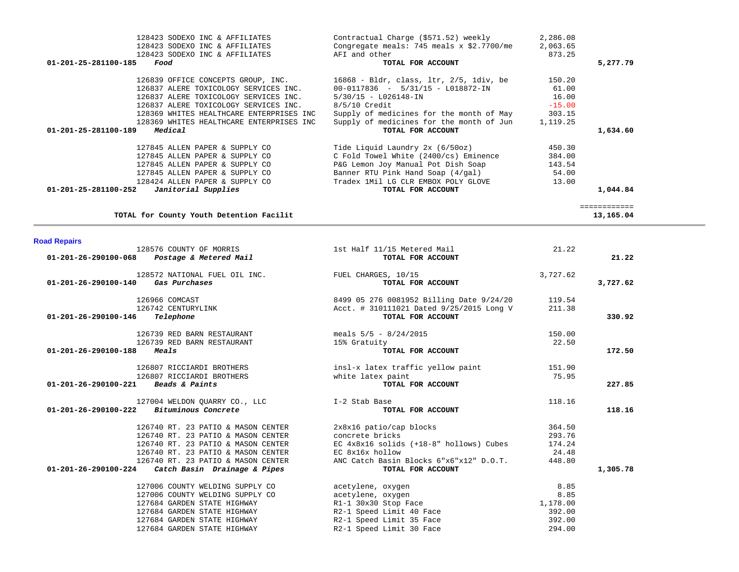|                      | 128423 SODEXO INC & AFFILIATES             | Contractual Charge (\$571.52) weekly                                     | 2,286.08 |              |
|----------------------|--------------------------------------------|--------------------------------------------------------------------------|----------|--------------|
|                      | 128423 SODEXO INC & AFFILIATES             | Congregate meals: 745 meals $x$ \$2.7700/me                              | 2,063.65 |              |
|                      | 128423 SODEXO INC & AFFILIATES             | AFI and other                                                            | 873.25   |              |
| 01-201-25-281100-185 | Food                                       | TOTAL FOR ACCOUNT                                                        |          | 5,277.79     |
|                      | 126839 OFFICE CONCEPTS GROUP, INC.         | $16868$ - Bldr, class, $1tr$ , $2/5$ , $1div$ , be                       | 150.20   |              |
|                      | 126837 ALERE TOXICOLOGY SERVICES INC.      | $00-0117836 - 5/31/15 - L018872 - IN$                                    | 61.00    |              |
|                      | 126837 ALERE TOXICOLOGY SERVICES INC.      | $5/30/15 - L026148 - IN$                                                 | 16.00    |              |
|                      | 126837 ALERE TOXICOLOGY SERVICES INC.      | $8/5/10$ Credit                                                          | $-15.00$ |              |
|                      | 128369 WHITES HEALTHCARE ENTERPRISES INC   | Supply of medicines for the month of May                                 | 303.15   |              |
|                      | 128369 WHITES HEALTHCARE ENTERPRISES INC   | Supply of medicines for the month of Jun                                 | 1,119.25 |              |
| 01-201-25-281100-189 | Medical                                    | TOTAL FOR ACCOUNT                                                        |          | 1,634.60     |
|                      |                                            |                                                                          |          |              |
|                      | 127845 ALLEN PAPER & SUPPLY CO             |                                                                          | 450.30   |              |
|                      | 127845 ALLEN PAPER & SUPPLY CO             | Tide Liquid Laundry 2x (6/50oz)<br>C Fold Towel White (2400/cs) Eminence | 384.00   |              |
|                      | 127845 ALLEN PAPER & SUPPLY CO             | P&G Lemon Joy Manual Pot Dish Soap                                       | 143.54   |              |
|                      | 127845 ALLEN PAPER & SUPPLY CO             | Banner RTU Pink Hand Soap (4/gal)                                        | 54.00    |              |
|                      | 128424 ALLEN PAPER & SUPPLY CO             | Tradex 1Mil LG CLR EMBOX POLY GLOVE                                      | 13.00    |              |
|                      | $01-201-25-281100-252$ Janitorial Supplies | TOTAL FOR ACCOUNT                                                        |          | 1,044.84     |
|                      |                                            |                                                                          |          | ============ |
|                      | TOTAL for County Youth Detention Facilit   |                                                                          |          | 13,165.04    |

| <b>Road Repairs</b> |  |  |
|---------------------|--|--|
|                     |  |  |
|                     |  |  |
|                     |  |  |
|                     |  |  |

| <b>Road Repairs</b>  |                                                                                             |                                                               |          |          |
|----------------------|---------------------------------------------------------------------------------------------|---------------------------------------------------------------|----------|----------|
|                      | 128576 COUNTY OF MORRIS<br>01-201-26-290100-068 Postage & Metered Mail                      | 1st Half 11/15 Metered Mail<br>TOTAL FOR ACCOUNT              | 21.22    | 21.22    |
| 01-201-26-290100-140 | 128572 NATIONAL FUEL OIL INC.<br>Gas Purchases                                              | FUEL CHARGES, 10/15<br>TOTAL FOR ACCOUNT                      | 3,727.62 | 3,727.62 |
|                      | 126966 COMCAST                                                                              | 8499 05 276 0081952 Billing Date 9/24/20                      | 119.54   |          |
| 01-201-26-290100-146 | 126742 CENTURYLINK<br>Telephone                                                             | Acct. # 310111021 Dated 9/25/2015 Long V<br>TOTAL FOR ACCOUNT | 211.38   | 330.92   |
|                      | 126739 RED BARN RESTAURANT                                                                  | meals $5/5 - 8/24/2015$                                       | 150.00   |          |
| 01-201-26-290100-188 | 126739 RED BARN RESTAURANT<br>Meals                                                         | 15% Gratuity<br>TOTAL FOR ACCOUNT                             | 22.50    | 172.50   |
|                      | 126807 RICCIARDI BROTHERS                                                                   | insl-x latex traffic yellow paint                             | 151.90   |          |
|                      | 126807 RICCIARDI BROTHERS                                                                   | white latex paint                                             | 75.95    |          |
| 01-201-26-290100-221 | Beads & Paints                                                                              | TOTAL FOR ACCOUNT                                             |          | 227.85   |
|                      | 127004 WELDON QUARRY CO., LLC 5-1-2 Stab Base<br>$01-201-26-290100-222$ Bituminous Concrete | TOTAL FOR ACCOUNT                                             | 118.16   | 118.16   |
|                      | 126740 RT. 23 PATIO & MASON CENTER                                                          | 2x8x16 patio/cap blocks                                       | 364.50   |          |
|                      | 126740 RT. 23 PATIO & MASON CENTER                                                          | concrete bricks                                               | 293.76   |          |
|                      | 126740 RT. 23 PATIO & MASON CENTER                                                          | EC 4x8x16 solids (+18-8" hollows) Cubes                       | 174.24   |          |
|                      | 126740 RT. 23 PATIO & MASON CENTER                                                          | EC 8x16x hollow                                               | 24.48    |          |
|                      | 126740 RT. 23 PATIO & MASON CENTER<br>$01-201-26-290100-224$ Catch Basin Drainage & Pipes   | ANC Catch Basin Blocks 6"x6"x12" D.O.T.<br>TOTAL FOR ACCOUNT  | 448.80   | 1,305.78 |
|                      | 127006 COUNTY WELDING SUPPLY CO                                                             | acetylene, oxygen                                             | 8.85     |          |
|                      | 127006 COUNTY WELDING SUPPLY CO                                                             | acetylene, oxygen                                             | 8.85     |          |
|                      | 127684 GARDEN STATE HIGHWAY                                                                 | R1-1 30x30 Stop Face                                          | 1,178.00 |          |
|                      | 127684 GARDEN STATE HIGHWAY                                                                 | R2-1 Speed Limit 40 Face                                      | 392.00   |          |
|                      | 127684 GARDEN STATE HIGHWAY                                                                 | R2-1 Speed Limit 35 Face                                      | 392.00   |          |
|                      | 127684 GARDEN STATE HIGHWAY                                                                 | R2-1 Speed Limit 30 Face                                      | 294.00   |          |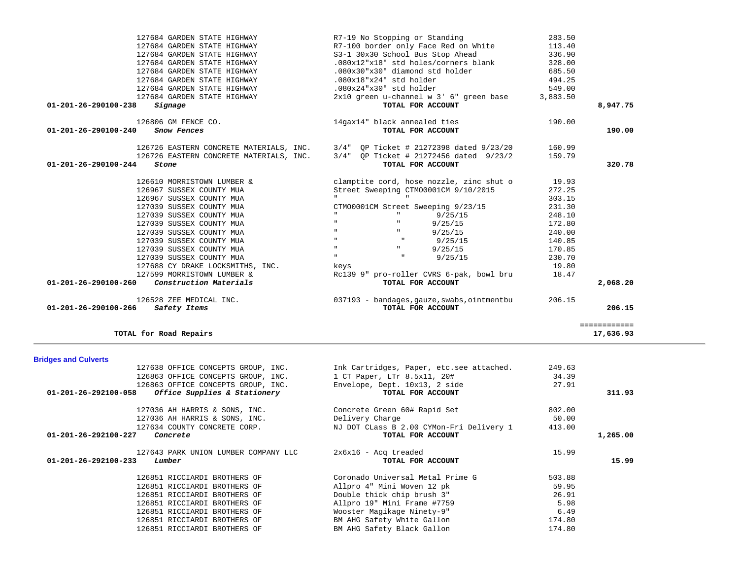| 127684 GARDEN STATE HIGHWAY                    | R7-19 No Stopping or Standing                                                   | 283.50   |              |
|------------------------------------------------|---------------------------------------------------------------------------------|----------|--------------|
| 127684 GARDEN STATE HIGHWAY                    | R7-100 border only Face Red on White                                            | 113.40   |              |
| 127684 GARDEN STATE HIGHWAY                    | S3-1 30x30 School Bus Stop Ahead                                                | 336.90   |              |
| 127684 GARDEN STATE HIGHWAY                    | .080x12"x18" std holes/corners blank                                            | 328.00   |              |
| 127684 GARDEN STATE HIGHWAY                    | .080x30"x30" diamond std holder                                                 | 685.50   |              |
| 127684 GARDEN STATE HIGHWAY                    | .080x18"x24" std holder                                                         | 494.25   |              |
| 127684 GARDEN STATE HIGHWAY                    | .080x24"x30" std holder                                                         | 549.00   |              |
| 127684 GARDEN STATE HIGHWAY                    | 2x10 green u-channel w 3' 6" green base                                         | 3,883.50 |              |
| 01-201-26-290100-238<br>Signage                | TOTAL FOR ACCOUNT                                                               |          | 8,947.75     |
| 126806 GM FENCE CO.                            | 14gax14" black annealed ties                                                    | 190.00   |              |
| 01-201-26-290100-240<br>Snow Fences            | TOTAL FOR ACCOUNT                                                               |          | 190.00       |
|                                                | 126726 EASTERN CONCRETE MATERIALS, INC. 3/4" QP Ticket # 21272398 dated 9/23/20 | 160.99   |              |
| 126726 EASTERN CONCRETE MATERIALS, INC.        | 3/4" OP Ticket # 21272456 dated 9/23/2                                          | 159.79   |              |
| 01-201-26-290100-244<br>Stone                  | TOTAL FOR ACCOUNT                                                               |          | 320.78       |
| 126610 MORRISTOWN LUMBER &                     | clamptite cord, hose nozzle, zinc shut o                                        | 19.93    |              |
| 126967 SUSSEX COUNTY MUA                       | Street Sweeping CTM00001CM 9/10/2015                                            | 272.25   |              |
| 126967 SUSSEX COUNTY MUA                       | $\mathbf{H}$                                                                    | 303.15   |              |
| 127039 SUSSEX COUNTY MUA                       | CTM00001CM Street Sweeping 9/23/15                                              | 231.30   |              |
| 127039 SUSSEX COUNTY MUA                       | $\mathbf{H}$<br>$\mathbf{H}$<br>9/25/15                                         | 248.10   |              |
| 127039 SUSSEX COUNTY MUA                       | $\mathbf{H}$<br>9/25/15<br>ш                                                    | 172.80   |              |
| 127039 SUSSEX COUNTY MUA                       | $\mathbf{H}$<br>9/25/15                                                         | 240.00   |              |
| 127039 SUSSEX COUNTY MUA                       | $\mathbf{H}$<br>$\mathbf{H}$<br>9/25/15                                         | 140.85   |              |
| 127039 SUSSEX COUNTY MUA                       | $\mathbf{H}$<br>$\mathbf{H}$ .<br>9/25/15                                       | 170.85   |              |
| 127039 SUSSEX COUNTY MUA                       | $\mathbf{H}$<br>9/25/15                                                         | 230.70   |              |
| 127688 CY DRAKE LOCKSMITHS, INC.               | keys                                                                            | 19.80    |              |
| 127599 MORRISTOWN LUMBER &                     | Rc139 9" pro-roller CVRS 6-pak, bowl bru                                        | 18.47    |              |
| Construction Materials<br>01-201-26-290100-260 | TOTAL FOR ACCOUNT                                                               |          | 2,068.20     |
| 126528 ZEE MEDICAL INC.                        | 037193 - bandages, gauze, swabs, ointmentbu                                     | 206.15   |              |
| Safety Items<br>01-201-26-290100-266           | TOTAL FOR ACCOUNT                                                               |          | 206.15       |
|                                                |                                                                                 |          | ============ |

## 17,636.93

## **Bridges and Culverts**

**TOTAL for Road Repairs 17,636.93**

| 127638 OFFICE CONCEPTS GROUP, INC.                              | Ink Cartridges, Paper, etc.see attached. | 249.63 |          |
|-----------------------------------------------------------------|------------------------------------------|--------|----------|
| 126863 OFFICE CONCEPTS GROUP, INC.                              | 1 CT Paper, LTr 8.5x11, 20#              | 34.39  |          |
| 126863 OFFICE CONCEPTS GROUP, INC.                              | Envelope, Dept. 10x13, 2 side            | 27.91  |          |
| <i>Office Supplies &amp; Stationery</i><br>01-201-26-292100-058 | TOTAL FOR ACCOUNT                        |        | 311.93   |
| 127036 AH HARRIS & SONS, INC.                                   | Concrete Green 60# Rapid Set             | 802.00 |          |
| 127036 AH HARRIS & SONS, INC.                                   | Delivery Charge                          | 50.00  |          |
| 127634 COUNTY CONCRETE CORP.                                    | NJ DOT CLass B 2.00 CYMon-Fri Delivery 1 | 413.00 |          |
| 01-201-26-292100-227<br>Concrete                                | TOTAL FOR ACCOUNT                        |        | 1,265.00 |
| 127643 PARK UNION LUMBER COMPANY LLC                            | $2x6x16 - Acq$ treaded                   | 15.99  |          |
| 01-201-26-292100-233<br>Lumber                                  | TOTAL FOR ACCOUNT                        |        | 15.99    |
| 126851 RICCIARDI BROTHERS OF                                    | Coronado Universal Metal Prime G         | 503.88 |          |
| 126851 RICCIARDI BROTHERS OF                                    | Allpro 4" Mini Woven 12 pk               | 59.95  |          |
| 126851 RICCIARDI BROTHERS OF                                    | Double thick chip brush 3"               | 26.91  |          |
| 126851 RICCIARDI BROTHERS OF                                    | Allpro 19" Mini Frame #7759              | 5.98   |          |
| 126851 RICCIARDI BROTHERS OF                                    | Wooster Magikage Ninety-9"               | 6.49   |          |
| 126851 RICCIARDI BROTHERS OF                                    | BM AHG Safety White Gallon               | 174.80 |          |
| 126851 RICCIARDI BROTHERS OF                                    | BM AHG Safety Black Gallon               | 174.80 |          |
|                                                                 |                                          |        |          |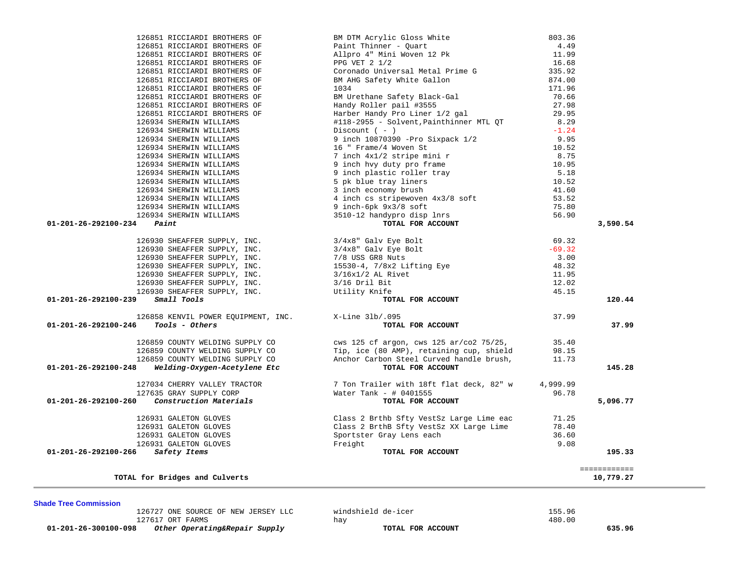| 126851 RICCIARDI BROTHERS OF<br>126851 RICCIARDI BROTHERS OF                 | BM DTM Acrylic Gloss White                                                                                                                                                                                                                             | 803.36<br>4.49 |                           |
|------------------------------------------------------------------------------|--------------------------------------------------------------------------------------------------------------------------------------------------------------------------------------------------------------------------------------------------------|----------------|---------------------------|
| 126851 RICCIARDI BROTHERS OF                                                 | Paint Thinner - Quart<br>Allpro 4" Mini Woven 12 Pk                                                                                                                                                                                                    | 11.99          |                           |
| 126851 RICCIARDI BROTHERS OF                                                 | PPG VET 2 1/2                                                                                                                                                                                                                                          | 16.68          |                           |
| 126851 RICCIARDI BROTHERS OF                                                 | Coronado Universal Metal Prime G                                                                                                                                                                                                                       | 335.92         |                           |
| 126851 RICCIARDI BROTHERS OF                                                 | BM AHG Safety White Gallon                                                                                                                                                                                                                             | 874.00         |                           |
| 126851 RICCIARDI BROTHERS OF                                                 | 1034                                                                                                                                                                                                                                                   | 171.96         |                           |
| 126851 RICCIARDI BROTHERS OF                                                 | BM Urethane Safety Black-Gal                                                                                                                                                                                                                           | 70.66          |                           |
| 126851 RICCIARDI BROTHERS OF                                                 | Handy Roller pail #3555                                                                                                                                                                                                                                | 27.98          |                           |
| 126851 RICCIARDI BROTHERS OF                                                 | Harber Handy Pro Liner 1/2 gal                                                                                                                                                                                                                         | 29.95          |                           |
| 126934 SHERWIN WILLIAMS                                                      | #118-2955 - Solvent, Painthinner MTL QT                                                                                                                                                                                                                | 8.29           |                           |
| 126934 SHERWIN WILLIAMS                                                      | Discount $(-)$                                                                                                                                                                                                                                         | $-1.24$        |                           |
| 126934 SHERWIN WILLIAMS                                                      |                                                                                                                                                                                                                                                        | 9.95           |                           |
| 126934 SHERWIN WILLIAMS                                                      | 9 inch 10870390 -Pro Sixpack 1/2<br>16 " Frame/4 Woven St                                                                                                                                                                                              | 10.52          |                           |
| 126934 SHERWIN WILLIAMS                                                      | 7 inch 4x1/2 stripe mini r                                                                                                                                                                                                                             | 8.75           |                           |
| 126934 SHERWIN WILLIAMS                                                      |                                                                                                                                                                                                                                                        | 10.95          |                           |
| 126934 SHERWIN WILLIAMS                                                      |                                                                                                                                                                                                                                                        | 5.18           |                           |
|                                                                              |                                                                                                                                                                                                                                                        |                |                           |
| 126934 SHERWIN WILLIAMS                                                      |                                                                                                                                                                                                                                                        | 10.52          |                           |
| 126934 SHERWIN WILLIAMS                                                      |                                                                                                                                                                                                                                                        | 41.60          |                           |
| 126934 SHERWIN WILLIAMS                                                      |                                                                                                                                                                                                                                                        | 53.52          |                           |
| 126934 SHERWIN WILLIAMS                                                      |                                                                                                                                                                                                                                                        | 75.80          |                           |
| 126934 SHERWIN WILLIAMS                                                      | 7 inch 4x1/2 stripe mini r<br>9 inch hvy duty pro frame<br>9 inch plastic roller tray<br>5 pk blue tray liners<br>3 inch economy brush<br>4 inch cs stripewoven 4x3/8 soft<br>9 inch-6pk 9x3/8 soft<br>3510-12 handypro disp lnrs<br>TOTAL FOR ACCOUNT | 56.90          |                           |
| $01 - 201 - 26 - 292100 - 234$ Paint                                         |                                                                                                                                                                                                                                                        |                | 3,590.54                  |
|                                                                              | 126930 SHEAFFER SUPPLY, INC.<br>126930 SHEAFFER SUPPLY, INC.<br>126930 SHEAFFER SUPPLY, INC.<br>126930 SHEAFFER SUPPLY, INC.<br>126930 SHEAFFER SUPPLY, INC.<br>126930 SHEAFFER SUPPLY, INC.<br>126930 SHEAFFER SUPPLY, INC.<br>126930 SHEA            | 69.32          |                           |
|                                                                              |                                                                                                                                                                                                                                                        | $-69.32$       |                           |
|                                                                              |                                                                                                                                                                                                                                                        | 3.00           |                           |
|                                                                              |                                                                                                                                                                                                                                                        | 48.32          |                           |
|                                                                              |                                                                                                                                                                                                                                                        | 11.95          |                           |
|                                                                              |                                                                                                                                                                                                                                                        | 12.02          |                           |
|                                                                              |                                                                                                                                                                                                                                                        | 45.15          |                           |
| 01-201-26-292100-239<br>Small Tools                                          | TOTAL FOR ACCOUNT                                                                                                                                                                                                                                      |                | 120.44                    |
| 126858 KENVIL POWER EQUIPMENT, INC.                                          | X-Line 31b/.095                                                                                                                                                                                                                                        | 37.99          |                           |
| 01-201-26-292100-246<br>Tools - Others                                       | TOTAL FOR ACCOUNT                                                                                                                                                                                                                                      |                | 37.99                     |
| 126859 COUNTY WELDING SUPPLY CO                                              | cws 125 cf argon, cws 125 ar/co2 75/25,                                                                                                                                                                                                                | 35.40          |                           |
| 126859 COUNTY WELDING SUPPLY CO                                              | Tip, ice (80 AMP), retaining cup, shield                                                                                                                                                                                                               | 98.15          |                           |
| 126859 COUNTY WELDING SUPPLY CO                                              | Anchor Carbon Steel Curved handle brush,                                                                                                                                                                                                               | 11.73          |                           |
| Welding-Oxygen-Acetylene Etc<br>01-201-26-292100-248                         | TOTAL FOR ACCOUNT                                                                                                                                                                                                                                      |                | 145.28                    |
| 127034 CHERRY VALLEY TRACTOR                                                 | 7 Ton Trailer with 18ft flat deck, 82" w                                                                                                                                                                                                               | 4,999.99       |                           |
| 127635 GRAY SUPPLY CORP                                                      | Water Tank - $\#$ 0401555                                                                                                                                                                                                                              | 96.78          |                           |
| <i>Construction Materials</i><br>01-201-26-292100-260                        | TOTAL FOR ACCOUNT                                                                                                                                                                                                                                      |                | 5,096.77                  |
| 126931 GALETON GLOVES                                                        |                                                                                                                                                                                                                                                        | 71.25          |                           |
|                                                                              |                                                                                                                                                                                                                                                        | 78.40          |                           |
|                                                                              |                                                                                                                                                                                                                                                        | 36.60          |                           |
| -<br>126931 GALETON GLOVES<br>126931 GALETON GLOVES<br>126931 GALETON GLOVES | Class 2 Brthb Sfty VestSz Large Lime eac<br>Class 2 BrthB Sfty VestSz XX Large Lime<br>Sportster Gray Lens each<br>Freight                                                                                                                             | 9.08           |                           |
| 01-201-26-292100-266<br>Safety Items                                         | TOTAL FOR ACCOUNT                                                                                                                                                                                                                                      |                | 195.33                    |
|                                                                              |                                                                                                                                                                                                                                                        |                |                           |
| TOTAL for Bridges and Culverts                                               |                                                                                                                                                                                                                                                        |                | ============<br>10,779.27 |

126727 ONE SOURCE OF NEW JERSEY LLC windshield de-icer 155.96

 **01-201-26-300100-098** *Other Operating&Repair Supply* **TOTAL FOR ACCOUNT 635.96**

127617 ORT FARMS hay hay

480.00

**Shade Tree Commission**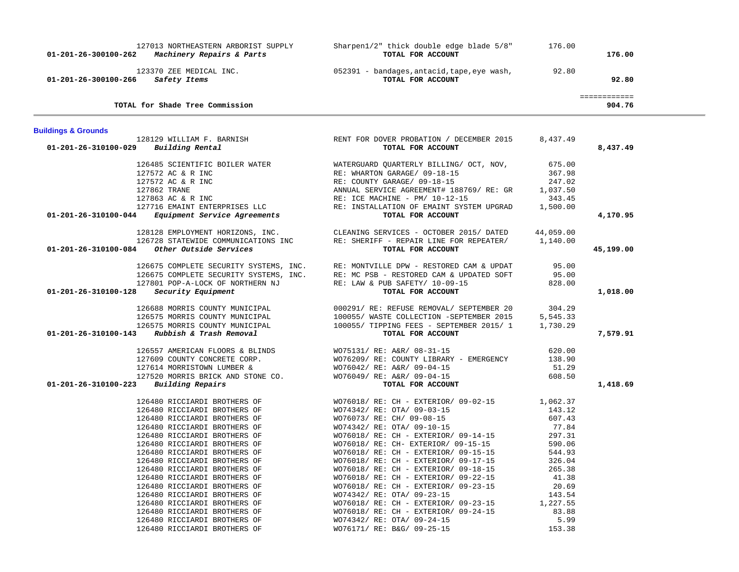| 01-201-26-300100-262           | 127013 NORTHEASTERN ARBORIST SUPPLY<br>Machinery Repairs & Parts                                                                                                                                                                                                                                                                                                                                                                                                                                                             | Sharpen1/2" thick double edge blade 5/8"<br>TOTAL FOR ACCOUNT                                                                                                                                                                                                                                                                                                                                                                                                                                                                                                                                  | 176.00                                                                                                                                                     | 176.00                 |  |
|--------------------------------|------------------------------------------------------------------------------------------------------------------------------------------------------------------------------------------------------------------------------------------------------------------------------------------------------------------------------------------------------------------------------------------------------------------------------------------------------------------------------------------------------------------------------|------------------------------------------------------------------------------------------------------------------------------------------------------------------------------------------------------------------------------------------------------------------------------------------------------------------------------------------------------------------------------------------------------------------------------------------------------------------------------------------------------------------------------------------------------------------------------------------------|------------------------------------------------------------------------------------------------------------------------------------------------------------|------------------------|--|
| 01-201-26-300100-266           | 123370 ZEE MEDICAL INC.<br>Safety Items                                                                                                                                                                                                                                                                                                                                                                                                                                                                                      | 052391 - bandages, antacid, tape, eye wash,<br>TOTAL FOR ACCOUNT                                                                                                                                                                                                                                                                                                                                                                                                                                                                                                                               | 92.80                                                                                                                                                      | 92.80                  |  |
|                                | TOTAL for Shade Tree Commission                                                                                                                                                                                                                                                                                                                                                                                                                                                                                              |                                                                                                                                                                                                                                                                                                                                                                                                                                                                                                                                                                                                |                                                                                                                                                            | ============<br>904.76 |  |
| <b>Buildings &amp; Grounds</b> |                                                                                                                                                                                                                                                                                                                                                                                                                                                                                                                              |                                                                                                                                                                                                                                                                                                                                                                                                                                                                                                                                                                                                |                                                                                                                                                            |                        |  |
| 01-201-26-310100-029           | 128129 WILLIAM F. BARNISH<br>Building Rental                                                                                                                                                                                                                                                                                                                                                                                                                                                                                 | RENT FOR DOVER PROBATION / DECEMBER 2015<br>TOTAL FOR ACCOUNT                                                                                                                                                                                                                                                                                                                                                                                                                                                                                                                                  | 8,437.49                                                                                                                                                   | 8,437.49               |  |
| 01-201-26-310100-044           | 126485 SCIENTIFIC BOILER WATER<br>127572 AC & R INC<br>127572 AC & R INC<br>127862 TRANE<br>127863 AC & R INC<br>127716 EMAINT ENTERPRISES LLC<br><i>Equipment Service Agreements</i>                                                                                                                                                                                                                                                                                                                                        | WATERGUARD OUARTERLY BILLING/ OCT, NOV,<br>RE: WHARTON GARAGE/ 09-18-15<br>RE: COUNTY GARAGE/ 09-18-15<br>ANNUAL SERVICE AGREEMENT# 188769/RE: GR<br>RE: ICE MACHINE - PM/ 10-12-15<br>RE: INSTALLATION OF EMAINT SYSTEM UPGRAD<br>TOTAL FOR ACCOUNT                                                                                                                                                                                                                                                                                                                                           | 675.00<br>367.98<br>247.02<br>1,037.50<br>343.45<br>1,500.00                                                                                               | 4,170.95               |  |
| 01-201-26-310100-084           | 128128 EMPLOYMENT HORIZONS, INC.<br>126728 STATEWIDE COMMUNICATIONS INC<br>Other Outside Services                                                                                                                                                                                                                                                                                                                                                                                                                            | CLEANING SERVICES - OCTOBER 2015/ DATED<br>RE: SHERIFF - REPAIR LINE FOR REPEATER/<br>TOTAL FOR ACCOUNT                                                                                                                                                                                                                                                                                                                                                                                                                                                                                        | 44,059.00<br>1,140.00                                                                                                                                      | 45,199.00              |  |
| 01-201-26-310100-128           | 126675 COMPLETE SECURITY SYSTEMS, INC.<br>126675 COMPLETE SECURITY SYSTEMS, INC.<br>127801 POP-A-LOCK OF NORTHERN NJ<br>Security Equipment                                                                                                                                                                                                                                                                                                                                                                                   | RE: MONTVILLE DPW - RESTORED CAM & UPDAT<br>RE: MC PSB - RESTORED CAM & UPDATED SOFT<br>RE: LAW & PUB SAFETY/ 10-09-15<br>TOTAL FOR ACCOUNT                                                                                                                                                                                                                                                                                                                                                                                                                                                    | 95.00<br>95.00<br>828.00                                                                                                                                   | 1,018.00               |  |
| 01-201-26-310100-143           | 126688 MORRIS COUNTY MUNICIPAL<br>126575 MORRIS COUNTY MUNICIPAL<br>126575 MORRIS COUNTY MUNICIPAL<br>Rubbish & Trash Removal                                                                                                                                                                                                                                                                                                                                                                                                | 000291/ RE: REFUSE REMOVAL/ SEPTEMBER 20<br>100055/ WASTE COLLECTION -SEPTEMBER 2015<br>100055/ TIPPING FEES - SEPTEMBER 2015/ 1<br>TOTAL FOR ACCOUNT                                                                                                                                                                                                                                                                                                                                                                                                                                          | 304.29<br>5,545.33<br>1,730.29                                                                                                                             | 7,579.91               |  |
| 01-201-26-310100-223           | 126557 AMERICAN FLOORS & BLINDS<br>127609 COUNTY CONCRETE CORP.<br>127614 MORRISTOWN LUMBER &<br>127520 MORRIS BRICK AND STONE CO.<br>Building Repairs                                                                                                                                                                                                                                                                                                                                                                       | WO75131/ RE: A&R/ 08-31-15<br>WO76209/ RE: COUNTY LIBRARY - EMERGENCY<br>WO76042/ RE: A&R/ 09-04-15<br>WO76049/ RE: A&R/ 09-04-15<br>TOTAL FOR ACCOUNT                                                                                                                                                                                                                                                                                                                                                                                                                                         | 620.00<br>138.90<br>51.29<br>608.50                                                                                                                        | 1,418.69               |  |
|                                | 126480 RICCIARDI BROTHERS OF<br>126480 RICCIARDI BROTHERS OF<br>126480 RICCIARDI BROTHERS OF<br>126480 RICCIARDI BROTHERS OF<br>126480 RICCIARDI BROTHERS OF<br>126480 RICCIARDI BROTHERS OF<br>126480 RICCIARDI BROTHERS OF<br>126480 RICCIARDI BROTHERS OF<br>126480 RICCIARDI BROTHERS OF<br>126480 RICCIARDI BROTHERS OF<br>126480 RICCIARDI BROTHERS OF<br>126480 RICCIARDI BROTHERS OF<br>126480 RICCIARDI BROTHERS OF<br>126480 RICCIARDI BROTHERS OF<br>126480 RICCIARDI BROTHERS OF<br>126480 RICCIARDI BROTHERS OF | WO76018/ RE: CH - EXTERIOR/ 09-02-15<br>WO74342/ RE: OTA/ 09-03-15<br>WO76073/ RE: CH/ 09-08-15<br>WO74342/ RE: OTA/ 09-10-15<br>WO76018/ RE: CH - EXTERIOR/ 09-14-15<br>WO76018/ RE: CH- EXTERIOR/ 09-15-15<br>WO76018/ RE: CH - EXTERIOR/ 09-15-15<br>WO76018/ RE: CH - EXTERIOR/ 09-17-15<br>WO76018/ RE: CH - EXTERIOR/ 09-18-15<br>WO76018/ RE: CH - EXTERIOR/ 09-22-15<br>WO76018/ RE: CH - EXTERIOR/ 09-23-15<br>WO74342/ RE: OTA/ 09-23-15<br>WO76018/ RE: CH - EXTERIOR/ 09-23-15<br>WO76018/ RE: CH - EXTERIOR/ 09-24-15<br>WO74342/ RE: OTA/ 09-24-15<br>WO76171/ RE: B&G/ 09-25-15 | 1,062.37<br>143.12<br>607.43<br>77.84<br>297.31<br>590.06<br>544.93<br>326.04<br>265.38<br>41.38<br>20.69<br>143.54<br>1,227.55<br>83.88<br>5.99<br>153.38 |                        |  |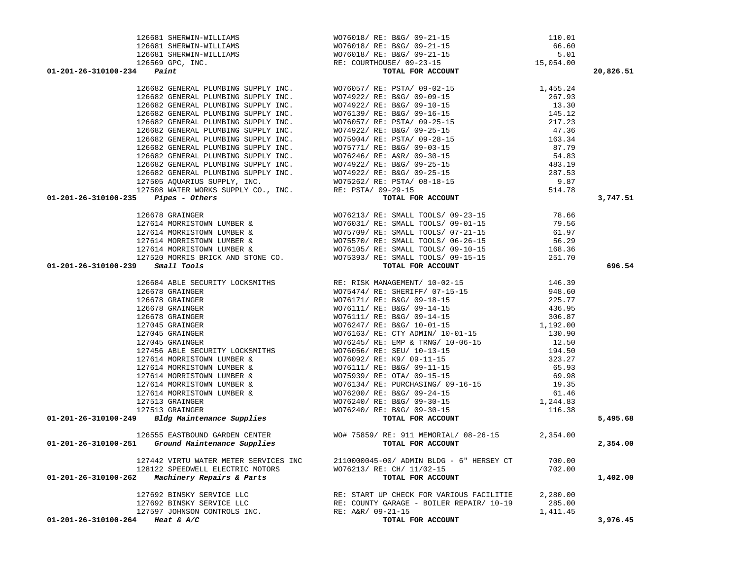| $01 - 201 - 26 - 310100 - 234$ Paint                                                                                                                                                                                                                                                                                                                         | 126681 SHERWIN-WILLIAMS<br>126681 SHERWIN-WILLIAMS<br>126681 SHERWIN-WILLIAMS<br>126569 GPC, INC.<br><b>4</b> Paint <b>POR ACCOUNT</b><br>15,054.00<br>16,054.00<br>16,054.00<br>16,054.00<br>16,054.00<br>16,054.00<br>34 Paint PLUMBING SUPPLY INC. WO76057/RE: PSTA/03-02-15<br>19682 GENERAL PLUMBING SUPPLY INC. WO76057/RE: PSTA/03-02-15<br>19682 GENERAL PLUMBING SUPPLY INC. WO74922/RE: B&G/03-02-15<br>19682 GENERAL PLUMBING SUPPLY INC. WO7492 | 20,826.51 |
|--------------------------------------------------------------------------------------------------------------------------------------------------------------------------------------------------------------------------------------------------------------------------------------------------------------------------------------------------------------|-------------------------------------------------------------------------------------------------------------------------------------------------------------------------------------------------------------------------------------------------------------------------------------------------------------------------------------------------------------------------------------------------------------------------------------------------------------|-----------|
|                                                                                                                                                                                                                                                                                                                                                              |                                                                                                                                                                                                                                                                                                                                                                                                                                                             |           |
|                                                                                                                                                                                                                                                                                                                                                              |                                                                                                                                                                                                                                                                                                                                                                                                                                                             |           |
|                                                                                                                                                                                                                                                                                                                                                              |                                                                                                                                                                                                                                                                                                                                                                                                                                                             |           |
|                                                                                                                                                                                                                                                                                                                                                              |                                                                                                                                                                                                                                                                                                                                                                                                                                                             |           |
|                                                                                                                                                                                                                                                                                                                                                              |                                                                                                                                                                                                                                                                                                                                                                                                                                                             |           |
|                                                                                                                                                                                                                                                                                                                                                              |                                                                                                                                                                                                                                                                                                                                                                                                                                                             |           |
|                                                                                                                                                                                                                                                                                                                                                              |                                                                                                                                                                                                                                                                                                                                                                                                                                                             |           |
|                                                                                                                                                                                                                                                                                                                                                              |                                                                                                                                                                                                                                                                                                                                                                                                                                                             |           |
|                                                                                                                                                                                                                                                                                                                                                              |                                                                                                                                                                                                                                                                                                                                                                                                                                                             |           |
|                                                                                                                                                                                                                                                                                                                                                              |                                                                                                                                                                                                                                                                                                                                                                                                                                                             |           |
|                                                                                                                                                                                                                                                                                                                                                              |                                                                                                                                                                                                                                                                                                                                                                                                                                                             |           |
|                                                                                                                                                                                                                                                                                                                                                              |                                                                                                                                                                                                                                                                                                                                                                                                                                                             |           |
|                                                                                                                                                                                                                                                                                                                                                              |                                                                                                                                                                                                                                                                                                                                                                                                                                                             |           |
|                                                                                                                                                                                                                                                                                                                                                              |                                                                                                                                                                                                                                                                                                                                                                                                                                                             |           |
| $01 - 201 - 26 - 310100 - 235$ Pipes - Others                                                                                                                                                                                                                                                                                                                |                                                                                                                                                                                                                                                                                                                                                                                                                                                             |           |
|                                                                                                                                                                                                                                                                                                                                                              |                                                                                                                                                                                                                                                                                                                                                                                                                                                             | 3,747.51  |
|                                                                                                                                                                                                                                                                                                                                                              |                                                                                                                                                                                                                                                                                                                                                                                                                                                             |           |
|                                                                                                                                                                                                                                                                                                                                                              |                                                                                                                                                                                                                                                                                                                                                                                                                                                             |           |
|                                                                                                                                                                                                                                                                                                                                                              |                                                                                                                                                                                                                                                                                                                                                                                                                                                             |           |
|                                                                                                                                                                                                                                                                                                                                                              |                                                                                                                                                                                                                                                                                                                                                                                                                                                             |           |
|                                                                                                                                                                                                                                                                                                                                                              |                                                                                                                                                                                                                                                                                                                                                                                                                                                             |           |
|                                                                                                                                                                                                                                                                                                                                                              |                                                                                                                                                                                                                                                                                                                                                                                                                                                             |           |
|                                                                                                                                                                                                                                                                                                                                                              |                                                                                                                                                                                                                                                                                                                                                                                                                                                             |           |
| 01-201-26-310100-239 Small Tools                                                                                                                                                                                                                                                                                                                             |                                                                                                                                                                                                                                                                                                                                                                                                                                                             | 696.54    |
| 126684 ABLE SECURITY LOCKSMITHS<br>126678 GRAINSER<br>126678 GRAINSER<br>126678 GRAINSER<br>126678 GRAINSER<br>126678 GRAINSER<br>126678 GRAINSER<br>126678 GRAINSER<br>126678 GRAINSER<br>126678 GRAINSER<br>126678 GRAINSER<br>12679 GRAINSER<br>12                                                                                                        |                                                                                                                                                                                                                                                                                                                                                                                                                                                             |           |
|                                                                                                                                                                                                                                                                                                                                                              |                                                                                                                                                                                                                                                                                                                                                                                                                                                             |           |
|                                                                                                                                                                                                                                                                                                                                                              |                                                                                                                                                                                                                                                                                                                                                                                                                                                             |           |
|                                                                                                                                                                                                                                                                                                                                                              |                                                                                                                                                                                                                                                                                                                                                                                                                                                             |           |
|                                                                                                                                                                                                                                                                                                                                                              |                                                                                                                                                                                                                                                                                                                                                                                                                                                             |           |
|                                                                                                                                                                                                                                                                                                                                                              |                                                                                                                                                                                                                                                                                                                                                                                                                                                             |           |
|                                                                                                                                                                                                                                                                                                                                                              |                                                                                                                                                                                                                                                                                                                                                                                                                                                             |           |
|                                                                                                                                                                                                                                                                                                                                                              |                                                                                                                                                                                                                                                                                                                                                                                                                                                             |           |
|                                                                                                                                                                                                                                                                                                                                                              |                                                                                                                                                                                                                                                                                                                                                                                                                                                             |           |
|                                                                                                                                                                                                                                                                                                                                                              |                                                                                                                                                                                                                                                                                                                                                                                                                                                             |           |
|                                                                                                                                                                                                                                                                                                                                                              |                                                                                                                                                                                                                                                                                                                                                                                                                                                             |           |
|                                                                                                                                                                                                                                                                                                                                                              |                                                                                                                                                                                                                                                                                                                                                                                                                                                             |           |
|                                                                                                                                                                                                                                                                                                                                                              |                                                                                                                                                                                                                                                                                                                                                                                                                                                             |           |
|                                                                                                                                                                                                                                                                                                                                                              |                                                                                                                                                                                                                                                                                                                                                                                                                                                             |           |
|                                                                                                                                                                                                                                                                                                                                                              |                                                                                                                                                                                                                                                                                                                                                                                                                                                             |           |
|                                                                                                                                                                                                                                                                                                                                                              |                                                                                                                                                                                                                                                                                                                                                                                                                                                             |           |
|                                                                                                                                                                                                                                                                                                                                                              |                                                                                                                                                                                                                                                                                                                                                                                                                                                             |           |
|                                                                                                                                                                                                                                                                                                                                                              |                                                                                                                                                                                                                                                                                                                                                                                                                                                             | 5,495.68  |
|                                                                                                                                                                                                                                                                                                                                                              |                                                                                                                                                                                                                                                                                                                                                                                                                                                             |           |
| 126555 EASTBOUND GARDEN CENTER WO# 75859/RE: 911 MEMORIAL/ 08-26-15<br><b>01-201-26-310100-251</b> Ground Maintenance Supplies<br>TOTAL FOR ACCOUNT                                                                                                                                                                                                          |                                                                                                                                                                                                                                                                                                                                                                                                                                                             |           |
|                                                                                                                                                                                                                                                                                                                                                              |                                                                                                                                                                                                                                                                                                                                                                                                                                                             | 2,354.00  |
|                                                                                                                                                                                                                                                                                                                                                              |                                                                                                                                                                                                                                                                                                                                                                                                                                                             |           |
| $\begin{tabular}{cccccc} & 127442 VITTU WATER METER SERVICES INC & 2110000045-00/ ADMIN BLDG - 6" HERSEY CT & 700.001-201-26-310100-262 & \textit{Machinery Repairs & Parts} & 702.001-201-26-310100-262 & \textit{Machinery Repairs & Parts} & 702.001-201-26-310100-262 & \textit{Machinery Repairs & Parts} & 702.001-201-26-310100-264 & \textit{Mechin$ |                                                                                                                                                                                                                                                                                                                                                                                                                                                             |           |
|                                                                                                                                                                                                                                                                                                                                                              |                                                                                                                                                                                                                                                                                                                                                                                                                                                             |           |
|                                                                                                                                                                                                                                                                                                                                                              |                                                                                                                                                                                                                                                                                                                                                                                                                                                             | 1,402.00  |
|                                                                                                                                                                                                                                                                                                                                                              |                                                                                                                                                                                                                                                                                                                                                                                                                                                             |           |
|                                                                                                                                                                                                                                                                                                                                                              |                                                                                                                                                                                                                                                                                                                                                                                                                                                             |           |
|                                                                                                                                                                                                                                                                                                                                                              |                                                                                                                                                                                                                                                                                                                                                                                                                                                             |           |
|                                                                                                                                                                                                                                                                                                                                                              |                                                                                                                                                                                                                                                                                                                                                                                                                                                             |           |
|                                                                                                                                                                                                                                                                                                                                                              |                                                                                                                                                                                                                                                                                                                                                                                                                                                             | 3,976.45  |
|                                                                                                                                                                                                                                                                                                                                                              |                                                                                                                                                                                                                                                                                                                                                                                                                                                             |           |

126681 SHERWIN-WILLIAMS WO76018/ RE: B&G/ 09-21-15 110.01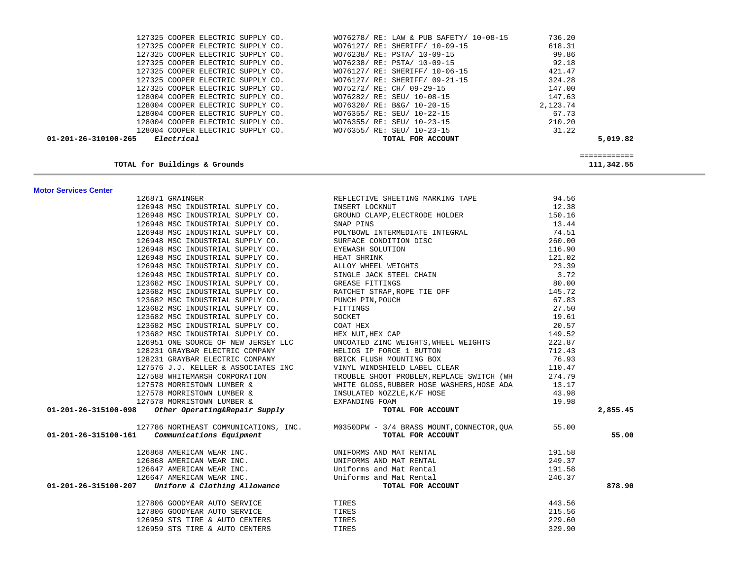| 01-201-26-310100-265 | Electrical |                                   |  | TOTAL FOR ACCOUNT                       |          | 5,019.82 |
|----------------------|------------|-----------------------------------|--|-----------------------------------------|----------|----------|
|                      |            | 128004 COOPER ELECTRIC SUPPLY CO. |  | WO76355/ RE: SEU/ 10-23-15              | 31.22    |          |
|                      |            | 128004 COOPER ELECTRIC SUPPLY CO. |  | WO76355/ RE: SEU/ 10-23-15              | 210.20   |          |
|                      |            | 128004 COOPER ELECTRIC SUPPLY CO. |  | WO76355/ RE: SEU/ 10-22-15              | 67.73    |          |
|                      |            | 128004 COOPER ELECTRIC SUPPLY CO. |  | WO76320/ RE: B&G/ 10-20-15              | 2,123.74 |          |
|                      |            | 128004 COOPER ELECTRIC SUPPLY CO. |  | WO76282/ RE: SEU/ 10-08-15              | 147.63   |          |
|                      |            | 127325 COOPER ELECTRIC SUPPLY CO. |  | WO75272/ RE: CH/ 09-29-15               | 147.00   |          |
|                      |            | 127325 COOPER ELECTRIC SUPPLY CO. |  | WO76127/ RE: SHERIFF/ 09-21-15          | 324.28   |          |
|                      |            | 127325 COOPER ELECTRIC SUPPLY CO. |  | WO76127/ RE: SHERIFF/ 10-06-15          | 421.47   |          |
|                      |            | 127325 COOPER ELECTRIC SUPPLY CO. |  | WO76238/ RE: PSTA/ 10-09-15             | 92.18    |          |
|                      |            | 127325 COOPER ELECTRIC SUPPLY CO. |  | WO76238/ RE: PSTA/ 10-09-15             | 99.86    |          |
|                      |            | 127325 COOPER ELECTRIC SUPPLY CO. |  | WO76127/ RE: SHERIFF/ 10-09-15          | 618.31   |          |
|                      |            | 127325 COOPER ELECTRIC SUPPLY CO. |  | WO76278/ RE: LAW & PUB SAFETY/ 10-08-15 | 736.20   |          |

**TOTAL for Buildings & Grounds 111,342.55**

============

111,342.55

| <b>Motor Services Center</b> |  |
|------------------------------|--|
|                              |  |

| 126871 GRAINGER                                                                                                                                                                                                                                                                                                                                                                                                                                                   | REFLECTIVE SHEETING MARKING TAPE                                                       | 94.56  |          |
|-------------------------------------------------------------------------------------------------------------------------------------------------------------------------------------------------------------------------------------------------------------------------------------------------------------------------------------------------------------------------------------------------------------------------------------------------------------------|----------------------------------------------------------------------------------------|--------|----------|
| 126948 MSC INDUSTRIAL SUPPLY CO.                                                                                                                                                                                                                                                                                                                                                                                                                                  | INSERT LOCKNUT                                                                         | 12.38  |          |
|                                                                                                                                                                                                                                                                                                                                                                                                                                                                   | 126948 MSC INDUSTRIAL SUPPLY CO. GROUND CLAMP, ELECTRODE HOLDER                        | 150.16 |          |
|                                                                                                                                                                                                                                                                                                                                                                                                                                                                   |                                                                                        |        |          |
|                                                                                                                                                                                                                                                                                                                                                                                                                                                                   |                                                                                        |        |          |
|                                                                                                                                                                                                                                                                                                                                                                                                                                                                   |                                                                                        |        |          |
|                                                                                                                                                                                                                                                                                                                                                                                                                                                                   |                                                                                        |        |          |
|                                                                                                                                                                                                                                                                                                                                                                                                                                                                   |                                                                                        |        |          |
|                                                                                                                                                                                                                                                                                                                                                                                                                                                                   |                                                                                        |        |          |
|                                                                                                                                                                                                                                                                                                                                                                                                                                                                   |                                                                                        |        |          |
|                                                                                                                                                                                                                                                                                                                                                                                                                                                                   |                                                                                        |        |          |
|                                                                                                                                                                                                                                                                                                                                                                                                                                                                   |                                                                                        |        |          |
|                                                                                                                                                                                                                                                                                                                                                                                                                                                                   |                                                                                        |        |          |
|                                                                                                                                                                                                                                                                                                                                                                                                                                                                   |                                                                                        |        |          |
|                                                                                                                                                                                                                                                                                                                                                                                                                                                                   |                                                                                        |        |          |
|                                                                                                                                                                                                                                                                                                                                                                                                                                                                   |                                                                                        |        |          |
|                                                                                                                                                                                                                                                                                                                                                                                                                                                                   |                                                                                        |        |          |
|                                                                                                                                                                                                                                                                                                                                                                                                                                                                   |                                                                                        |        |          |
|                                                                                                                                                                                                                                                                                                                                                                                                                                                                   |                                                                                        |        |          |
|                                                                                                                                                                                                                                                                                                                                                                                                                                                                   |                                                                                        |        |          |
|                                                                                                                                                                                                                                                                                                                                                                                                                                                                   | 127576 J.J. KELLER & ASSOCIATES INC VINYL WINDSHIELD LABEL CLEAR                       | 110.47 |          |
|                                                                                                                                                                                                                                                                                                                                                                                                                                                                   | 127588 WHITEMARSH CORPORATION TROUBLE SHOOT PROBLEM, REPLACE SWITCH (WH                | 274.79 |          |
|                                                                                                                                                                                                                                                                                                                                                                                                                                                                   | 13.17 13.17 MORRISTOWN LUMBER & WHITE GLOSS, RUBBER HOSE WASHERS, HOSE ADA             |        |          |
|                                                                                                                                                                                                                                                                                                                                                                                                                                                                   |                                                                                        | 43.98  |          |
|                                                                                                                                                                                                                                                                                                                                                                                                                                                                   |                                                                                        | 19.98  |          |
| 127578 MORRISTOWN LUMBER & INSULATED NOZZLE, K/F HOSE<br>127578 MORRISTOWN LUMBER & EXPANDING FOAM<br><b>01-201-26-315100-098</b> other Operating&Repair Supply<br><b>TOTAL FOR ACCOUNT</b>                                                                                                                                                                                                                                                                       |                                                                                        |        | 2,855.45 |
|                                                                                                                                                                                                                                                                                                                                                                                                                                                                   | 127786 NORTHEAST COMMUNICATIONS, INC. M0350DPW - 3/4 BRASS MOUNT, CONNECTOR, QUA 55.00 |        |          |
| 01-201-26-315100-161 Communications Equipment                                                                                                                                                                                                                                                                                                                                                                                                                     | TOTAL FOR ACCOUNT                                                                      |        | 55.00    |
| $\begin{tabular}{c c c c} \multicolumn{1}{c}{126868} \multicolumn{1}{c}{\textbf{AMERICAN WEAR INC.}} & \multicolumn{1}{c}{\textbf{UNIFORMS AND MAT RENTAL}} & \multicolumn{1}{c}{\textbf{191.58}} \\ \multicolumn{1}{c}{\textbf{126868 AMERICAN WEAR INC.}} & \multicolumn{1}{c}{\textbf{UMIFORMS AND MAT RENTAL}} & \multicolumn{1}{c}{\textbf{249.37}} \\ \multicolumn{1}{c}{\textbf{126647 AMERICAN WEAR INC.}} & \multicolumn{1}{c}{\textbf{UMIFORMS AND MAT$ |                                                                                        |        |          |
|                                                                                                                                                                                                                                                                                                                                                                                                                                                                   |                                                                                        |        |          |
|                                                                                                                                                                                                                                                                                                                                                                                                                                                                   |                                                                                        |        |          |
|                                                                                                                                                                                                                                                                                                                                                                                                                                                                   |                                                                                        |        |          |
|                                                                                                                                                                                                                                                                                                                                                                                                                                                                   |                                                                                        |        | 878.90   |
| 127806 GOODYEAR AUTO SERVICE                                                                                                                                                                                                                                                                                                                                                                                                                                      | TIRES                                                                                  | 443.56 |          |
| 127806 GOODYEAR AUTO SERVICE                                                                                                                                                                                                                                                                                                                                                                                                                                      | TIRES                                                                                  | 215.56 |          |
| 126959 STS TIRE & AUTO CENTERS                                                                                                                                                                                                                                                                                                                                                                                                                                    | TIRES                                                                                  | 229.60 |          |
| 126959 STS TIRE & AUTO CENTERS                                                                                                                                                                                                                                                                                                                                                                                                                                    | TIRES                                                                                  | 329.90 |          |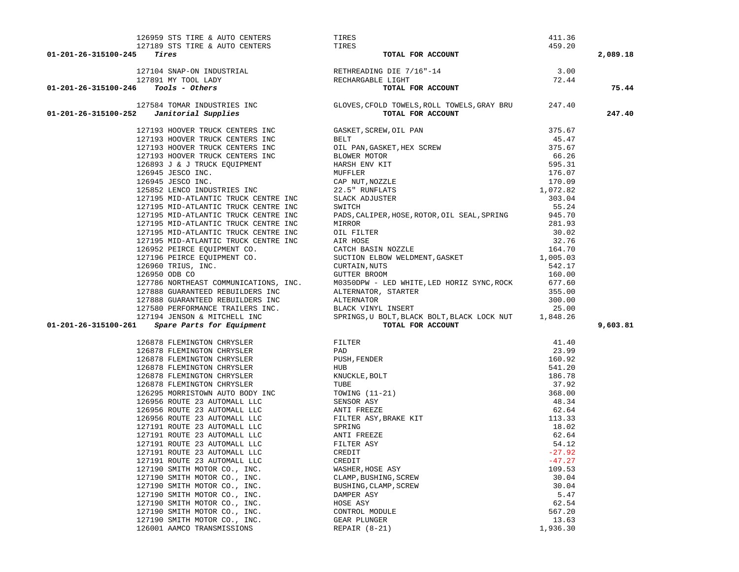| 01-201-26-315100-245                                                                                                                                                          | 126959 STS TIRE & AUTO CENTERS<br>127189 STS TIRE & AUTO CENTERS<br><b>127104 SNAP-ON INDUSTRIAL</b><br>127891 MY TOOL LADY<br>127891 MY TOOL LADY<br>127891 MY TOOL LADY<br>127891 MY TOOL LADY<br>127891 MY TOOL LADY<br>127891 MY TOOL LADY<br>12 |                | 2,089.18 |
|-------------------------------------------------------------------------------------------------------------------------------------------------------------------------------|------------------------------------------------------------------------------------------------------------------------------------------------------------------------------------------------------------------------------------------------------|----------------|----------|
|                                                                                                                                                                               |                                                                                                                                                                                                                                                      |                |          |
|                                                                                                                                                                               |                                                                                                                                                                                                                                                      |                |          |
| $01 - 201 - 26 - 315100 - 246$ Tools - Others                                                                                                                                 |                                                                                                                                                                                                                                                      |                | 75.44    |
| 127584 TOMAR INDUSTRIES INC GLOVES, CFOLD TOWELS, ROLL TOWELS, GRAY BRU 247.40<br><b>01-201-26-315100-252</b> Janitorial Supplies<br>TOTAL FOR ACCOUNT                        |                                                                                                                                                                                                                                                      |                | 247.40   |
|                                                                                                                                                                               |                                                                                                                                                                                                                                                      |                |          |
|                                                                                                                                                                               |                                                                                                                                                                                                                                                      |                |          |
|                                                                                                                                                                               |                                                                                                                                                                                                                                                      |                |          |
|                                                                                                                                                                               |                                                                                                                                                                                                                                                      |                |          |
|                                                                                                                                                                               |                                                                                                                                                                                                                                                      |                |          |
|                                                                                                                                                                               |                                                                                                                                                                                                                                                      |                |          |
|                                                                                                                                                                               |                                                                                                                                                                                                                                                      |                |          |
|                                                                                                                                                                               |                                                                                                                                                                                                                                                      |                |          |
|                                                                                                                                                                               |                                                                                                                                                                                                                                                      |                |          |
| 127195 MID-ATLANTIC TRUCK CENTRE INC                                                                                                                                          | PADS, CALIPER, HOSE, ROTOR, OIL SEAL, SPRING                                                                                                                                                                                                         | 945.70         |          |
| 127195 MID-ATLANTIC TRUCK CENTRE INC                                                                                                                                          |                                                                                                                                                                                                                                                      |                |          |
| 127195 MID-ATLANTIC TRUCK CENTRE INC                                                                                                                                          | MIRROR 281.93<br>OIL FILTER 281.93<br>AIR HOSE 32.76<br>CATCH BASIN NOZZLE 164.70<br>SUCTION ELBOW WELDMENT, GASKET 1,005.03<br>TUPTAIN NUTS                                                                                                         |                |          |
| 127195 MID-ATLANTIC TRUCK CENTRE INC                                                                                                                                          |                                                                                                                                                                                                                                                      |                |          |
|                                                                                                                                                                               |                                                                                                                                                                                                                                                      |                |          |
| 126952 PEIRCE EQUIPMENT CO.<br>127196 PEIRCE EQUIPMENT CO.<br>126960 TRIUS, INC.<br>126950 ODB CO                                                                             |                                                                                                                                                                                                                                                      |                |          |
|                                                                                                                                                                               | CURTAIN, NUTS                                                                                                                                                                                                                                        | 542.17         |          |
| 126950 ODB CO                                                                                                                                                                 | <b>GUTTER BROOM</b>                                                                                                                                                                                                                                  | 160.00         |          |
|                                                                                                                                                                               | MO350DPW - LED WHITE, LED HORIZ SYNC, ROCK 677.60                                                                                                                                                                                                    |                |          |
| 127786 NORTHEAST COMMUNICATIONS, INC.<br>127888 GUARANTEED REBUILDERS INC                                                                                                     |                                                                                                                                                                                                                                                      |                |          |
|                                                                                                                                                                               |                                                                                                                                                                                                                                                      |                |          |
|                                                                                                                                                                               |                                                                                                                                                                                                                                                      |                |          |
|                                                                                                                                                                               |                                                                                                                                                                                                                                                      |                |          |
| 01-201-26-315100-261                                                                                                                                                          | ALTERNATOR, STARTER (127888 GUARANTEED REBUILDERS INC<br>127888 GUARANTEED REBUILDERS INC<br>127580 PERFORMANCE TRAILERS INC.<br>127580 PERFORMANCE TRAILERS INC.<br>127194 JENSON & MITCHELL INC<br>127194 JENSON & MITCHELL INC<br>12719           |                | 9,603.81 |
|                                                                                                                                                                               |                                                                                                                                                                                                                                                      | 41.40          |          |
|                                                                                                                                                                               |                                                                                                                                                                                                                                                      | 23.99          |          |
|                                                                                                                                                                               |                                                                                                                                                                                                                                                      | 160.92         |          |
|                                                                                                                                                                               |                                                                                                                                                                                                                                                      | 541.20         |          |
|                                                                                                                                                                               |                                                                                                                                                                                                                                                      | 186.78         |          |
|                                                                                                                                                                               |                                                                                                                                                                                                                                                      | 37.92          |          |
|                                                                                                                                                                               |                                                                                                                                                                                                                                                      | 368.00         |          |
|                                                                                                                                                                               |                                                                                                                                                                                                                                                      | 48.34          |          |
|                                                                                                                                                                               |                                                                                                                                                                                                                                                      | 62.64          |          |
| 126956 ROUTE 23 AUTOMALL LLC<br>127191 ROUTE 23 AUTOMALL LLC ANTI FREEZE<br>127191 ROUTE 23 AUTOMALL LLC ANTI FREEZE<br>127191 ROUTE 23 AUTOMALL LLC FILTER ASY<br>FILTER ASY |                                                                                                                                                                                                                                                      | 113.33         |          |
|                                                                                                                                                                               |                                                                                                                                                                                                                                                      | 18.02          |          |
|                                                                                                                                                                               |                                                                                                                                                                                                                                                      | 62.64<br>54.12 |          |
| 127191 ROUTE 23 AUTOMALL LLC                                                                                                                                                  | CREDIT                                                                                                                                                                                                                                               | $-27.92$       |          |
| 127191 ROUTE 23 AUTOMALL LLC                                                                                                                                                  | CREDIT                                                                                                                                                                                                                                               | $-47.27$       |          |
| 127190 SMITH MOTOR CO., INC.                                                                                                                                                  | WASHER, HOSE ASY                                                                                                                                                                                                                                     | 109.53         |          |
| 127190 SMITH MOTOR CO., INC.                                                                                                                                                  | CLAMP, BUSHING, SCREW                                                                                                                                                                                                                                | 30.04          |          |
| 127190 SMITH MOTOR CO., INC.                                                                                                                                                  | BUSHING, CLAMP, SCREW                                                                                                                                                                                                                                | 30.04          |          |
| 127190 SMITH MOTOR CO., INC.                                                                                                                                                  | DAMPER ASY                                                                                                                                                                                                                                           | 5.47           |          |
| 127190 SMITH MOTOR CO., INC.                                                                                                                                                  | HOSE ASY                                                                                                                                                                                                                                             | 62.54          |          |
| 127190 SMITH MOTOR CO., INC.                                                                                                                                                  | CONTROL MODULE                                                                                                                                                                                                                                       | 567.20         |          |
| 127190 SMITH MOTOR CO., INC.                                                                                                                                                  | GEAR PLUNGER                                                                                                                                                                                                                                         | 13.63          |          |
| 126001 AAMCO TRANSMISSIONS                                                                                                                                                    | REPAIR $(8-21)$                                                                                                                                                                                                                                      | 1,936.30       |          |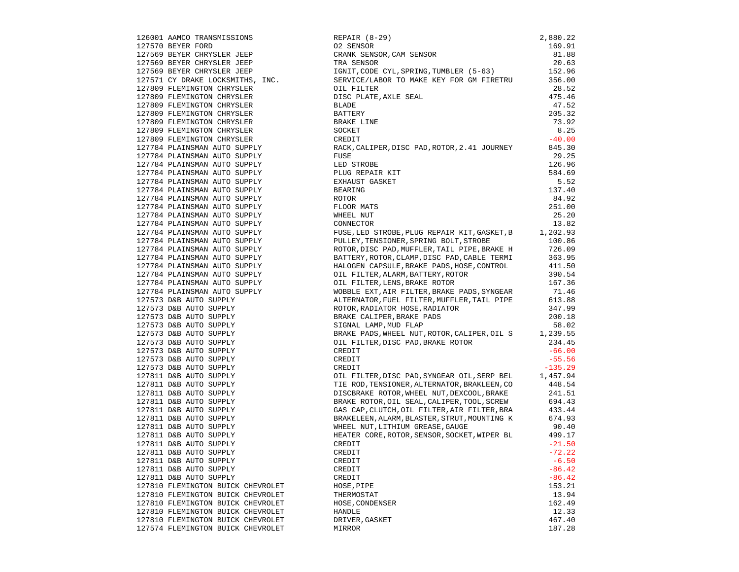|                                                                                                                                                                                                                                                        |                                                                                                                                                                                                                                             | 475.46   |
|--------------------------------------------------------------------------------------------------------------------------------------------------------------------------------------------------------------------------------------------------------|---------------------------------------------------------------------------------------------------------------------------------------------------------------------------------------------------------------------------------------------|----------|
|                                                                                                                                                                                                                                                        |                                                                                                                                                                                                                                             | 47.52    |
|                                                                                                                                                                                                                                                        |                                                                                                                                                                                                                                             | 205.32   |
|                                                                                                                                                                                                                                                        |                                                                                                                                                                                                                                             | 73.92    |
|                                                                                                                                                                                                                                                        |                                                                                                                                                                                                                                             |          |
| 127809 FLEMINGTON CHRYSLER<br>127809 FLEMINGTON CHRYSLER<br>127809 FLEMINGTON CHRYSLER<br>127809 FLEMINGTON CHRYSLER<br>127809 FLEMINGTON CHRYSLER<br>127809 FLEMINGTON CHRYSLER<br>127809 FLEMINGTON CHRYSLER<br>127809 FLEMINGTON CHRYSLER           |                                                                                                                                                                                                                                             | 8.25     |
|                                                                                                                                                                                                                                                        |                                                                                                                                                                                                                                             | $-40.00$ |
| 127784 PLAINSMAN AUTO SUPPLY<br>127784 PLAINSMAN AUTO SUPPLY                                                                                                                                                                                           | RACK, CALIPER, DISC PAD, ROTOR, 2.41 JOURNEY                                                                                                                                                                                                | 845.30   |
|                                                                                                                                                                                                                                                        |                                                                                                                                                                                                                                             | 29.25    |
| 127784 PLAINSMAN AUTO SUPPLY<br>127784 PLAINSMAN AUTO SUPPLY                                                                                                                                                                                           | ANCH, CHER<br>FUSE<br>LED STROBE<br>PLUG REPAIR KIT<br>EXHAUST GASKET<br>BEARING<br>ROTOR<br>FLOOR MATS<br>WHEEL NUT                                                                                                                        | 126.96   |
|                                                                                                                                                                                                                                                        |                                                                                                                                                                                                                                             | 584.69   |
| 127784 PLAINSMAN AUTO SUPPLY<br>127784 PLAINSMAN AUTO SUPPLY                                                                                                                                                                                           |                                                                                                                                                                                                                                             | 5.52     |
|                                                                                                                                                                                                                                                        |                                                                                                                                                                                                                                             | 137.40   |
| 127784 PLAINSMAN AUTO SUPPLY<br>127784 PLAINSMAN AUTO SUPPLY                                                                                                                                                                                           |                                                                                                                                                                                                                                             | 84.92    |
|                                                                                                                                                                                                                                                        |                                                                                                                                                                                                                                             | 251.00   |
|                                                                                                                                                                                                                                                        |                                                                                                                                                                                                                                             | 25.20    |
| 127784 PLAINSMAN AUTO SUPPLY<br>127784 PLAINSMAN AUTO SUPPLY                                                                                                                                                                                           |                                                                                                                                                                                                                                             | 13.82    |
|                                                                                                                                                                                                                                                        |                                                                                                                                                                                                                                             |          |
| 127784 PLAINSMAN AUTO SUPPLY<br>127784 PLAINSMAN AUTO SUPPLY                                                                                                                                                                                           | FUSE, LED STROBE, PLUG REPAIR KIT, GASKET, B 1, 202.93<br>PULLEY, TENSIONER, SPRING BOLT, STROBE 100.86                                                                                                                                     |          |
|                                                                                                                                                                                                                                                        | FORD ALSO PAD, MUFFLER, TAIL PIPE, BRAKE H<br>ROTOR, DISC PAD, MUFFLER, TAIL PIPE, BRAKE H<br>BATTERY, ROTOR, CLAMP, DISC PAD, CABLE TERMI<br>363.95<br>HALOGEN CAPSULE, BRAKE PADS, HOSE, CONTROL<br>01L FILTER, ALARM, BATTERY, ROTOR<br> |          |
| 127784 PLAINSMAN AUTO SUPPLY<br>127784 PLAINSMAN AUTO SUPPLY                                                                                                                                                                                           |                                                                                                                                                                                                                                             |          |
|                                                                                                                                                                                                                                                        |                                                                                                                                                                                                                                             |          |
| 127784 PLAINSMAN AUTO SUPPLY<br>127784 PLAINSMAN AUTO SUPPLY                                                                                                                                                                                           |                                                                                                                                                                                                                                             |          |
| 127784 PLAINSMAN AUTO SUPPLY<br>127784 PLAINSMAN AUTO SUPPLY<br>127784 PLAINSMAN AUTO SUPPLY<br>127573 D&B AUTO SUPPLY<br>127573 D&B AUTO SUPPLY<br>127573 D&B AUTO SUPPLY<br>127573 D&B AUTO SUPPLY<br>127573 D&B AUTO SUPPLY<br>127573 D&B AUTO SUPP |                                                                                                                                                                                                                                             |          |
|                                                                                                                                                                                                                                                        |                                                                                                                                                                                                                                             |          |
|                                                                                                                                                                                                                                                        |                                                                                                                                                                                                                                             |          |
|                                                                                                                                                                                                                                                        | ALTERNATOR, FUEL FILTER, MUFFLER, TAIL PIPE 613.88<br>ROTOR, RADIATOR HOSE, RADIATOR 347.99<br>BRAKE CALIPER, BRAKE PADS 200.18<br>SIGNAL LAMP, MUD FLAP 58.02                                                                              |          |
|                                                                                                                                                                                                                                                        |                                                                                                                                                                                                                                             |          |
|                                                                                                                                                                                                                                                        |                                                                                                                                                                                                                                             |          |
|                                                                                                                                                                                                                                                        |                                                                                                                                                                                                                                             |          |
|                                                                                                                                                                                                                                                        | SIGNAL LAMP, MUD FLAP<br>BRAKE PADS, WHEEL NUT, ROTOR, CALIPER, OIL S 1, 239.55<br>TI TI TING A PART POTOR COMPANY TO THE 1994.5                                                                                                            |          |
|                                                                                                                                                                                                                                                        | DIL FILTER, DISC PAD, BRAKE ROTOR<br>CREDIT<br>CREDIT<br>CREDIT<br>CREDIT                                                                                                                                                                   | 234.45   |
|                                                                                                                                                                                                                                                        |                                                                                                                                                                                                                                             | $-66.00$ |
|                                                                                                                                                                                                                                                        |                                                                                                                                                                                                                                             | $-55.56$ |
|                                                                                                                                                                                                                                                        |                                                                                                                                                                                                                                             |          |
|                                                                                                                                                                                                                                                        | CREDIT $-135.29$<br>OIL FILTER, DISC PAD, SYNGEAR OIL, SERP BEL $1,457.94$                                                                                                                                                                  |          |
|                                                                                                                                                                                                                                                        | TIE ROD, TENSIONER, ALTERNATOR, BRAKLEEN, CO                                                                                                                                                                                                | 448.54   |
|                                                                                                                                                                                                                                                        | DISCBRAKE ROTOR, WHEEL NUT, DEXCOOL, BRAKE                                                                                                                                                                                                  | 241.51   |
|                                                                                                                                                                                                                                                        | DISCBRANE ROTOR, OIL SEAL, CALIPER, TOOL, SCREW 694.43<br>SRAKE ROTOR, OIL SEAL, CALIPER, TOOL, SCREW 694.43                                                                                                                                |          |
|                                                                                                                                                                                                                                                        |                                                                                                                                                                                                                                             |          |
|                                                                                                                                                                                                                                                        |                                                                                                                                                                                                                                             |          |
|                                                                                                                                                                                                                                                        | BRAKELEEN, ALARM, BLASTER, STRUT, MOUNTING K 674.93<br>WHEEL NUT, LITHIUM GREASE, GAUGE                                                                                                                                                     | 90.40    |
|                                                                                                                                                                                                                                                        |                                                                                                                                                                                                                                             |          |
|                                                                                                                                                                                                                                                        | HEATER CORE, ROTOR, SENSOR, SOCKET, WIPER BL 499.17                                                                                                                                                                                         |          |
|                                                                                                                                                                                                                                                        | CREDIT                                                                                                                                                                                                                                      | $-21.50$ |
|                                                                                                                                                                                                                                                        | CREDIT                                                                                                                                                                                                                                      | $-72.22$ |
| 127811 D&B AUTO SUPPLY                                                                                                                                                                                                                                 | CREDIT                                                                                                                                                                                                                                      | $-6.50$  |
| 127811 D&B AUTO SUPPLY                                                                                                                                                                                                                                 | CREDIT                                                                                                                                                                                                                                      | $-86.42$ |
| 127811 D&B AUTO SUPPLY                                                                                                                                                                                                                                 | CREDIT                                                                                                                                                                                                                                      | $-86.42$ |
| 127810 FLEMINGTON BUICK CHEVROLET                                                                                                                                                                                                                      | HOSE, PIPE                                                                                                                                                                                                                                  | 153.21   |
| 127810 FLEMINGTON BUICK CHEVROLET                                                                                                                                                                                                                      | THERMOSTAT                                                                                                                                                                                                                                  | 13.94    |
| 127810 FLEMINGTON BUICK CHEVROLET                                                                                                                                                                                                                      | HOSE, CONDENSER                                                                                                                                                                                                                             | 162.49   |
| 127810 FLEMINGTON BUICK CHEVROLET                                                                                                                                                                                                                      | HANDLE                                                                                                                                                                                                                                      | 12.33    |
| 127810 FLEMINGTON BUICK CHEVROLET                                                                                                                                                                                                                      | DRIVER, GASKET                                                                                                                                                                                                                              | 467.40   |
| 127574 FLEMINGTON BUICK CHEVROLET                                                                                                                                                                                                                      | MIRROR                                                                                                                                                                                                                                      | 187.28   |
|                                                                                                                                                                                                                                                        |                                                                                                                                                                                                                                             |          |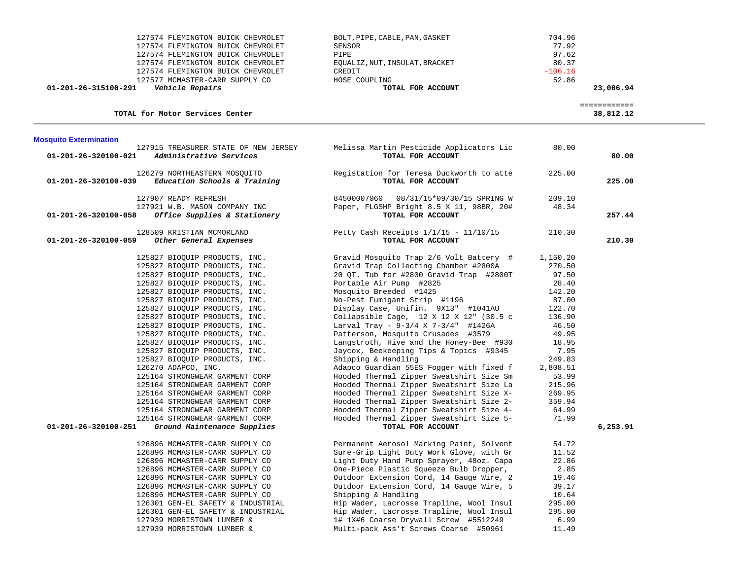| 127574 FLEMINGTON BUICK CHEVROLET<br>127574 FLEMINGTON BUICK CHEVROLET<br>127574 FLEMINGTON BUICK CHEVROLET<br>127574 FLEMINGTON BUICK CHEVROLET<br>127574 FLEMINGTON BUICK CHEVROLET                                                                                                                                                                                                                                                                                                                                                                                                                                                                                                                                               | BOLT, PIPE, CABLE, PAN, GASKET<br>SENSOR<br>PIPE<br>EQUALIZ, NUT, INSULAT, BRACKET<br>CREDIT                                                                                                                                                                                                                                                                                                                                                                                                                                                                                                                                                                                                                                                                                                                                         | 704.96<br>77.92<br>97.62<br>80.37<br>$-106.16$                                                                                                                                                |                           |
|-------------------------------------------------------------------------------------------------------------------------------------------------------------------------------------------------------------------------------------------------------------------------------------------------------------------------------------------------------------------------------------------------------------------------------------------------------------------------------------------------------------------------------------------------------------------------------------------------------------------------------------------------------------------------------------------------------------------------------------|--------------------------------------------------------------------------------------------------------------------------------------------------------------------------------------------------------------------------------------------------------------------------------------------------------------------------------------------------------------------------------------------------------------------------------------------------------------------------------------------------------------------------------------------------------------------------------------------------------------------------------------------------------------------------------------------------------------------------------------------------------------------------------------------------------------------------------------|-----------------------------------------------------------------------------------------------------------------------------------------------------------------------------------------------|---------------------------|
| 127577 MCMASTER-CARR SUPPLY CO<br><i><b>Vehicle Repairs</b></i><br>01-201-26-315100-291                                                                                                                                                                                                                                                                                                                                                                                                                                                                                                                                                                                                                                             | HOSE COUPLING<br>TOTAL FOR ACCOUNT                                                                                                                                                                                                                                                                                                                                                                                                                                                                                                                                                                                                                                                                                                                                                                                                   | 52.86                                                                                                                                                                                         | 23,006.94                 |
| TOTAL for Motor Services Center                                                                                                                                                                                                                                                                                                                                                                                                                                                                                                                                                                                                                                                                                                     |                                                                                                                                                                                                                                                                                                                                                                                                                                                                                                                                                                                                                                                                                                                                                                                                                                      |                                                                                                                                                                                               | ============<br>38,812.12 |
| <b>Mosquito Extermination</b>                                                                                                                                                                                                                                                                                                                                                                                                                                                                                                                                                                                                                                                                                                       |                                                                                                                                                                                                                                                                                                                                                                                                                                                                                                                                                                                                                                                                                                                                                                                                                                      |                                                                                                                                                                                               |                           |
| 127915 TREASURER STATE OF NEW JERSEY<br>01-201-26-320100-021<br>Administrative Services                                                                                                                                                                                                                                                                                                                                                                                                                                                                                                                                                                                                                                             | Melissa Martin Pesticide Applicators Lic<br>TOTAL FOR ACCOUNT                                                                                                                                                                                                                                                                                                                                                                                                                                                                                                                                                                                                                                                                                                                                                                        | 80.00                                                                                                                                                                                         | 80.00                     |
| 126279 NORTHEASTERN MOSQUITO<br>Education Schools & Training<br>01-201-26-320100-039                                                                                                                                                                                                                                                                                                                                                                                                                                                                                                                                                                                                                                                | Registation for Teresa Duckworth to atte<br>TOTAL FOR ACCOUNT                                                                                                                                                                                                                                                                                                                                                                                                                                                                                                                                                                                                                                                                                                                                                                        | 225.00                                                                                                                                                                                        | 225.00                    |
| 127907 READY REFRESH                                                                                                                                                                                                                                                                                                                                                                                                                                                                                                                                                                                                                                                                                                                | 84500007060  08/31/15*09/30/15 SPRING W                                                                                                                                                                                                                                                                                                                                                                                                                                                                                                                                                                                                                                                                                                                                                                                              | 209.10                                                                                                                                                                                        |                           |
| 127921 W.B. MASON COMPANY INC<br>Office Supplies & Stationery<br>01-201-26-320100-058                                                                                                                                                                                                                                                                                                                                                                                                                                                                                                                                                                                                                                               | Paper, FLGSHP Bright 8.5 X 11, 98BR, 20#<br>TOTAL FOR ACCOUNT                                                                                                                                                                                                                                                                                                                                                                                                                                                                                                                                                                                                                                                                                                                                                                        | 48.34                                                                                                                                                                                         | 257.44                    |
| 128509 KRISTIAN MCMORLAND<br>01-201-26-320100-059<br>Other General Expenses                                                                                                                                                                                                                                                                                                                                                                                                                                                                                                                                                                                                                                                         | Petty Cash Receipts 1/1/15 - 11/10/15<br>TOTAL FOR ACCOUNT                                                                                                                                                                                                                                                                                                                                                                                                                                                                                                                                                                                                                                                                                                                                                                           | 210.30                                                                                                                                                                                        | 210.30                    |
| 125827 BIOQUIP PRODUCTS, INC.<br>125827 BIOQUIP PRODUCTS, INC.<br>125827 BIOQUIP PRODUCTS, INC.<br>125827 BIOQUIP PRODUCTS, INC.<br>125827 BIOQUIP PRODUCTS, INC.<br>125827 BIOQUIP PRODUCTS, INC.<br>125827 BIOQUIP PRODUCTS, INC.<br>125827 BIOQUIP PRODUCTS, INC.<br>125827 BIOQUIP PRODUCTS, INC.<br>125827 BIOQUIP PRODUCTS, INC.<br>125827 BIOQUIP PRODUCTS, INC.<br>125827 BIOQUIP PRODUCTS, INC.<br>125827 BIOQUIP PRODUCTS, INC.<br>126270 ADAPCO, INC.<br>125164 STRONGWEAR GARMENT CORP<br>125164 STRONGWEAR GARMENT CORP<br>125164 STRONGWEAR GARMENT CORP<br>125164 STRONGWEAR GARMENT CORP<br>125164 STRONGWEAR GARMENT CORP<br>125164 STRONGWEAR GARMENT CORP<br>Ground Maintenance Supplies<br>01-201-26-320100-251 | Gravid Mosquito Trap 2/6 Volt Battery #<br>Gravid Trap Collecting Chamber #2800A<br>20 QT. Tub for #2800 Gravid Trap #2800T<br>Portable Air Pump #2825<br>Mosquito Breeded #1425<br>No-Pest Fumigant Strip #1196<br>Display Case, Unifin. 9X13" #1041AU<br>Collapsible Cage, 12 X 12 X 12" (30.5 c<br>Larval Tray - 9-3/4 X 7-3/4" #1426A<br>Patterson, Mosquito Crusades #3579<br>Langstroth, Hive and the Honey-Bee #930<br>Jaycox, Beekeeping Tips & Topics #9345<br>Shipping & Handling<br>Adapco Guardian 55ES Fogger with fixed f<br>Hooded Thermal Zipper Sweatshirt Size Sm<br>Hooded Thermal Zipper Sweatshirt Size La<br>Hooded Thermal Zipper Sweatshirt Size X-<br>Hooded Thermal Zipper Sweatshirt Size 2-<br>Hooded Thermal Zipper Sweatshirt Size 4-<br>Hooded Thermal Zipper Sweatshirt Size 5-<br>TOTAL FOR ACCOUNT | 1,150.20<br>270.50<br>97.50<br>28.40<br>142.20<br>87.00<br>122.70<br>136.90<br>46.50<br>49.95<br>18.95<br>7.95<br>249.83<br>2,808.51<br>53.99<br>215.96<br>269.95<br>359.94<br>64.99<br>71.99 | 6,253.91                  |
| 126896 MCMASTER-CARR SUPPLY CO<br>126896 MCMASTER-CARR SUPPLY CO<br>126896 MCMASTER-CARR SUPPLY CO<br>126896 MCMASTER-CARR SUPPLY CO<br>126896 MCMASTER-CARR SUPPLY CO<br>126896 MCMASTER-CARR SUPPLY CO<br>126896 MCMASTER-CARR SUPPLY CO<br>126301 GEN-EL SAFETY & INDUSTRIAL<br>126301 GEN-EL SAFETY & INDUSTRIAL<br>127939 MORRISTOWN LUMBER &<br>127939 MORRISTOWN LUMBER &                                                                                                                                                                                                                                                                                                                                                    | Permanent Aerosol Marking Paint, Solvent<br>Sure-Grip Light Duty Work Glove, with Gr<br>Light Duty Hand Pump Sprayer, 48oz. Capa<br>One-Piece Plastic Squeeze Bulb Dropper,<br>Outdoor Extension Cord, 14 Gauge Wire, 2<br>Outdoor Extension Cord, 14 Gauge Wire, 5<br>Shipping & Handling<br>Hip Wader, Lacrosse Trapline, Wool Insul<br>Hip Wader, Lacrosse Trapline, Wool Insul<br>1# 1X#6 Coarse Drywall Screw #5512249<br>Multi-pack Ass't Screws Coarse #50961                                                                                                                                                                                                                                                                                                                                                                 | 54.72<br>11.52<br>22.86<br>2.85<br>19.46<br>39.17<br>10.64<br>295.00<br>295.00<br>6.99<br>11.49                                                                                               |                           |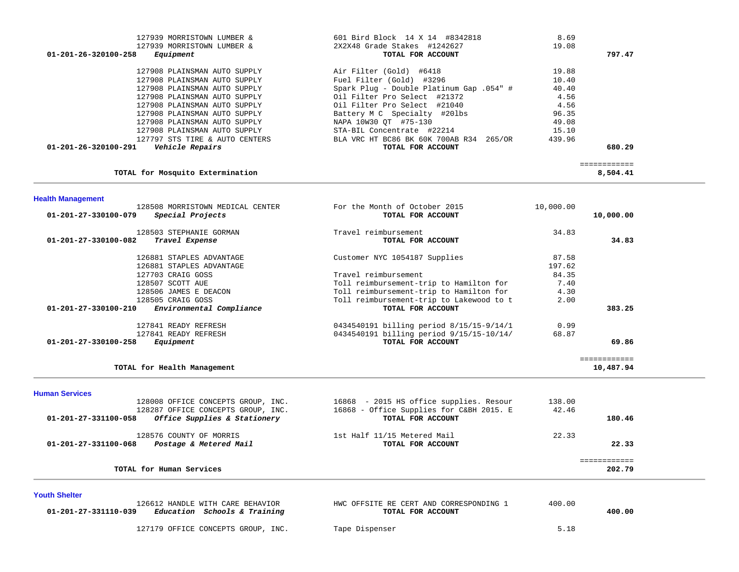| 127939 MORRISTOWN LUMBER &                        | 601 Bird Block 14 X 14 #8342818          | 8.69      |              |
|---------------------------------------------------|------------------------------------------|-----------|--------------|
| 127939 MORRISTOWN LUMBER &                        | 2X2X48 Grade Stakes #1242627             | 19.08     |              |
| 01-201-26-320100-258<br>Equipment                 | TOTAL FOR ACCOUNT                        |           | 797.47       |
| 127908 PLAINSMAN AUTO SUPPLY                      | Air Filter (Gold) #6418                  | 19.88     |              |
| 127908 PLAINSMAN AUTO SUPPLY                      | Fuel Filter (Gold) #3296                 | 10.40     |              |
| 127908 PLAINSMAN AUTO SUPPLY                      | Spark Plug - Double Platinum Gap .054" # | 40.40     |              |
| 127908 PLAINSMAN AUTO SUPPLY                      | Oil Filter Pro Select #21372             | 4.56      |              |
| 127908 PLAINSMAN AUTO SUPPLY                      | Oil Filter Pro Select #21040             | 4.56      |              |
| 127908 PLAINSMAN AUTO SUPPLY                      | Battery M C Specialty #201bs             | 96.35     |              |
| 127908 PLAINSMAN AUTO SUPPLY                      | NAPA 10W30 OT #75-130                    | 49.08     |              |
| 127908 PLAINSMAN AUTO SUPPLY                      | STA-BIL Concentrate #22214               | 15.10     |              |
| 127797 STS TIRE & AUTO CENTERS                    | BLA VRC HT BC86 BK 60K 700AB R34 265/OR  | 439.96    |              |
| $01 - 201 - 26 - 320100 - 291$<br>Vehicle Repairs | TOTAL FOR ACCOUNT                        |           | 680.29       |
|                                                   |                                          |           | ============ |
| TOTAL for Mosquito Extermination                  |                                          |           | 8,504.41     |
| <b>Health Management</b>                          |                                          |           |              |
| 128508 MORRISTOWN MEDICAL CENTER                  | For the Month of October 2015            | 10,000.00 |              |
| Special Projects<br>01-201-27-330100-079          | TOTAL FOR ACCOUNT                        |           | 10,000.00    |
| 128503 STEPHANIE GORMAN                           | Travel reimbursement                     | 34.83     |              |
| 01-201-27-330100-082<br>Travel Expense            | TOTAL FOR ACCOUNT                        |           | 34.83        |
| 126881 STAPLES ADVANTAGE                          | Customer NYC 1054187 Supplies            | 87.58     |              |
| 126881 STAPLES ADVANTAGE                          |                                          | 197.62    |              |

| <b>Human Services</b>                                      |                                          |       |           |
|------------------------------------------------------------|------------------------------------------|-------|-----------|
| TOTAL for Health Management                                |                                          |       | 10,487.94 |
| 01-201-27-330100-258<br>Equipment                          | TOTAL FOR ACCOUNT                        |       | 69.86     |
| 127841 READY REFRESH                                       | 0434540191 billing period 9/15/15-10/14/ | 68.87 |           |
| 127841 READY REFRESH                                       | 0434540191 billing period 8/15/15-9/14/1 | 0.99  |           |
| $01 - 201 - 27 - 330100 - 210$<br>Environmental Compliance | TOTAL FOR ACCOUNT                        |       | 383.25    |
| 128505 CRAIG GOSS                                          | Toll reimbursement-trip to Lakewood to t | 2.00  |           |
| 128506 JAMES E DEACON                                      | Toll reimbursement-trip to Hamilton for  | 4.30  |           |

84.35

7.40

|                      | TOTAL for Human Services                                                                                 |                                                                                                          | ===========<br>202.79     |  |
|----------------------|----------------------------------------------------------------------------------------------------------|----------------------------------------------------------------------------------------------------------|---------------------------|--|
| 01-201-27-331100-068 | 128576 COUNTY OF MORRIS<br>Postage & Metered Mail                                                        | 1st Half 11/15 Metered Mail<br>TOTAL FOR ACCOUNT                                                         | 22.33<br>22.33            |  |
| 01-201-27-331100-058 | 128008 OFFICE CONCEPTS GROUP, INC.<br>128287 OFFICE CONCEPTS GROUP, INC.<br>Office Supplies & Stationery | 16868 - 2015 HS office supplies. Resour<br>16868 - Office Supplies for C&BH 2015. E<br>TOTAL FOR ACCOUNT | 138.00<br>42.46<br>180.46 |  |

**Youth Shelter** 

127703 CRAIG GOSS Travel reimbursement

128507 SCOTT AUE Toll reimbursement-trip to Hamilton for

| 126612 HANDLE WITH CARE BEHAVIOR<br>01-201-27-331110-039<br>Education Schools & Training | HWC OFFSITE RE CERT AND CORRESPONDING 1<br>TOTAL FOR ACCOUNT | 400.00<br>400.00 |
|------------------------------------------------------------------------------------------|--------------------------------------------------------------|------------------|
| 127179 OFFICE CONCEPTS GROUP, INC.                                                       | Tape Dispenser                                               | 5.18             |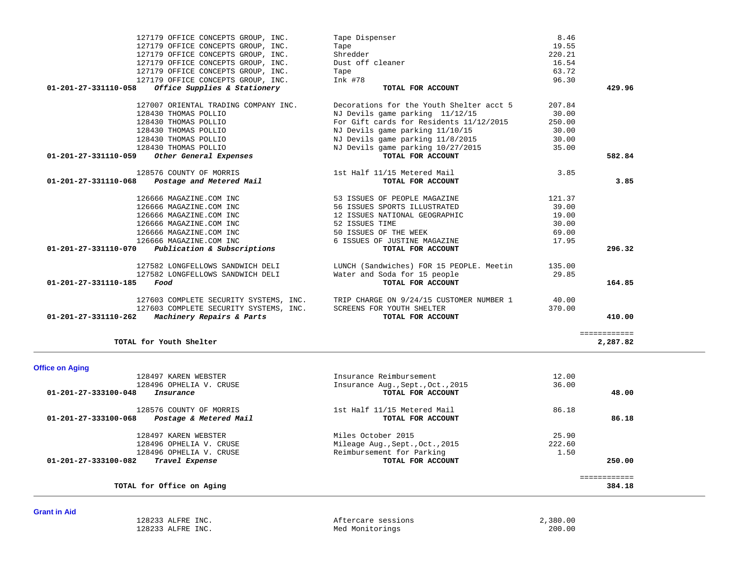| 127179 OFFICE CONCEPTS GROUP, INC.                                                     | Tape Dispenser                                                                                                     | 8.46   |        |
|----------------------------------------------------------------------------------------|--------------------------------------------------------------------------------------------------------------------|--------|--------|
| 127179 OFFICE CONCEPTS GROUP, INC.                                                     | Tape                                                                                                               | 19.55  |        |
| 127179 OFFICE CONCEPTS GROUP, INC.                                                     | Shredder                                                                                                           | 220.21 |        |
| 127179 OFFICE CONCEPTS GROUP, INC.                                                     | Dust off cleaner                                                                                                   | 16.54  |        |
| 127179 OFFICE CONCEPTS GROUP, INC.                                                     | Tape                                                                                                               | 63.72  |        |
| 127179 OFFICE CONCEPTS GROUP, INC.                                                     | Ink #78                                                                                                            | 96.30  |        |
| 01-201-27-331110-058<br>Office Supplies & Stationery                                   | TOTAL FOR ACCOUNT                                                                                                  |        | 429.96 |
|                                                                                        |                                                                                                                    |        |        |
| 127007 ORIENTAL TRADING COMPANY INC.                                                   | Decorations for the Youth Shelter acct 5                                                                           | 207.84 |        |
| 128430 THOMAS POLLIO                                                                   | NJ Devils game parking 11/12/15                                                                                    | 30.00  |        |
| 128430 THOMAS POLLIO                                                                   | For Gift cards for Residents 11/12/2015                                                                            | 250.00 |        |
| 128430 THOMAS POLLIO                                                                   | NJ Devils game parking 11/10/15                                                                                    | 30.00  |        |
| 128430 THOMAS POLLIO                                                                   | NJ Devils game parking 11/8/2015                                                                                   | 30.00  |        |
| 128430 THOMAS POLLIO                                                                   | NJ Devils game parking 10/27/2015                                                                                  | 35.00  |        |
| 01-201-27-331110-059<br>Other General Expenses                                         | TOTAL FOR ACCOUNT                                                                                                  |        | 582.84 |
| 128576 COUNTY OF MORRIS                                                                | 1st Half 11/15 Metered Mail                                                                                        | 3.85   |        |
| 01-201-27-331110-068<br>Postage and Metered Mail                                       | TOTAL FOR ACCOUNT                                                                                                  |        | 3.85   |
| 126666 MAGAZINE.COM INC                                                                | 53 ISSUES OF PEOPLE MAGAZINE                                                                                       | 121.37 |        |
| 126666 MAGAZINE.COM INC                                                                | 56 ISSUES SPORTS ILLUSTRATED                                                                                       | 39.00  |        |
| 126666 MAGAZINE.COM INC                                                                | 12 ISSUES NATIONAL GEOGRAPHIC                                                                                      | 19.00  |        |
| 126666 MAGAZINE.COM INC                                                                | 52 ISSUES TIME                                                                                                     | 30.00  |        |
| 126666 MAGAZINE.COM INC                                                                | 50 ISSUES OF THE WEEK                                                                                              | 69.00  |        |
| 126666 MAGAZINE.COM INC                                                                | 6 ISSUES OF JUSTINE MAGAZINE                                                                                       | 17.95  |        |
|                                                                                        |                                                                                                                    |        |        |
|                                                                                        | TOTAL FOR ACCOUNT                                                                                                  |        |        |
| $01-201-27-331110-070$ Publication & Subscriptions<br>127582 LONGFELLOWS SANDWICH DELI |                                                                                                                    |        |        |
| 127582 LONGFELLOWS SANDWICH DELI                                                       | LUNCH (Sandwiches) FOR 15 PEOPLE. Meetin 135.00                                                                    | 29.85  |        |
| Food                                                                                   | Water and Soda for 15 people<br>TOTAL FOR ACCOUNT                                                                  |        | 164.85 |
| 01-201-27-331110-185                                                                   |                                                                                                                    |        |        |
| 127603 COMPLETE SECURITY SYSTEMS, INC.                                                 | 127603 COMPLETE SECURITY SYSTEMS, INC. TRIP CHARGE ON 9/24/15 CUSTOMER NUMBER 1 40.00<br>SCREENS FOR YOUTH SHELTER | 370.00 | 296.32 |

|  |  | <b>Office on Aging</b> |  |
|--|--|------------------------|--|
|  |  |                        |  |

| 128497 KAREN WEBSTER                           | Insurance Reimbursement           | 12.00  |        |
|------------------------------------------------|-----------------------------------|--------|--------|
| 128496 OPHELIA V. CRUSE                        | Insurance Aug., Sept., Oct., 2015 | 36.00  |        |
| 01-201-27-333100-048<br>Insurance              | TOTAL FOR ACCOUNT                 |        | 48.00  |
| 128576 COUNTY OF MORRIS                        | 1st Half 11/15 Metered Mail       | 86.18  |        |
| Postage & Metered Mail<br>01-201-27-333100-068 | TOTAL FOR ACCOUNT                 |        | 86.18  |
| 128497 KAREN WEBSTER                           | Miles October 2015                | 25.90  |        |
| 128496 OPHELIA V. CRUSE                        | Mileage Aug., Sept., Oct., 2015   | 222.60 |        |
| 128496 OPHELIA V. CRUSE                        | Reimbursement for Parking         | 1.50   |        |
| 01-201-27-333100-082<br>Travel Expense         | TOTAL FOR ACCOUNT                 |        | 250.00 |
|                                                |                                   |        |        |
| TOTAL for Office on Aging                      |                                   |        | 384.18 |

**Grant in Aid** 

 128233 ALFRE INC. Aftercare sessions 2,380.00 128233 ALFRE INC. The Med Monitorings

**TOTAL for Youth Shelter 2,287.82**

2,287.82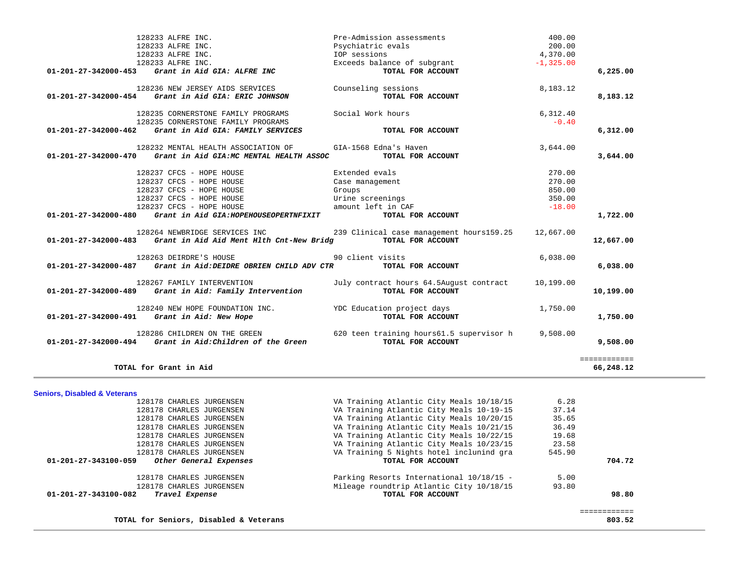|                                         | 128233 ALFRE INC.<br>128233 ALFRE INC.<br>128233 ALFRE INC.                                    | Pre-Admission assessments<br>Psychiatric evals<br>IOP sessions         | 400.00<br>200.00<br>4,370.00 |                           |
|-----------------------------------------|------------------------------------------------------------------------------------------------|------------------------------------------------------------------------|------------------------------|---------------------------|
|                                         | 128233 ALFRE INC.<br>01-201-27-342000-453 Grant in Aid GIA: ALFRE INC                          | Exceeds balance of subgrant<br>TOTAL FOR ACCOUNT                       | $-1,325.00$                  | 6,225.00                  |
|                                         | 128236 NEW JERSEY AIDS SERVICES                                                                | Counseling sessions                                                    | 8,183.12                     |                           |
|                                         | 01-201-27-342000-454 Grant in Aid GIA: ERIC JOHNSON                                            | TOTAL FOR ACCOUNT                                                      |                              | 8,183.12                  |
|                                         | 128235 CORNERSTONE FAMILY PROGRAMS                                                             | Social Work hours                                                      | 6,312.40                     |                           |
|                                         | 128235 CORNERSTONE FAMILY PROGRAMS<br>$01-201-27-342000-462$ Grant in Aid GIA: FAMILY SERVICES | TOTAL FOR ACCOUNT                                                      | $-0.40$                      | 6,312.00                  |
|                                         | 128232 MENTAL HEALTH ASSOCIATION OF                                                            | GIA-1568 Edna's Haven                                                  | 3,644.00                     |                           |
| 01-201-27-342000-470                    | Grant in Aid GIA: MC MENTAL HEALTH ASSOC                                                       | TOTAL FOR ACCOUNT                                                      |                              | 3,644.00                  |
|                                         | 128237 CFCS - HOPE HOUSE                                                                       | Extended evals                                                         | 270.00                       |                           |
|                                         | 128237 CFCS - HOPE HOUSE                                                                       | Case management                                                        | 270.00                       |                           |
|                                         | 128237 CFCS - HOPE HOUSE                                                                       | Groups                                                                 | 850.00                       |                           |
|                                         | 128237 CFCS - HOPE HOUSE                                                                       | Urine screenings                                                       | 350.00                       |                           |
|                                         | 128237 CFCS - HOPE HOUSE                                                                       | amount left in CAF                                                     | $-18.00$                     |                           |
|                                         | 01-201-27-342000-480 Grant in Aid GIA:HOPEHOUSEOPERTNFIXIT                                     | TOTAL FOR ACCOUNT                                                      |                              | 1,722.00                  |
|                                         |                                                                                                | 128264 NEWBRIDGE SERVICES INC 239 Clinical case management hours159.25 | 12,667.00                    |                           |
|                                         | 01-201-27-342000-483 Grant in Aid Aid Ment Hlth Cnt-New Bridg TOTAL FOR ACCOUNT                |                                                                        |                              | 12,667.00                 |
|                                         | 128263 DEIRDRE'S HOUSE                                                                         | 90 client visits                                                       | 6,038.00                     |                           |
|                                         | 01-201-27-342000-487 Grant in Aid:DEIDRE OBRIEN CHILD ADV CTR TOTAL FOR ACCOUNT                |                                                                        |                              | 6,038.00                  |
|                                         | 128267 FAMILY INTERVENTION                                                                     | July contract hours 64.5August contract                                | 10,199.00                    |                           |
|                                         | 01-201-27-342000-489 Grant in Aid: Family Intervention                                         | TOTAL FOR ACCOUNT                                                      |                              | 10,199.00                 |
|                                         | 128240 NEW HOPE FOUNDATION INC.                                                                | YDC Education project days                                             | 1,750.00                     |                           |
|                                         | 01-201-27-342000-491 Grant in Aid: New Hope                                                    | TOTAL FOR ACCOUNT                                                      |                              | 1,750.00                  |
|                                         |                                                                                                | 128286 CHILDREN ON THE GREEN 620 teen training hours61.5 supervisor h  | 9,508.00                     |                           |
|                                         | $01-201-27-342000-494$ Grant in Aid:Children of the Green                                      | TOTAL FOR ACCOUNT                                                      |                              | 9,508.00                  |
|                                         | TOTAL for Grant in Aid                                                                         |                                                                        |                              | ============<br>66,248.12 |
|                                         |                                                                                                |                                                                        |                              |                           |
| <b>Seniors, Disabled &amp; Veterans</b> |                                                                                                |                                                                        |                              |                           |
|                                         | 128178 CHARLES JURGENSEN                                                                       | VA Training Atlantic City Meals 10/18/15                               | 6.28                         |                           |
|                                         | 128178 CHARLES JURGENSEN                                                                       | VA Training Atlantic City Meals 10-19-15                               | 37.14                        |                           |
|                                         | 128178 CHARLES JURGENSEN                                                                       | VA Training Atlantic City Meals 10/20/15                               | 35.65                        |                           |
|                                         | 128178 CHARLES JURGENSEN                                                                       | VA Training Atlantic City Meals 10/21/15                               | 36.49                        |                           |
|                                         | 128178 CHARLES JURGENSEN                                                                       | VA Training Atlantic City Meals 10/22/15                               | 19.68                        |                           |
|                                         | 128178 CHARLES JURGENSEN                                                                       | VA Training Atlantic City Meals 10/23/15                               | 23.58                        |                           |
| 01-201-27-343100-059                    | 128178 CHARLES JURGENSEN<br>Other General Expenses                                             | VA Training 5 Nights hotel inclunind gra<br>TOTAL FOR ACCOUNT          | 545.90                       | 704.72                    |
|                                         |                                                                                                | Parking Resorts International 10/18/15 -                               |                              |                           |
|                                         | 128178 CHARLES JURGENSEN<br>128178 CHARLES JURGENSEN                                           | Mileage roundtrip Atlantic City 10/18/15                               | 5.00<br>93.80                |                           |
| 01-201-27-343100-082                    | Travel Expense                                                                                 | TOTAL FOR ACCOUNT                                                      |                              | 98.80                     |
|                                         |                                                                                                |                                                                        |                              | ============              |
|                                         | TOTAL for Seniors, Disabled & Veterans                                                         |                                                                        |                              | 803.52                    |
|                                         |                                                                                                |                                                                        |                              |                           |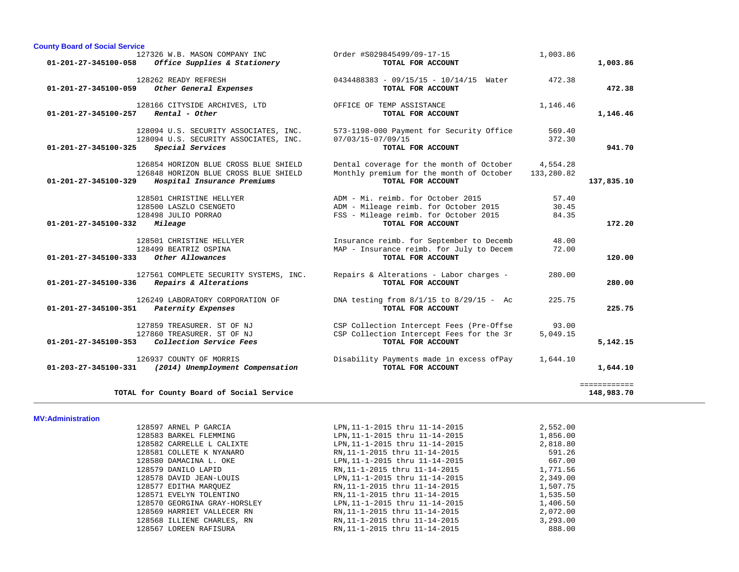| <b>County Board of Social Service</b>                                                                                                           |                                                                                                                                          |                                      |
|-------------------------------------------------------------------------------------------------------------------------------------------------|------------------------------------------------------------------------------------------------------------------------------------------|--------------------------------------|
| 127326 W.B. MASON COMPANY INC<br>$01 - 201 - 27 - 345100 - 058$<br>Office Supplies & Stationery                                                 | Order #S029845499/09-17-15<br>TOTAL FOR ACCOUNT                                                                                          | 1,003.86<br>1,003.86                 |
| 128262 READY REFRESH<br>Other General Expenses<br>01-201-27-345100-059                                                                          | 0434488383 - 09/15/15 - 10/14/15 Water<br>TOTAL FOR ACCOUNT                                                                              | 472.38<br>472.38                     |
| 128166 CITYSIDE ARCHIVES, LTD<br>Rental - Other<br>01-201-27-345100-257                                                                         | OFFICE OF TEMP ASSISTANCE<br>TOTAL FOR ACCOUNT                                                                                           | 1,146.46<br>1,146.46                 |
| 128094 U.S. SECURITY ASSOCIATES, INC.<br>128094 U.S. SECURITY ASSOCIATES, INC.<br>$01 - 201 - 27 - 345100 - 325$<br>Special Services            | 573-1198-000 Payment for Security Office<br>07/03/15-07/09/15<br>TOTAL FOR ACCOUNT                                                       | 569.40<br>372.30<br>941.70           |
| 126854 HORIZON BLUE CROSS BLUE SHIELD<br>126848 HORIZON BLUE CROSS BLUE SHIELD<br>$01 - 201 - 27 - 345100 - 329$<br>Hospital Insurance Premiums | Dental coverage for the month of October<br>Monthly premium for the month of October<br>TOTAL FOR ACCOUNT                                | 4,554.28<br>133,280.82<br>137,835.10 |
| 128501 CHRISTINE HELLYER<br>128500 LASZLO CSENGETO<br>128498 JULIO PORRAO<br>01-201-27-345100-332<br>Mileage                                    | ADM - Mi, reimb, for October 2015<br>ADM - Mileage reimb. for October 2015<br>FSS - Mileage reimb. for October 2015<br>TOTAL FOR ACCOUNT | 57.40<br>30.45<br>84.35<br>172.20    |
| 128501 CHRISTINE HELLYER<br>128499 BEATRIZ OSPINA<br>$01 - 201 - 27 - 345100 - 333$<br>Other Allowances                                         | Insurance reimb. for September to Decemb<br>MAP - Insurance reimb. for July to Decem<br>TOTAL FOR ACCOUNT                                | 48.00<br>72.00<br>120.00             |
| 127561 COMPLETE SECURITY SYSTEMS, INC.<br>Repairs & Alterations<br>01-201-27-345100-336                                                         | Repairs & Alterations - Labor charges -<br>TOTAL FOR ACCOUNT                                                                             | 280.00<br>280.00                     |
| 126249 LABORATORY CORPORATION OF<br>01-201-27-345100-351<br>Paternity Expenses                                                                  | DNA testing from $8/1/15$ to $8/29/15$ - Ac<br>TOTAL FOR ACCOUNT                                                                         | 225.75<br>225.75                     |
| 127859 TREASURER, ST OF NJ<br>127860 TREASURER. ST OF NJ<br>Collection Service Fees<br>$01 - 201 - 27 - 345100 - 353$                           | CSP Collection Intercept Fees (Pre-Offse<br>CSP Collection Intercept Fees for the 3r<br>TOTAL FOR ACCOUNT                                | 93.00<br>5.049.15<br>5,142.15        |
| 126937 COUNTY OF MORRIS<br>$01 - 203 - 27 - 345100 - 331$<br>(2014) Unemployment Compensation                                                   | Disability Payments made in excess ofPay<br>TOTAL FOR ACCOUNT                                                                            | 1,644.10<br>1,644.10                 |
| TOTAL for County Board of Social Service                                                                                                        |                                                                                                                                          | <b>EEEEEEEEEEE</b><br>148,983.70     |

#### **MV:Administration**

| 128597 ARNEL P GARCIA        | LPN, 11-1-2015 thru 11-14-2015 | 2,552.00 |
|------------------------------|--------------------------------|----------|
| 128583 BARKEL FLEMMING       | LPN, 11-1-2015 thru 11-14-2015 | 1,856.00 |
| 128582 CARRELLE L CALIXTE    | LPN, 11-1-2015 thru 11-14-2015 | 2,818.80 |
| 128581 COLLETE K NYANARO     | RN, 11-1-2015 thru 11-14-2015  | 591.26   |
| 128580 DAMACINA L. OKE       | LPN, 11-1-2015 thru 11-14-2015 | 667.00   |
| 128579 DANILO LAPID          | RN, 11-1-2015 thru 11-14-2015  | 1,771.56 |
| 128578 DAVID JEAN-LOUIS      | LPN, 11-1-2015 thru 11-14-2015 | 2,349.00 |
| 128577 EDITHA MAROUEZ        | RN, 11-1-2015 thru 11-14-2015  | 1,507.75 |
| 128571 EVELYN TOLENTINO      | RN, 11-1-2015 thru 11-14-2015  | 1,535.50 |
| 128570 GEORGINA GRAY-HORSLEY | LPN, 11-1-2015 thru 11-14-2015 | 1,406.50 |
| 128569 HARRIET VALLECER RN   | RN, 11-1-2015 thru 11-14-2015  | 2,072.00 |
| 128568 ILLIENE CHARLES, RN   | RN, 11-1-2015 thru 11-14-2015  | 3,293.00 |
| 128567 LOREEN RAFISURA       | RN.11-1-2015 thru 11-14-2015   | 888.00   |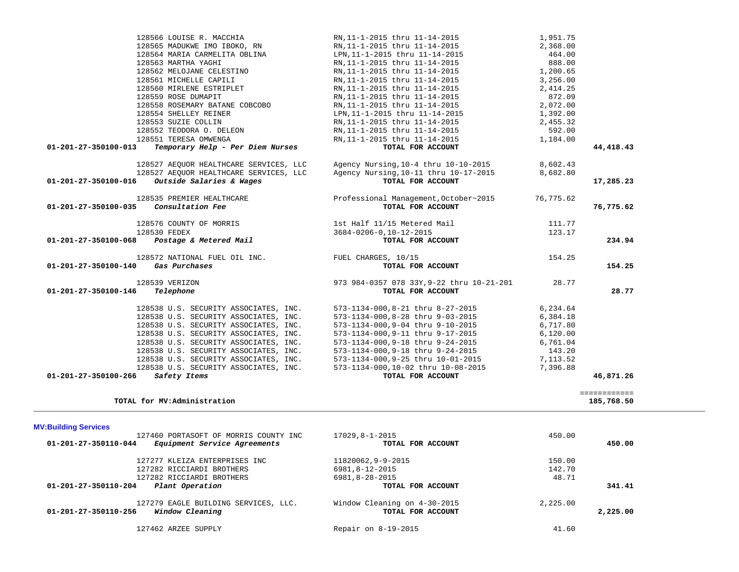| 01-201-27-350100-068<br>Postage & Metered Mail                                                                                                                                                                                                                                                                                                                            | TOTAL FOR ACCOUNT                                                                                                                                                                                                                                                                                                      | 234.94                                                                                                  |  |
|---------------------------------------------------------------------------------------------------------------------------------------------------------------------------------------------------------------------------------------------------------------------------------------------------------------------------------------------------------------------------|------------------------------------------------------------------------------------------------------------------------------------------------------------------------------------------------------------------------------------------------------------------------------------------------------------------------|---------------------------------------------------------------------------------------------------------|--|
| 128572 NATIONAL FUEL OIL INC.<br>01-201-27-350100-140<br>Gas Purchases                                                                                                                                                                                                                                                                                                    | FUEL CHARGES, 10/15<br>TOTAL FOR ACCOUNT                                                                                                                                                                                                                                                                               | 154.25<br>154.25                                                                                        |  |
| 128539 VERIZON<br>$01 - 201 - 27 - 350100 - 146$<br>Telephone                                                                                                                                                                                                                                                                                                             | 973 984-0357 078 33Y, 9-22 thru 10-21-201<br>TOTAL FOR ACCOUNT                                                                                                                                                                                                                                                         | 28.77<br>28.77                                                                                          |  |
| 128538 U.S. SECURITY ASSOCIATES, INC.<br>128538 U.S. SECURITY ASSOCIATES, INC.<br>128538 U.S. SECURITY ASSOCIATES, INC.<br>128538 U.S. SECURITY ASSOCIATES, INC.<br>128538 U.S. SECURITY ASSOCIATES, INC.<br>128538 U.S. SECURITY ASSOCIATES, INC.<br>128538 U.S. SECURITY ASSOCIATES, INC.<br>128538 U.S. SECURITY ASSOCIATES, INC.<br>01-201-27-350100-266 Safety Items | 573-1134-000,8-21 thru 8-27-2015<br>573-1134-000,8-28 thru 9-03-2015<br>573-1134-000,9-04 thru 9-10-2015<br>573-1134-000, 9-11 thru 9-17-2015<br>573-1134-000,9-18 thru 9-24-2015<br>573-1134-000, 9-18 thru 9-24-2015<br>573-1134-000.9-25 thru 10-01-2015<br>573-1134-000,10-02 thru 10-08-2015<br>TOTAL FOR ACCOUNT | 6,234.64<br>6,384.18<br>6,717.80<br>6,120.00<br>6,761.04<br>143.20<br>7,113.52<br>7,396.88<br>46,871.26 |  |
| TOTAL for MV: Administration                                                                                                                                                                                                                                                                                                                                              |                                                                                                                                                                                                                                                                                                                        | ============<br>185,768.50                                                                              |  |
| <b>MV:Building Services</b><br>127460 PORTASOFT OF MORRIS COUNTY INC<br>01-201-27-350110-044<br>Equipment Service Agreements                                                                                                                                                                                                                                              | 17029,8-1-2015<br>TOTAL FOR ACCOUNT                                                                                                                                                                                                                                                                                    | 450.00<br>450.00                                                                                        |  |
| 127277 KLEIZA ENTERPRISES INC<br>127282 RICCIARDI BROTHERS<br>127282 RICCIARDI BROTHERS<br>01-201-27-350110-204<br>Plant Operation                                                                                                                                                                                                                                        | 11820062,9-9-2015<br>6981,8-12-2015<br>6981,8-28-2015<br>TOTAL FOR ACCOUNT                                                                                                                                                                                                                                             | 150.00<br>142.70<br>48.71<br>341.41                                                                     |  |
| 127279 EAGLE BUILDING SERVICES, LLC.<br>Window Cleaning<br>$01 - 201 - 27 - 350110 - 256$                                                                                                                                                                                                                                                                                 | Window Cleaning on 4-30-2015<br>TOTAL FOR ACCOUNT                                                                                                                                                                                                                                                                      | 2,225.00<br>2,225.00                                                                                    |  |
| 127462 ARZEE SUPPLY                                                                                                                                                                                                                                                                                                                                                       | Repair on 8-19-2015                                                                                                                                                                                                                                                                                                    | 41.60                                                                                                   |  |
|                                                                                                                                                                                                                                                                                                                                                                           |                                                                                                                                                                                                                                                                                                                        |                                                                                                         |  |

| Outside Salaries & Wages<br>01-201-27-350100-016         | TOTAL FOR ACCOUNT                     |          | 17,285.23 |
|----------------------------------------------------------|---------------------------------------|----------|-----------|
| 128527 AEOUOR HEALTHCARE SERVICES, LLC                   | Agency Nursing, 10-11 thru 10-17-2015 | 8,682.80 |           |
| 128527 AEOUOR HEALTHCARE SERVICES, LLC                   | Agency Nursing, 10-4 thru 10-10-2015  | 8,602.43 |           |
| Temporary Help - Per Diem Nurses<br>01-201-27-350100-013 | TOTAL FOR ACCOUNT                     |          | 44,418.43 |
| 128551 TERESA OMWENGA                                    | RN, 11-1-2015 thru 11-14-2015         | 1,184.00 |           |
| 128552 TEODORA O. DELEON                                 | RN, 11-1-2015 thru 11-14-2015         | 592.00   |           |
| 128553 SUZIE COLLIN                                      | RN, 11-1-2015 thru 11-14-2015         | 2,455.32 |           |
| 128554 SHELLEY REINER                                    | LPN, 11-1-2015 thru 11-14-2015        | 1,392.00 |           |
| 128558 ROSEMARY BATANE COBCOBO                           | RN.11-1-2015 thru 11-14-2015          | 2,072.00 |           |
| 128559 ROSE DUMAPIT                                      | RN, 11-1-2015 thru 11-14-2015         | 872.09   |           |
| 128560 MIRLENE ESTRIPLET                                 | RN, 11-1-2015 thru 11-14-2015         | 2,414.25 |           |
| 128561 MICHELLE CAPILI                                   | RN, 11-1-2015 thru 11-14-2015         | 3,256.00 |           |
| 128562 MELOJANE CELESTINO                                | RN, 11-1-2015 thru 11-14-2015         | 1,200.65 |           |
| 128563 MARTHA YAGHI                                      | RN.11-1-2015 thru 11-14-2015          | 888.00   |           |
| 128564 MARIA CARMELITA OBLINA                            | LPN, 11-1-2015 thru 11-14-2015        | 464.00   |           |

 128566 LOUISE R. MACCHIA RN,11-1-2015 thru 11-14-2015 1,951.75 128565 MADUKWE IMO IBOKO, RN RN,11-1-2015 thru 11-14-2015 2,368.00

128535 PREMIER HEALTHCARE Professional Management,October~2015 76,775.62

 128576 COUNTY OF MORRIS 1st Half 11/15 Metered Mail 111.77 128530 FEDEX 3684-0206-0,10-12-2015 123.17

 **01-201-27-350100-035** *Consultation Fee* **TOTAL FOR ACCOUNT 76,775.62**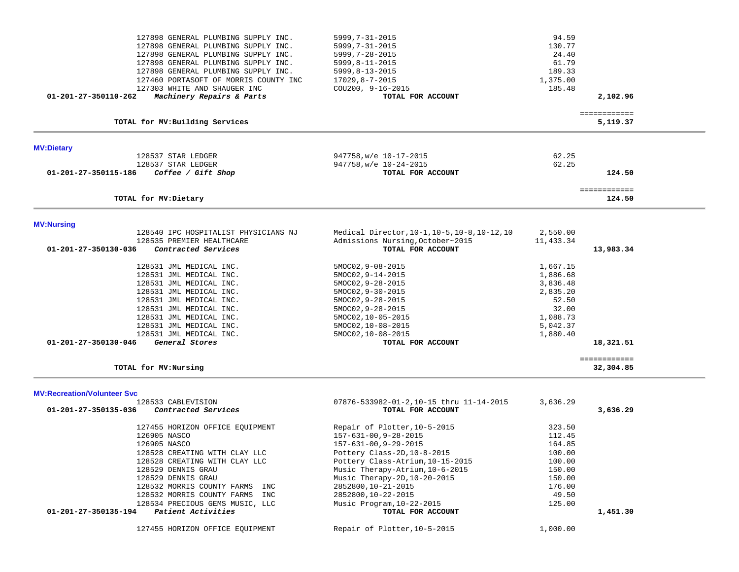| 127898 GENERAL PLUMBING SUPPLY INC.<br>127898 GENERAL PLUMBING SUPPLY INC.<br>127898 GENERAL PLUMBING SUPPLY INC.<br>127898 GENERAL PLUMBING SUPPLY INC.<br>127898 GENERAL PLUMBING SUPPLY INC.<br>127460 PORTASOFT OF MORRIS COUNTY INC<br>127303 WHITE AND SHAUGER INC<br>01-201-27-350110-262<br>Machinery Repairs & Parts | $5999, 7 - 31 - 2015$<br>$5999, 7 - 31 - 2015$<br>$5999, 7 - 28 - 2015$<br>$5999, 8 - 11 - 2015$<br>$5999, 8 - 13 - 2015$<br>$17029, 8 - 7 - 2015$<br>COU200, 9-16-2015<br>TOTAL FOR ACCOUNT | 94.59<br>130.77<br>24.40<br>61.79<br>189.33<br>1,375.00<br>185.48 | 2,102.96                  |  |
|-------------------------------------------------------------------------------------------------------------------------------------------------------------------------------------------------------------------------------------------------------------------------------------------------------------------------------|----------------------------------------------------------------------------------------------------------------------------------------------------------------------------------------------|-------------------------------------------------------------------|---------------------------|--|
|                                                                                                                                                                                                                                                                                                                               |                                                                                                                                                                                              |                                                                   |                           |  |
| TOTAL for MV: Building Services                                                                                                                                                                                                                                                                                               |                                                                                                                                                                                              |                                                                   | ============<br>5,119.37  |  |
| <b>MV:Dietary</b>                                                                                                                                                                                                                                                                                                             |                                                                                                                                                                                              |                                                                   |                           |  |
| 128537 STAR LEDGER                                                                                                                                                                                                                                                                                                            | 947758, w/e 10-17-2015                                                                                                                                                                       | 62.25                                                             |                           |  |
| 128537 STAR LEDGER                                                                                                                                                                                                                                                                                                            | 947758, w/e 10-24-2015                                                                                                                                                                       | 62.25                                                             |                           |  |
| Coffee / Gift Shop<br>01-201-27-350115-186                                                                                                                                                                                                                                                                                    | TOTAL FOR ACCOUNT                                                                                                                                                                            |                                                                   | 124.50                    |  |
|                                                                                                                                                                                                                                                                                                                               |                                                                                                                                                                                              |                                                                   | ============              |  |
| TOTAL for MV: Dietary                                                                                                                                                                                                                                                                                                         |                                                                                                                                                                                              |                                                                   | 124.50                    |  |
|                                                                                                                                                                                                                                                                                                                               |                                                                                                                                                                                              |                                                                   |                           |  |
| <b>MV:Nursing</b>                                                                                                                                                                                                                                                                                                             |                                                                                                                                                                                              |                                                                   |                           |  |
| 128540 IPC HOSPITALIST PHYSICIANS NJ                                                                                                                                                                                                                                                                                          | Medical Director, 10-1, 10-5, 10-8, 10-12, 10                                                                                                                                                | 2,550.00                                                          |                           |  |
| 128535 PREMIER HEALTHCARE                                                                                                                                                                                                                                                                                                     | Admissions Nursing, October~2015                                                                                                                                                             | 11,433.34                                                         |                           |  |
| Contracted Services<br>01-201-27-350130-036                                                                                                                                                                                                                                                                                   | TOTAL FOR ACCOUNT                                                                                                                                                                            |                                                                   | 13,983.34                 |  |
| 128531 JML MEDICAL INC.                                                                                                                                                                                                                                                                                                       | 5MOC02, 9-08-2015                                                                                                                                                                            | 1,667.15                                                          |                           |  |
| 128531 JML MEDICAL INC.                                                                                                                                                                                                                                                                                                       | 5MOC02, 9-14-2015                                                                                                                                                                            | 1,886.68                                                          |                           |  |
| 128531 JML MEDICAL INC.                                                                                                                                                                                                                                                                                                       | 5MOC02, 9-28-2015                                                                                                                                                                            | 3,836.48                                                          |                           |  |
| 128531 JML MEDICAL INC.                                                                                                                                                                                                                                                                                                       | $5MOCO2, 9-30-2015$                                                                                                                                                                          | 2,835.20                                                          |                           |  |
| 128531 JML MEDICAL INC.                                                                                                                                                                                                                                                                                                       | $5MOCO2, 9-28-2015$                                                                                                                                                                          | 52.50                                                             |                           |  |
| 128531 JML MEDICAL INC.                                                                                                                                                                                                                                                                                                       | 5MOC02, 9-28-2015                                                                                                                                                                            | 32.00                                                             |                           |  |
| 128531 JML MEDICAL INC.                                                                                                                                                                                                                                                                                                       | 5MOC02, 10-05-2015                                                                                                                                                                           | 1,088.73                                                          |                           |  |
| 128531 JML MEDICAL INC.                                                                                                                                                                                                                                                                                                       | 5MOC02, 10-08-2015                                                                                                                                                                           | 5,042.37                                                          |                           |  |
| 128531 JML MEDICAL INC.                                                                                                                                                                                                                                                                                                       | 5MOC02, 10-08-2015                                                                                                                                                                           | 1,880.40                                                          |                           |  |
| 01-201-27-350130-046<br>General Stores                                                                                                                                                                                                                                                                                        | TOTAL FOR ACCOUNT                                                                                                                                                                            |                                                                   | 18,321.51                 |  |
|                                                                                                                                                                                                                                                                                                                               |                                                                                                                                                                                              |                                                                   |                           |  |
| TOTAL for MV:Nursing                                                                                                                                                                                                                                                                                                          |                                                                                                                                                                                              |                                                                   | ============<br>32,304.85 |  |
|                                                                                                                                                                                                                                                                                                                               |                                                                                                                                                                                              |                                                                   |                           |  |
| <b>MV:Recreation/Volunteer Svc</b>                                                                                                                                                                                                                                                                                            |                                                                                                                                                                                              |                                                                   |                           |  |
| 128533 CABLEVISION                                                                                                                                                                                                                                                                                                            | 07876-533982-01-2,10-15 thru 11-14-2015                                                                                                                                                      | 3,636.29                                                          |                           |  |
| 01-201-27-350135-036<br>Contracted Services                                                                                                                                                                                                                                                                                   | TOTAL FOR ACCOUNT                                                                                                                                                                            |                                                                   | 3,636.29                  |  |
|                                                                                                                                                                                                                                                                                                                               |                                                                                                                                                                                              | 323.50                                                            |                           |  |
| 127455 HORIZON OFFICE EOUIPMENT<br>126905 NASCO                                                                                                                                                                                                                                                                               | Repair of Plotter, 10-5-2015                                                                                                                                                                 | 112.45                                                            |                           |  |
|                                                                                                                                                                                                                                                                                                                               | $157 - 631 - 00, 9 - 28 - 2015$                                                                                                                                                              | 164.85                                                            |                           |  |
| 126905 NASCO                                                                                                                                                                                                                                                                                                                  | $157 - 631 - 00, 9 - 29 - 2015$<br>Pottery Class-2D, 10-8-2015                                                                                                                               | 100.00                                                            |                           |  |
| 128528 CREATING WITH CLAY LLC<br>128528 CREATING WITH CLAY LLC                                                                                                                                                                                                                                                                | Pottery Class-Atrium, 10-15-2015                                                                                                                                                             | 100.00                                                            |                           |  |
| 128529 DENNIS GRAU                                                                                                                                                                                                                                                                                                            | Music Therapy-Atrium, 10-6-2015                                                                                                                                                              | 150.00                                                            |                           |  |
| 128529 DENNIS GRAU                                                                                                                                                                                                                                                                                                            | Music Therapy-2D, 10-20-2015                                                                                                                                                                 | 150.00                                                            |                           |  |
| 128532 MORRIS COUNTY FARMS INC                                                                                                                                                                                                                                                                                                | 2852800, 10-21-2015                                                                                                                                                                          | 176.00                                                            |                           |  |
|                                                                                                                                                                                                                                                                                                                               | 2852800,10-22-2015                                                                                                                                                                           | 49.50                                                             |                           |  |
| 128532 MORRIS COUNTY FARMS INC                                                                                                                                                                                                                                                                                                |                                                                                                                                                                                              |                                                                   |                           |  |
| 128534 PRECIOUS GEMS MUSIC, LLC                                                                                                                                                                                                                                                                                               | Music Program, 10-22-2015<br>TOTAL FOR ACCOUNT                                                                                                                                               | 125.00                                                            |                           |  |
| Patient Activities<br>01-201-27-350135-194                                                                                                                                                                                                                                                                                    |                                                                                                                                                                                              |                                                                   | 1,451.30                  |  |
| 127455 HORIZON OFFICE EQUIPMENT                                                                                                                                                                                                                                                                                               | Repair of Plotter, 10-5-2015                                                                                                                                                                 | 1,000.00                                                          |                           |  |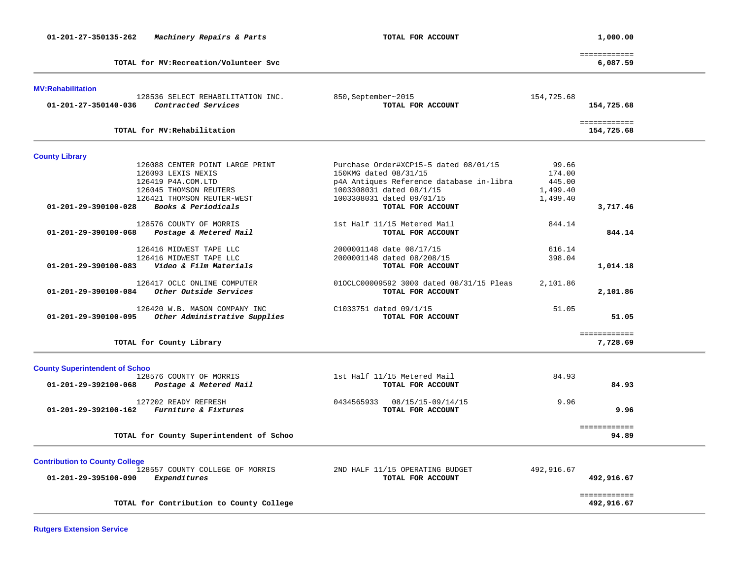| 01-201-27-350135-262                  | Machinery Repairs & Parts                                | TOTAL FOR ACCOUNT                                |            | 1,000.00                   |  |
|---------------------------------------|----------------------------------------------------------|--------------------------------------------------|------------|----------------------------|--|
|                                       | TOTAL for MV: Recreation/Volunteer Svc                   |                                                  |            | ============<br>6,087.59   |  |
| <b>MV:Rehabilitation</b>              |                                                          |                                                  |            |                            |  |
| 01-201-27-350140-036                  | 128536 SELECT REHABILITATION INC.<br>Contracted Services | 850, September~2015<br>TOTAL FOR ACCOUNT         | 154,725.68 | 154,725.68                 |  |
|                                       | TOTAL for MV: Rehabilitation                             |                                                  |            | ============<br>154,725.68 |  |
| <b>County Library</b>                 |                                                          |                                                  |            |                            |  |
|                                       | 126088 CENTER POINT LARGE PRINT                          | Purchase Order#XCP15-5 dated 08/01/15            | 99.66      |                            |  |
|                                       | 126093 LEXIS NEXIS                                       | 150KMG dated 08/31/15                            | 174.00     |                            |  |
|                                       | 126419 P4A.COM.LTD                                       | p4A Antiques Reference database in-libra         | 445.00     |                            |  |
|                                       | 126045 THOMSON REUTERS                                   | 1003308031 dated 08/1/15                         | 1,499.40   |                            |  |
|                                       | 126421 THOMSON REUTER-WEST                               | 1003308031 dated 09/01/15                        | 1,499.40   |                            |  |
| 01-201-29-390100-028                  | Books & Periodicals                                      | TOTAL FOR ACCOUNT                                |            | 3,717.46                   |  |
|                                       | 128576 COUNTY OF MORRIS                                  |                                                  | 844.14     |                            |  |
| 01-201-29-390100-068                  | Postage & Metered Mail                                   | 1st Half 11/15 Metered Mail<br>TOTAL FOR ACCOUNT |            | 844.14                     |  |
|                                       |                                                          |                                                  |            |                            |  |
|                                       | 126416 MIDWEST TAPE LLC                                  | 2000001148 date 08/17/15                         | 616.14     |                            |  |
|                                       | 126416 MIDWEST TAPE LLC                                  | 2000001148 dated 08/208/15                       | 398.04     |                            |  |
| 01-201-29-390100-083                  | Video & Film Materials                                   | TOTAL FOR ACCOUNT                                |            | 1,014.18                   |  |
|                                       |                                                          |                                                  |            |                            |  |
|                                       | 126417 OCLC ONLINE COMPUTER<br>Other Outside Services    | 010CLC00009592 3000 dated 08/31/15 Pleas         | 2,101.86   |                            |  |
| 01-201-29-390100-084                  |                                                          | TOTAL FOR ACCOUNT                                |            | 2,101.86                   |  |
|                                       | 126420 W.B. MASON COMPANY INC                            | C1033751 dated 09/1/15                           | 51.05      |                            |  |
| 01-201-29-390100-095                  | Other Administrative Supplies                            | TOTAL FOR ACCOUNT                                |            | 51.05                      |  |
|                                       |                                                          |                                                  |            | ============               |  |
|                                       | TOTAL for County Library                                 |                                                  |            | 7,728.69                   |  |
| <b>County Superintendent of Schoo</b> |                                                          |                                                  |            |                            |  |
|                                       | 128576 COUNTY OF MORRIS                                  | 1st Half 11/15 Metered Mail                      | 84.93      |                            |  |
| 01-201-29-392100-068                  | Postage & Metered Mail                                   | TOTAL FOR ACCOUNT                                |            | 84.93                      |  |
|                                       |                                                          |                                                  |            |                            |  |
|                                       | 127202 READY REFRESH                                     | 0434565933<br>08/15/15-09/14/15                  | 9.96       |                            |  |
| 01-201-29-392100-162                  | Furniture & Fixtures                                     | TOTAL FOR ACCOUNT                                |            | 9.96                       |  |
|                                       |                                                          |                                                  |            | ============               |  |
|                                       | TOTAL for County Superintendent of Schoo                 |                                                  |            | 94.89                      |  |
|                                       |                                                          |                                                  |            |                            |  |
| <b>Contribution to County College</b> |                                                          |                                                  |            |                            |  |
|                                       | 128557 COUNTY COLLEGE OF MORRIS                          | 2ND HALF 11/15 OPERATING BUDGET                  | 492,916.67 |                            |  |
| 01-201-29-395100-090                  | Expenditures                                             | TOTAL FOR ACCOUNT                                |            | 492,916.67                 |  |
|                                       |                                                          |                                                  |            | ============               |  |
|                                       | TOTAL for Contribution to County College                 |                                                  |            | 492,916.67                 |  |
|                                       |                                                          |                                                  |            |                            |  |

**Rutgers Extension Service**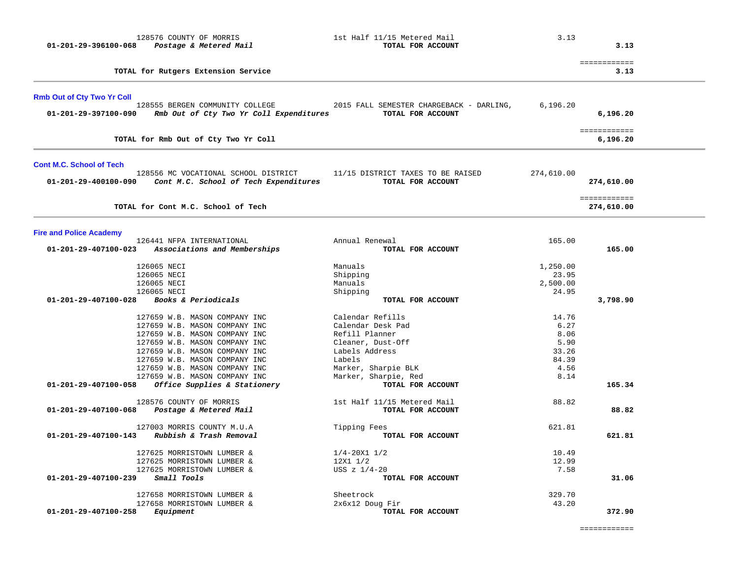| 01-201-29-396100-068                                      | 128576 COUNTY OF MORRIS<br>Postage & Metered Mail                                                                                                                                                                                                                    | 1st Half 11/15 Metered Mail<br>TOTAL FOR ACCOUNT                                                                                                        | 3.13                                                            | 3.13                       |
|-----------------------------------------------------------|----------------------------------------------------------------------------------------------------------------------------------------------------------------------------------------------------------------------------------------------------------------------|---------------------------------------------------------------------------------------------------------------------------------------------------------|-----------------------------------------------------------------|----------------------------|
|                                                           | TOTAL for Rutgers Extension Service                                                                                                                                                                                                                                  |                                                                                                                                                         |                                                                 | ============<br>3.13       |
| <b>Rmb Out of Cty Two Yr Coll</b><br>01-201-29-397100-090 | 128555 BERGEN COMMUNITY COLLEGE<br>Rmb Out of Cty Two Yr Coll Expenditures                                                                                                                                                                                           | 2015 FALL SEMESTER CHARGEBACK - DARLING,<br>TOTAL FOR ACCOUNT                                                                                           | 6,196.20                                                        | 6,196.20                   |
|                                                           | TOTAL for Rmb Out of Cty Two Yr Coll                                                                                                                                                                                                                                 |                                                                                                                                                         |                                                                 | ============<br>6,196.20   |
| <b>Cont M.C. School of Tech</b><br>01-201-29-400100-090   | 128556 MC VOCATIONAL SCHOOL DISTRICT<br>Cont M.C. School of Tech Expenditures                                                                                                                                                                                        | 11/15 DISTRICT TAXES TO BE RAISED<br>TOTAL FOR ACCOUNT                                                                                                  | 274,610.00                                                      | 274,610.00                 |
|                                                           | TOTAL for Cont M.C. School of Tech                                                                                                                                                                                                                                   |                                                                                                                                                         |                                                                 | ============<br>274,610.00 |
| <b>Fire and Police Academy</b>                            |                                                                                                                                                                                                                                                                      |                                                                                                                                                         |                                                                 |                            |
| 01-201-29-407100-023                                      | 126441 NFPA INTERNATIONAL<br>Associations and Memberships                                                                                                                                                                                                            | Annual Renewal<br>TOTAL FOR ACCOUNT                                                                                                                     | 165.00                                                          | 165.00                     |
| 01-201-29-407100-028                                      | 126065 NECI<br>126065 NECI<br>126065 NECI<br>126065 NECI<br>Books & Periodicals                                                                                                                                                                                      | Manuals<br>Shipping<br>Manuals<br>Shipping<br>TOTAL FOR ACCOUNT                                                                                         | 1,250.00<br>23.95<br>2,500.00<br>24.95                          | 3,798.90                   |
|                                                           | 127659 W.B. MASON COMPANY INC<br>127659 W.B. MASON COMPANY INC<br>127659 W.B. MASON COMPANY INC<br>127659 W.B. MASON COMPANY INC<br>127659 W.B. MASON COMPANY INC<br>127659 W.B. MASON COMPANY INC<br>127659 W.B. MASON COMPANY INC<br>127659 W.B. MASON COMPANY INC | Calendar Refills<br>Calendar Desk Pad<br>Refill Planner<br>Cleaner, Dust-Off<br>Labels Address<br>Labels<br>Marker, Sharpie BLK<br>Marker, Sharpie, Red | 14.76<br>6.27<br>8.06<br>5.90<br>33.26<br>84.39<br>4.56<br>8.14 |                            |
| 01-201-29-407100-058                                      | Office Supplies & Stationery                                                                                                                                                                                                                                         | TOTAL FOR ACCOUNT                                                                                                                                       |                                                                 | 165.34                     |
| 01-201-29-407100-068                                      | 128576 COUNTY OF MORRIS<br>Postage & Metered Mail                                                                                                                                                                                                                    | 1st Half 11/15 Metered Mail<br>TOTAL FOR ACCOUNT                                                                                                        | 88.82                                                           | 88.82                      |
| 01-201-29-407100-143                                      | 127003 MORRIS COUNTY M.U.A<br>Rubbish & Trash Removal                                                                                                                                                                                                                | Tipping Fees<br>TOTAL FOR ACCOUNT                                                                                                                       | 621.81                                                          | 621.81                     |
| 01-201-29-407100-239                                      | 127625 MORRISTOWN LUMBER &<br>127625 MORRISTOWN LUMBER &<br>127625 MORRISTOWN LUMBER &<br>Small Tools                                                                                                                                                                | $1/4 - 20X1$ $1/2$<br>12X1 1/2<br>USS $z$ $1/4-20$<br>TOTAL FOR ACCOUNT                                                                                 | 10.49<br>12.99<br>7.58                                          | 31.06                      |
| 01-201-29-407100-258                                      | 127658 MORRISTOWN LUMBER &<br>127658 MORRISTOWN LUMBER &<br>Equipment                                                                                                                                                                                                | Sheetrock<br>2x6x12 Doug Fir<br>TOTAL FOR ACCOUNT                                                                                                       | 329.70<br>43.20                                                 | 372.90                     |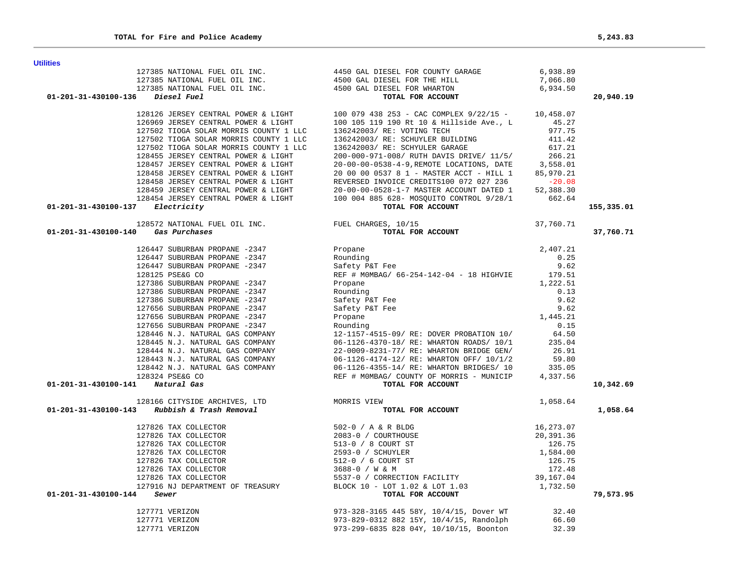| 01-201-31-430100-137 Electricity                                                    | 17502 TIOGA SOLAR MORRIS COUNTY 1 LLC 136242003/RE: SCHUYLER BUILDING 11.42<br>17502 TIOGA SOLAR MORRIS COUNTY 1 LLC 136242003/RE: SCHUYLER GARAGE 617.21<br>17502 TIOGA SOLAR MORRIS COUNTY 1 LLC 136242003/RE: SCHUYLER GARAGE 6                                                                                                                                                                       | 155,335.01 |
|-------------------------------------------------------------------------------------|----------------------------------------------------------------------------------------------------------------------------------------------------------------------------------------------------------------------------------------------------------------------------------------------------------------------------------------------------------------------------------------------------------|------------|
|                                                                                     |                                                                                                                                                                                                                                                                                                                                                                                                          |            |
| 01-201-31-430100-140 Gas Purchases                                                  |                                                                                                                                                                                                                                                                                                                                                                                                          | 37,760.71  |
|                                                                                     |                                                                                                                                                                                                                                                                                                                                                                                                          |            |
|                                                                                     |                                                                                                                                                                                                                                                                                                                                                                                                          |            |
|                                                                                     |                                                                                                                                                                                                                                                                                                                                                                                                          |            |
|                                                                                     |                                                                                                                                                                                                                                                                                                                                                                                                          |            |
|                                                                                     |                                                                                                                                                                                                                                                                                                                                                                                                          |            |
|                                                                                     |                                                                                                                                                                                                                                                                                                                                                                                                          |            |
|                                                                                     |                                                                                                                                                                                                                                                                                                                                                                                                          |            |
|                                                                                     |                                                                                                                                                                                                                                                                                                                                                                                                          |            |
|                                                                                     |                                                                                                                                                                                                                                                                                                                                                                                                          |            |
|                                                                                     |                                                                                                                                                                                                                                                                                                                                                                                                          |            |
|                                                                                     |                                                                                                                                                                                                                                                                                                                                                                                                          |            |
|                                                                                     |                                                                                                                                                                                                                                                                                                                                                                                                          |            |
|                                                                                     |                                                                                                                                                                                                                                                                                                                                                                                                          |            |
|                                                                                     |                                                                                                                                                                                                                                                                                                                                                                                                          |            |
|                                                                                     |                                                                                                                                                                                                                                                                                                                                                                                                          |            |
|                                                                                     |                                                                                                                                                                                                                                                                                                                                                                                                          |            |
| 01-201-31-430100-141 Natural Gas                                                    |                                                                                                                                                                                                                                                                                                                                                                                                          | 10,342.69  |
| 128166 CITYSIDE ARCHIVES, LTD<br>01-201-31-430100-143 Rubbish & Trash Removal<br>TO | $\frac{N}{N}$ 1,058.64<br>TOTAL FOR ACCOUNT                                                                                                                                                                                                                                                                                                                                                              |            |
|                                                                                     |                                                                                                                                                                                                                                                                                                                                                                                                          | 1,058.64   |
|                                                                                     | $\begin{array}{cccccc} 127826 & \text{TAX COLLECTOR} & & & & & & & 502-0 & \text{/ A & \& R & \text{BLDG} & & & & & 16\,,273.07\\ 127826 & \text{TAX COLLECTOR} & & & & & & & 2083-0 & \text{/ COUNTHOUSE} & & & & & 20\,,391.36\\ 127826 & \text{TAX COLLECTOR} & & & & & & & 513-0 & \text{/ 8 COURT ST} & & & & 126.75\\ 127826 & \text{TAX COLLECTOR} & & & & & & & 512-0 & \text{/ 6 COURT ST} & &$ |            |
|                                                                                     |                                                                                                                                                                                                                                                                                                                                                                                                          |            |
|                                                                                     |                                                                                                                                                                                                                                                                                                                                                                                                          |            |
|                                                                                     |                                                                                                                                                                                                                                                                                                                                                                                                          |            |
|                                                                                     |                                                                                                                                                                                                                                                                                                                                                                                                          |            |
|                                                                                     |                                                                                                                                                                                                                                                                                                                                                                                                          |            |
|                                                                                     |                                                                                                                                                                                                                                                                                                                                                                                                          |            |
|                                                                                     |                                                                                                                                                                                                                                                                                                                                                                                                          |            |
| $01 - 201 - 31 - 430100 - 144$ Sewer                                                | TOTAL FOR ACCOUNT<br>TOTAL FOR ACCOUNT<br>973-328-3165 445 58Y, 10/4/15, Dover WT<br>973-829-0312 882 15Y, 10/4/15, Randolph<br>973-299-6835 828 04Y, 10/10/15, Boonton<br>32.39                                                                                                                                                                                                                         | 79,573.95  |
| 127771 VERIZON                                                                      |                                                                                                                                                                                                                                                                                                                                                                                                          |            |
| 127771 VERIZON                                                                      |                                                                                                                                                                                                                                                                                                                                                                                                          |            |
| 127771 VERIZON                                                                      |                                                                                                                                                                                                                                                                                                                                                                                                          |            |

# 127385 NATIONAL FUEL OIL INC. 4450 GAL DIESEL FOR COUNTY GARAGE 6,938.89 127385 NATIONAL FUEL OIL INC. 4500 GAL DIESEL FOR THE HILL 7,066.80 127385 NATIONAL FUEL OIL INC. 4500 GAL DIESEL FOR WHARTON 6,934.50  **01-201-31-430100-136** *Diesel Fuel* **TOTAL FOR ACCOUNT 20,940.19** 128126 JERSEY CENTRAL POWER & LIGHT 100 079 438 253 - CAC COMPLEX 9/22/15 - 10,458.07 126969 JERSEY CENTRAL POWER & LIGHT 100 105 119 190 Rt 10 & Hillside Ave., L  $45.27$ <br>127502 TIOGA SOLAR MORRIS COUNTY 1 LLC 136242003/ RE: VOTING TECH 127502 TIOGA SOLAR MORRIS COUNTY 1 LLC

**Utilities**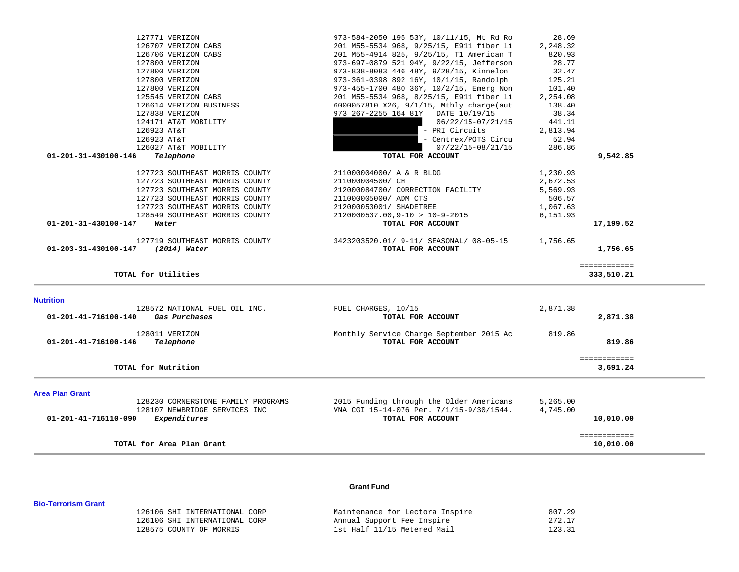| 01-201-41-716110-090   | Expenditures<br>TOTAL for Area Plan Grant                        | TOTAL FOR ACCOUNT                                                                    |                    | 10,010.00<br>============<br>10,010.00 |
|------------------------|------------------------------------------------------------------|--------------------------------------------------------------------------------------|--------------------|----------------------------------------|
|                        |                                                                  |                                                                                      |                    |                                        |
|                        | 128107 NEWBRIDGE SERVICES INC                                    | VNA CGI 15-14-076 Per. 7/1/15-9/30/1544.                                             | 4,745.00           |                                        |
| <b>Area Plan Grant</b> | 128230 CORNERSTONE FAMILY PROGRAMS                               | 2015 Funding through the Older Americans                                             | 5,265.00           |                                        |
|                        | TOTAL for Nutrition                                              |                                                                                      |                    | ============<br>3,691.24               |
| 01-201-41-716100-146   | 128011 VERIZON<br>Telephone                                      | Monthly Service Charge September 2015 Ac<br>TOTAL FOR ACCOUNT                        | 819.86             | 819.86                                 |
| 01-201-41-716100-140   | 128572 NATIONAL FUEL OIL INC.<br>Gas Purchases                   | FUEL CHARGES, 10/15<br>TOTAL FOR ACCOUNT                                             | 2,871.38           | 2,871.38                               |
| <b>Nutrition</b>       |                                                                  |                                                                                      |                    |                                        |
|                        | TOTAL for Utilities                                              |                                                                                      |                    | ============<br>333,510.21             |
| 01-203-31-430100-147   | 127719 SOUTHEAST MORRIS COUNTY<br>(2014) Water                   | 3423203520.01/ 9-11/ SEASONAL/ 08-05-15<br>TOTAL FOR ACCOUNT                         | 1,756.65           | 1,756.65                               |
| 01-201-31-430100-147   | Water                                                            | TOTAL FOR ACCOUNT                                                                    |                    | 17,199.52                              |
|                        | 128549 SOUTHEAST MORRIS COUNTY                                   | $2120000537.00, 9-10 > 10-9-2015$                                                    | 6,151.93           |                                        |
|                        | 127723 SOUTHEAST MORRIS COUNTY                                   | 212000053001/ SHADETREE                                                              | 1,067.63           |                                        |
|                        | 127723 SOUTHEAST MORRIS COUNTY<br>127723 SOUTHEAST MORRIS COUNTY | 212000084700/ CORRECTION FACILITY<br>211000005000/ ADM CTS                           | 5,569.93<br>506.57 |                                        |
|                        | 127723 SOUTHEAST MORRIS COUNTY                                   | 211000004500/ CH                                                                     | 2,672.53           |                                        |
|                        | 127723 SOUTHEAST MORRIS COUNTY                                   | 211000004000/ A & R BLDG                                                             | 1,230.93           |                                        |
| 01-201-31-430100-146   | Telephone                                                        | TOTAL FOR ACCOUNT                                                                    |                    | 9,542.85                               |
|                        | 126027 AT&T MOBILITY                                             | $07/22/15 - 08/21/15$                                                                | 286.86             |                                        |
|                        | 126923 AT&T                                                      | - Centrex/POTS Circu                                                                 | 52.94              |                                        |
|                        | 126923 AT&T                                                      | - PRI Circuits                                                                       | 2,813.94           |                                        |
|                        | 124171 AT&T MOBILITY                                             | 06/22/15-07/21/15                                                                    | 441.11             |                                        |
|                        | 127838 VERIZON                                                   | 973 267-2255 164 81Y DATE 10/19/15                                                   | 38.34              |                                        |
|                        | 125545 VERIZON CABS<br>126614 VERIZON BUSINESS                   | 6000057810 X26, 9/1/15, Mthly charge(aut                                             | 138.40             |                                        |
|                        | 127800 VERIZON                                                   | 973-455-1700 480 36Y, 10/2/15, Emerg Non<br>201 M55-5534 968, 8/25/15, E911 fiber li | 101.40<br>2,254.08 |                                        |
|                        | 127800 VERIZON                                                   | 973-361-0398 892 16Y, 10/1/15, Randolph                                              | 125.21             |                                        |
|                        | 127800 VERIZON                                                   | 973-838-8083 446 48Y, 9/28/15, Kinnelon                                              | 32.47              |                                        |

 127771 VERIZON 973-584-2050 195 53Y, 10/11/15, Mt Rd Ro 28.69 126707 VERIZON CABS 201 M55-5534 968, 9/25/15, E911 fiber li 2,248.32 126706 VERIZON CABS 201 M55-4914 825, 9/25/15, T1 American T 820.93 127800 VERIZON 973-697-0879 521 94Y, 9/22/15, Jefferson 28.77

### **Grant Fund**

| 126106 SHI INTERNATIONAL CORP | Maintenance for Lectora Inspire | 807.29 |
|-------------------------------|---------------------------------|--------|
| 126106 SHI INTERNATIONAL CORP | Annual Support Fee Inspire      | 272.17 |
| 128575 COUNTY OF MORRIS       | 1st Half 11/15 Metered Mail     | 123.31 |

**Bio-Terrorism Grant**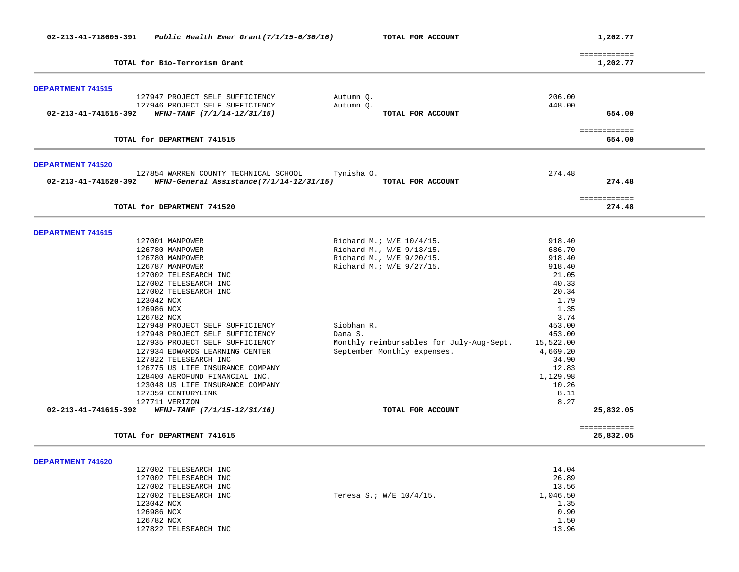| ============<br>TOTAL for Bio-Terrorism Grant<br>1,202.77<br>127947 PROJECT SELF SUFFICIENCY<br>206.00<br>Autumn Q.<br>448.00<br>127946 PROJECT SELF SUFFICIENCY<br>Autumn Q.<br>02-213-41-741515-392<br>WFNJ-TANF (7/1/14-12/31/15)<br>TOTAL FOR ACCOUNT<br>654.00<br>============<br>TOTAL for DEPARTMENT 741515<br>654.00<br><b>DEPARTMENT 741520</b><br>127854 WARREN COUNTY TECHNICAL SCHOOL<br>274.48<br>Tynisha O.<br>274.48<br>02-213-41-741520-392<br>WFNJ-General Assistance(7/1/14-12/31/15)<br>TOTAL FOR ACCOUNT<br>============<br>TOTAL for DEPARTMENT 741520<br>274.48<br><b>DEPARTMENT 741615</b><br>127001 MANPOWER<br>Richard M.; W/E 10/4/15.<br>918.40<br>126780 MANPOWER<br>Richard M., W/E 9/13/15.<br>686.70<br>Richard M., W/E 9/20/15.<br>126780 MANPOWER<br>918.40<br>126787 MANPOWER<br>Richard M.; W/E 9/27/15.<br>918.40<br>127002 TELESEARCH INC<br>21.05<br>40.33<br>127002 TELESEARCH INC<br>127002 TELESEARCH INC<br>20.34<br>1.79<br>123042 NCX<br>1.35<br>126986 NCX<br>3.74<br>126782 NCX<br>Siobhan R.<br>453.00<br>127948 PROJECT SELF SUFFICIENCY<br>127948 PROJECT SELF SUFFICIENCY<br>Dana S.<br>453.00<br>127935 PROJECT SELF SUFFICIENCY<br>Monthly reimbursables for July-Aug-Sept.<br>15,522.00<br>September Monthly expenses.<br>127934 EDWARDS LEARNING CENTER<br>4,669.20<br>127822 TELESEARCH INC<br>34.90<br>126775 US LIFE INSURANCE COMPANY<br>12.83<br>128400 AEROFUND FINANCIAL INC.<br>1,129.98<br>10.26<br>123048 US LIFE INSURANCE COMPANY<br>8.11<br>127359 CENTURYLINK<br>8.27<br>127711 VERIZON<br>02-213-41-741615-392<br>WFNJ-TANF (7/1/15-12/31/16)<br>25,832.05<br>TOTAL FOR ACCOUNT<br>============<br>TOTAL for DEPARTMENT 741615<br>25,832.05<br>DEPARTMENT 741620<br>14.04<br>127002 TELESEARCH INC<br>127002 TELESEARCH INC<br>26.89<br>127002 TELESEARCH INC<br>13.56<br>127002 TELESEARCH INC<br>Teresa S.; W/E 10/4/15.<br>1,046.50<br>123042 NCX<br>1.35<br>126986 NCX<br>0.90<br>126782 NCX<br>1.50 | 02-213-41-718605-391     | Public Health Emer Grant $(7/1/15-6/30/16)$ | TOTAL FOR ACCOUNT |       | 1,202.77 |
|-------------------------------------------------------------------------------------------------------------------------------------------------------------------------------------------------------------------------------------------------------------------------------------------------------------------------------------------------------------------------------------------------------------------------------------------------------------------------------------------------------------------------------------------------------------------------------------------------------------------------------------------------------------------------------------------------------------------------------------------------------------------------------------------------------------------------------------------------------------------------------------------------------------------------------------------------------------------------------------------------------------------------------------------------------------------------------------------------------------------------------------------------------------------------------------------------------------------------------------------------------------------------------------------------------------------------------------------------------------------------------------------------------------------------------------------------------------------------------------------------------------------------------------------------------------------------------------------------------------------------------------------------------------------------------------------------------------------------------------------------------------------------------------------------------------------------------------------------------------------------------------------------------------------------------------------------------------------------------|--------------------------|---------------------------------------------|-------------------|-------|----------|
|                                                                                                                                                                                                                                                                                                                                                                                                                                                                                                                                                                                                                                                                                                                                                                                                                                                                                                                                                                                                                                                                                                                                                                                                                                                                                                                                                                                                                                                                                                                                                                                                                                                                                                                                                                                                                                                                                                                                                                               |                          |                                             |                   |       |          |
|                                                                                                                                                                                                                                                                                                                                                                                                                                                                                                                                                                                                                                                                                                                                                                                                                                                                                                                                                                                                                                                                                                                                                                                                                                                                                                                                                                                                                                                                                                                                                                                                                                                                                                                                                                                                                                                                                                                                                                               | <b>DEPARTMENT 741515</b> |                                             |                   |       |          |
|                                                                                                                                                                                                                                                                                                                                                                                                                                                                                                                                                                                                                                                                                                                                                                                                                                                                                                                                                                                                                                                                                                                                                                                                                                                                                                                                                                                                                                                                                                                                                                                                                                                                                                                                                                                                                                                                                                                                                                               |                          |                                             |                   |       |          |
|                                                                                                                                                                                                                                                                                                                                                                                                                                                                                                                                                                                                                                                                                                                                                                                                                                                                                                                                                                                                                                                                                                                                                                                                                                                                                                                                                                                                                                                                                                                                                                                                                                                                                                                                                                                                                                                                                                                                                                               |                          |                                             |                   |       |          |
|                                                                                                                                                                                                                                                                                                                                                                                                                                                                                                                                                                                                                                                                                                                                                                                                                                                                                                                                                                                                                                                                                                                                                                                                                                                                                                                                                                                                                                                                                                                                                                                                                                                                                                                                                                                                                                                                                                                                                                               |                          |                                             |                   |       |          |
|                                                                                                                                                                                                                                                                                                                                                                                                                                                                                                                                                                                                                                                                                                                                                                                                                                                                                                                                                                                                                                                                                                                                                                                                                                                                                                                                                                                                                                                                                                                                                                                                                                                                                                                                                                                                                                                                                                                                                                               |                          |                                             |                   |       |          |
|                                                                                                                                                                                                                                                                                                                                                                                                                                                                                                                                                                                                                                                                                                                                                                                                                                                                                                                                                                                                                                                                                                                                                                                                                                                                                                                                                                                                                                                                                                                                                                                                                                                                                                                                                                                                                                                                                                                                                                               |                          |                                             |                   |       |          |
|                                                                                                                                                                                                                                                                                                                                                                                                                                                                                                                                                                                                                                                                                                                                                                                                                                                                                                                                                                                                                                                                                                                                                                                                                                                                                                                                                                                                                                                                                                                                                                                                                                                                                                                                                                                                                                                                                                                                                                               |                          |                                             |                   |       |          |
|                                                                                                                                                                                                                                                                                                                                                                                                                                                                                                                                                                                                                                                                                                                                                                                                                                                                                                                                                                                                                                                                                                                                                                                                                                                                                                                                                                                                                                                                                                                                                                                                                                                                                                                                                                                                                                                                                                                                                                               |                          |                                             |                   |       |          |
|                                                                                                                                                                                                                                                                                                                                                                                                                                                                                                                                                                                                                                                                                                                                                                                                                                                                                                                                                                                                                                                                                                                                                                                                                                                                                                                                                                                                                                                                                                                                                                                                                                                                                                                                                                                                                                                                                                                                                                               |                          |                                             |                   |       |          |
|                                                                                                                                                                                                                                                                                                                                                                                                                                                                                                                                                                                                                                                                                                                                                                                                                                                                                                                                                                                                                                                                                                                                                                                                                                                                                                                                                                                                                                                                                                                                                                                                                                                                                                                                                                                                                                                                                                                                                                               |                          |                                             |                   |       |          |
|                                                                                                                                                                                                                                                                                                                                                                                                                                                                                                                                                                                                                                                                                                                                                                                                                                                                                                                                                                                                                                                                                                                                                                                                                                                                                                                                                                                                                                                                                                                                                                                                                                                                                                                                                                                                                                                                                                                                                                               |                          |                                             |                   |       |          |
|                                                                                                                                                                                                                                                                                                                                                                                                                                                                                                                                                                                                                                                                                                                                                                                                                                                                                                                                                                                                                                                                                                                                                                                                                                                                                                                                                                                                                                                                                                                                                                                                                                                                                                                                                                                                                                                                                                                                                                               |                          |                                             |                   |       |          |
|                                                                                                                                                                                                                                                                                                                                                                                                                                                                                                                                                                                                                                                                                                                                                                                                                                                                                                                                                                                                                                                                                                                                                                                                                                                                                                                                                                                                                                                                                                                                                                                                                                                                                                                                                                                                                                                                                                                                                                               |                          |                                             |                   |       |          |
|                                                                                                                                                                                                                                                                                                                                                                                                                                                                                                                                                                                                                                                                                                                                                                                                                                                                                                                                                                                                                                                                                                                                                                                                                                                                                                                                                                                                                                                                                                                                                                                                                                                                                                                                                                                                                                                                                                                                                                               |                          |                                             |                   |       |          |
|                                                                                                                                                                                                                                                                                                                                                                                                                                                                                                                                                                                                                                                                                                                                                                                                                                                                                                                                                                                                                                                                                                                                                                                                                                                                                                                                                                                                                                                                                                                                                                                                                                                                                                                                                                                                                                                                                                                                                                               |                          |                                             |                   |       |          |
|                                                                                                                                                                                                                                                                                                                                                                                                                                                                                                                                                                                                                                                                                                                                                                                                                                                                                                                                                                                                                                                                                                                                                                                                                                                                                                                                                                                                                                                                                                                                                                                                                                                                                                                                                                                                                                                                                                                                                                               |                          |                                             |                   |       |          |
|                                                                                                                                                                                                                                                                                                                                                                                                                                                                                                                                                                                                                                                                                                                                                                                                                                                                                                                                                                                                                                                                                                                                                                                                                                                                                                                                                                                                                                                                                                                                                                                                                                                                                                                                                                                                                                                                                                                                                                               |                          |                                             |                   |       |          |
|                                                                                                                                                                                                                                                                                                                                                                                                                                                                                                                                                                                                                                                                                                                                                                                                                                                                                                                                                                                                                                                                                                                                                                                                                                                                                                                                                                                                                                                                                                                                                                                                                                                                                                                                                                                                                                                                                                                                                                               |                          |                                             |                   |       |          |
|                                                                                                                                                                                                                                                                                                                                                                                                                                                                                                                                                                                                                                                                                                                                                                                                                                                                                                                                                                                                                                                                                                                                                                                                                                                                                                                                                                                                                                                                                                                                                                                                                                                                                                                                                                                                                                                                                                                                                                               |                          |                                             |                   |       |          |
|                                                                                                                                                                                                                                                                                                                                                                                                                                                                                                                                                                                                                                                                                                                                                                                                                                                                                                                                                                                                                                                                                                                                                                                                                                                                                                                                                                                                                                                                                                                                                                                                                                                                                                                                                                                                                                                                                                                                                                               |                          |                                             |                   |       |          |
|                                                                                                                                                                                                                                                                                                                                                                                                                                                                                                                                                                                                                                                                                                                                                                                                                                                                                                                                                                                                                                                                                                                                                                                                                                                                                                                                                                                                                                                                                                                                                                                                                                                                                                                                                                                                                                                                                                                                                                               |                          |                                             |                   |       |          |
|                                                                                                                                                                                                                                                                                                                                                                                                                                                                                                                                                                                                                                                                                                                                                                                                                                                                                                                                                                                                                                                                                                                                                                                                                                                                                                                                                                                                                                                                                                                                                                                                                                                                                                                                                                                                                                                                                                                                                                               |                          |                                             |                   |       |          |
|                                                                                                                                                                                                                                                                                                                                                                                                                                                                                                                                                                                                                                                                                                                                                                                                                                                                                                                                                                                                                                                                                                                                                                                                                                                                                                                                                                                                                                                                                                                                                                                                                                                                                                                                                                                                                                                                                                                                                                               |                          |                                             |                   |       |          |
|                                                                                                                                                                                                                                                                                                                                                                                                                                                                                                                                                                                                                                                                                                                                                                                                                                                                                                                                                                                                                                                                                                                                                                                                                                                                                                                                                                                                                                                                                                                                                                                                                                                                                                                                                                                                                                                                                                                                                                               |                          |                                             |                   |       |          |
|                                                                                                                                                                                                                                                                                                                                                                                                                                                                                                                                                                                                                                                                                                                                                                                                                                                                                                                                                                                                                                                                                                                                                                                                                                                                                                                                                                                                                                                                                                                                                                                                                                                                                                                                                                                                                                                                                                                                                                               |                          |                                             |                   |       |          |
|                                                                                                                                                                                                                                                                                                                                                                                                                                                                                                                                                                                                                                                                                                                                                                                                                                                                                                                                                                                                                                                                                                                                                                                                                                                                                                                                                                                                                                                                                                                                                                                                                                                                                                                                                                                                                                                                                                                                                                               |                          |                                             |                   |       |          |
|                                                                                                                                                                                                                                                                                                                                                                                                                                                                                                                                                                                                                                                                                                                                                                                                                                                                                                                                                                                                                                                                                                                                                                                                                                                                                                                                                                                                                                                                                                                                                                                                                                                                                                                                                                                                                                                                                                                                                                               |                          |                                             |                   |       |          |
|                                                                                                                                                                                                                                                                                                                                                                                                                                                                                                                                                                                                                                                                                                                                                                                                                                                                                                                                                                                                                                                                                                                                                                                                                                                                                                                                                                                                                                                                                                                                                                                                                                                                                                                                                                                                                                                                                                                                                                               |                          |                                             |                   |       |          |
|                                                                                                                                                                                                                                                                                                                                                                                                                                                                                                                                                                                                                                                                                                                                                                                                                                                                                                                                                                                                                                                                                                                                                                                                                                                                                                                                                                                                                                                                                                                                                                                                                                                                                                                                                                                                                                                                                                                                                                               |                          |                                             |                   |       |          |
|                                                                                                                                                                                                                                                                                                                                                                                                                                                                                                                                                                                                                                                                                                                                                                                                                                                                                                                                                                                                                                                                                                                                                                                                                                                                                                                                                                                                                                                                                                                                                                                                                                                                                                                                                                                                                                                                                                                                                                               |                          |                                             |                   |       |          |
|                                                                                                                                                                                                                                                                                                                                                                                                                                                                                                                                                                                                                                                                                                                                                                                                                                                                                                                                                                                                                                                                                                                                                                                                                                                                                                                                                                                                                                                                                                                                                                                                                                                                                                                                                                                                                                                                                                                                                                               |                          |                                             |                   |       |          |
|                                                                                                                                                                                                                                                                                                                                                                                                                                                                                                                                                                                                                                                                                                                                                                                                                                                                                                                                                                                                                                                                                                                                                                                                                                                                                                                                                                                                                                                                                                                                                                                                                                                                                                                                                                                                                                                                                                                                                                               |                          |                                             |                   |       |          |
|                                                                                                                                                                                                                                                                                                                                                                                                                                                                                                                                                                                                                                                                                                                                                                                                                                                                                                                                                                                                                                                                                                                                                                                                                                                                                                                                                                                                                                                                                                                                                                                                                                                                                                                                                                                                                                                                                                                                                                               |                          |                                             |                   |       |          |
|                                                                                                                                                                                                                                                                                                                                                                                                                                                                                                                                                                                                                                                                                                                                                                                                                                                                                                                                                                                                                                                                                                                                                                                                                                                                                                                                                                                                                                                                                                                                                                                                                                                                                                                                                                                                                                                                                                                                                                               |                          |                                             |                   |       |          |
|                                                                                                                                                                                                                                                                                                                                                                                                                                                                                                                                                                                                                                                                                                                                                                                                                                                                                                                                                                                                                                                                                                                                                                                                                                                                                                                                                                                                                                                                                                                                                                                                                                                                                                                                                                                                                                                                                                                                                                               |                          | 127822 TELESEARCH INC                       |                   | 13.96 |          |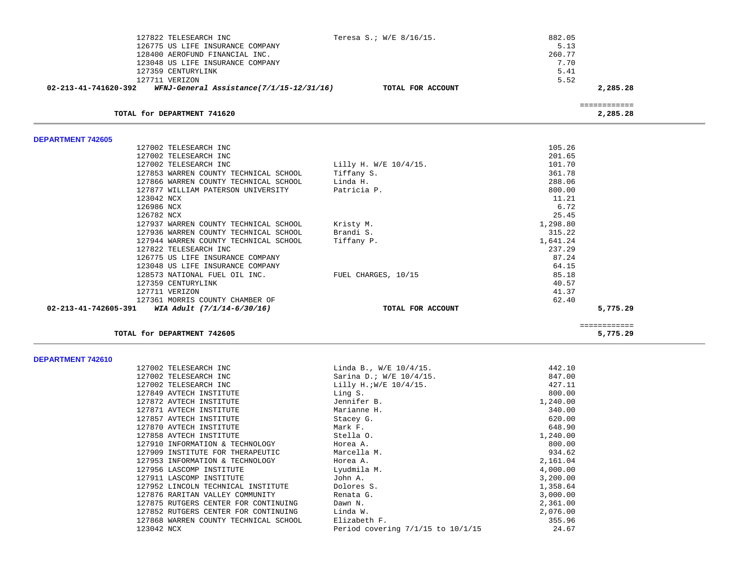| 127822 TELESEARCH INC                                            | Teresa S.; W/E 8/16/15. | 882.05   |              |
|------------------------------------------------------------------|-------------------------|----------|--------------|
| 126775 US LIFE INSURANCE COMPANY                                 |                         | 5.13     |              |
| 128400 AEROFUND FINANCIAL INC.                                   |                         | 260.77   |              |
| 123048 US LIFE INSURANCE COMPANY                                 |                         | 7.70     |              |
| 127359 CENTURYLINK                                               |                         | 5.41     |              |
| 127711 VERIZON                                                   |                         | 5.52     |              |
| WFNJ-General Assistance(7/1/15-12/31/16)<br>02-213-41-741620-392 | TOTAL FOR ACCOUNT       |          | 2,285.28     |
|                                                                  |                         |          | ============ |
| TOTAL for DEPARTMENT 741620                                      |                         |          | 2,285.28     |
| DEPARTMENT 742605                                                |                         |          |              |
| 127002 TELESEARCH INC                                            |                         | 105.26   |              |
| 127002 TELESEARCH INC                                            |                         | 201.65   |              |
| 127002 TELESEARCH INC                                            | Lilly H. W/E 10/4/15.   | 101.70   |              |
| 127853 WARREN COUNTY TECHNICAL SCHOOL                            | Tiffany S.              | 361.78   |              |
| 127866 WARREN COUNTY TECHNICAL SCHOOL                            | Linda H.                | 288.06   |              |
| 127877 WILLIAM PATERSON UNIVERSITY                               | Patricia P.             | 800.00   |              |
| 123042 NCX                                                       |                         | 11.21    |              |
| 126986 NCX                                                       |                         | 6.72     |              |
| 126782 NCX                                                       |                         | 25.45    |              |
| 127937 WARREN COUNTY TECHNICAL SCHOOL                            | Kristy M.               | 1,298.80 |              |
| 127936 WARREN COUNTY TECHNICAL SCHOOL                            | Brandi S.               | 315.22   |              |
| 127944 WARREN COUNTY TECHNICAL SCHOOL                            | Tiffany P.              | 1,641.24 |              |
| 127822 TELESEARCH INC                                            |                         | 237.29   |              |
| 126775 US LIFE INSURANCE COMPANY                                 |                         | 87.24    |              |
| 123048 US LIFE INSURANCE COMPANY                                 |                         | 64.15    |              |
| 128573 NATIONAL FUEL OIL INC.                                    | FUEL CHARGES, 10/15     | 85.18    |              |
| 127359 CENTURYLINK                                               |                         | 40.57    |              |
| 127711 VERIZON                                                   |                         | 41.37    |              |
| 127361 MORRIS COUNTY CHAMBER OF                                  |                         | 62.40    |              |
| 02-213-41-742605-391<br>WIA Adult (7/1/14-6/30/16)               | TOTAL FOR ACCOUNT       |          | 5,775.29     |
|                                                                  |                         |          | ============ |
| TOTAL for DEPARTMENT 742605                                      |                         |          | 5,775.29     |

| 127002 TELESEARCH INC                 | Linda B., $W/E$ 10/4/15.              | 442.10   |
|---------------------------------------|---------------------------------------|----------|
| 127002 TELESEARCH INC                 | Sarina D.; W/E 10/4/15.               | 847.00   |
| 127002 TELESEARCH INC                 | Lilly H.; W/E 10/4/15.                | 427.11   |
| 127849 AVTECH INSTITUTE               | Ling S.                               | 800.00   |
| 127872 AVTECH INSTITUTE               | Jennifer B.                           | 1,240.00 |
| 127871 AVTECH INSTITUTE               | Marianne H.                           | 340.00   |
| 127857 AVTECH INSTITUTE               | Stacey G.                             | 620.00   |
| 127870 AVTECH INSTITUTE               | Mark F.                               | 648.90   |
| 127858 AVTECH INSTITUTE               | Stella O.                             | 1,240.00 |
| 127910 INFORMATION & TECHNOLOGY       | Horea A.                              | 800.00   |
| 127909 INSTITUTE FOR THERAPEUTIC      | Marcella M.                           | 934.62   |
| 127953 INFORMATION & TECHNOLOGY       | Horea A.                              | 2,161.04 |
| 127956 LASCOMP INSTITUTE              | Lyudmila M.                           | 4,000.00 |
| 127911 LASCOMP INSTITUTE              | John A.                               | 3,200.00 |
| 127952 LINCOLN TECHNICAL INSTITUTE    | Dolores S.                            | 1,358.64 |
| 127876 RARITAN VALLEY COMMUNITY       | Renata G.                             | 3,000.00 |
| 127875 RUTGERS CENTER FOR CONTINUING  | Dawn N.                               | 2,361.00 |
| 127852 RUTGERS CENTER FOR CONTINUING  | Linda W.                              | 2,076.00 |
| 127868 WARREN COUNTY TECHNICAL SCHOOL | Elizabeth F.                          | 355.96   |
| 123042 NCX                            | Period covering $7/1/15$ to $10/1/15$ | 24.67    |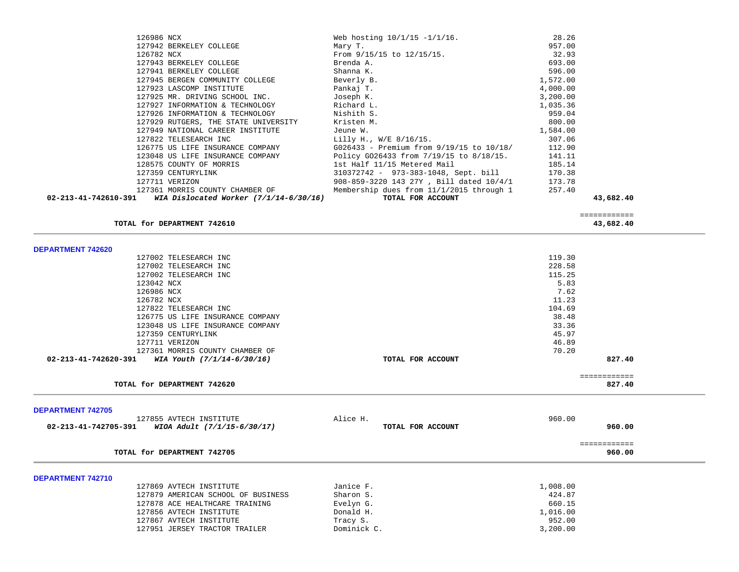| 126986 NCX                                                    | Web hosting $10/1/15 - 1/1/16$ .            | 28.26    |              |
|---------------------------------------------------------------|---------------------------------------------|----------|--------------|
| 127942 BERKELEY COLLEGE                                       | Mary T.                                     | 957.00   |              |
| 126782 NCX                                                    | From 9/15/15 to 12/15/15.                   | 32.93    |              |
| 127943 BERKELEY COLLEGE                                       | Brenda A.                                   | 693.00   |              |
| 127941 BERKELEY COLLEGE                                       | Shanna K.                                   | 596.00   |              |
| 127945 BERGEN COMMUNITY COLLEGE                               | Beverly B.                                  | 1,572.00 |              |
| 127923 LASCOMP INSTITUTE                                      | Pankaj T.                                   | 4,000.00 |              |
| 127925 MR. DRIVING SCHOOL INC.                                | Joseph K.                                   | 3,200.00 |              |
| 127927 INFORMATION & TECHNOLOGY                               | Richard L.                                  | 1,035.36 |              |
| 127926 INFORMATION & TECHNOLOGY                               | Nishith S.                                  | 959.04   |              |
| 127929 RUTGERS, THE STATE UNIVERSITY                          | Kristen M.                                  | 800.00   |              |
| 127949 NATIONAL CAREER INSTITUTE                              | Jeune W.                                    | 1,584.00 |              |
| 127822 TELESEARCH INC                                         | Lilly H., W/E 8/16/15.                      | 307.06   |              |
| 126775 US LIFE INSURANCE COMPANY                              | G026433 - Premium from 9/19/15 to 10/18/    | 112.90   |              |
| 123048 US LIFE INSURANCE COMPANY                              | Policy G026433 from 7/19/15 to 8/18/15.     | 141.11   |              |
| 128575 COUNTY OF MORRIS                                       | 1st Half 11/15 Metered Mail                 | 185.14   |              |
| 127359 CENTURYLINK                                            | 310372742 - 973-383-1048, Sept. bill 170.38 |          |              |
| 127711 VERIZON                                                | 908-859-3220 143 27Y, Bill dated 10/4/1     | 173.78   |              |
| 127361 MORRIS COUNTY CHAMBER OF                               | Membership dues from 11/1/2015 through 1    | 257.40   |              |
| 02-213-41-742610-391 WIA Dislocated Worker $(7/1/14-6/30/16)$ | TOTAL FOR ACCOUNT                           |          | 43,682.40    |
|                                                               |                                             |          | ============ |
| TOTAL for DEPARTMENT 742610                                   |                                             |          | 43,682.40    |
|                                                               |                                             |          |              |
|                                                               |                                             |          |              |
| <b>DEPARTMENT 742620</b>                                      |                                             |          |              |
| 127002 TELESEARCH INC                                         |                                             | 119.30   |              |
| 127002 TELESEARCH INC                                         |                                             | 228.58   |              |
| 127002 TELESEARCH INC                                         |                                             | 115.25   |              |
| 123042 NCX                                                    |                                             | 5.83     |              |
| 126986 NCX                                                    |                                             | 7.62     |              |
| 126782 NCX                                                    |                                             | 11.23    |              |
| 127822 TELESEARCH INC                                         |                                             | 104.69   |              |
| 126775 US LIFE INSURANCE COMPANY                              |                                             | 38.48    |              |
| 123048 US LIFE INSURANCE COMPANY                              |                                             | 33.36    |              |
| 127359 CENTURYLINK                                            |                                             | 45.97    |              |
| 127711 VERIZON                                                |                                             | 46.89    |              |
| 127361 MORRIS COUNTY CHAMBER OF                               |                                             | 70.20    |              |
| 02-213-41-742620-391 WIA Youth $(7/1/14-6/30/16)$             | TOTAL FOR ACCOUNT                           |          | 827.40       |
|                                                               |                                             |          | ============ |
| TOTAL for DEPARTMENT 742620                                   |                                             |          | 827.40       |
|                                                               |                                             |          |              |
| <b>DEPARTMENT 742705</b><br>127855 AVTECH INSTITUTE           | Alice H.                                    | 960.00   |              |

| for DEPARTMENT 742705<br>TOTAL | 960.00 |
|--------------------------------|--------|
|                                |        |

|  | <b>DEPARTMENT 742710</b> |
|--|--------------------------|
|  |                          |

| 127869 AVTECH INSTITUTE            | Janice F.   | 1,008.00 |
|------------------------------------|-------------|----------|
| 127879 AMERICAN SCHOOL OF BUSINESS | Sharon S.   | 424.87   |
| 127878 ACE HEALTHCARE TRAINING     | Evelyn G.   | 660.15   |
| 127856 AVTECH INSTITUTE            | Donald H.   | 1,016.00 |
| 127867 AVTECH INSTITUTE            | Tracy S.    | 952.00   |
| 127951 JERSEY TRACTOR TRAILER      | Dominick C. | 3,200.00 |

============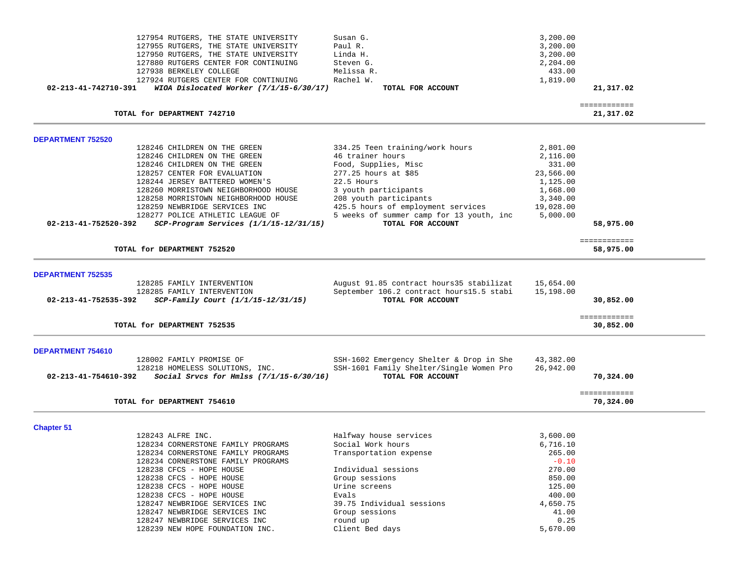| 127954 RUTGERS, THE STATE UNIVERSITY                                                                   | Susan G.                                                      | 3,200.00         |                           |
|--------------------------------------------------------------------------------------------------------|---------------------------------------------------------------|------------------|---------------------------|
| 127955 RUTGERS, THE STATE UNIVERSITY                                                                   | Paul R.                                                       | 3,200.00         |                           |
| 127950 RUTGERS, THE STATE UNIVERSITY                                                                   | Linda H.                                                      | 3,200.00         |                           |
| 127880 RUTGERS CENTER FOR CONTINUING                                                                   | Steven G.                                                     | 2,204.00         |                           |
| 127938 BERKELEY COLLEGE                                                                                | Melissa R.                                                    | 433.00           |                           |
| 127924 RUTGERS CENTER FOR CONTINUING                                                                   | Rachel W.                                                     | 1,819.00         |                           |
| 02-213-41-742710-391<br>WIOA Dislocated Worker (7/1/15-6/30/17)                                        | TOTAL FOR ACCOUNT                                             |                  | 21,317.02                 |
| TOTAL for DEPARTMENT 742710                                                                            |                                                               |                  | ============<br>21,317.02 |
| <b>DEPARTMENT 752520</b>                                                                               |                                                               |                  |                           |
| 128246 CHILDREN ON THE GREEN                                                                           | 334.25 Teen training/work hours                               | 2,801.00         |                           |
| 128246 CHILDREN ON THE GREEN                                                                           | 46 trainer hours                                              | 2,116.00         |                           |
| 128246 CHILDREN ON THE GREEN                                                                           | Food, Supplies, Misc                                          | 331.00           |                           |
| 128257 CENTER FOR EVALUATION                                                                           | 277.25 hours at \$85                                          | 23,566.00        |                           |
| 128244 JERSEY BATTERED WOMEN'S                                                                         | 22.5 Hours                                                    | 1,125.00         |                           |
| 128260 MORRISTOWN NEIGHBORHOOD HOUSE                                                                   | 3 youth participants                                          | 1,668.00         |                           |
| 128258 MORRISTOWN NEIGHBORHOOD HOUSE                                                                   | 208 youth participants                                        | 3,340.00         |                           |
| 128259 NEWBRIDGE SERVICES INC                                                                          | 425.5 hours of employment services                            | 19,028.00        |                           |
| 128277 POLICE ATHLETIC LEAGUE OF<br>$SCP-Program$ Services $(1/1/15-12/31/15)$<br>02-213-41-752520-392 | 5 weeks of summer camp for 13 youth, inc<br>TOTAL FOR ACCOUNT | 5,000.00         | 58,975.00                 |
| TOTAL for DEPARTMENT 752520                                                                            |                                                               |                  | ============<br>58,975.00 |
|                                                                                                        |                                                               |                  |                           |
| <b>DEPARTMENT 752535</b>                                                                               |                                                               |                  |                           |
| 128285 FAMILY INTERVENTION                                                                             | August 91.85 contract hours35 stabilizat                      | 15,654.00        |                           |
| 128285 FAMILY INTERVENTION                                                                             | September 106.2 contract hours15.5 stabi                      | 15,198.00        |                           |
| 02-213-41-752535-392<br>SCP-Family Court (1/1/15-12/31/15)                                             | TOTAL FOR ACCOUNT                                             |                  | 30,852.00                 |
| TOTAL for DEPARTMENT 752535                                                                            |                                                               |                  | ============<br>30,852.00 |
| DEPARTMENT 754610                                                                                      |                                                               |                  |                           |
| 128002 FAMILY PROMISE OF                                                                               | SSH-1602 Emergency Shelter & Drop in She                      | 43,382.00        |                           |
| 128218 HOMELESS SOLUTIONS, INC.                                                                        | SSH-1601 Family Shelter/Single Women Pro                      | 26,942.00        |                           |
| Social Srvcs for Hmlss $(7/1/15-6/30/16)$<br>02-213-41-754610-392                                      | TOTAL FOR ACCOUNT                                             |                  | 70,324.00                 |
| TOTAL for DEPARTMENT 754610                                                                            |                                                               |                  | ============<br>70,324.00 |
| <b>Chapter 51</b>                                                                                      |                                                               |                  |                           |
| 128243 ALFRE INC.                                                                                      | Halfway house services                                        | 3,600.00         |                           |
| 128234 CORNERSTONE FAMILY PROGRAMS                                                                     | Social Work hours                                             | 6,716.10         |                           |
| 128234 CORNERSTONE FAMILY PROGRAMS                                                                     | Transportation expense                                        | 265.00           |                           |
| 128234 CORNERSTONE FAMILY PROGRAMS                                                                     |                                                               | $-0.10$          |                           |
| 128238 CFCS - HOPE HOUSE                                                                               | Individual sessions                                           | 270.00           |                           |
| 128238 CFCS - HOPE HOUSE                                                                               | Group sessions                                                | 850.00           |                           |
| 128238 CFCS - HOPE HOUSE<br>128238 CFCS - HOPE HOUSE                                                   | Urine screens<br>Evals                                        | 125.00<br>400.00 |                           |
| 128247 NEWBRIDGE SERVICES INC                                                                          | 39.75 Individual sessions                                     | 4,650.75         |                           |
| 128247 NEWBRIDGE SERVICES INC                                                                          | Group sessions                                                | 41.00            |                           |
| 128247 NEWBRIDGE SERVICES INC                                                                          | round up                                                      | 0.25             |                           |
| 128239 NEW HOPE FOUNDATION INC.                                                                        | Client Bed days                                               | 5,670.00         |                           |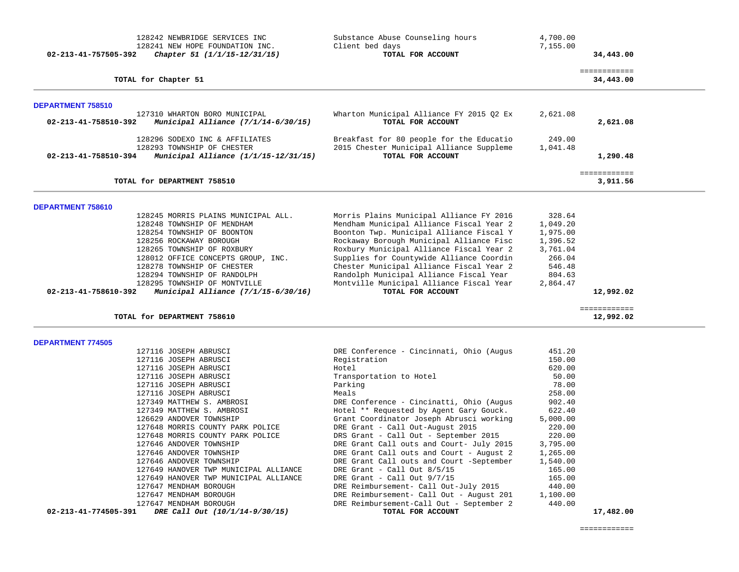| 02-213-41-757505-392     | 128242 NEWBRIDGE SERVICES INC<br>128241 NEW HOPE FOUNDATION INC.<br>Chapter 51 (1/1/15-12/31/15)     | Substance Abuse Counseling hours<br>Client bed days<br>TOTAL FOR ACCOUNT                                  | 4,700.00<br>7,155.00 | 34,443.00                 |  |
|--------------------------|------------------------------------------------------------------------------------------------------|-----------------------------------------------------------------------------------------------------------|----------------------|---------------------------|--|
|                          | TOTAL for Chapter 51                                                                                 |                                                                                                           |                      | ============<br>34,443.00 |  |
| DEPARTMENT 758510        |                                                                                                      |                                                                                                           |                      |                           |  |
| 02-213-41-758510-392     | 127310 WHARTON BORO MUNICIPAL<br>Municipal Alliance $(7/1/14-6/30/15)$                               | Wharton Municipal Alliance FY 2015 Q2 Ex<br>TOTAL FOR ACCOUNT                                             | 2,621.08             | 2,621.08                  |  |
| 02-213-41-758510-394     | 128296 SODEXO INC & AFFILIATES<br>128293 TOWNSHIP OF CHESTER<br>Municipal Alliance (1/1/15-12/31/15) | Breakfast for 80 people for the Educatio<br>2015 Chester Municipal Alliance Suppleme<br>TOTAL FOR ACCOUNT | 249.00<br>1,041.48   | 1,290.48                  |  |
|                          | TOTAL for DEPARTMENT 758510                                                                          |                                                                                                           |                      | ============<br>3,911.56  |  |
|                          |                                                                                                      |                                                                                                           |                      |                           |  |
| DEPARTMENT 758610        |                                                                                                      |                                                                                                           |                      |                           |  |
|                          | 128245 MORRIS PLAINS MUNICIPAL ALL.                                                                  | Morris Plains Municipal Alliance FY 2016                                                                  | 328.64               |                           |  |
|                          | 128248 TOWNSHIP OF MENDHAM                                                                           | Mendham Municipal Alliance Fiscal Year 2                                                                  | 1,049.20             |                           |  |
|                          | 128254 TOWNSHIP OF BOONTON                                                                           | Boonton Twp. Municipal Alliance Fiscal Y                                                                  | 1,975.00             |                           |  |
|                          | 128256 ROCKAWAY BOROUGH                                                                              | Rockaway Borough Municipal Alliance Fisc                                                                  | 1,396.52             |                           |  |
|                          | 128265 TOWNSHIP OF ROXBURY                                                                           | Roxbury Municipal Alliance Fiscal Year 2                                                                  | 3,761.04             |                           |  |
|                          | 128012 OFFICE CONCEPTS GROUP, INC.<br>128278 TOWNSHIP OF CHESTER                                     | Supplies for Countywide Alliance Coordin<br>Chester Municipal Alliance Fiscal Year 2                      | 266.04<br>546.48     |                           |  |
|                          | 128294 TOWNSHIP OF RANDOLPH                                                                          | Randolph Municipal Alliance Fiscal Year                                                                   | 804.63               |                           |  |
|                          | 128295 TOWNSHIP OF MONTVILLE                                                                         | Montville Municipal Alliance Fiscal Year                                                                  | 2,864.47             |                           |  |
| 02-213-41-758610-392     | Municipal Alliance $(7/1/15-6/30/16)$                                                                | TOTAL FOR ACCOUNT                                                                                         |                      | 12,992.02                 |  |
|                          |                                                                                                      |                                                                                                           |                      | ============              |  |
|                          | TOTAL for DEPARTMENT 758610                                                                          |                                                                                                           |                      | 12,992.02                 |  |
| <b>DEPARTMENT 774505</b> |                                                                                                      |                                                                                                           |                      |                           |  |
|                          | 127116 JOSEPH ABRUSCI                                                                                | DRE Conference - Cincinnati, Ohio (Augus                                                                  | 451.20               |                           |  |
|                          | 127116 JOSEPH ABRUSCI                                                                                | Registration                                                                                              | 150.00               |                           |  |
|                          | 127116 JOSEPH ABRUSCI                                                                                | Hotel                                                                                                     | 620.00               |                           |  |
|                          | 127116 JOSEPH ABRUSCI                                                                                | Transportation to Hotel                                                                                   | 50.00                |                           |  |
|                          | 127116 JOSEPH ABRUSCI                                                                                | Parking                                                                                                   | 78.00                |                           |  |
|                          | 127116 JOSEPH ABRUSCI                                                                                | Meals                                                                                                     | 258.00               |                           |  |
|                          | 127349 MATTHEW S. AMBROSI                                                                            | DRE Conference - Cincinatti, Ohio (Augus                                                                  | 902.40               |                           |  |
|                          | 127349 MATTHEW S. AMBROSI                                                                            | Hotel ** Requested by Agent Gary Gouck.                                                                   | 622.40               |                           |  |
|                          | 126629 ANDOVER TOWNSHIP                                                                              | Grant Coordinator Joseph Abrusci working                                                                  | 5,000.00             |                           |  |
|                          | 127648 MORRIS COUNTY PARK POLICE                                                                     | DRE Grant - Call Out-August 2015                                                                          | 220.00               |                           |  |
|                          | 127648 MORRIS COUNTY PARK POLICE<br>127646 ANDOVER TOWNSHIP                                          | DRS Grant - Call Out - September 2015<br>DRE Grant Call outs and Court- July 2015                         | 220.00<br>3,795.00   |                           |  |
|                          | 127646 ANDOVER TOWNSHIP                                                                              | DRE Grant Call outs and Court - August 2                                                                  | 1,265.00             |                           |  |
|                          | 127646 ANDOVER TOWNSHIP                                                                              | DRE Grant Call outs and Court -September                                                                  | 1,540.00             |                           |  |
|                          | 127649 HANOVER TWP MUNICIPAL ALLIANCE                                                                | DRE Grant - Call Out $8/5/15$                                                                             | 165.00               |                           |  |
|                          | 127649 HANOVER TWP MUNICIPAL ALLIANCE                                                                | DRE Grant - Call Out $9/7/15$                                                                             | 165.00               |                           |  |
|                          | 127647 MENDHAM BOROUGH                                                                               | DRE Reimbursement- Call Out-July 2015                                                                     | 440.00               |                           |  |
|                          | 127647 MENDHAM BOROUGH                                                                               | DRE Reimbursement- Call Out - August 201                                                                  | 1,100.00             |                           |  |
|                          | 127647 MENDHAM BOROUGH                                                                               | DRE Reimbursement-Call Out - September 2                                                                  | 440.00               |                           |  |
|                          |                                                                                                      |                                                                                                           |                      |                           |  |
| 02-213-41-774505-391     | DRE Call Out (10/1/14-9/30/15)                                                                       | TOTAL FOR ACCOUNT                                                                                         |                      | 17,482.00                 |  |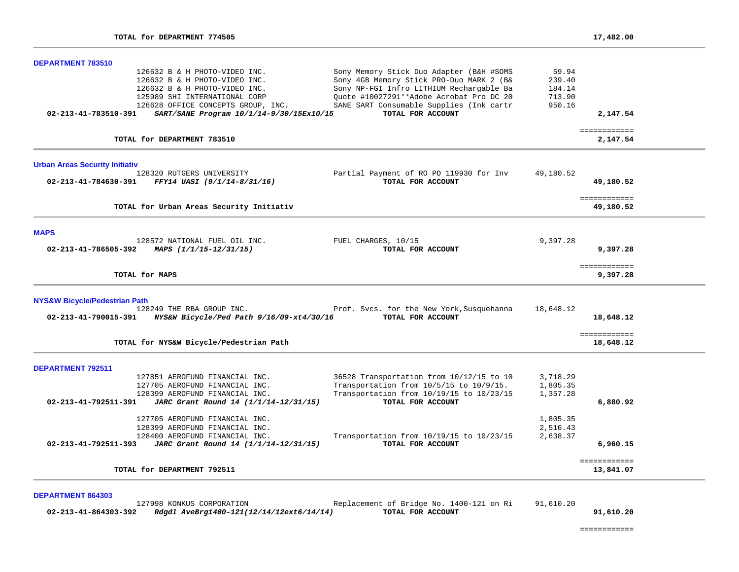| <b>DEPARTMENT 783510</b>                                                                                                                                                                                                                                                                                                                                                                                                                                                                      |                                               |                           |  |
|-----------------------------------------------------------------------------------------------------------------------------------------------------------------------------------------------------------------------------------------------------------------------------------------------------------------------------------------------------------------------------------------------------------------------------------------------------------------------------------------------|-----------------------------------------------|---------------------------|--|
| Sony Memory Stick Duo Adapter (B&H #SOMS<br>126632 B & H PHOTO-VIDEO INC.<br>Sony 4GB Memory Stick PRO-Duo MARK 2 (B&<br>126632 B & H PHOTO-VIDEO INC.<br>Sony NP-FGI Infro LITHIUM Rechargable Ba<br>126632 B & H PHOTO-VIDEO INC.<br>Quote #10027291 ** Adobe Acrobat Pro DC 20<br>125989 SHI INTERNATIONAL CORP<br>SANE SART Consumable Supplies (Ink cartr<br>126628 OFFICE CONCEPTS GROUP, INC.<br>TOTAL FOR ACCOUNT<br>SART/SANE Program 10/1/14-9/30/15Ex10/15<br>02-213-41-783510-391 | 59.94<br>239.40<br>184.14<br>713.90<br>950.16 | 2,147.54                  |  |
|                                                                                                                                                                                                                                                                                                                                                                                                                                                                                               |                                               | ============              |  |
| TOTAL for DEPARTMENT 783510                                                                                                                                                                                                                                                                                                                                                                                                                                                                   |                                               | 2,147.54                  |  |
| <b>Urban Areas Security Initiativ</b>                                                                                                                                                                                                                                                                                                                                                                                                                                                         |                                               |                           |  |
| 128320 RUTGERS UNIVERSITY<br>Partial Payment of RO PO 119930 for Inv<br>02-213-41-784630-391<br>FFY14 UASI (9/1/14-8/31/16)<br>TOTAL FOR ACCOUNT                                                                                                                                                                                                                                                                                                                                              | 49,180.52                                     | 49,180.52                 |  |
| TOTAL for Urban Areas Security Initiativ                                                                                                                                                                                                                                                                                                                                                                                                                                                      |                                               | ============<br>49,180.52 |  |
| <b>MAPS</b>                                                                                                                                                                                                                                                                                                                                                                                                                                                                                   |                                               |                           |  |
| 128572 NATIONAL FUEL OIL INC.<br>FUEL CHARGES, 10/15<br>02-213-41-786505-392<br>MAPS (1/1/15-12/31/15)<br>TOTAL FOR ACCOUNT                                                                                                                                                                                                                                                                                                                                                                   | 9,397.28                                      | 9,397.28                  |  |
| TOTAL for MAPS                                                                                                                                                                                                                                                                                                                                                                                                                                                                                |                                               | ============<br>9,397.28  |  |
| <b>NYS&amp;W Bicycle/Pedestrian Path</b><br>Prof. Svcs. for the New York, Susquehanna<br>128249 THE RBA GROUP INC.<br>TOTAL FOR ACCOUNT<br>02-213-41-790015-391<br>NYS&W Bicycle/Ped Path 9/16/09-xt4/30/16                                                                                                                                                                                                                                                                                   | 18,648.12                                     | 18,648.12                 |  |
| TOTAL for NYS&W Bicycle/Pedestrian Path                                                                                                                                                                                                                                                                                                                                                                                                                                                       |                                               | ============<br>18,648.12 |  |
| <b>DEPARTMENT 792511</b>                                                                                                                                                                                                                                                                                                                                                                                                                                                                      |                                               |                           |  |
| 127851 AEROFUND FINANCIAL INC.<br>36528 Transportation from 10/12/15 to 10<br>Transportation from 10/5/15 to 10/9/15.<br>127705 AEROFUND FINANCIAL INC.                                                                                                                                                                                                                                                                                                                                       | 3,718.29<br>1,805.35                          |                           |  |
| Transportation from 10/19/15 to 10/23/15<br>128399 AEROFUND FINANCIAL INC.                                                                                                                                                                                                                                                                                                                                                                                                                    | 1,357.28                                      |                           |  |
| JARC Grant Round 14 (1/1/14-12/31/15)<br>TOTAL FOR ACCOUNT<br>$02 - 213 - 41 - 792511 - 391$                                                                                                                                                                                                                                                                                                                                                                                                  |                                               | 6,880.92                  |  |
| 127705 AEROFUND FINANCIAL INC.                                                                                                                                                                                                                                                                                                                                                                                                                                                                | 1,805.35                                      |                           |  |
| 128399 AEROFUND FINANCIAL INC.                                                                                                                                                                                                                                                                                                                                                                                                                                                                | 2,516.43                                      |                           |  |
| Transportation from 10/19/15 to 10/23/15<br>128400 AEROFUND FINANCIAL INC.<br>JARC Grant Round 14 (1/1/14-12/31/15)<br>TOTAL FOR ACCOUNT<br>02-213-41-792511-393                                                                                                                                                                                                                                                                                                                              | 2,638.37                                      | 6,960.15                  |  |
| TOTAL for DEPARTMENT 792511                                                                                                                                                                                                                                                                                                                                                                                                                                                                   |                                               | ============<br>13,841.07 |  |

|                      | 127998 KONKUS CORPORATION                | Replacement of Bridge No. 1400-121 on Ri | 91,610.20 |
|----------------------|------------------------------------------|------------------------------------------|-----------|
| 02-213-41-864303-392 | Rdgdl AveBrg1400-121(12/14/12ext6/14/14) | TOTAL FOR ACCOUNT                        | 91,610.20 |

============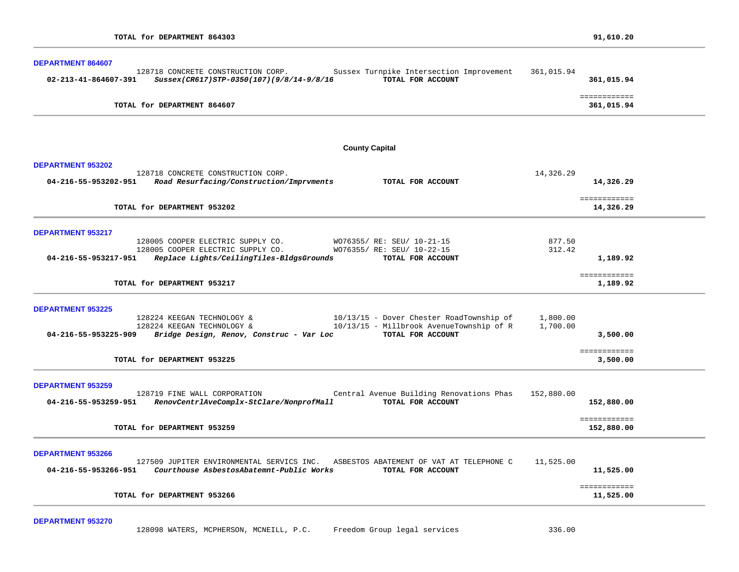| DEPARTMENT 864607                                                                                                                                                                      |                      |                            |
|----------------------------------------------------------------------------------------------------------------------------------------------------------------------------------------|----------------------|----------------------------|
| 128718 CONCRETE CONSTRUCTION CORP.<br>Sussex Turnpike Intersection Improvement<br>TOTAL FOR ACCOUNT<br>02-213-41-864607-391<br>Sussex(CR617)STP-0350(107)(9/8/14-9/8/16                | 361,015.94           | 361,015.94                 |
| TOTAL for DEPARTMENT 864607                                                                                                                                                            |                      | ============<br>361,015.94 |
|                                                                                                                                                                                        |                      |                            |
| <b>County Capital</b>                                                                                                                                                                  |                      |                            |
| <b>DEPARTMENT 953202</b><br>128718 CONCRETE CONSTRUCTION CORP.                                                                                                                         | 14,326.29            |                            |
| Road Resurfacing/Construction/Imprvments<br>TOTAL FOR ACCOUNT<br>04-216-55-953202-951                                                                                                  |                      | 14,326.29                  |
| TOTAL for DEPARTMENT 953202                                                                                                                                                            |                      | ============<br>14,326.29  |
| <b>DEPARTMENT 953217</b><br>128005 COOPER ELECTRIC SUPPLY CO.                                                                                                                          |                      |                            |
| WO76355/ RE: SEU/ 10-21-15<br>128005 COOPER ELECTRIC SUPPLY CO.<br>WO76355/ RE: SEU/ 10-22-15<br>Replace Lights/CeilingTiles-BldgsGrounds<br>TOTAL FOR ACCOUNT<br>04-216-55-953217-951 | 877.50<br>312.42     | 1,189.92                   |
| TOTAL for DEPARTMENT 953217                                                                                                                                                            |                      | ============<br>1,189.92   |
| <b>DEPARTMENT 953225</b>                                                                                                                                                               |                      |                            |
| 128224 KEEGAN TECHNOLOGY &<br>10/13/15 - Dover Chester RoadTownship of<br>10/13/15 - Millbrook AvenueTownship of R<br>128224 KEEGAN TECHNOLOGY &<br>TOTAL FOR ACCOUNT                  | 1,800.00<br>1,700.00 |                            |
| 04-216-55-953225-909<br>Bridge Design, Renov, Construc - Var Loc                                                                                                                       |                      | 3,500.00                   |
| TOTAL for DEPARTMENT 953225                                                                                                                                                            |                      | ============<br>3,500.00   |
| <b>DEPARTMENT 953259</b>                                                                                                                                                               |                      |                            |
| 128719 FINE WALL CORPORATION<br>Central Avenue Building Renovations Phas<br>RenovCentrlAveComplx-StClare/NonprofMall<br>TOTAL FOR ACCOUNT<br>04-216-55-953259-951                      | 152,880.00           | 152,880.00                 |
| TOTAL for DEPARTMENT 953259                                                                                                                                                            |                      | ============<br>152,880.00 |
| <b>DEPARTMENT 953266</b>                                                                                                                                                               |                      |                            |
| 127509 JUPITER ENVIRONMENTAL SERVICS INC. ASBESTOS ABATEMENT OF VAT AT TELEPHONE C<br>04-216-55-953266-951<br>Courthouse AsbestosAbatemnt-Public Works<br>TOTAL FOR ACCOUNT            | 11,525.00            | 11,525.00                  |
| TOTAL for DEPARTMENT 953266                                                                                                                                                            |                      | ============<br>11,525.00  |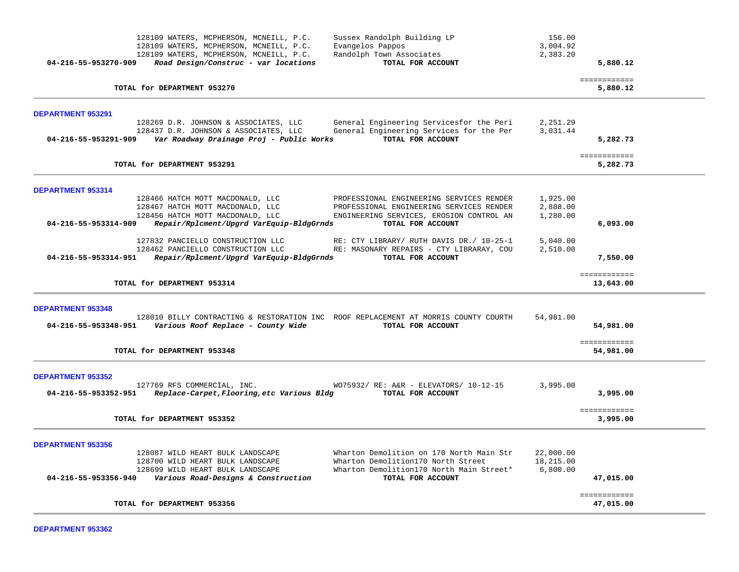| Sussex Randolph Building LP<br>128109 WATERS, MCPHERSON, MCNEILL, P.C.<br>128109 WATERS, MCPHERSON, MCNEILL, P.C.<br>Evangelos Pappos<br>Randolph Town Associates<br>128109 WATERS, MCPHERSON, MCNEILL, P.C.<br>TOTAL FOR ACCOUNT<br>04-216-55-953270-909<br>Road Design/Construc - var locations                                                          | 156.00<br>3,004.92<br>2,383.20     | 5,880.12                  |  |
|------------------------------------------------------------------------------------------------------------------------------------------------------------------------------------------------------------------------------------------------------------------------------------------------------------------------------------------------------------|------------------------------------|---------------------------|--|
| TOTAL for DEPARTMENT 953270                                                                                                                                                                                                                                                                                                                                |                                    | ============<br>5,880.12  |  |
| <b>DEPARTMENT 953291</b><br>128269 D.R. JOHNSON & ASSOCIATES, LLC<br>General Engineering Servicesfor the Peri<br>General Engineering Services for the Per<br>128437 D.R. JOHNSON & ASSOCIATES, LLC<br>TOTAL FOR ACCOUNT<br>Var Roadway Drainage Proj - Public Works<br>04-216-55-953291-909                                                                | 2,251.29<br>3,031.44               | 5,282.73                  |  |
| TOTAL for DEPARTMENT 953291                                                                                                                                                                                                                                                                                                                                |                                    | ============<br>5,282.73  |  |
| DEPARTMENT 953314<br>128466 HATCH MOTT MACDONALD, LLC<br>PROFESSIONAL ENGINEERING SERVICES RENDER<br>128467 HATCH MOTT MACDONALD, LLC<br>PROFESSIONAL ENGINEERING SERVICES RENDER<br>128456 HATCH MOTT MACDONALD, LLC<br>ENGINEERING SERVICES, EROSION CONTROL AN<br>Repair/Rplcment/Upgrd VarEquip-BldgGrnds<br>04-216-55-953314-909<br>TOTAL FOR ACCOUNT | 1,925.00<br>2,888.00<br>1,280.00   | 6,093.00                  |  |
| 127832 PANCIELLO CONSTRUCTION LLC<br>RE: CTY LIBRARY/ RUTH DAVIS DR./ 10-25-1<br>128462 PANCIELLO CONSTRUCTION LLC<br>RE: MASONARY REPAIRS - CTY LIBRARAY, COU<br>04-216-55-953314-951<br>Repair/Rplcment/Upgrd VarEquip-BldgGrnds<br>TOTAL FOR ACCOUNT                                                                                                    | 5,040.00<br>2,510.00               | 7,550.00                  |  |
| TOTAL for DEPARTMENT 953314                                                                                                                                                                                                                                                                                                                                |                                    | ============<br>13,643.00 |  |
| <b>DEPARTMENT 953348</b><br>128010 BILLY CONTRACTING & RESTORATION INC ROOF REPLACEMENT AT MORRIS COUNTY COURTH<br>Various Roof Replace - County Wide<br>04-216-55-953348-951<br>TOTAL FOR ACCOUNT                                                                                                                                                         | 54,981.00                          | 54,981.00                 |  |
| TOTAL for DEPARTMENT 953348                                                                                                                                                                                                                                                                                                                                |                                    | ============<br>54,981.00 |  |
| <b>DEPARTMENT 953352</b><br>127769 RFS COMMERCIAL, INC.<br>WO75932/ RE: A&R - ELEVATORS/ 10-12-15<br>Replace-Carpet, Flooring, etc Various Bldg<br>TOTAL FOR ACCOUNT<br>04-216-55-953352-951                                                                                                                                                               | 3,995.00                           | 3,995.00                  |  |
| TOTAL for DEPARTMENT 953352                                                                                                                                                                                                                                                                                                                                |                                    | ============<br>3,995.00  |  |
| <b>DEPARTMENT 953356</b><br>Wharton Demolition on 170 North Main Str<br>128087 WILD HEART BULK LANDSCAPE<br>128700 WILD HEART BULK LANDSCAPE<br>Wharton Demolition170 North Street<br>128699 WILD HEART BULK LANDSCAPE<br>Wharton Demolition170 North Main Street*<br>Various Road-Designs & Construction<br>04-216-55-953356-940<br>TOTAL FOR ACCOUNT     | 22,000.00<br>18,215.00<br>6,800.00 | 47,015.00                 |  |
| TOTAL for DEPARTMENT 953356                                                                                                                                                                                                                                                                                                                                |                                    | ============<br>47,015.00 |  |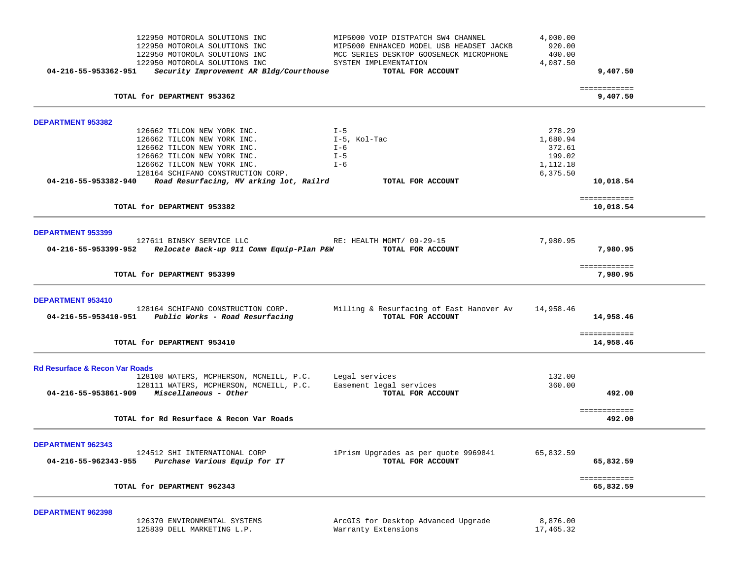| 04-216-55-953362-951                      | 122950 MOTOROLA SOLUTIONS INC<br>122950 MOTOROLA SOLUTIONS INC<br>122950 MOTOROLA SOLUTIONS INC<br>122950 MOTOROLA SOLUTIONS INC<br>Security Improvement AR Bldg/Courthouse | MIP5000 VOIP DISTPATCH SW4 CHANNEL<br>MIP5000 ENHANCED MODEL USB HEADSET JACKB<br>MCC SERIES DESKTOP GOOSENECK MICROPHONE<br>SYSTEM IMPLEMENTATION<br>TOTAL FOR ACCOUNT | 4,000.00<br>920.00<br>400.00<br>4,087.50 | 9,407.50                  |  |
|-------------------------------------------|-----------------------------------------------------------------------------------------------------------------------------------------------------------------------------|-------------------------------------------------------------------------------------------------------------------------------------------------------------------------|------------------------------------------|---------------------------|--|
|                                           |                                                                                                                                                                             |                                                                                                                                                                         |                                          | ============              |  |
|                                           | TOTAL for DEPARTMENT 953362                                                                                                                                                 |                                                                                                                                                                         |                                          | 9,407.50                  |  |
| <b>DEPARTMENT 953382</b>                  |                                                                                                                                                                             |                                                                                                                                                                         |                                          |                           |  |
|                                           | 126662 TILCON NEW YORK INC.                                                                                                                                                 | $I - 5$                                                                                                                                                                 | 278.29                                   |                           |  |
|                                           | 126662 TILCON NEW YORK INC.                                                                                                                                                 | I-5, Kol-Tac                                                                                                                                                            | 1,680.94                                 |                           |  |
|                                           | 126662 TILCON NEW YORK INC.<br>126662 TILCON NEW YORK INC.                                                                                                                  | $I - 6$<br>$I - 5$                                                                                                                                                      | 372.61<br>199.02                         |                           |  |
|                                           | 126662 TILCON NEW YORK INC.                                                                                                                                                 | I-6                                                                                                                                                                     | 1,112.18                                 |                           |  |
|                                           | 128164 SCHIFANO CONSTRUCTION CORP.                                                                                                                                          |                                                                                                                                                                         | 6,375.50                                 |                           |  |
| 04-216-55-953382-940                      | Road Resurfacing, MV arking lot, Railrd                                                                                                                                     | TOTAL FOR ACCOUNT                                                                                                                                                       |                                          | 10,018.54                 |  |
|                                           |                                                                                                                                                                             |                                                                                                                                                                         |                                          | ============              |  |
|                                           | TOTAL for DEPARTMENT 953382                                                                                                                                                 |                                                                                                                                                                         |                                          | 10,018.54                 |  |
| <b>DEPARTMENT 953399</b>                  |                                                                                                                                                                             |                                                                                                                                                                         |                                          |                           |  |
| 04-216-55-953399-952                      | 127611 BINSKY SERVICE LLC<br>Relocate Back-up 911 Comm Equip-Plan P&W                                                                                                       | RE: HEALTH MGMT/ 09-29-15<br>TOTAL FOR ACCOUNT                                                                                                                          | 7,980.95                                 | 7,980.95                  |  |
|                                           | TOTAL for DEPARTMENT 953399                                                                                                                                                 |                                                                                                                                                                         |                                          | ============<br>7,980.95  |  |
| DEPARTMENT 953410                         |                                                                                                                                                                             |                                                                                                                                                                         |                                          |                           |  |
| 04-216-55-953410-951                      | 128164 SCHIFANO CONSTRUCTION CORP.<br>Public Works - Road Resurfacing                                                                                                       | Milling & Resurfacing of East Hanover Av<br>TOTAL FOR ACCOUNT                                                                                                           | 14,958.46                                | 14,958.46                 |  |
|                                           | TOTAL for DEPARTMENT 953410                                                                                                                                                 |                                                                                                                                                                         |                                          | ============<br>14,958.46 |  |
| <b>Rd Resurface &amp; Recon Var Roads</b> |                                                                                                                                                                             |                                                                                                                                                                         |                                          |                           |  |
|                                           | 128108 WATERS, MCPHERSON, MCNEILL, P.C.                                                                                                                                     | Legal services                                                                                                                                                          | 132.00                                   |                           |  |
|                                           | 128111 WATERS, MCPHERSON, MCNEILL, P.C.<br>04-216-55-953861-909 Miscellaneous - Other                                                                                       | Easement legal services<br>TOTAL FOR ACCOUNT                                                                                                                            | 360.00                                   | 492.00                    |  |
|                                           |                                                                                                                                                                             |                                                                                                                                                                         |                                          | ============              |  |
|                                           | TOTAL for Rd Resurface & Recon Var Roads                                                                                                                                    |                                                                                                                                                                         |                                          | 492.00                    |  |
| <b>DEPARTMENT 962343</b>                  |                                                                                                                                                                             |                                                                                                                                                                         |                                          |                           |  |
| 04-216-55-962343-955                      | 124512 SHI INTERNATIONAL CORP<br>Purchase Various Equip for IT                                                                                                              | iPrism Upgrades as per quote 9969841<br>TOTAL FOR ACCOUNT                                                                                                               | 65,832.59                                | 65,832.59                 |  |
|                                           | TOTAL for DEPARTMENT 962343                                                                                                                                                 |                                                                                                                                                                         |                                          | ============<br>65,832.59 |  |
|                                           |                                                                                                                                                                             |                                                                                                                                                                         |                                          |                           |  |
| DEPARTMENT 962398                         | 126370 ENVIRONMENTAL SYSTEMS                                                                                                                                                | ArcGIS for Desktop Advanced Upgrade                                                                                                                                     | 8,876.00                                 |                           |  |

125839 DELL MARKETING L.P. Warranty Extensions 17,465.32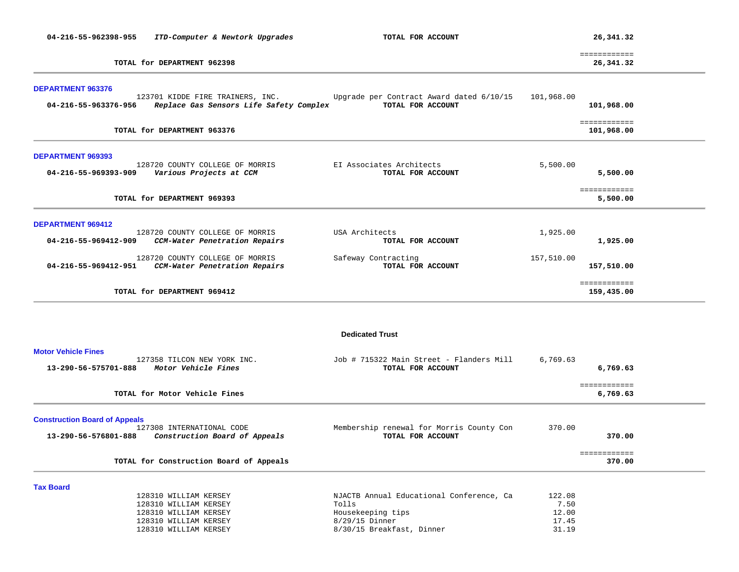| 04-216-55-962398-955                                         | ITD-Computer & Newtork Upgrades                                                                                           | TOTAL FOR ACCOUNT                                                                                                       |                                           | 26,341.32                  |  |
|--------------------------------------------------------------|---------------------------------------------------------------------------------------------------------------------------|-------------------------------------------------------------------------------------------------------------------------|-------------------------------------------|----------------------------|--|
|                                                              | TOTAL for DEPARTMENT 962398                                                                                               |                                                                                                                         |                                           | ============<br>26,341.32  |  |
| <b>DEPARTMENT 963376</b><br>04-216-55-963376-956             | 123701 KIDDE FIRE TRAINERS, INC.<br>Replace Gas Sensors Life Safety Complex                                               | Upgrade per Contract Award dated 6/10/15<br>TOTAL FOR ACCOUNT                                                           | 101,968.00                                | 101,968.00<br>============ |  |
|                                                              | TOTAL for DEPARTMENT 963376                                                                                               |                                                                                                                         |                                           | 101,968.00                 |  |
| <b>DEPARTMENT 969393</b><br>04-216-55-969393-909             | 128720 COUNTY COLLEGE OF MORRIS<br>Various Projects at CCM                                                                | EI Associates Architects<br>TOTAL FOR ACCOUNT                                                                           | 5,500.00                                  | 5,500.00                   |  |
|                                                              | TOTAL for DEPARTMENT 969393                                                                                               |                                                                                                                         |                                           | ============<br>5,500.00   |  |
| <b>DEPARTMENT 969412</b><br>04-216-55-969412-909             | 128720 COUNTY COLLEGE OF MORRIS<br>CCM-Water Penetration Repairs                                                          | USA Architects<br>TOTAL FOR ACCOUNT                                                                                     | 1,925.00                                  | 1,925.00                   |  |
| 04-216-55-969412-951                                         | 128720 COUNTY COLLEGE OF MORRIS<br>CCM-Water Penetration Repairs                                                          | Safeway Contracting<br>TOTAL FOR ACCOUNT                                                                                | 157,510.00                                | 157,510.00                 |  |
|                                                              | TOTAL for DEPARTMENT 969412                                                                                               |                                                                                                                         |                                           | ============<br>159,435.00 |  |
|                                                              |                                                                                                                           | <b>Dedicated Trust</b>                                                                                                  |                                           |                            |  |
| <b>Motor Vehicle Fines</b><br>13-290-56-575701-888           | 127358 TILCON NEW YORK INC.<br>Motor Vehicle Fines                                                                        | Job # 715322 Main Street - Flanders Mill<br>TOTAL FOR ACCOUNT                                                           | 6,769.63                                  | 6,769.63                   |  |
|                                                              | TOTAL for Motor Vehicle Fines                                                                                             |                                                                                                                         |                                           | ============<br>6,769.63   |  |
| <b>Construction Board of Appeals</b><br>13-290-56-576801-888 | 127308 INTERNATIONAL CODE<br>Construction Board of Appeals                                                                | Membership renewal for Morris County Con<br>TOTAL FOR ACCOUNT                                                           | 370.00                                    | 370.00                     |  |
|                                                              | TOTAL for Construction Board of Appeals                                                                                   |                                                                                                                         |                                           | ============<br>370.00     |  |
| <b>Tax Board</b>                                             | 128310 WILLIAM KERSEY<br>128310 WILLIAM KERSEY<br>128310 WILLIAM KERSEY<br>128310 WILLIAM KERSEY<br>128310 WILLIAM KERSEY | NJACTB Annual Educational Conference, Ca<br>Tolls<br>Housekeeping tips<br>$8/29/15$ Dinner<br>8/30/15 Breakfast, Dinner | 122.08<br>7.50<br>12.00<br>17.45<br>31.19 |                            |  |